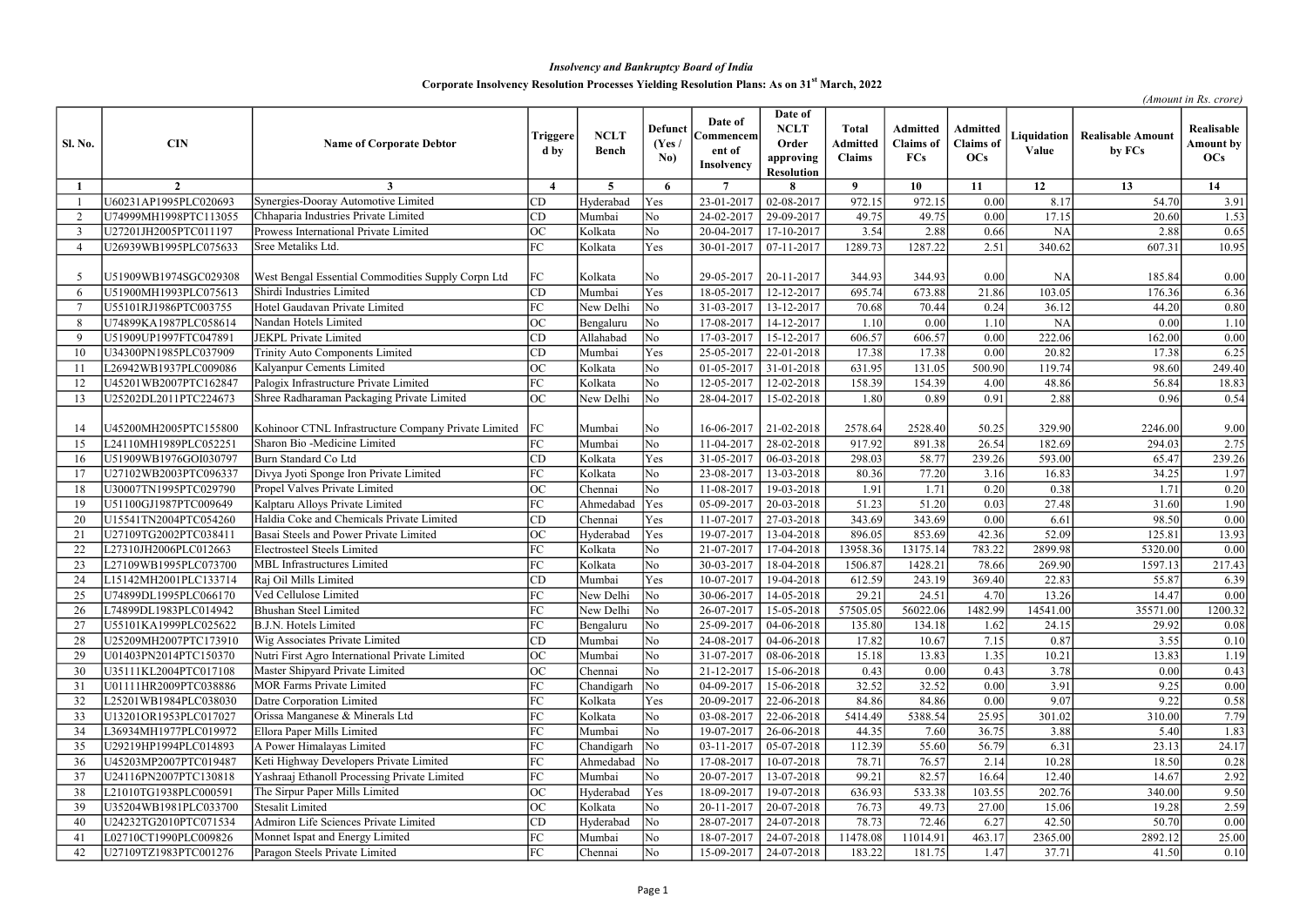| <b>Sl. No.</b> | <b>CIN</b>            | <b>Name of Corporate Debtor</b>                           | Triggere<br>d by         | <b>NCLT</b><br><b>Bench</b> | <b>Defunct</b><br>(Yes /<br>No) | Date of<br>Commencem<br>ent of<br>Insolvency | Date of<br><b>NCLT</b><br>Order<br>approving<br><b>Resolution</b> | <b>Total</b><br><b>Admitted</b><br><b>Claims</b> | <b>Admitted</b><br><b>Claims</b> of<br><b>FCs</b> | Admitted<br><b>Claims</b> of<br><b>OCs</b> | Liquidation<br>Value | <b>Realisable Amount</b><br>by FCs | Realisable<br><b>Amount by</b><br>OCs |
|----------------|-----------------------|-----------------------------------------------------------|--------------------------|-----------------------------|---------------------------------|----------------------------------------------|-------------------------------------------------------------------|--------------------------------------------------|---------------------------------------------------|--------------------------------------------|----------------------|------------------------------------|---------------------------------------|
|                | $\overline{2}$        | 3                                                         | $\boldsymbol{\varDelta}$ | $5^{\circ}$                 | 6                               | $\overline{7}$                               |                                                                   | $\boldsymbol{9}$                                 | 10                                                | 11                                         | 12                   | 13                                 | 14                                    |
|                | U60231AP1995PLC020693 | Synergies-Dooray Automotive Limited                       | CD                       | Hyderabad                   | Yes                             | 23-01-2017                                   | 02-08-2017                                                        | 972.15                                           | 972.15                                            | 0.00                                       | 8.17                 | 54.70                              | 3.91                                  |
| $\overline{2}$ | U74999MH1998PTC113055 | Chhaparia Industries Private Limited                      | CD                       | Mumbai                      | No                              | 24-02-2017                                   | 29-09-2017                                                        | 49.75                                            | 49.75                                             | 0.00                                       | 17.15                | 20.60                              | 1.53                                  |
| -3             | U27201JH2005PTC011197 | Prowess International Private Limited                     | <b>OC</b>                | Kolkata                     | No                              | 20-04-2017                                   | 17-10-2017                                                        | 3.54                                             | 2.88                                              | 0.66                                       | <b>NA</b>            | 2.88                               | 0.65                                  |
| $\overline{4}$ | U26939WB1995PLC075633 | Sree Metaliks Ltd.                                        | FC                       | Kolkata                     | Yes                             | 30-01-2017                                   | 07-11-2017                                                        | 1289.73                                          | 1287.22                                           | 2.51                                       | 340.62               | 607.31                             | 10.95                                 |
|                | U51909WB1974SGC029308 | West Bengal Essential Commodities Supply Corpn Ltd        | FC                       | Kolkata                     | No                              | 29-05-2017                                   | 20-11-2017                                                        | 344.93                                           | 344.93                                            | 0.00                                       | <b>NA</b>            | 185.84                             | 0.00                                  |
| 6              | U51900MH1993PLC075613 | Shirdi Industries Limited                                 | CD                       | Mumbai                      | Yes                             | 18-05-2017                                   | 12-12-2017                                                        | 695.74                                           | 673.88                                            | 21.86                                      | 103.05               | 176.36                             | 6.36                                  |
| - 7            | U55101RJ1986PTC003755 | Hotel Gaudavan Private Limited                            | FC                       | New Delhi                   | No                              | 31-03-2017                                   | 13-12-2017                                                        | 70.68                                            | 70.44                                             | 0.24                                       | 36.12                | 44.20                              | 0.80                                  |
| 8              | U74899KA1987PLC058614 | Nandan Hotels Limited                                     | <b>OC</b>                | Bengaluru                   | No                              | 17-08-2017                                   | 14-12-2017                                                        | 1.10                                             | 0.00                                              | 1.10                                       | <b>NA</b>            | 0.00                               | 1.10                                  |
| -9             | U51909UP1997FTC047891 | JEKPL Private Limited                                     | CD                       | Allahabad                   | N <sub>o</sub>                  | 17-03-2017                                   | 15-12-2017                                                        | 606.57                                           | 606.57                                            | 0.00                                       | 222.06               | 162.00                             | 0.00                                  |
| 10             | U34300PN1985PLC037909 | Trinity Auto Components Limited                           | CD                       | Mumbai                      | Yes                             | 25-05-2017                                   | 22-01-2018                                                        | 17.38                                            | 17.38                                             | 0.00                                       | 20.82                | 17.38                              | 6.25                                  |
|                | L26942WB1937PLC009086 | Kalyanpur Cements Limited                                 | OC                       | Kolkata                     | No                              | 01-05-2017                                   | 31-01-2018                                                        | 631.95                                           | 131.05                                            | 500.90                                     | 119.74               | 98.60                              | 249.40                                |
| 12             | U45201WB2007PTC162847 | Palogix Infrastructure Private Limited                    | FC                       | Kolkata                     | N <sub>o</sub>                  | 12-05-2017                                   | 12-02-2018                                                        | 158.39                                           | 154.39                                            | 4.00                                       | 48.86                | 56.84                              | 18.83                                 |
| 13             | U25202DL2011PTC224673 | Shree Radharaman Packaging Private Limited                | <b>OC</b>                | New Delhi                   | No                              | 28-04-2017                                   | 15-02-2018                                                        | 1.80                                             | 0.89                                              | 0.91                                       | 2.88                 | 0.96                               | 0.54                                  |
|                | U45200MH2005PTC155800 | Kohinoor CTNL Infrastructure Company Private Limited   FC |                          | Mumbai                      | No                              | 16-06-2017                                   | 21-02-2018                                                        | 2578.64                                          | 2528.40                                           | 50.25                                      | 329.90               | 2246.00                            | 9.00                                  |
| 15             | L24110MH1989PLC052251 | Sharon Bio -Medicine Limited                              | FC                       | Mumbai                      | No                              | 11-04-2017                                   | 28-02-2018                                                        | 917.92                                           | 891.38                                            | 26.54                                      | 182.69               | 294.03                             | 2.75                                  |
| 16             | U51909WB1976GOI030797 | Burn Standard Co Ltd                                      | CD                       | Kolkata                     | Yes                             | 31-05-2017                                   | 06-03-2018                                                        | 298.03                                           | 58.77                                             | 239.26                                     | 593.00               | 65.47                              | 239.26                                |
| -17            | U27102WB2003PTC096337 | Divya Jyoti Sponge Iron Private Limited                   | FC                       | Kolkata                     | No                              | 23-08-2017                                   | 13-03-2018                                                        | 80.36                                            | 77.20                                             | 3.16                                       | 16.83                | 34.25                              | 1.97                                  |
| -18            | U30007TN1995PTC029790 | Propel Valves Private Limited                             | OC                       | Chennai                     | N <sub>o</sub>                  | 11-08-2017                                   | 19-03-2018                                                        | 1.91                                             | 1.71                                              | 0.20                                       | 0.38                 | 1.71                               | 0.20                                  |
| 19             | U51100GJ1987PTC009649 | Kalptaru Alloys Private Limited                           | FC                       | Ahmedaba                    | Yes                             | 05-09-2017                                   | 20-03-2018                                                        | 51.23                                            | 51.20                                             | 0.03                                       | 27.48                | 31.60                              | 1.90                                  |
| 20             | U15541TN2004PTC054260 | Haldia Coke and Chemicals Private Limited                 | CD                       | Chennai                     | Yes                             | 11-07-2017                                   | 27-03-2018                                                        | 343.69                                           | 343.69                                            | 0.00                                       | 6.61                 | 98.50                              | 0.00                                  |
| 21             | U27109TG2002PTC038411 | Basai Steels and Power Private Limited                    | <b>OC</b>                | Hyderabad                   | Yes                             | 19-07-2017                                   | 13-04-2018                                                        | 896.05                                           | 853.69                                            | 42.36                                      | 52.09                | 125.81                             | 13.93                                 |
| 22             | L27310JH2006PLC012663 | <b>Electrosteel Steels Limited</b>                        | FC                       | Kolkata                     | No                              | 21-07-2017                                   | 17-04-2018                                                        | 13958.36                                         | 13175.14                                          | 783.22                                     | 2899.98              | 5320.00                            | 0.00                                  |
| 23             | L27109WB1995PLC073700 | <b>MBL</b> Infrastructures Limited                        | FC                       | Kolkata                     | No                              | 30-03-2017                                   | 18-04-2018                                                        | 1506.87                                          | 1428.21                                           | 78.66                                      | 269.90               | 1597.13                            | 217.43                                |
| 24             | L15142MH2001PLC133714 | Raj Oil Mills Limited                                     | CD                       | Mumbai                      | Yes                             | 10-07-2017                                   | 19-04-2018                                                        | 612.59                                           | 243.19                                            | 369.40                                     | 22.83                | 55.87                              | 6.39                                  |
| 25             | U74899DL1995PLC066170 | Ved Cellulose Limited                                     | FC                       | New Delhi                   | $\overline{\text{No}}$          | 30-06-2017                                   | $14-05-2018$                                                      | 29.21                                            | 24.51                                             | 4.70                                       | 13.26                | 14.47                              | 0.00                                  |
| 26             | L74899DL1983PLC014942 | <b>Bhushan Steel Limited</b>                              | FC                       | New Delhi                   | $\overline{\rm No}$             | 26-07-2017                                   | 15-05-2018                                                        | 57505.05                                         | 56022.06                                          | 1482.99                                    | 14541.00             | 35571.00                           | 1200.32                               |
| 27             | U55101KA1999PLC025622 | B.J.N. Hotels Limited                                     | FC                       | Bengaluru                   | No                              | 25-09-2017                                   | 04-06-2018                                                        | 135.80                                           | 134.18                                            | 1.62                                       | 24.15                | 29.92                              | 0.08                                  |
| 28             | U25209MH2007PTC173910 | Wig Associates Private Limited                            | CD                       | Mumbai                      | N <sub>o</sub>                  | 24-08-2017                                   | 04-06-2018                                                        | 17.82                                            | 10.67                                             | 7.15                                       | 0.87                 | 3.55                               | 0.10                                  |
| 29             | U01403PN2014PTC150370 | Nutri First Agro International Private Limited            | <b>OC</b>                | Mumbai                      | No                              | 31-07-2017                                   | 08-06-2018                                                        | 15.18                                            | 13.83                                             | 1.35                                       | 10.21                | 13.83                              | 1.19                                  |
| 30             | U35111KL2004PTC017108 | Master Shipyard Private Limited                           | OC                       | Chennai                     | No                              | 21-12-2017                                   | 15-06-2018                                                        | 0.43                                             | 0.00                                              | 0.43                                       | 3.78                 | 0.00                               | 0.43                                  |
| 31             | U01111HR2009PTC038886 | <b>MOR Farms Private Limited</b>                          | FC                       | Chandigarh                  | $\overline{\rm No}$             | 04-09-2017                                   | 15-06-2018                                                        | 32.52                                            | 32.52                                             | 0.00                                       | 3.91                 | 9.25                               | 0.00                                  |
| 32             | L25201WB1984PLC038030 | Datre Corporation Limited                                 | FC                       | Kolkata                     | Yes                             | 20-09-2017                                   | 22-06-2018                                                        | 84.86                                            | 84.86                                             | 0.00                                       | 9.07                 | 9.22                               | 0.58                                  |
| 33             | U13201OR1953PLC017027 | Orissa Manganese & Minerals Ltd                           | FC                       | Kolkata                     | No                              | 03-08-2017                                   | 22-06-2018                                                        | 5414.49                                          | 5388.54                                           | 25.95                                      | 301.02               | 310.00                             | 7.79                                  |
| 34             | L36934MH1977PLC019972 | Ellora Paper Mills Limited                                | FC                       | Mumbai                      | No                              | 19-07-2017                                   | 26-06-2018                                                        | 44.35                                            | 7.60                                              | 36.75                                      | 3.88                 | 5.40                               | 1.83                                  |
| 35             | U29219HP1994PLC014893 | A Power Himalayas Limited                                 | FC                       | Chandigarh                  | $\overline{\rm No}$             | 03-11-2017                                   | 05-07-2018                                                        | 112.39                                           | 55.60                                             | 56.79                                      | 6.31                 | 23.13                              | 24.17                                 |
| 36             | U45203MP2007PTC019487 | Keti Highway Developers Private Limited                   | FC                       | Ahmedabad                   | $\overline{\rm No}$             | 17-08-2017                                   | 10-07-2018                                                        | 78.71                                            | 76.57                                             | 2.14                                       | 10.28                | 18.50                              | 0.28                                  |
| 37             | U24116PN2007PTC130818 | Yashraaj Ethanoll Processing Private Limited              | FC                       | Mumbai                      | No                              | 20-07-2017                                   | 13-07-2018                                                        | 99.21                                            | 82.57                                             | 16.64                                      | 12.40                | 14.67                              | 2.92                                  |
| 38             | L21010TG1938PLC000591 | The Sirpur Paper Mills Limited                            | OC                       | Hyderabad                   | Yes                             | 18-09-2017                                   | 19-07-2018                                                        | 636.93                                           | 533.38                                            | 103.55                                     | 202.76               | 340.00                             | 9.50                                  |
| 39             | U35204WB1981PLC033700 | Stesalit Limited                                          | <b>OC</b>                | Kolkata                     | No                              | 20-11-2017                                   | 20-07-2018                                                        | 76.73                                            | 49.73                                             | 27.00                                      | 15.06                | 19.28                              | 2.59                                  |
| 40             | U24232TG2010PTC071534 | Admiron Life Sciences Private Limited                     | CD                       | Hyderabad                   | $\overline{\text{No}}$          | 28-07-2017                                   | 24-07-2018                                                        | 78.73                                            | 72.46                                             | 6.27                                       | 42.50                | 50.70                              | 0.00                                  |
| 41             | L02710CT1990PLC009826 | Monnet Ispat and Energy Limited                           | FC                       | Mumbai                      | No                              | 18-07-2017                                   | 24-07-2018                                                        | 11478.08                                         | 11014.91                                          | 463.17                                     | 2365.00              | 2892.12                            | 25.00                                 |
| 42             | U27109TZ1983PTC001276 | Paragon Steels Private Limited                            | FC                       | Chennai                     | No                              | 15-09-2017                                   | 24-07-2018                                                        | 183.22                                           | 181.75                                            | 1.47                                       | 37.71                | 41.50                              | 0.10                                  |

## Insolvency and Bankruptcy Board of India

## Corporate Insolvency Resolution Processes Yielding Resolution Plans: As on 31<sup>st</sup> March, 2022

(Amount in Rs. crore)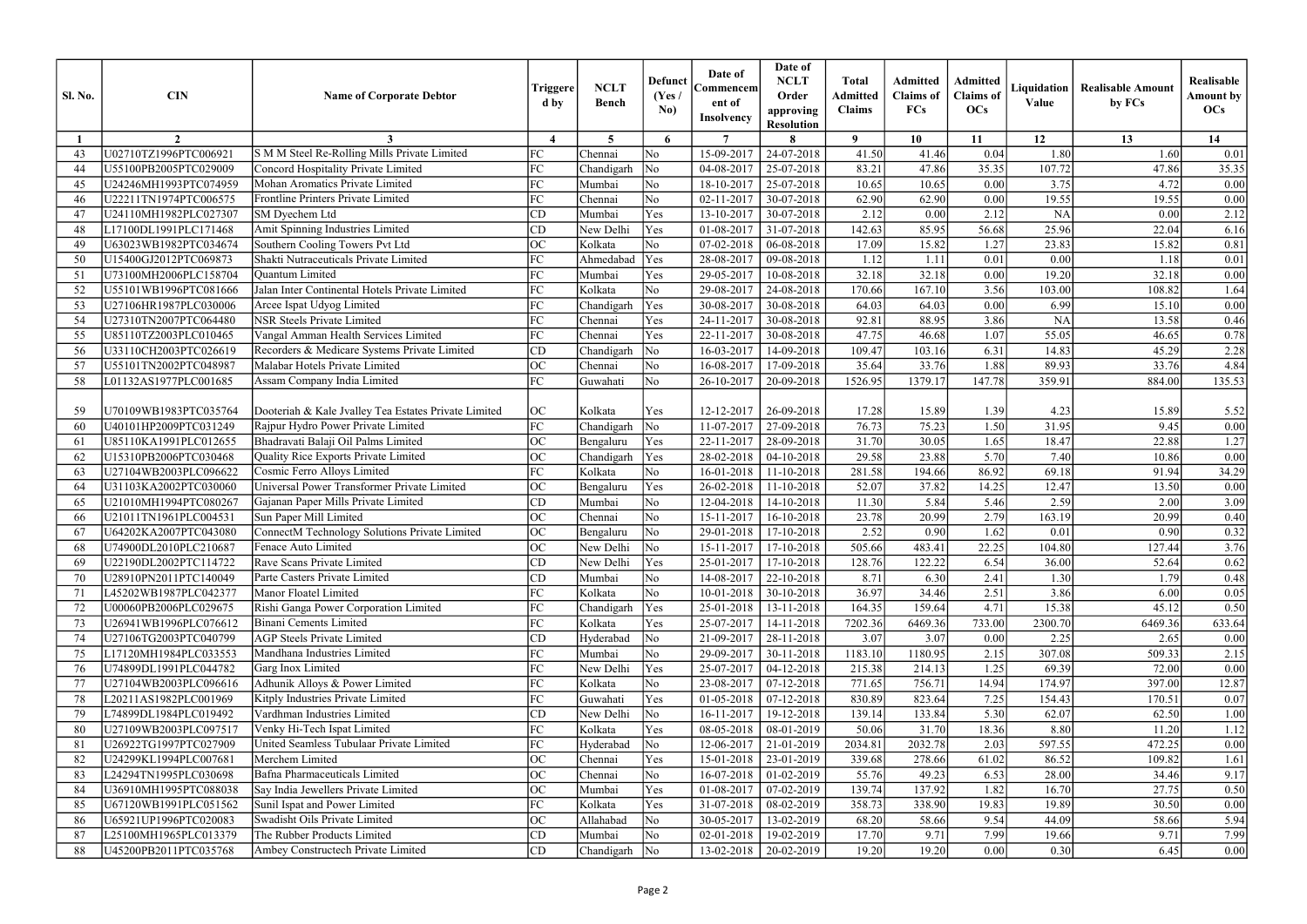| <b>Sl. No.</b> | <b>CIN</b>            | <b>Name of Corporate Debtor</b>                      | Triggere<br>d by       | <b>NCLT</b><br><b>Bench</b> | <b>Defunct</b><br>(Yes /<br>No) | Date of<br>Commencem<br>ent of<br><b>Insolvency</b> | Date of<br><b>NCLT</b><br>Order<br>approving<br><b>Resolution</b> | <b>Total</b><br><b>Admitted</b><br><b>Claims</b> | <b>Admitted</b><br><b>Claims</b> of<br>FCs | Admitted<br><b>Claims</b> of<br><b>OCs</b> | Liquidation<br>Value | <b>Realisable Amount</b><br>by FCs | Realisable<br><b>Amount by</b><br>OCs |
|----------------|-----------------------|------------------------------------------------------|------------------------|-----------------------------|---------------------------------|-----------------------------------------------------|-------------------------------------------------------------------|--------------------------------------------------|--------------------------------------------|--------------------------------------------|----------------------|------------------------------------|---------------------------------------|
|                | $\overline{2}$        |                                                      | $\boldsymbol{\Lambda}$ | $5^{\circ}$                 | 6                               | $\overline{7}$                                      |                                                                   | $\mathbf Q$                                      | 10                                         | 11                                         | 12                   | 13                                 | 14                                    |
| 43             | U02710TZ1996PTC006921 | S M M Steel Re-Rolling Mills Private Limited         | FC                     | Chennai                     | No                              | 15-09-2017                                          | 24-07-2018                                                        | 41.50                                            | 41.46                                      | 0.04                                       | 1.80                 | 1.60                               | 0.01                                  |
| 44             | U55100PB2005PTC029009 | <b>Concord Hospitality Private Limited</b>           | FC                     | Chandigarh                  | No                              | 04-08-2017                                          | 25-07-2018                                                        | 83.21                                            | 47.86                                      | 35.35                                      | 107.72               | 47.86                              | 35.35                                 |
| 45             | U24246MH1993PTC074959 | Mohan Aromatics Private Limited                      | FC                     | Mumbai                      | No                              | 18-10-2017                                          | 25-07-2018                                                        | 10.65                                            | 10.65                                      | 0.00                                       | 3.75                 | 4.72                               | 0.00                                  |
| 46             | U22211TN1974PTC006575 | Frontline Printers Private Limited                   | FC                     | Chennai                     | No                              | 02-11-2017                                          | 30-07-2018                                                        | 62.90                                            | 62.90                                      | 0.00                                       | 19.55                | 19.55                              | $0.00\,$                              |
| 47             | U24110MH1982PLC027307 | SM Dyechem Ltd                                       | CD                     | Mumbai                      | Yes                             | 13-10-2017                                          | 30-07-2018                                                        | 2.12                                             | 0.00                                       | 2.12                                       | <b>NA</b>            | 0.00                               | 2.12                                  |
| 48             | L17100DL1991PLC171468 | Amit Spinning Industries Limited                     | CD                     | New Delhi                   | Yes                             | 01-08-2017                                          | 31-07-2018                                                        | 142.63                                           | 85.95                                      | 56.68                                      | 25.96                | 22.04                              | 6.16                                  |
| 49             | U63023WB1982PTC034674 | Southern Cooling Towers Pvt Ltd                      | ОC                     | Kolkata                     | No                              | 07-02-2018                                          | 06-08-2018                                                        | 17.09                                            | 15.82                                      | 1.27                                       | 23.83                | 15.82                              | 0.81                                  |
| 50             | U15400GJ2012PTC069873 | Shakti Nutraceuticals Private Limited                | FC                     | Ahmedabad                   | Yes                             | 28-08-2017                                          | 09-08-2018                                                        | 1.12                                             | 1.11                                       | 0.01                                       | 0.00                 | 1.18                               | $0.01\,$                              |
| 51             | U73100MH2006PLC158704 | Quantum Limited                                      | FC                     | Mumbai                      | Yes                             | 29-05-2017                                          | 10-08-2018                                                        | 32.18                                            | 32.18                                      | 0.00                                       | 19.20                | 32.18                              | $0.00\,$                              |
| 52             | U55101WB1996PTC081666 | Jalan Inter Continental Hotels Private Limited       | FC                     | Kolkata                     | No                              | 29-08-2017                                          | 24-08-2018                                                        | 170.66                                           | 167.10                                     | 3.56                                       | 103.00               | 108.82                             | 1.64                                  |
| 53             | U27106HR1987PLC030006 | Arcee Ispat Udyog Limited                            | FC                     | Chandigarh                  | Yes                             | 30-08-2017                                          | 30-08-2018                                                        | 64.03                                            | 64.03                                      | 0.00                                       | 6.99                 | 15.10                              | 0.00                                  |
| 54             | U27310TN2007PTC064480 | <b>NSR Steels Private Limited</b>                    | FC                     | Chennai                     | Yes                             | 24-11-2017                                          | 30-08-2018                                                        | 92.81                                            | 88.95                                      | 3.86                                       | <b>NA</b>            | 13.58                              | 0.46                                  |
| 55             | U85110TZ2003PLC010465 | Vangal Amman Health Services Limited                 | FC                     | Chennai                     | Yes                             | 22-11-2017                                          | 30-08-2018                                                        | 47.75                                            | 46.68                                      | 1.07                                       | 55.05                | 46.65                              | 0.78                                  |
| 56             | U33110CH2003PTC026619 | Recorders & Medicare Systems Private Limited         | CD                     | Chandigarh                  | $\overline{\rm No}$             | 16-03-2017                                          | 14-09-2018                                                        | 109.47                                           | 103.16                                     | 6.31                                       | 14.83                | 45.29                              | 2.28                                  |
| 57             | U55101TN2002PTC048987 | Malabar Hotels Private Limited                       | OC                     | Chennai                     | No                              | 16-08-2017                                          | 17-09-2018                                                        | 35.64                                            | 33.76                                      | 1.88                                       | 89.93                | 33.76                              | 4.84                                  |
| 58             | L01132AS1977PLC001685 | Assam Company India Limited                          | FC                     | Guwahati                    | No                              | 26-10-2017                                          | 20-09-2018                                                        | 1526.95                                          | 1379.17                                    | 147.78                                     | 359.91               | 884.00                             | 135.53                                |
|                |                       |                                                      |                        |                             |                                 |                                                     |                                                                   |                                                  |                                            |                                            |                      |                                    |                                       |
| 59             | U70109WB1983PTC035764 | Dooteriah & Kale Jvalley Tea Estates Private Limited | <b>OC</b>              | Kolkata                     | Yes                             | 12-12-2017                                          | 26-09-2018                                                        | 17.28                                            | 15.89                                      | 1.39                                       | 4.23                 | 15.89                              | 5.52                                  |
| 60             | U40101HP2009PTC031249 | Rajpur Hydro Power Private Limited                   | FC                     | Chandigarh                  | $\overline{\rm No}$             | 11-07-2017                                          | 27-09-2018                                                        | 76.73                                            | 75.23                                      | 1.50                                       | 31.95                | 9.45                               | 0.00                                  |
| 61             | U85110KA1991PLC012655 | Bhadravati Balaji Oil Palms Limited                  | OC                     | Bengaluru                   | Yes                             | 22-11-2017                                          | 28-09-2018                                                        | 31.70                                            | 30.05                                      | 1.65                                       | 18.47                | 22.88                              | 1.27                                  |
| 62             | U15310PB2006PTC030468 | Quality Rice Exports Private Limited                 | ОC                     | Chandigarh                  | Yes                             | 28-02-2018                                          | $04-10-2018$                                                      | 29.58                                            | 23.88                                      | 5.70                                       | 7.40                 | 10.86                              | 0.00                                  |
| 63             | U27104WB2003PLC096622 | Cosmic Ferro Alloys Limited                          | FC                     | Kolkata                     | No                              | 16-01-2018                                          | 11-10-2018                                                        | 281.58                                           | 194.66                                     | 86.92                                      | 69.18                | 91.94                              | 34.29                                 |
| 64             | U31103KA2002PTC030060 | Universal Power Transformer Private Limited          | ОC                     | Bengaluru                   | Yes                             | 26-02-2018                                          | 11-10-2018                                                        | 52.07                                            | 37.82                                      | 14.25                                      | 12.47                | 13.50                              | $0.00\,$                              |
| 65             | U21010MH1994PTC080267 | Gajanan Paper Mills Private Limited                  | CD                     | Mumbai                      | No                              | 12-04-2018                                          | 14-10-2018                                                        | 11.30                                            | 5.84                                       | 5.46                                       | 2.59                 | 2.00                               | 3.09                                  |
| 66             | U21011TN1961PLC004531 | Sun Paper Mill Limited                               | OC                     | Chennai                     | No                              | 15-11-2017                                          | 16-10-2018                                                        | 23.78                                            | 20.99                                      | 2.79                                       | 163.19               | 20.99                              | 0.40                                  |
| 67             | U64202KA2007PTC043080 | ConnectM Technology Solutions Private Limited        | OC                     | Bengaluru                   | No                              | 29-01-2018                                          | 17-10-2018                                                        | 2.52                                             | 0.90                                       | 1.62                                       | 0.01                 | 0.90                               | 0.32                                  |
| 68             | U74900DL2010PLC210687 | Fenace Auto Limited                                  | $\overline{OC}$        | New Delhi                   | $\overline{\text{No}}$          |                                                     | $15-11-2017$   17-10-2018                                         | 505.66                                           | 483.41                                     | 22.25                                      | 104.80               | 127.44                             | 3.76                                  |
| -69            | U22190DL2002PTC114722 | Rave Scans Private Limited                           | CD                     | New Delhi                   | Yes                             |                                                     | $25-01-2017$   17-10-2018                                         | 128.76                                           | 122.22                                     | 6.54                                       | 36.00                | 52.64                              | 0.62                                  |
| 70             | U28910PN2011PTC140049 | Parte Casters Private Limited                        | CD                     | Mumbai                      | No                              | 14-08-2017                                          | 22-10-2018                                                        | 8.71                                             | 6.30                                       | 2.41                                       | 1.30                 | 1.79                               | 0.48                                  |
| 71             | L45202WB1987PLC042377 | Manor Floatel Limited                                | FC                     | Kolkata                     | No                              | $10 - 01 - 2018$                                    | 30-10-2018                                                        | 36.97                                            | 34.46                                      | 2.51                                       | 3.86                 | 6.00                               | 0.05                                  |
| 72             | U00060PB2006PLC029675 | Rishi Ganga Power Corporation Limited                | FC                     | Chandigarh                  | Yes                             | 25-01-2018                                          | 13-11-2018                                                        | 164.35                                           | 159.64                                     | 4.71                                       | 15.38                | 45.12                              | 0.50                                  |
| 73             | U26941WB1996PLC076612 | <b>Binani Cements Limited</b>                        | FC                     | Kolkata                     | Yes                             | 25-07-2017                                          | 14-11-2018                                                        | 7202.36                                          | 6469.36                                    | 733.00                                     | 2300.70              | 6469.36                            | 633.64                                |
| 74             | U27106TG2003PTC040799 | <b>AGP Steels Private Limited</b>                    | CD                     | Hyderabad                   | $\overline{\rm No}$             | 21-09-2017                                          | 28-11-2018                                                        | 3.07                                             | 3.07                                       | 0.00                                       | 2.25                 | 2.65                               | 0.00                                  |
| 75             | L17120MH1984PLC033553 | Mandhana Industries Limited                          | FC                     | Mumbai                      | No                              | 29-09-2017                                          | 30-11-2018                                                        | 1183.10                                          | 1180.95                                    | 2.15                                       | 307.08               | 509.33                             | 2.15                                  |
| 76             | U74899DL1991PLC044782 | Garg Inox Limited                                    | FC                     | New Delhi                   | Yes                             | 25-07-2017                                          | 04-12-2018                                                        | 215.38                                           | 214.13                                     | 1.25                                       | 69.39                | 72.00                              | 0.00                                  |
| 77             | U27104WB2003PLC096616 | Adhunik Alloys & Power Limited                       | FC                     | Kolkata                     | No                              | 23-08-2017                                          | 07-12-2018                                                        | 771.65                                           | 756.71                                     | 14.94                                      | 174.97               | 397.00                             | 12.87                                 |
| 78             | L20211AS1982PLC001969 | Kitply Industries Private Limited                    | FC                     | Guwahati                    | Yes                             | 01-05-2018                                          | 07-12-2018                                                        | 830.89                                           | 823.64                                     | 7.25                                       | 154.43               | 170.51                             | 0.07                                  |
| 79             | L74899DL1984PLC019492 | Vardhman Industries Limited                          | CD                     | New Delhi                   | No                              | 16-11-2017                                          | 19-12-2018                                                        | 139.14                                           | 133.84                                     | 5.30                                       | 62.07                | 62.50                              | 1.00                                  |
| 80             | U27109WB2003PLC097517 | Venky Hi-Tech Ispat Limited                          | FC                     | Kolkata                     | Yes                             | 08-05-2018                                          | 08-01-2019                                                        | 50.06                                            | 31.70                                      | 18.36                                      | 8.80                 | 11.20                              | 1.12                                  |
| 81             | U26922TG1997PTC027909 | United Seamless Tubulaar Private Limited             | FC                     | Hyderabad                   | $\overline{\rm No}$             | 12-06-2017                                          | 21-01-2019                                                        | 2034.81                                          | 2032.78                                    | 2.03                                       | 597.55               | 472.25                             | $0.00\,$                              |
| 82             | U24299KL1994PLC007681 | Merchem Limited                                      | ОC                     | Chennai                     | Yes                             | 15-01-2018                                          | 23-01-2019                                                        | 339.68                                           | 278.66                                     | 61.02                                      | 86.52                | 109.82                             | 1.61                                  |
| 83             | L24294TN1995PLC030698 | Bafna Pharmaceuticals Limited                        | ОC                     | Chennai                     | No                              | 16-07-2018                                          | 01-02-2019                                                        | 55.76                                            | 49.23                                      | 6.53                                       | 28.00                | 34.46                              | 9.17                                  |
| 84             | U36910MH1995PTC088038 | Say India Jewellers Private Limited                  | ОC                     | Mumbai                      | Yes                             | 01-08-2017                                          | 07-02-2019                                                        | 139.74                                           | 137.92                                     | 1.82                                       | 16.70                | 27.75                              | 0.50                                  |
| 85             | U67120WB1991PLC051562 | Sunil Ispat and Power Limited                        | FC                     | Kolkata                     | Yes                             | 31-07-2018                                          | 08-02-2019                                                        | 358.73                                           | 338.90                                     | 19.83                                      | 19.89                | 30.50                              | 0.00                                  |
| 86             | U65921UP1996PTC020083 | Swadisht Oils Private Limited                        | ОC                     | Allahabad                   | $\overline{\rm No}$             | 30-05-2017                                          | 13-02-2019                                                        | 68.20                                            | 58.66                                      | 9.54                                       | 44.09                | 58.66                              | 5.94                                  |
| 87             | L25100MH1965PLC013379 | The Rubber Products Limited                          | CD                     | Mumbai                      | No                              | 02-01-2018                                          | 19-02-2019                                                        | 17.70                                            | 9.71                                       | 7.99                                       | 19.66                | 9.71                               | 7.99                                  |
| 88             | U45200PB2011PTC035768 | Ambey Constructech Private Limited                   | CD                     | Chandigarh                  | No                              | 13-02-2018                                          | 20-02-2019                                                        | 19.20                                            | 19.20                                      | 0.00                                       | 0.30                 | 6.45                               | $0.00\,$                              |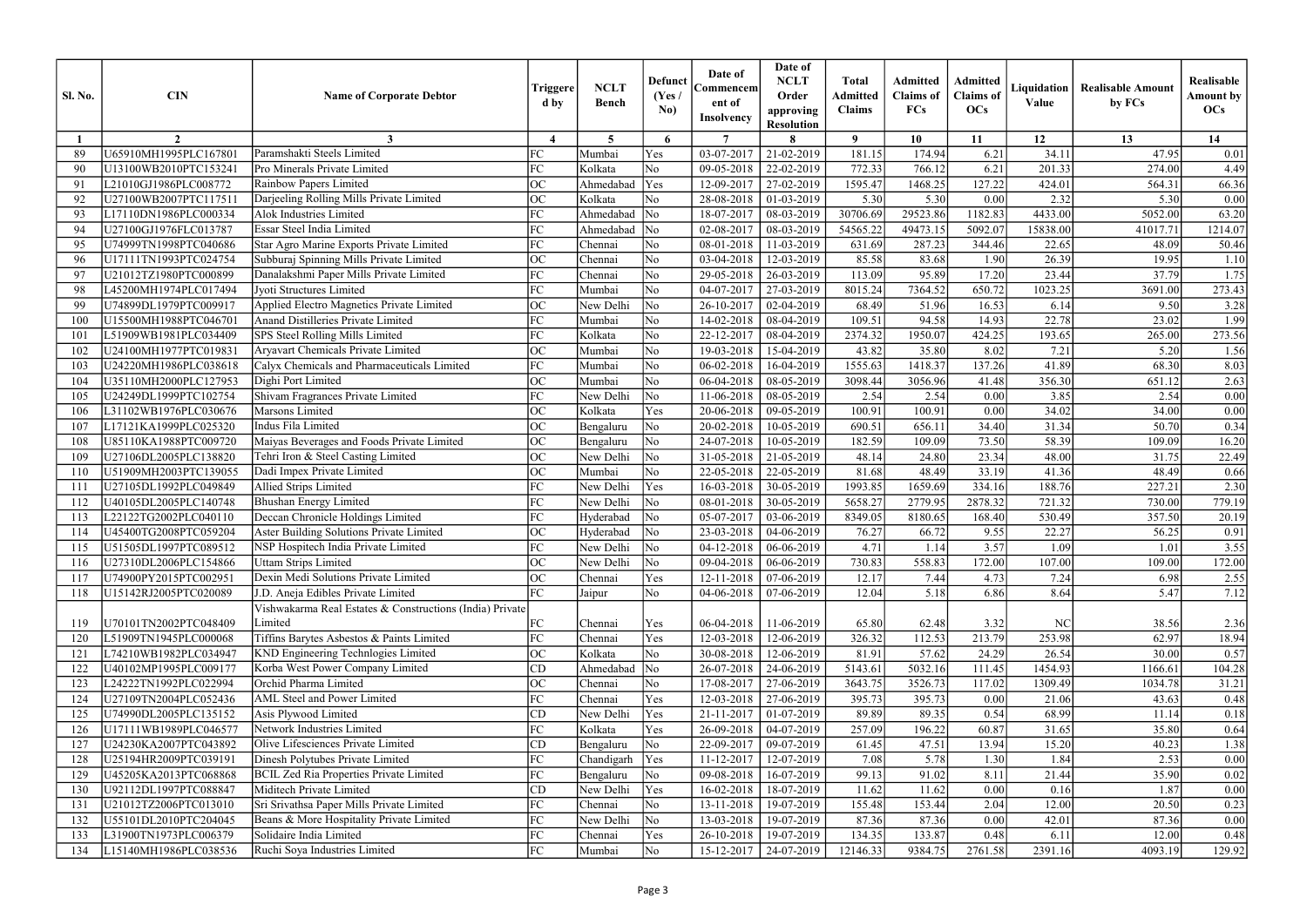| $\overline{7}$<br>9<br>10<br>12<br>13<br>$\overline{2}$<br>$\boldsymbol{\Lambda}$<br>5<br>6<br>11<br>14<br>3<br>Paramshakti Steels Limited<br>34.11<br>U65910MH1995PLC167801<br>FC<br>03-07-2017<br>21-02-2019<br>181.15<br>174.94<br>6.21<br>47.95<br>Yes<br>0.01<br>Mumbai<br>FC<br>No<br>Pro Minerals Private Limited<br>22-02-2019<br>772.33<br>6.21<br>201.33<br>274.00<br>U13100WB2010PTC153241<br>Kolkata<br>09-05-2018<br>766.12<br>4.49<br>90<br>Rainbow Papers Limited<br><b>OC</b><br>Yes<br>127.22<br>Ahmedabad<br>27-02-2019<br>1595.47<br>1468.25<br>424.01<br>564.31<br>66.36<br>91<br>L21010GJ1986PLC008772<br>12-09-2017<br>Darjeeling Rolling Mills Private Limited<br>ОC<br>U27100WB2007PTC117511<br>Kolkata<br>28-08-2018<br>5.30<br>5.30<br>2.32<br>5.30<br>0.00<br>92<br>No<br>01-03-2019<br>0.00<br>Alok Industries Limited<br>$\overline{FC}$<br>Ahmedabad<br>$\overline{\rm No}$<br>30706.69<br>29523.86<br>1182.83<br>4433.00<br>5052.00<br>L17110DN1986PLC000334<br>18-07-2017<br>08-03-2019<br>63.20<br>93<br>Essar Steel India Limited<br>FC<br>$\overline{\rm No}$<br>5092.07<br>U27100GJ1976FLC013787<br>Ahmedabad<br>02-08-2017<br>08-03-2019<br>54565.22<br>49473.15<br>15838.00<br>41017.71<br>1214.07<br>94<br>FC<br>U74999TN1998PTC040686<br>N <sub>o</sub><br>08-01-2018<br>287.23<br>48.09<br>95<br>Star Agro Marine Exports Private Limited<br>Chennai<br>11-03-2019<br>631.69<br>344.46<br>22.65<br>50.46<br>No<br>Subburaj Spinning Mills Private Limited<br>OC<br>85.58<br>83.68<br>U17111TN1993PTC024754<br>Chennai<br>03-04-2018<br>12-03-2019<br>1.90<br>26.39<br>19.95<br>1.10<br>96<br>FC<br>No<br>17.20<br>37.79<br>Danalakshmi Paper Mills Private Limited<br>113.09<br>95.89<br>23.44<br>U21012TZ1980PTC000899<br>29-05-2018<br>26-03-2019<br>1.75<br>97<br>Chennai<br>FC<br>Jyoti Structures Limited<br>No<br>7364.52<br>650.72<br>1023.25<br>Mumbai<br>04-07-2017<br>27-03-2019<br>8015.24<br>3691.00<br>273.43<br>98<br>L45200MH1974PLC017494<br>Applied Electro Magnetics Private Limited<br>ОC<br>No<br>U74899DL1979PTC009917<br>New Delhi<br>26-10-2017<br>3.28<br>99<br>02-04-2019<br>68.49<br>51.96<br>16.53<br>6.14<br>9.50<br>FC<br>Anand Distilleries Private Limited<br>109.51<br>94.58<br>22.78<br>23.02<br>1.99<br>U15500MH1988PTC046701<br>No<br>14-02-2018<br>08-04-2019<br>14.93<br>100<br>Mumbai<br>FC<br>SPS Steel Rolling Mills Limited<br>Kolkata<br>No<br>22-12-2017<br>2374.32<br>1950.07<br>193.65<br>265.00<br>L51909WB1981PLC034409<br>08-04-2019<br>424.25<br>273.56<br>101<br>ОC<br>U24100MH1977PTC019831<br>Aryavart Chemicals Private Limited<br>Mumbai<br>No<br>19-03-2018<br>43.82<br>35.80<br>8.02<br>7.21<br>5.20<br>1.56<br>102<br>15-04-2019<br>FC<br>Calyx Chemicals and Pharmaceuticals Limited<br>No<br>41.89<br>68.30<br>U24220MH1986PLC038618<br>Mumbai<br>06-02-2018<br>16-04-2019<br>1555.63<br>1418.37<br>137.26<br>8.03<br>103<br>ОC<br>N <sub>o</sub><br>356.30<br>U35110MH2000PLC127953<br>Dighi Port Limited<br>06-04-2018<br>08-05-2019<br>3098.44<br>3056.96<br>41.48<br>651.12<br>2.63<br>Mumbai<br>104<br>Shivam Fragrances Private Limited<br>FC<br>U24249DL1999PTC102754<br>New Delhi<br>No<br>11-06-2018<br>2.54<br>3.85<br>2.54<br>$0.00\,$<br>08-05-2019<br>2.54<br>0.00<br>105<br>ОC<br>Marsons Limited<br>100.91<br>L31102WB1976PLC030676<br>Kolkata<br>Yes<br>100.91<br>0.00<br>34.02<br>34.00<br>$0.00\,$<br>20-06-2018<br>09-05-2019<br>106<br>OC<br>L17121KA1999PLC025320<br>Indus Fila Limited<br>$\overline{\rm No}$<br>690.51<br>656.11<br>34.40<br>31.34<br>50.70<br>0.34<br>20-02-2018<br>10-05-2019<br>107<br>Bengaluru<br>ОC<br>Maiyas Beverages and Foods Private Limited<br>182.59<br>73.50<br>58.39<br>109.09<br>16.20<br>U85110KA1988PTC009720<br>No<br>24-07-2018<br>10-05-2019<br>109.09<br>108<br>Bengaluru<br>Tehri Iron & Steel Casting Limited<br>ОC<br>New Delhi<br>$\overline{\rm No}$<br>24.80<br>23.34<br>48.00<br>22.49<br>U27106DL2005PLC138820<br>31-05-2018<br>21-05-2019<br>48.14<br>31.75<br>109<br>33.19<br>ОC<br>No<br>81.68<br>48.49<br>41.36<br>0.66<br>U51909MH2003PTC139055<br>Dadi Impex Private Limited<br>Mumbai<br>22-05-2018<br>22-05-2019<br>48.49<br>110<br>FC.<br>334.16<br>Allied Strips Limited<br>New Delhi<br>Yes<br>16-03-2018<br>1993.85<br>1659.69<br>188.76<br>227.21<br>U27105DL1992PLC049849<br>30-05-2019<br>2.30<br>111<br>Bhushan Energy Limited<br>FC<br>2878.32<br>721.32<br>730.00<br>779.19<br>U40105DL2005PLC140748<br>New Delhi<br>No<br>08-01-2018<br>5658.27<br>2779.95<br>112<br>30-05-2019<br>FC<br>Deccan Chronicle Holdings Limited<br>357.50<br>L22122TG2002PLC040110<br>$\overline{\rm No}$<br>05-07-2017<br>03-06-2019<br>8349.05<br>8180.65<br>530.49<br>20.19<br>Hyderabad<br>168.40<br>113<br><b>Aster Building Solutions Private Limited</b><br>ОC<br>76.27<br>22.27<br>U45400TG2008PTC059204<br>Hyderabad<br>$\overline{\rm No}$<br>23-03-2018<br>66.72<br>56.25<br>0.91<br>04-06-2019<br>9.55<br>114<br>FC<br>New Delhi<br>No<br>4.71<br>3.57<br>$04-12-2018$ 06-06-2019<br>1.14<br>1.01<br>3.55<br>115<br>U51505DL1997PTC089512<br>NSP Hospitech India Private Limited<br>1.09<br>ОC<br><b>Uttam Strips Limited</b><br>$\overline{\rm No}$<br>730.83<br>558.83<br>172.00<br>109.00<br>U27310DL2006PLC154866<br>New Delhi<br>$09-04-2018$   06-06-2019<br>107.00<br>172.00<br>116<br>Dexin Medi Solutions Private Limited<br>OC<br>7.24<br>U74900PY2015PTC002951<br>Yes<br>12-11-2018<br>$07-06-2019$<br>12.17<br>7.44<br>4.73<br>2.55<br>Chennai<br>6.98<br>117<br>FC<br>12.04<br>5.18<br>5.47<br>J.D. Aneja Edibles Private Limited<br>N <sub>o</sub><br>04-06-2018<br>07-06-2019<br>6.86<br>8.64<br>7.12<br>U15142RJ2005PTC020089<br>Jaipur<br>118<br>Vishwakarma Real Estates & Constructions (India) Private<br>FC<br>U70101TN2002PTC048409<br>Limited<br>Yes<br>06-04-2018<br>11-06-2019<br>65.80<br>3.32<br>2.36<br>Chennai<br>62.48<br>NC<br>38.56<br>119<br>FC<br>Yes<br>Tiffins Barytes Asbestos & Paints Limited<br>326.32<br>112.53<br>213.79<br>253.98<br>62.97<br>18.94<br>L51909TN1945PLC000068<br>Chennai<br>12-03-2018<br>12-06-2019<br>120<br><b>KND Engineering Technlogies Limited</b><br>OC<br>0.57<br>L74210WB1982PLC034947<br>Kolkata<br>No<br>30-08-2018<br>81.91<br>57.62<br>24.29<br>26.54<br>12-06-2019<br>30.00<br>121<br>Korba West Power Company Limited<br>5032.16<br>U40102MP1995PLC009177<br>CD<br>Ahmedabad<br>$\overline{\rm No}$<br>26-07-2018<br>24-06-2019<br>5143.61<br>1454.93<br>111.45<br>1166.61<br>104.28<br>122<br>Orchid Pharma Limited<br>L24222TN1992PLC022994<br>ОC<br>No<br>3643.75<br>3526.73<br>1309.49<br>Chennai<br>17-08-2017<br>27-06-2019<br>117.02<br>1034.78<br>31.21<br>123<br>U27109TN2004PLC052436<br>AML Steel and Power Limited<br>FC<br>12-03-2018<br>395.73<br>Chennai<br>Yes<br>27-06-2019<br>395.73<br>0.00<br>43.63<br>0.48<br>124<br>21.06<br>Yes<br>Asis Plywood Limited<br>0.54<br>68.99<br>U74990DL2005PLC135152<br>CD<br>21-11-2017<br>$01-07-2019$<br>89.89<br>89.35<br>New Delhi<br>11.14<br>0.18<br>125<br>Network Industries Limited<br>257.09<br>FC<br>Kolkata<br>196.22<br>60.87<br>31.65<br>U17111WB1989PLC046577<br>Yes<br>26-09-2018<br>04-07-2019<br>35.80<br>0.64<br>126<br>Olive Lifesciences Private Limited<br>47.51<br>U24230KA2007PTC043892<br>CD<br>No<br>22-09-2017<br>09-07-2019<br>61.45<br>13.94<br>15.20<br>40.23<br>127<br>Bengaluru<br>1.38<br>Dinesh Polytubes Private Limited<br>FC<br>1.84<br>2.53<br>U25194HR2009PTC039191<br>Yes<br>11-12-2017<br>7.08<br>5.78<br>1.30<br>Chandigarh<br>12-07-2019<br>0.00<br>128<br><b>BCIL Zed Ria Properties Private Limited</b><br>FC<br>99.13<br>U45205KA2013PTC068868<br>$\overline{\rm No}$<br>09-08-2018<br>16-07-2019<br>91.02<br>8.11<br>21.44<br>35.90<br>0.02<br>Bengaluru<br>129<br>Miditech Private Limited<br>CD<br>U92112DL1997PTC088847<br>New Delhi<br>Yes<br>11.62<br>11.62<br>1.87<br>0.00<br>130<br>16-02-2018<br>18-07-2019<br>0.00<br>0.16<br>Sri Srivathsa Paper Mills Private Limited<br>FC<br>U21012TZ2006PTC013010<br>No<br>13-11-2018<br>155.48<br>153.44<br>2.04<br>12.00<br>0.23<br>Chennai<br>19-07-2019<br>20.50<br>131<br>Beans & More Hospitality Private Limited<br>FC<br>$\overline{\rm No}$<br>42.01<br>U55101DL2010PTC204045<br>New Delhi<br>13-03-2018<br>19-07-2019<br>87.36<br>87.36<br>0.00<br>87.36<br>0.00<br>132<br>FC<br>L31900TN1973PLC006379<br>Solidaire India Limited<br>Yes<br>134.35<br>133.87<br>12.00<br>26-10-2018<br>19-07-2019<br>0.48<br>6.11<br>0.48<br>133<br>Chennai<br>L15140MH1986PLC038536<br>Ruchi Soya Industries Limited<br>FC<br>No<br>12146.33<br>9384.75<br>2761.58<br>4093.19<br>Mumbai<br>15-12-2017<br>24-07-2019<br>2391.16<br>129.92<br>134 | <b>Sl. No.</b> | <b>CIN</b> | <b>Name of Corporate Debtor</b> | Triggere<br>d by | <b>NCLT</b><br><b>Bench</b> | <b>Defunct</b><br>(Yes)<br>No) | Date of<br>Commencem<br>ent of<br><b>Insolvency</b> | Date of<br><b>NCLT</b><br>Order<br>approving<br><b>Resolution</b> | <b>Total</b><br><b>Admitted</b><br><b>Claims</b> | <b>Admitted</b><br><b>Claims</b> of<br>FCs | Admitted<br><b>Claims</b> of<br><b>OCs</b> | Liquidation<br>Value | <b>Realisable Amount</b><br>by FCs | Realisable<br><b>Amount by</b><br>OCs |
|-----------------------------------------------------------------------------------------------------------------------------------------------------------------------------------------------------------------------------------------------------------------------------------------------------------------------------------------------------------------------------------------------------------------------------------------------------------------------------------------------------------------------------------------------------------------------------------------------------------------------------------------------------------------------------------------------------------------------------------------------------------------------------------------------------------------------------------------------------------------------------------------------------------------------------------------------------------------------------------------------------------------------------------------------------------------------------------------------------------------------------------------------------------------------------------------------------------------------------------------------------------------------------------------------------------------------------------------------------------------------------------------------------------------------------------------------------------------------------------------------------------------------------------------------------------------------------------------------------------------------------------------------------------------------------------------------------------------------------------------------------------------------------------------------------------------------------------------------------------------------------------------------------------------------------------------------------------------------------------------------------------------------------------------------------------------------------------------------------------------------------------------------------------------------------------------------------------------------------------------------------------------------------------------------------------------------------------------------------------------------------------------------------------------------------------------------------------------------------------------------------------------------------------------------------------------------------------------------------------------------------------------------------------------------------------------------------------------------------------------------------------------------------------------------------------------------------------------------------------------------------------------------------------------------------------------------------------------------------------------------------------------------------------------------------------------------------------------------------------------------------------------------------------------------------------------------------------------------------------------------------------------------------------------------------------------------------------------------------------------------------------------------------------------------------------------------------------------------------------------------------------------------------------------------------------------------------------------------------------------------------------------------------------------------------------------------------------------------------------------------------------------------------------------------------------------------------------------------------------------------------------------------------------------------------------------------------------------------------------------------------------------------------------------------------------------------------------------------------------------------------------------------------------------------------------------------------------------------------------------------------------------------------------------------------------------------------------------------------------------------------------------------------------------------------------------------------------------------------------------------------------------------------------------------------------------------------------------------------------------------------------------------------------------------------------------------------------------------------------------------------------------------------------------------------------------------------------------------------------------------------------------------------------------------------------------------------------------------------------------------------------------------------------------------------------------------------------------------------------------------------------------------------------------------------------------------------------------------------------------------------------------------------------------------------------------------------------------------------------------------------------------------------------------------------------------------------------------------------------------------------------------------------------------------------------------------------------------------------------------------------------------------------------------------------------------------------------------------------------------------------------------------------------------------------------------------------------------------------------------------------------------------------------------------------------------------------------------------------------------------------------------------------------------------------------------------------------------------------------------------------------------------------------------------------------------------------------------------------------------------------------------------------------------------------------------------------------------------------------------------------------------------------------------------------------------------------------------------------------------------------------------------------------------------------------------------------------------------------------------------------------------------------------------------------------------------------------------------------------------------------------------------------------------------------------------------------------------------------------------------------------------------------------------------------------------------------------------------------------------------------------------------------------------------------------------------------------------------------------------------------------------------------------------------------------------------------------------------------------------------------------------------------------------------------------------------------------------------------------------------------------------------------------------------------------------------------------------------------------------------------------------------------------------------------------------------------------------------------------------------------------------------------------------------------------------------------------------------------------------------------------------------------------------------------------------------------------------------------------------------------------------------------------------------------------------------------------------------------------------------------------------------------------------------------------------------------------------------------------------------------------------------------------------------------------------------------------------------------------------------------------------------------------------------------------------------------------------------------------------------------------------------------------------------------------------------------------------------------------------------------------------------------------------------------------------------------------------------------------------------------------------------------------------------------------------------------------------------------------------------------------|----------------|------------|---------------------------------|------------------|-----------------------------|--------------------------------|-----------------------------------------------------|-------------------------------------------------------------------|--------------------------------------------------|--------------------------------------------|--------------------------------------------|----------------------|------------------------------------|---------------------------------------|
|                                                                                                                                                                                                                                                                                                                                                                                                                                                                                                                                                                                                                                                                                                                                                                                                                                                                                                                                                                                                                                                                                                                                                                                                                                                                                                                                                                                                                                                                                                                                                                                                                                                                                                                                                                                                                                                                                                                                                                                                                                                                                                                                                                                                                                                                                                                                                                                                                                                                                                                                                                                                                                                                                                                                                                                                                                                                                                                                                                                                                                                                                                                                                                                                                                                                                                                                                                                                                                                                                                                                                                                                                                                                                                                                                                                                                                                                                                                                                                                                                                                                                                                                                                                                                                                                                                                                                                                                                                                                                                                                                                                                                                                                                                                                                                                                                                                                                                                                                                                                                                                                                                                                                                                                                                                                                                                                                                                                                                                                                                                                                                                                                                                                                                                                                                                                                                                                                                                                                                                                                                                                                                                                                                                                                                                                                                                                                                                                                                                                                                                                                                                                                                                                                                                                                                                                                                                                                                                                                                                                                                                                                                                                                                                                                                                                                                                                                                                                                                                                                                                                                                                                                                                                                                                                                                                                                                                                                                                                                                                                                                                                                                                                                                                                                                                                                                                                                                                                                                                                                                                                                                                                                                                                                                                                                           |                |            |                                 |                  |                             |                                |                                                     |                                                                   |                                                  |                                            |                                            |                      |                                    |                                       |
|                                                                                                                                                                                                                                                                                                                                                                                                                                                                                                                                                                                                                                                                                                                                                                                                                                                                                                                                                                                                                                                                                                                                                                                                                                                                                                                                                                                                                                                                                                                                                                                                                                                                                                                                                                                                                                                                                                                                                                                                                                                                                                                                                                                                                                                                                                                                                                                                                                                                                                                                                                                                                                                                                                                                                                                                                                                                                                                                                                                                                                                                                                                                                                                                                                                                                                                                                                                                                                                                                                                                                                                                                                                                                                                                                                                                                                                                                                                                                                                                                                                                                                                                                                                                                                                                                                                                                                                                                                                                                                                                                                                                                                                                                                                                                                                                                                                                                                                                                                                                                                                                                                                                                                                                                                                                                                                                                                                                                                                                                                                                                                                                                                                                                                                                                                                                                                                                                                                                                                                                                                                                                                                                                                                                                                                                                                                                                                                                                                                                                                                                                                                                                                                                                                                                                                                                                                                                                                                                                                                                                                                                                                                                                                                                                                                                                                                                                                                                                                                                                                                                                                                                                                                                                                                                                                                                                                                                                                                                                                                                                                                                                                                                                                                                                                                                                                                                                                                                                                                                                                                                                                                                                                                                                                                                                           |                |            |                                 |                  |                             |                                |                                                     |                                                                   |                                                  |                                            |                                            |                      |                                    |                                       |
|                                                                                                                                                                                                                                                                                                                                                                                                                                                                                                                                                                                                                                                                                                                                                                                                                                                                                                                                                                                                                                                                                                                                                                                                                                                                                                                                                                                                                                                                                                                                                                                                                                                                                                                                                                                                                                                                                                                                                                                                                                                                                                                                                                                                                                                                                                                                                                                                                                                                                                                                                                                                                                                                                                                                                                                                                                                                                                                                                                                                                                                                                                                                                                                                                                                                                                                                                                                                                                                                                                                                                                                                                                                                                                                                                                                                                                                                                                                                                                                                                                                                                                                                                                                                                                                                                                                                                                                                                                                                                                                                                                                                                                                                                                                                                                                                                                                                                                                                                                                                                                                                                                                                                                                                                                                                                                                                                                                                                                                                                                                                                                                                                                                                                                                                                                                                                                                                                                                                                                                                                                                                                                                                                                                                                                                                                                                                                                                                                                                                                                                                                                                                                                                                                                                                                                                                                                                                                                                                                                                                                                                                                                                                                                                                                                                                                                                                                                                                                                                                                                                                                                                                                                                                                                                                                                                                                                                                                                                                                                                                                                                                                                                                                                                                                                                                                                                                                                                                                                                                                                                                                                                                                                                                                                                                                           |                |            |                                 |                  |                             |                                |                                                     |                                                                   |                                                  |                                            |                                            |                      |                                    |                                       |
|                                                                                                                                                                                                                                                                                                                                                                                                                                                                                                                                                                                                                                                                                                                                                                                                                                                                                                                                                                                                                                                                                                                                                                                                                                                                                                                                                                                                                                                                                                                                                                                                                                                                                                                                                                                                                                                                                                                                                                                                                                                                                                                                                                                                                                                                                                                                                                                                                                                                                                                                                                                                                                                                                                                                                                                                                                                                                                                                                                                                                                                                                                                                                                                                                                                                                                                                                                                                                                                                                                                                                                                                                                                                                                                                                                                                                                                                                                                                                                                                                                                                                                                                                                                                                                                                                                                                                                                                                                                                                                                                                                                                                                                                                                                                                                                                                                                                                                                                                                                                                                                                                                                                                                                                                                                                                                                                                                                                                                                                                                                                                                                                                                                                                                                                                                                                                                                                                                                                                                                                                                                                                                                                                                                                                                                                                                                                                                                                                                                                                                                                                                                                                                                                                                                                                                                                                                                                                                                                                                                                                                                                                                                                                                                                                                                                                                                                                                                                                                                                                                                                                                                                                                                                                                                                                                                                                                                                                                                                                                                                                                                                                                                                                                                                                                                                                                                                                                                                                                                                                                                                                                                                                                                                                                                                                           |                |            |                                 |                  |                             |                                |                                                     |                                                                   |                                                  |                                            |                                            |                      |                                    |                                       |
|                                                                                                                                                                                                                                                                                                                                                                                                                                                                                                                                                                                                                                                                                                                                                                                                                                                                                                                                                                                                                                                                                                                                                                                                                                                                                                                                                                                                                                                                                                                                                                                                                                                                                                                                                                                                                                                                                                                                                                                                                                                                                                                                                                                                                                                                                                                                                                                                                                                                                                                                                                                                                                                                                                                                                                                                                                                                                                                                                                                                                                                                                                                                                                                                                                                                                                                                                                                                                                                                                                                                                                                                                                                                                                                                                                                                                                                                                                                                                                                                                                                                                                                                                                                                                                                                                                                                                                                                                                                                                                                                                                                                                                                                                                                                                                                                                                                                                                                                                                                                                                                                                                                                                                                                                                                                                                                                                                                                                                                                                                                                                                                                                                                                                                                                                                                                                                                                                                                                                                                                                                                                                                                                                                                                                                                                                                                                                                                                                                                                                                                                                                                                                                                                                                                                                                                                                                                                                                                                                                                                                                                                                                                                                                                                                                                                                                                                                                                                                                                                                                                                                                                                                                                                                                                                                                                                                                                                                                                                                                                                                                                                                                                                                                                                                                                                                                                                                                                                                                                                                                                                                                                                                                                                                                                                                           |                |            |                                 |                  |                             |                                |                                                     |                                                                   |                                                  |                                            |                                            |                      |                                    |                                       |
|                                                                                                                                                                                                                                                                                                                                                                                                                                                                                                                                                                                                                                                                                                                                                                                                                                                                                                                                                                                                                                                                                                                                                                                                                                                                                                                                                                                                                                                                                                                                                                                                                                                                                                                                                                                                                                                                                                                                                                                                                                                                                                                                                                                                                                                                                                                                                                                                                                                                                                                                                                                                                                                                                                                                                                                                                                                                                                                                                                                                                                                                                                                                                                                                                                                                                                                                                                                                                                                                                                                                                                                                                                                                                                                                                                                                                                                                                                                                                                                                                                                                                                                                                                                                                                                                                                                                                                                                                                                                                                                                                                                                                                                                                                                                                                                                                                                                                                                                                                                                                                                                                                                                                                                                                                                                                                                                                                                                                                                                                                                                                                                                                                                                                                                                                                                                                                                                                                                                                                                                                                                                                                                                                                                                                                                                                                                                                                                                                                                                                                                                                                                                                                                                                                                                                                                                                                                                                                                                                                                                                                                                                                                                                                                                                                                                                                                                                                                                                                                                                                                                                                                                                                                                                                                                                                                                                                                                                                                                                                                                                                                                                                                                                                                                                                                                                                                                                                                                                                                                                                                                                                                                                                                                                                                                                           |                |            |                                 |                  |                             |                                |                                                     |                                                                   |                                                  |                                            |                                            |                      |                                    |                                       |
|                                                                                                                                                                                                                                                                                                                                                                                                                                                                                                                                                                                                                                                                                                                                                                                                                                                                                                                                                                                                                                                                                                                                                                                                                                                                                                                                                                                                                                                                                                                                                                                                                                                                                                                                                                                                                                                                                                                                                                                                                                                                                                                                                                                                                                                                                                                                                                                                                                                                                                                                                                                                                                                                                                                                                                                                                                                                                                                                                                                                                                                                                                                                                                                                                                                                                                                                                                                                                                                                                                                                                                                                                                                                                                                                                                                                                                                                                                                                                                                                                                                                                                                                                                                                                                                                                                                                                                                                                                                                                                                                                                                                                                                                                                                                                                                                                                                                                                                                                                                                                                                                                                                                                                                                                                                                                                                                                                                                                                                                                                                                                                                                                                                                                                                                                                                                                                                                                                                                                                                                                                                                                                                                                                                                                                                                                                                                                                                                                                                                                                                                                                                                                                                                                                                                                                                                                                                                                                                                                                                                                                                                                                                                                                                                                                                                                                                                                                                                                                                                                                                                                                                                                                                                                                                                                                                                                                                                                                                                                                                                                                                                                                                                                                                                                                                                                                                                                                                                                                                                                                                                                                                                                                                                                                                                                           |                |            |                                 |                  |                             |                                |                                                     |                                                                   |                                                  |                                            |                                            |                      |                                    |                                       |
|                                                                                                                                                                                                                                                                                                                                                                                                                                                                                                                                                                                                                                                                                                                                                                                                                                                                                                                                                                                                                                                                                                                                                                                                                                                                                                                                                                                                                                                                                                                                                                                                                                                                                                                                                                                                                                                                                                                                                                                                                                                                                                                                                                                                                                                                                                                                                                                                                                                                                                                                                                                                                                                                                                                                                                                                                                                                                                                                                                                                                                                                                                                                                                                                                                                                                                                                                                                                                                                                                                                                                                                                                                                                                                                                                                                                                                                                                                                                                                                                                                                                                                                                                                                                                                                                                                                                                                                                                                                                                                                                                                                                                                                                                                                                                                                                                                                                                                                                                                                                                                                                                                                                                                                                                                                                                                                                                                                                                                                                                                                                                                                                                                                                                                                                                                                                                                                                                                                                                                                                                                                                                                                                                                                                                                                                                                                                                                                                                                                                                                                                                                                                                                                                                                                                                                                                                                                                                                                                                                                                                                                                                                                                                                                                                                                                                                                                                                                                                                                                                                                                                                                                                                                                                                                                                                                                                                                                                                                                                                                                                                                                                                                                                                                                                                                                                                                                                                                                                                                                                                                                                                                                                                                                                                                                                           |                |            |                                 |                  |                             |                                |                                                     |                                                                   |                                                  |                                            |                                            |                      |                                    |                                       |
|                                                                                                                                                                                                                                                                                                                                                                                                                                                                                                                                                                                                                                                                                                                                                                                                                                                                                                                                                                                                                                                                                                                                                                                                                                                                                                                                                                                                                                                                                                                                                                                                                                                                                                                                                                                                                                                                                                                                                                                                                                                                                                                                                                                                                                                                                                                                                                                                                                                                                                                                                                                                                                                                                                                                                                                                                                                                                                                                                                                                                                                                                                                                                                                                                                                                                                                                                                                                                                                                                                                                                                                                                                                                                                                                                                                                                                                                                                                                                                                                                                                                                                                                                                                                                                                                                                                                                                                                                                                                                                                                                                                                                                                                                                                                                                                                                                                                                                                                                                                                                                                                                                                                                                                                                                                                                                                                                                                                                                                                                                                                                                                                                                                                                                                                                                                                                                                                                                                                                                                                                                                                                                                                                                                                                                                                                                                                                                                                                                                                                                                                                                                                                                                                                                                                                                                                                                                                                                                                                                                                                                                                                                                                                                                                                                                                                                                                                                                                                                                                                                                                                                                                                                                                                                                                                                                                                                                                                                                                                                                                                                                                                                                                                                                                                                                                                                                                                                                                                                                                                                                                                                                                                                                                                                                                                           |                |            |                                 |                  |                             |                                |                                                     |                                                                   |                                                  |                                            |                                            |                      |                                    |                                       |
|                                                                                                                                                                                                                                                                                                                                                                                                                                                                                                                                                                                                                                                                                                                                                                                                                                                                                                                                                                                                                                                                                                                                                                                                                                                                                                                                                                                                                                                                                                                                                                                                                                                                                                                                                                                                                                                                                                                                                                                                                                                                                                                                                                                                                                                                                                                                                                                                                                                                                                                                                                                                                                                                                                                                                                                                                                                                                                                                                                                                                                                                                                                                                                                                                                                                                                                                                                                                                                                                                                                                                                                                                                                                                                                                                                                                                                                                                                                                                                                                                                                                                                                                                                                                                                                                                                                                                                                                                                                                                                                                                                                                                                                                                                                                                                                                                                                                                                                                                                                                                                                                                                                                                                                                                                                                                                                                                                                                                                                                                                                                                                                                                                                                                                                                                                                                                                                                                                                                                                                                                                                                                                                                                                                                                                                                                                                                                                                                                                                                                                                                                                                                                                                                                                                                                                                                                                                                                                                                                                                                                                                                                                                                                                                                                                                                                                                                                                                                                                                                                                                                                                                                                                                                                                                                                                                                                                                                                                                                                                                                                                                                                                                                                                                                                                                                                                                                                                                                                                                                                                                                                                                                                                                                                                                                                           |                |            |                                 |                  |                             |                                |                                                     |                                                                   |                                                  |                                            |                                            |                      |                                    |                                       |
|                                                                                                                                                                                                                                                                                                                                                                                                                                                                                                                                                                                                                                                                                                                                                                                                                                                                                                                                                                                                                                                                                                                                                                                                                                                                                                                                                                                                                                                                                                                                                                                                                                                                                                                                                                                                                                                                                                                                                                                                                                                                                                                                                                                                                                                                                                                                                                                                                                                                                                                                                                                                                                                                                                                                                                                                                                                                                                                                                                                                                                                                                                                                                                                                                                                                                                                                                                                                                                                                                                                                                                                                                                                                                                                                                                                                                                                                                                                                                                                                                                                                                                                                                                                                                                                                                                                                                                                                                                                                                                                                                                                                                                                                                                                                                                                                                                                                                                                                                                                                                                                                                                                                                                                                                                                                                                                                                                                                                                                                                                                                                                                                                                                                                                                                                                                                                                                                                                                                                                                                                                                                                                                                                                                                                                                                                                                                                                                                                                                                                                                                                                                                                                                                                                                                                                                                                                                                                                                                                                                                                                                                                                                                                                                                                                                                                                                                                                                                                                                                                                                                                                                                                                                                                                                                                                                                                                                                                                                                                                                                                                                                                                                                                                                                                                                                                                                                                                                                                                                                                                                                                                                                                                                                                                                                                           |                |            |                                 |                  |                             |                                |                                                     |                                                                   |                                                  |                                            |                                            |                      |                                    |                                       |
|                                                                                                                                                                                                                                                                                                                                                                                                                                                                                                                                                                                                                                                                                                                                                                                                                                                                                                                                                                                                                                                                                                                                                                                                                                                                                                                                                                                                                                                                                                                                                                                                                                                                                                                                                                                                                                                                                                                                                                                                                                                                                                                                                                                                                                                                                                                                                                                                                                                                                                                                                                                                                                                                                                                                                                                                                                                                                                                                                                                                                                                                                                                                                                                                                                                                                                                                                                                                                                                                                                                                                                                                                                                                                                                                                                                                                                                                                                                                                                                                                                                                                                                                                                                                                                                                                                                                                                                                                                                                                                                                                                                                                                                                                                                                                                                                                                                                                                                                                                                                                                                                                                                                                                                                                                                                                                                                                                                                                                                                                                                                                                                                                                                                                                                                                                                                                                                                                                                                                                                                                                                                                                                                                                                                                                                                                                                                                                                                                                                                                                                                                                                                                                                                                                                                                                                                                                                                                                                                                                                                                                                                                                                                                                                                                                                                                                                                                                                                                                                                                                                                                                                                                                                                                                                                                                                                                                                                                                                                                                                                                                                                                                                                                                                                                                                                                                                                                                                                                                                                                                                                                                                                                                                                                                                                                           |                |            |                                 |                  |                             |                                |                                                     |                                                                   |                                                  |                                            |                                            |                      |                                    |                                       |
|                                                                                                                                                                                                                                                                                                                                                                                                                                                                                                                                                                                                                                                                                                                                                                                                                                                                                                                                                                                                                                                                                                                                                                                                                                                                                                                                                                                                                                                                                                                                                                                                                                                                                                                                                                                                                                                                                                                                                                                                                                                                                                                                                                                                                                                                                                                                                                                                                                                                                                                                                                                                                                                                                                                                                                                                                                                                                                                                                                                                                                                                                                                                                                                                                                                                                                                                                                                                                                                                                                                                                                                                                                                                                                                                                                                                                                                                                                                                                                                                                                                                                                                                                                                                                                                                                                                                                                                                                                                                                                                                                                                                                                                                                                                                                                                                                                                                                                                                                                                                                                                                                                                                                                                                                                                                                                                                                                                                                                                                                                                                                                                                                                                                                                                                                                                                                                                                                                                                                                                                                                                                                                                                                                                                                                                                                                                                                                                                                                                                                                                                                                                                                                                                                                                                                                                                                                                                                                                                                                                                                                                                                                                                                                                                                                                                                                                                                                                                                                                                                                                                                                                                                                                                                                                                                                                                                                                                                                                                                                                                                                                                                                                                                                                                                                                                                                                                                                                                                                                                                                                                                                                                                                                                                                                                                           |                |            |                                 |                  |                             |                                |                                                     |                                                                   |                                                  |                                            |                                            |                      |                                    |                                       |
|                                                                                                                                                                                                                                                                                                                                                                                                                                                                                                                                                                                                                                                                                                                                                                                                                                                                                                                                                                                                                                                                                                                                                                                                                                                                                                                                                                                                                                                                                                                                                                                                                                                                                                                                                                                                                                                                                                                                                                                                                                                                                                                                                                                                                                                                                                                                                                                                                                                                                                                                                                                                                                                                                                                                                                                                                                                                                                                                                                                                                                                                                                                                                                                                                                                                                                                                                                                                                                                                                                                                                                                                                                                                                                                                                                                                                                                                                                                                                                                                                                                                                                                                                                                                                                                                                                                                                                                                                                                                                                                                                                                                                                                                                                                                                                                                                                                                                                                                                                                                                                                                                                                                                                                                                                                                                                                                                                                                                                                                                                                                                                                                                                                                                                                                                                                                                                                                                                                                                                                                                                                                                                                                                                                                                                                                                                                                                                                                                                                                                                                                                                                                                                                                                                                                                                                                                                                                                                                                                                                                                                                                                                                                                                                                                                                                                                                                                                                                                                                                                                                                                                                                                                                                                                                                                                                                                                                                                                                                                                                                                                                                                                                                                                                                                                                                                                                                                                                                                                                                                                                                                                                                                                                                                                                                                           |                |            |                                 |                  |                             |                                |                                                     |                                                                   |                                                  |                                            |                                            |                      |                                    |                                       |
|                                                                                                                                                                                                                                                                                                                                                                                                                                                                                                                                                                                                                                                                                                                                                                                                                                                                                                                                                                                                                                                                                                                                                                                                                                                                                                                                                                                                                                                                                                                                                                                                                                                                                                                                                                                                                                                                                                                                                                                                                                                                                                                                                                                                                                                                                                                                                                                                                                                                                                                                                                                                                                                                                                                                                                                                                                                                                                                                                                                                                                                                                                                                                                                                                                                                                                                                                                                                                                                                                                                                                                                                                                                                                                                                                                                                                                                                                                                                                                                                                                                                                                                                                                                                                                                                                                                                                                                                                                                                                                                                                                                                                                                                                                                                                                                                                                                                                                                                                                                                                                                                                                                                                                                                                                                                                                                                                                                                                                                                                                                                                                                                                                                                                                                                                                                                                                                                                                                                                                                                                                                                                                                                                                                                                                                                                                                                                                                                                                                                                                                                                                                                                                                                                                                                                                                                                                                                                                                                                                                                                                                                                                                                                                                                                                                                                                                                                                                                                                                                                                                                                                                                                                                                                                                                                                                                                                                                                                                                                                                                                                                                                                                                                                                                                                                                                                                                                                                                                                                                                                                                                                                                                                                                                                                                                           |                |            |                                 |                  |                             |                                |                                                     |                                                                   |                                                  |                                            |                                            |                      |                                    |                                       |
|                                                                                                                                                                                                                                                                                                                                                                                                                                                                                                                                                                                                                                                                                                                                                                                                                                                                                                                                                                                                                                                                                                                                                                                                                                                                                                                                                                                                                                                                                                                                                                                                                                                                                                                                                                                                                                                                                                                                                                                                                                                                                                                                                                                                                                                                                                                                                                                                                                                                                                                                                                                                                                                                                                                                                                                                                                                                                                                                                                                                                                                                                                                                                                                                                                                                                                                                                                                                                                                                                                                                                                                                                                                                                                                                                                                                                                                                                                                                                                                                                                                                                                                                                                                                                                                                                                                                                                                                                                                                                                                                                                                                                                                                                                                                                                                                                                                                                                                                                                                                                                                                                                                                                                                                                                                                                                                                                                                                                                                                                                                                                                                                                                                                                                                                                                                                                                                                                                                                                                                                                                                                                                                                                                                                                                                                                                                                                                                                                                                                                                                                                                                                                                                                                                                                                                                                                                                                                                                                                                                                                                                                                                                                                                                                                                                                                                                                                                                                                                                                                                                                                                                                                                                                                                                                                                                                                                                                                                                                                                                                                                                                                                                                                                                                                                                                                                                                                                                                                                                                                                                                                                                                                                                                                                                                                           |                |            |                                 |                  |                             |                                |                                                     |                                                                   |                                                  |                                            |                                            |                      |                                    |                                       |
|                                                                                                                                                                                                                                                                                                                                                                                                                                                                                                                                                                                                                                                                                                                                                                                                                                                                                                                                                                                                                                                                                                                                                                                                                                                                                                                                                                                                                                                                                                                                                                                                                                                                                                                                                                                                                                                                                                                                                                                                                                                                                                                                                                                                                                                                                                                                                                                                                                                                                                                                                                                                                                                                                                                                                                                                                                                                                                                                                                                                                                                                                                                                                                                                                                                                                                                                                                                                                                                                                                                                                                                                                                                                                                                                                                                                                                                                                                                                                                                                                                                                                                                                                                                                                                                                                                                                                                                                                                                                                                                                                                                                                                                                                                                                                                                                                                                                                                                                                                                                                                                                                                                                                                                                                                                                                                                                                                                                                                                                                                                                                                                                                                                                                                                                                                                                                                                                                                                                                                                                                                                                                                                                                                                                                                                                                                                                                                                                                                                                                                                                                                                                                                                                                                                                                                                                                                                                                                                                                                                                                                                                                                                                                                                                                                                                                                                                                                                                                                                                                                                                                                                                                                                                                                                                                                                                                                                                                                                                                                                                                                                                                                                                                                                                                                                                                                                                                                                                                                                                                                                                                                                                                                                                                                                                                           |                |            |                                 |                  |                             |                                |                                                     |                                                                   |                                                  |                                            |                                            |                      |                                    |                                       |
|                                                                                                                                                                                                                                                                                                                                                                                                                                                                                                                                                                                                                                                                                                                                                                                                                                                                                                                                                                                                                                                                                                                                                                                                                                                                                                                                                                                                                                                                                                                                                                                                                                                                                                                                                                                                                                                                                                                                                                                                                                                                                                                                                                                                                                                                                                                                                                                                                                                                                                                                                                                                                                                                                                                                                                                                                                                                                                                                                                                                                                                                                                                                                                                                                                                                                                                                                                                                                                                                                                                                                                                                                                                                                                                                                                                                                                                                                                                                                                                                                                                                                                                                                                                                                                                                                                                                                                                                                                                                                                                                                                                                                                                                                                                                                                                                                                                                                                                                                                                                                                                                                                                                                                                                                                                                                                                                                                                                                                                                                                                                                                                                                                                                                                                                                                                                                                                                                                                                                                                                                                                                                                                                                                                                                                                                                                                                                                                                                                                                                                                                                                                                                                                                                                                                                                                                                                                                                                                                                                                                                                                                                                                                                                                                                                                                                                                                                                                                                                                                                                                                                                                                                                                                                                                                                                                                                                                                                                                                                                                                                                                                                                                                                                                                                                                                                                                                                                                                                                                                                                                                                                                                                                                                                                                                                           |                |            |                                 |                  |                             |                                |                                                     |                                                                   |                                                  |                                            |                                            |                      |                                    |                                       |
|                                                                                                                                                                                                                                                                                                                                                                                                                                                                                                                                                                                                                                                                                                                                                                                                                                                                                                                                                                                                                                                                                                                                                                                                                                                                                                                                                                                                                                                                                                                                                                                                                                                                                                                                                                                                                                                                                                                                                                                                                                                                                                                                                                                                                                                                                                                                                                                                                                                                                                                                                                                                                                                                                                                                                                                                                                                                                                                                                                                                                                                                                                                                                                                                                                                                                                                                                                                                                                                                                                                                                                                                                                                                                                                                                                                                                                                                                                                                                                                                                                                                                                                                                                                                                                                                                                                                                                                                                                                                                                                                                                                                                                                                                                                                                                                                                                                                                                                                                                                                                                                                                                                                                                                                                                                                                                                                                                                                                                                                                                                                                                                                                                                                                                                                                                                                                                                                                                                                                                                                                                                                                                                                                                                                                                                                                                                                                                                                                                                                                                                                                                                                                                                                                                                                                                                                                                                                                                                                                                                                                                                                                                                                                                                                                                                                                                                                                                                                                                                                                                                                                                                                                                                                                                                                                                                                                                                                                                                                                                                                                                                                                                                                                                                                                                                                                                                                                                                                                                                                                                                                                                                                                                                                                                                                                           |                |            |                                 |                  |                             |                                |                                                     |                                                                   |                                                  |                                            |                                            |                      |                                    |                                       |
|                                                                                                                                                                                                                                                                                                                                                                                                                                                                                                                                                                                                                                                                                                                                                                                                                                                                                                                                                                                                                                                                                                                                                                                                                                                                                                                                                                                                                                                                                                                                                                                                                                                                                                                                                                                                                                                                                                                                                                                                                                                                                                                                                                                                                                                                                                                                                                                                                                                                                                                                                                                                                                                                                                                                                                                                                                                                                                                                                                                                                                                                                                                                                                                                                                                                                                                                                                                                                                                                                                                                                                                                                                                                                                                                                                                                                                                                                                                                                                                                                                                                                                                                                                                                                                                                                                                                                                                                                                                                                                                                                                                                                                                                                                                                                                                                                                                                                                                                                                                                                                                                                                                                                                                                                                                                                                                                                                                                                                                                                                                                                                                                                                                                                                                                                                                                                                                                                                                                                                                                                                                                                                                                                                                                                                                                                                                                                                                                                                                                                                                                                                                                                                                                                                                                                                                                                                                                                                                                                                                                                                                                                                                                                                                                                                                                                                                                                                                                                                                                                                                                                                                                                                                                                                                                                                                                                                                                                                                                                                                                                                                                                                                                                                                                                                                                                                                                                                                                                                                                                                                                                                                                                                                                                                                                                           |                |            |                                 |                  |                             |                                |                                                     |                                                                   |                                                  |                                            |                                            |                      |                                    |                                       |
|                                                                                                                                                                                                                                                                                                                                                                                                                                                                                                                                                                                                                                                                                                                                                                                                                                                                                                                                                                                                                                                                                                                                                                                                                                                                                                                                                                                                                                                                                                                                                                                                                                                                                                                                                                                                                                                                                                                                                                                                                                                                                                                                                                                                                                                                                                                                                                                                                                                                                                                                                                                                                                                                                                                                                                                                                                                                                                                                                                                                                                                                                                                                                                                                                                                                                                                                                                                                                                                                                                                                                                                                                                                                                                                                                                                                                                                                                                                                                                                                                                                                                                                                                                                                                                                                                                                                                                                                                                                                                                                                                                                                                                                                                                                                                                                                                                                                                                                                                                                                                                                                                                                                                                                                                                                                                                                                                                                                                                                                                                                                                                                                                                                                                                                                                                                                                                                                                                                                                                                                                                                                                                                                                                                                                                                                                                                                                                                                                                                                                                                                                                                                                                                                                                                                                                                                                                                                                                                                                                                                                                                                                                                                                                                                                                                                                                                                                                                                                                                                                                                                                                                                                                                                                                                                                                                                                                                                                                                                                                                                                                                                                                                                                                                                                                                                                                                                                                                                                                                                                                                                                                                                                                                                                                                                                           |                |            |                                 |                  |                             |                                |                                                     |                                                                   |                                                  |                                            |                                            |                      |                                    |                                       |
|                                                                                                                                                                                                                                                                                                                                                                                                                                                                                                                                                                                                                                                                                                                                                                                                                                                                                                                                                                                                                                                                                                                                                                                                                                                                                                                                                                                                                                                                                                                                                                                                                                                                                                                                                                                                                                                                                                                                                                                                                                                                                                                                                                                                                                                                                                                                                                                                                                                                                                                                                                                                                                                                                                                                                                                                                                                                                                                                                                                                                                                                                                                                                                                                                                                                                                                                                                                                                                                                                                                                                                                                                                                                                                                                                                                                                                                                                                                                                                                                                                                                                                                                                                                                                                                                                                                                                                                                                                                                                                                                                                                                                                                                                                                                                                                                                                                                                                                                                                                                                                                                                                                                                                                                                                                                                                                                                                                                                                                                                                                                                                                                                                                                                                                                                                                                                                                                                                                                                                                                                                                                                                                                                                                                                                                                                                                                                                                                                                                                                                                                                                                                                                                                                                                                                                                                                                                                                                                                                                                                                                                                                                                                                                                                                                                                                                                                                                                                                                                                                                                                                                                                                                                                                                                                                                                                                                                                                                                                                                                                                                                                                                                                                                                                                                                                                                                                                                                                                                                                                                                                                                                                                                                                                                                                                           |                |            |                                 |                  |                             |                                |                                                     |                                                                   |                                                  |                                            |                                            |                      |                                    |                                       |
|                                                                                                                                                                                                                                                                                                                                                                                                                                                                                                                                                                                                                                                                                                                                                                                                                                                                                                                                                                                                                                                                                                                                                                                                                                                                                                                                                                                                                                                                                                                                                                                                                                                                                                                                                                                                                                                                                                                                                                                                                                                                                                                                                                                                                                                                                                                                                                                                                                                                                                                                                                                                                                                                                                                                                                                                                                                                                                                                                                                                                                                                                                                                                                                                                                                                                                                                                                                                                                                                                                                                                                                                                                                                                                                                                                                                                                                                                                                                                                                                                                                                                                                                                                                                                                                                                                                                                                                                                                                                                                                                                                                                                                                                                                                                                                                                                                                                                                                                                                                                                                                                                                                                                                                                                                                                                                                                                                                                                                                                                                                                                                                                                                                                                                                                                                                                                                                                                                                                                                                                                                                                                                                                                                                                                                                                                                                                                                                                                                                                                                                                                                                                                                                                                                                                                                                                                                                                                                                                                                                                                                                                                                                                                                                                                                                                                                                                                                                                                                                                                                                                                                                                                                                                                                                                                                                                                                                                                                                                                                                                                                                                                                                                                                                                                                                                                                                                                                                                                                                                                                                                                                                                                                                                                                                                                           |                |            |                                 |                  |                             |                                |                                                     |                                                                   |                                                  |                                            |                                            |                      |                                    |                                       |
|                                                                                                                                                                                                                                                                                                                                                                                                                                                                                                                                                                                                                                                                                                                                                                                                                                                                                                                                                                                                                                                                                                                                                                                                                                                                                                                                                                                                                                                                                                                                                                                                                                                                                                                                                                                                                                                                                                                                                                                                                                                                                                                                                                                                                                                                                                                                                                                                                                                                                                                                                                                                                                                                                                                                                                                                                                                                                                                                                                                                                                                                                                                                                                                                                                                                                                                                                                                                                                                                                                                                                                                                                                                                                                                                                                                                                                                                                                                                                                                                                                                                                                                                                                                                                                                                                                                                                                                                                                                                                                                                                                                                                                                                                                                                                                                                                                                                                                                                                                                                                                                                                                                                                                                                                                                                                                                                                                                                                                                                                                                                                                                                                                                                                                                                                                                                                                                                                                                                                                                                                                                                                                                                                                                                                                                                                                                                                                                                                                                                                                                                                                                                                                                                                                                                                                                                                                                                                                                                                                                                                                                                                                                                                                                                                                                                                                                                                                                                                                                                                                                                                                                                                                                                                                                                                                                                                                                                                                                                                                                                                                                                                                                                                                                                                                                                                                                                                                                                                                                                                                                                                                                                                                                                                                                                                           |                |            |                                 |                  |                             |                                |                                                     |                                                                   |                                                  |                                            |                                            |                      |                                    |                                       |
|                                                                                                                                                                                                                                                                                                                                                                                                                                                                                                                                                                                                                                                                                                                                                                                                                                                                                                                                                                                                                                                                                                                                                                                                                                                                                                                                                                                                                                                                                                                                                                                                                                                                                                                                                                                                                                                                                                                                                                                                                                                                                                                                                                                                                                                                                                                                                                                                                                                                                                                                                                                                                                                                                                                                                                                                                                                                                                                                                                                                                                                                                                                                                                                                                                                                                                                                                                                                                                                                                                                                                                                                                                                                                                                                                                                                                                                                                                                                                                                                                                                                                                                                                                                                                                                                                                                                                                                                                                                                                                                                                                                                                                                                                                                                                                                                                                                                                                                                                                                                                                                                                                                                                                                                                                                                                                                                                                                                                                                                                                                                                                                                                                                                                                                                                                                                                                                                                                                                                                                                                                                                                                                                                                                                                                                                                                                                                                                                                                                                                                                                                                                                                                                                                                                                                                                                                                                                                                                                                                                                                                                                                                                                                                                                                                                                                                                                                                                                                                                                                                                                                                                                                                                                                                                                                                                                                                                                                                                                                                                                                                                                                                                                                                                                                                                                                                                                                                                                                                                                                                                                                                                                                                                                                                                                                           |                |            |                                 |                  |                             |                                |                                                     |                                                                   |                                                  |                                            |                                            |                      |                                    |                                       |
|                                                                                                                                                                                                                                                                                                                                                                                                                                                                                                                                                                                                                                                                                                                                                                                                                                                                                                                                                                                                                                                                                                                                                                                                                                                                                                                                                                                                                                                                                                                                                                                                                                                                                                                                                                                                                                                                                                                                                                                                                                                                                                                                                                                                                                                                                                                                                                                                                                                                                                                                                                                                                                                                                                                                                                                                                                                                                                                                                                                                                                                                                                                                                                                                                                                                                                                                                                                                                                                                                                                                                                                                                                                                                                                                                                                                                                                                                                                                                                                                                                                                                                                                                                                                                                                                                                                                                                                                                                                                                                                                                                                                                                                                                                                                                                                                                                                                                                                                                                                                                                                                                                                                                                                                                                                                                                                                                                                                                                                                                                                                                                                                                                                                                                                                                                                                                                                                                                                                                                                                                                                                                                                                                                                                                                                                                                                                                                                                                                                                                                                                                                                                                                                                                                                                                                                                                                                                                                                                                                                                                                                                                                                                                                                                                                                                                                                                                                                                                                                                                                                                                                                                                                                                                                                                                                                                                                                                                                                                                                                                                                                                                                                                                                                                                                                                                                                                                                                                                                                                                                                                                                                                                                                                                                                                                           |                |            |                                 |                  |                             |                                |                                                     |                                                                   |                                                  |                                            |                                            |                      |                                    |                                       |
|                                                                                                                                                                                                                                                                                                                                                                                                                                                                                                                                                                                                                                                                                                                                                                                                                                                                                                                                                                                                                                                                                                                                                                                                                                                                                                                                                                                                                                                                                                                                                                                                                                                                                                                                                                                                                                                                                                                                                                                                                                                                                                                                                                                                                                                                                                                                                                                                                                                                                                                                                                                                                                                                                                                                                                                                                                                                                                                                                                                                                                                                                                                                                                                                                                                                                                                                                                                                                                                                                                                                                                                                                                                                                                                                                                                                                                                                                                                                                                                                                                                                                                                                                                                                                                                                                                                                                                                                                                                                                                                                                                                                                                                                                                                                                                                                                                                                                                                                                                                                                                                                                                                                                                                                                                                                                                                                                                                                                                                                                                                                                                                                                                                                                                                                                                                                                                                                                                                                                                                                                                                                                                                                                                                                                                                                                                                                                                                                                                                                                                                                                                                                                                                                                                                                                                                                                                                                                                                                                                                                                                                                                                                                                                                                                                                                                                                                                                                                                                                                                                                                                                                                                                                                                                                                                                                                                                                                                                                                                                                                                                                                                                                                                                                                                                                                                                                                                                                                                                                                                                                                                                                                                                                                                                                                                           |                |            |                                 |                  |                             |                                |                                                     |                                                                   |                                                  |                                            |                                            |                      |                                    |                                       |
|                                                                                                                                                                                                                                                                                                                                                                                                                                                                                                                                                                                                                                                                                                                                                                                                                                                                                                                                                                                                                                                                                                                                                                                                                                                                                                                                                                                                                                                                                                                                                                                                                                                                                                                                                                                                                                                                                                                                                                                                                                                                                                                                                                                                                                                                                                                                                                                                                                                                                                                                                                                                                                                                                                                                                                                                                                                                                                                                                                                                                                                                                                                                                                                                                                                                                                                                                                                                                                                                                                                                                                                                                                                                                                                                                                                                                                                                                                                                                                                                                                                                                                                                                                                                                                                                                                                                                                                                                                                                                                                                                                                                                                                                                                                                                                                                                                                                                                                                                                                                                                                                                                                                                                                                                                                                                                                                                                                                                                                                                                                                                                                                                                                                                                                                                                                                                                                                                                                                                                                                                                                                                                                                                                                                                                                                                                                                                                                                                                                                                                                                                                                                                                                                                                                                                                                                                                                                                                                                                                                                                                                                                                                                                                                                                                                                                                                                                                                                                                                                                                                                                                                                                                                                                                                                                                                                                                                                                                                                                                                                                                                                                                                                                                                                                                                                                                                                                                                                                                                                                                                                                                                                                                                                                                                                                           |                |            |                                 |                  |                             |                                |                                                     |                                                                   |                                                  |                                            |                                            |                      |                                    |                                       |
|                                                                                                                                                                                                                                                                                                                                                                                                                                                                                                                                                                                                                                                                                                                                                                                                                                                                                                                                                                                                                                                                                                                                                                                                                                                                                                                                                                                                                                                                                                                                                                                                                                                                                                                                                                                                                                                                                                                                                                                                                                                                                                                                                                                                                                                                                                                                                                                                                                                                                                                                                                                                                                                                                                                                                                                                                                                                                                                                                                                                                                                                                                                                                                                                                                                                                                                                                                                                                                                                                                                                                                                                                                                                                                                                                                                                                                                                                                                                                                                                                                                                                                                                                                                                                                                                                                                                                                                                                                                                                                                                                                                                                                                                                                                                                                                                                                                                                                                                                                                                                                                                                                                                                                                                                                                                                                                                                                                                                                                                                                                                                                                                                                                                                                                                                                                                                                                                                                                                                                                                                                                                                                                                                                                                                                                                                                                                                                                                                                                                                                                                                                                                                                                                                                                                                                                                                                                                                                                                                                                                                                                                                                                                                                                                                                                                                                                                                                                                                                                                                                                                                                                                                                                                                                                                                                                                                                                                                                                                                                                                                                                                                                                                                                                                                                                                                                                                                                                                                                                                                                                                                                                                                                                                                                                                                           |                |            |                                 |                  |                             |                                |                                                     |                                                                   |                                                  |                                            |                                            |                      |                                    |                                       |
|                                                                                                                                                                                                                                                                                                                                                                                                                                                                                                                                                                                                                                                                                                                                                                                                                                                                                                                                                                                                                                                                                                                                                                                                                                                                                                                                                                                                                                                                                                                                                                                                                                                                                                                                                                                                                                                                                                                                                                                                                                                                                                                                                                                                                                                                                                                                                                                                                                                                                                                                                                                                                                                                                                                                                                                                                                                                                                                                                                                                                                                                                                                                                                                                                                                                                                                                                                                                                                                                                                                                                                                                                                                                                                                                                                                                                                                                                                                                                                                                                                                                                                                                                                                                                                                                                                                                                                                                                                                                                                                                                                                                                                                                                                                                                                                                                                                                                                                                                                                                                                                                                                                                                                                                                                                                                                                                                                                                                                                                                                                                                                                                                                                                                                                                                                                                                                                                                                                                                                                                                                                                                                                                                                                                                                                                                                                                                                                                                                                                                                                                                                                                                                                                                                                                                                                                                                                                                                                                                                                                                                                                                                                                                                                                                                                                                                                                                                                                                                                                                                                                                                                                                                                                                                                                                                                                                                                                                                                                                                                                                                                                                                                                                                                                                                                                                                                                                                                                                                                                                                                                                                                                                                                                                                                                                           |                |            |                                 |                  |                             |                                |                                                     |                                                                   |                                                  |                                            |                                            |                      |                                    |                                       |
|                                                                                                                                                                                                                                                                                                                                                                                                                                                                                                                                                                                                                                                                                                                                                                                                                                                                                                                                                                                                                                                                                                                                                                                                                                                                                                                                                                                                                                                                                                                                                                                                                                                                                                                                                                                                                                                                                                                                                                                                                                                                                                                                                                                                                                                                                                                                                                                                                                                                                                                                                                                                                                                                                                                                                                                                                                                                                                                                                                                                                                                                                                                                                                                                                                                                                                                                                                                                                                                                                                                                                                                                                                                                                                                                                                                                                                                                                                                                                                                                                                                                                                                                                                                                                                                                                                                                                                                                                                                                                                                                                                                                                                                                                                                                                                                                                                                                                                                                                                                                                                                                                                                                                                                                                                                                                                                                                                                                                                                                                                                                                                                                                                                                                                                                                                                                                                                                                                                                                                                                                                                                                                                                                                                                                                                                                                                                                                                                                                                                                                                                                                                                                                                                                                                                                                                                                                                                                                                                                                                                                                                                                                                                                                                                                                                                                                                                                                                                                                                                                                                                                                                                                                                                                                                                                                                                                                                                                                                                                                                                                                                                                                                                                                                                                                                                                                                                                                                                                                                                                                                                                                                                                                                                                                                                                           |                |            |                                 |                  |                             |                                |                                                     |                                                                   |                                                  |                                            |                                            |                      |                                    |                                       |
|                                                                                                                                                                                                                                                                                                                                                                                                                                                                                                                                                                                                                                                                                                                                                                                                                                                                                                                                                                                                                                                                                                                                                                                                                                                                                                                                                                                                                                                                                                                                                                                                                                                                                                                                                                                                                                                                                                                                                                                                                                                                                                                                                                                                                                                                                                                                                                                                                                                                                                                                                                                                                                                                                                                                                                                                                                                                                                                                                                                                                                                                                                                                                                                                                                                                                                                                                                                                                                                                                                                                                                                                                                                                                                                                                                                                                                                                                                                                                                                                                                                                                                                                                                                                                                                                                                                                                                                                                                                                                                                                                                                                                                                                                                                                                                                                                                                                                                                                                                                                                                                                                                                                                                                                                                                                                                                                                                                                                                                                                                                                                                                                                                                                                                                                                                                                                                                                                                                                                                                                                                                                                                                                                                                                                                                                                                                                                                                                                                                                                                                                                                                                                                                                                                                                                                                                                                                                                                                                                                                                                                                                                                                                                                                                                                                                                                                                                                                                                                                                                                                                                                                                                                                                                                                                                                                                                                                                                                                                                                                                                                                                                                                                                                                                                                                                                                                                                                                                                                                                                                                                                                                                                                                                                                                                                           |                |            |                                 |                  |                             |                                |                                                     |                                                                   |                                                  |                                            |                                            |                      |                                    |                                       |
|                                                                                                                                                                                                                                                                                                                                                                                                                                                                                                                                                                                                                                                                                                                                                                                                                                                                                                                                                                                                                                                                                                                                                                                                                                                                                                                                                                                                                                                                                                                                                                                                                                                                                                                                                                                                                                                                                                                                                                                                                                                                                                                                                                                                                                                                                                                                                                                                                                                                                                                                                                                                                                                                                                                                                                                                                                                                                                                                                                                                                                                                                                                                                                                                                                                                                                                                                                                                                                                                                                                                                                                                                                                                                                                                                                                                                                                                                                                                                                                                                                                                                                                                                                                                                                                                                                                                                                                                                                                                                                                                                                                                                                                                                                                                                                                                                                                                                                                                                                                                                                                                                                                                                                                                                                                                                                                                                                                                                                                                                                                                                                                                                                                                                                                                                                                                                                                                                                                                                                                                                                                                                                                                                                                                                                                                                                                                                                                                                                                                                                                                                                                                                                                                                                                                                                                                                                                                                                                                                                                                                                                                                                                                                                                                                                                                                                                                                                                                                                                                                                                                                                                                                                                                                                                                                                                                                                                                                                                                                                                                                                                                                                                                                                                                                                                                                                                                                                                                                                                                                                                                                                                                                                                                                                                                                           |                |            |                                 |                  |                             |                                |                                                     |                                                                   |                                                  |                                            |                                            |                      |                                    |                                       |
|                                                                                                                                                                                                                                                                                                                                                                                                                                                                                                                                                                                                                                                                                                                                                                                                                                                                                                                                                                                                                                                                                                                                                                                                                                                                                                                                                                                                                                                                                                                                                                                                                                                                                                                                                                                                                                                                                                                                                                                                                                                                                                                                                                                                                                                                                                                                                                                                                                                                                                                                                                                                                                                                                                                                                                                                                                                                                                                                                                                                                                                                                                                                                                                                                                                                                                                                                                                                                                                                                                                                                                                                                                                                                                                                                                                                                                                                                                                                                                                                                                                                                                                                                                                                                                                                                                                                                                                                                                                                                                                                                                                                                                                                                                                                                                                                                                                                                                                                                                                                                                                                                                                                                                                                                                                                                                                                                                                                                                                                                                                                                                                                                                                                                                                                                                                                                                                                                                                                                                                                                                                                                                                                                                                                                                                                                                                                                                                                                                                                                                                                                                                                                                                                                                                                                                                                                                                                                                                                                                                                                                                                                                                                                                                                                                                                                                                                                                                                                                                                                                                                                                                                                                                                                                                                                                                                                                                                                                                                                                                                                                                                                                                                                                                                                                                                                                                                                                                                                                                                                                                                                                                                                                                                                                                                                           |                |            |                                 |                  |                             |                                |                                                     |                                                                   |                                                  |                                            |                                            |                      |                                    |                                       |
|                                                                                                                                                                                                                                                                                                                                                                                                                                                                                                                                                                                                                                                                                                                                                                                                                                                                                                                                                                                                                                                                                                                                                                                                                                                                                                                                                                                                                                                                                                                                                                                                                                                                                                                                                                                                                                                                                                                                                                                                                                                                                                                                                                                                                                                                                                                                                                                                                                                                                                                                                                                                                                                                                                                                                                                                                                                                                                                                                                                                                                                                                                                                                                                                                                                                                                                                                                                                                                                                                                                                                                                                                                                                                                                                                                                                                                                                                                                                                                                                                                                                                                                                                                                                                                                                                                                                                                                                                                                                                                                                                                                                                                                                                                                                                                                                                                                                                                                                                                                                                                                                                                                                                                                                                                                                                                                                                                                                                                                                                                                                                                                                                                                                                                                                                                                                                                                                                                                                                                                                                                                                                                                                                                                                                                                                                                                                                                                                                                                                                                                                                                                                                                                                                                                                                                                                                                                                                                                                                                                                                                                                                                                                                                                                                                                                                                                                                                                                                                                                                                                                                                                                                                                                                                                                                                                                                                                                                                                                                                                                                                                                                                                                                                                                                                                                                                                                                                                                                                                                                                                                                                                                                                                                                                                                                           |                |            |                                 |                  |                             |                                |                                                     |                                                                   |                                                  |                                            |                                            |                      |                                    |                                       |
|                                                                                                                                                                                                                                                                                                                                                                                                                                                                                                                                                                                                                                                                                                                                                                                                                                                                                                                                                                                                                                                                                                                                                                                                                                                                                                                                                                                                                                                                                                                                                                                                                                                                                                                                                                                                                                                                                                                                                                                                                                                                                                                                                                                                                                                                                                                                                                                                                                                                                                                                                                                                                                                                                                                                                                                                                                                                                                                                                                                                                                                                                                                                                                                                                                                                                                                                                                                                                                                                                                                                                                                                                                                                                                                                                                                                                                                                                                                                                                                                                                                                                                                                                                                                                                                                                                                                                                                                                                                                                                                                                                                                                                                                                                                                                                                                                                                                                                                                                                                                                                                                                                                                                                                                                                                                                                                                                                                                                                                                                                                                                                                                                                                                                                                                                                                                                                                                                                                                                                                                                                                                                                                                                                                                                                                                                                                                                                                                                                                                                                                                                                                                                                                                                                                                                                                                                                                                                                                                                                                                                                                                                                                                                                                                                                                                                                                                                                                                                                                                                                                                                                                                                                                                                                                                                                                                                                                                                                                                                                                                                                                                                                                                                                                                                                                                                                                                                                                                                                                                                                                                                                                                                                                                                                                                                           |                |            |                                 |                  |                             |                                |                                                     |                                                                   |                                                  |                                            |                                            |                      |                                    |                                       |
|                                                                                                                                                                                                                                                                                                                                                                                                                                                                                                                                                                                                                                                                                                                                                                                                                                                                                                                                                                                                                                                                                                                                                                                                                                                                                                                                                                                                                                                                                                                                                                                                                                                                                                                                                                                                                                                                                                                                                                                                                                                                                                                                                                                                                                                                                                                                                                                                                                                                                                                                                                                                                                                                                                                                                                                                                                                                                                                                                                                                                                                                                                                                                                                                                                                                                                                                                                                                                                                                                                                                                                                                                                                                                                                                                                                                                                                                                                                                                                                                                                                                                                                                                                                                                                                                                                                                                                                                                                                                                                                                                                                                                                                                                                                                                                                                                                                                                                                                                                                                                                                                                                                                                                                                                                                                                                                                                                                                                                                                                                                                                                                                                                                                                                                                                                                                                                                                                                                                                                                                                                                                                                                                                                                                                                                                                                                                                                                                                                                                                                                                                                                                                                                                                                                                                                                                                                                                                                                                                                                                                                                                                                                                                                                                                                                                                                                                                                                                                                                                                                                                                                                                                                                                                                                                                                                                                                                                                                                                                                                                                                                                                                                                                                                                                                                                                                                                                                                                                                                                                                                                                                                                                                                                                                                                                           |                |            |                                 |                  |                             |                                |                                                     |                                                                   |                                                  |                                            |                                            |                      |                                    |                                       |
|                                                                                                                                                                                                                                                                                                                                                                                                                                                                                                                                                                                                                                                                                                                                                                                                                                                                                                                                                                                                                                                                                                                                                                                                                                                                                                                                                                                                                                                                                                                                                                                                                                                                                                                                                                                                                                                                                                                                                                                                                                                                                                                                                                                                                                                                                                                                                                                                                                                                                                                                                                                                                                                                                                                                                                                                                                                                                                                                                                                                                                                                                                                                                                                                                                                                                                                                                                                                                                                                                                                                                                                                                                                                                                                                                                                                                                                                                                                                                                                                                                                                                                                                                                                                                                                                                                                                                                                                                                                                                                                                                                                                                                                                                                                                                                                                                                                                                                                                                                                                                                                                                                                                                                                                                                                                                                                                                                                                                                                                                                                                                                                                                                                                                                                                                                                                                                                                                                                                                                                                                                                                                                                                                                                                                                                                                                                                                                                                                                                                                                                                                                                                                                                                                                                                                                                                                                                                                                                                                                                                                                                                                                                                                                                                                                                                                                                                                                                                                                                                                                                                                                                                                                                                                                                                                                                                                                                                                                                                                                                                                                                                                                                                                                                                                                                                                                                                                                                                                                                                                                                                                                                                                                                                                                                                                           |                |            |                                 |                  |                             |                                |                                                     |                                                                   |                                                  |                                            |                                            |                      |                                    |                                       |
|                                                                                                                                                                                                                                                                                                                                                                                                                                                                                                                                                                                                                                                                                                                                                                                                                                                                                                                                                                                                                                                                                                                                                                                                                                                                                                                                                                                                                                                                                                                                                                                                                                                                                                                                                                                                                                                                                                                                                                                                                                                                                                                                                                                                                                                                                                                                                                                                                                                                                                                                                                                                                                                                                                                                                                                                                                                                                                                                                                                                                                                                                                                                                                                                                                                                                                                                                                                                                                                                                                                                                                                                                                                                                                                                                                                                                                                                                                                                                                                                                                                                                                                                                                                                                                                                                                                                                                                                                                                                                                                                                                                                                                                                                                                                                                                                                                                                                                                                                                                                                                                                                                                                                                                                                                                                                                                                                                                                                                                                                                                                                                                                                                                                                                                                                                                                                                                                                                                                                                                                                                                                                                                                                                                                                                                                                                                                                                                                                                                                                                                                                                                                                                                                                                                                                                                                                                                                                                                                                                                                                                                                                                                                                                                                                                                                                                                                                                                                                                                                                                                                                                                                                                                                                                                                                                                                                                                                                                                                                                                                                                                                                                                                                                                                                                                                                                                                                                                                                                                                                                                                                                                                                                                                                                                                                           |                |            |                                 |                  |                             |                                |                                                     |                                                                   |                                                  |                                            |                                            |                      |                                    |                                       |
|                                                                                                                                                                                                                                                                                                                                                                                                                                                                                                                                                                                                                                                                                                                                                                                                                                                                                                                                                                                                                                                                                                                                                                                                                                                                                                                                                                                                                                                                                                                                                                                                                                                                                                                                                                                                                                                                                                                                                                                                                                                                                                                                                                                                                                                                                                                                                                                                                                                                                                                                                                                                                                                                                                                                                                                                                                                                                                                                                                                                                                                                                                                                                                                                                                                                                                                                                                                                                                                                                                                                                                                                                                                                                                                                                                                                                                                                                                                                                                                                                                                                                                                                                                                                                                                                                                                                                                                                                                                                                                                                                                                                                                                                                                                                                                                                                                                                                                                                                                                                                                                                                                                                                                                                                                                                                                                                                                                                                                                                                                                                                                                                                                                                                                                                                                                                                                                                                                                                                                                                                                                                                                                                                                                                                                                                                                                                                                                                                                                                                                                                                                                                                                                                                                                                                                                                                                                                                                                                                                                                                                                                                                                                                                                                                                                                                                                                                                                                                                                                                                                                                                                                                                                                                                                                                                                                                                                                                                                                                                                                                                                                                                                                                                                                                                                                                                                                                                                                                                                                                                                                                                                                                                                                                                                                                           |                |            |                                 |                  |                             |                                |                                                     |                                                                   |                                                  |                                            |                                            |                      |                                    |                                       |
|                                                                                                                                                                                                                                                                                                                                                                                                                                                                                                                                                                                                                                                                                                                                                                                                                                                                                                                                                                                                                                                                                                                                                                                                                                                                                                                                                                                                                                                                                                                                                                                                                                                                                                                                                                                                                                                                                                                                                                                                                                                                                                                                                                                                                                                                                                                                                                                                                                                                                                                                                                                                                                                                                                                                                                                                                                                                                                                                                                                                                                                                                                                                                                                                                                                                                                                                                                                                                                                                                                                                                                                                                                                                                                                                                                                                                                                                                                                                                                                                                                                                                                                                                                                                                                                                                                                                                                                                                                                                                                                                                                                                                                                                                                                                                                                                                                                                                                                                                                                                                                                                                                                                                                                                                                                                                                                                                                                                                                                                                                                                                                                                                                                                                                                                                                                                                                                                                                                                                                                                                                                                                                                                                                                                                                                                                                                                                                                                                                                                                                                                                                                                                                                                                                                                                                                                                                                                                                                                                                                                                                                                                                                                                                                                                                                                                                                                                                                                                                                                                                                                                                                                                                                                                                                                                                                                                                                                                                                                                                                                                                                                                                                                                                                                                                                                                                                                                                                                                                                                                                                                                                                                                                                                                                                                                           |                |            |                                 |                  |                             |                                |                                                     |                                                                   |                                                  |                                            |                                            |                      |                                    |                                       |
|                                                                                                                                                                                                                                                                                                                                                                                                                                                                                                                                                                                                                                                                                                                                                                                                                                                                                                                                                                                                                                                                                                                                                                                                                                                                                                                                                                                                                                                                                                                                                                                                                                                                                                                                                                                                                                                                                                                                                                                                                                                                                                                                                                                                                                                                                                                                                                                                                                                                                                                                                                                                                                                                                                                                                                                                                                                                                                                                                                                                                                                                                                                                                                                                                                                                                                                                                                                                                                                                                                                                                                                                                                                                                                                                                                                                                                                                                                                                                                                                                                                                                                                                                                                                                                                                                                                                                                                                                                                                                                                                                                                                                                                                                                                                                                                                                                                                                                                                                                                                                                                                                                                                                                                                                                                                                                                                                                                                                                                                                                                                                                                                                                                                                                                                                                                                                                                                                                                                                                                                                                                                                                                                                                                                                                                                                                                                                                                                                                                                                                                                                                                                                                                                                                                                                                                                                                                                                                                                                                                                                                                                                                                                                                                                                                                                                                                                                                                                                                                                                                                                                                                                                                                                                                                                                                                                                                                                                                                                                                                                                                                                                                                                                                                                                                                                                                                                                                                                                                                                                                                                                                                                                                                                                                                                                           |                |            |                                 |                  |                             |                                |                                                     |                                                                   |                                                  |                                            |                                            |                      |                                    |                                       |
|                                                                                                                                                                                                                                                                                                                                                                                                                                                                                                                                                                                                                                                                                                                                                                                                                                                                                                                                                                                                                                                                                                                                                                                                                                                                                                                                                                                                                                                                                                                                                                                                                                                                                                                                                                                                                                                                                                                                                                                                                                                                                                                                                                                                                                                                                                                                                                                                                                                                                                                                                                                                                                                                                                                                                                                                                                                                                                                                                                                                                                                                                                                                                                                                                                                                                                                                                                                                                                                                                                                                                                                                                                                                                                                                                                                                                                                                                                                                                                                                                                                                                                                                                                                                                                                                                                                                                                                                                                                                                                                                                                                                                                                                                                                                                                                                                                                                                                                                                                                                                                                                                                                                                                                                                                                                                                                                                                                                                                                                                                                                                                                                                                                                                                                                                                                                                                                                                                                                                                                                                                                                                                                                                                                                                                                                                                                                                                                                                                                                                                                                                                                                                                                                                                                                                                                                                                                                                                                                                                                                                                                                                                                                                                                                                                                                                                                                                                                                                                                                                                                                                                                                                                                                                                                                                                                                                                                                                                                                                                                                                                                                                                                                                                                                                                                                                                                                                                                                                                                                                                                                                                                                                                                                                                                                                           |                |            |                                 |                  |                             |                                |                                                     |                                                                   |                                                  |                                            |                                            |                      |                                    |                                       |
|                                                                                                                                                                                                                                                                                                                                                                                                                                                                                                                                                                                                                                                                                                                                                                                                                                                                                                                                                                                                                                                                                                                                                                                                                                                                                                                                                                                                                                                                                                                                                                                                                                                                                                                                                                                                                                                                                                                                                                                                                                                                                                                                                                                                                                                                                                                                                                                                                                                                                                                                                                                                                                                                                                                                                                                                                                                                                                                                                                                                                                                                                                                                                                                                                                                                                                                                                                                                                                                                                                                                                                                                                                                                                                                                                                                                                                                                                                                                                                                                                                                                                                                                                                                                                                                                                                                                                                                                                                                                                                                                                                                                                                                                                                                                                                                                                                                                                                                                                                                                                                                                                                                                                                                                                                                                                                                                                                                                                                                                                                                                                                                                                                                                                                                                                                                                                                                                                                                                                                                                                                                                                                                                                                                                                                                                                                                                                                                                                                                                                                                                                                                                                                                                                                                                                                                                                                                                                                                                                                                                                                                                                                                                                                                                                                                                                                                                                                                                                                                                                                                                                                                                                                                                                                                                                                                                                                                                                                                                                                                                                                                                                                                                                                                                                                                                                                                                                                                                                                                                                                                                                                                                                                                                                                                                                           |                |            |                                 |                  |                             |                                |                                                     |                                                                   |                                                  |                                            |                                            |                      |                                    |                                       |
|                                                                                                                                                                                                                                                                                                                                                                                                                                                                                                                                                                                                                                                                                                                                                                                                                                                                                                                                                                                                                                                                                                                                                                                                                                                                                                                                                                                                                                                                                                                                                                                                                                                                                                                                                                                                                                                                                                                                                                                                                                                                                                                                                                                                                                                                                                                                                                                                                                                                                                                                                                                                                                                                                                                                                                                                                                                                                                                                                                                                                                                                                                                                                                                                                                                                                                                                                                                                                                                                                                                                                                                                                                                                                                                                                                                                                                                                                                                                                                                                                                                                                                                                                                                                                                                                                                                                                                                                                                                                                                                                                                                                                                                                                                                                                                                                                                                                                                                                                                                                                                                                                                                                                                                                                                                                                                                                                                                                                                                                                                                                                                                                                                                                                                                                                                                                                                                                                                                                                                                                                                                                                                                                                                                                                                                                                                                                                                                                                                                                                                                                                                                                                                                                                                                                                                                                                                                                                                                                                                                                                                                                                                                                                                                                                                                                                                                                                                                                                                                                                                                                                                                                                                                                                                                                                                                                                                                                                                                                                                                                                                                                                                                                                                                                                                                                                                                                                                                                                                                                                                                                                                                                                                                                                                                                                           |                |            |                                 |                  |                             |                                |                                                     |                                                                   |                                                  |                                            |                                            |                      |                                    |                                       |
|                                                                                                                                                                                                                                                                                                                                                                                                                                                                                                                                                                                                                                                                                                                                                                                                                                                                                                                                                                                                                                                                                                                                                                                                                                                                                                                                                                                                                                                                                                                                                                                                                                                                                                                                                                                                                                                                                                                                                                                                                                                                                                                                                                                                                                                                                                                                                                                                                                                                                                                                                                                                                                                                                                                                                                                                                                                                                                                                                                                                                                                                                                                                                                                                                                                                                                                                                                                                                                                                                                                                                                                                                                                                                                                                                                                                                                                                                                                                                                                                                                                                                                                                                                                                                                                                                                                                                                                                                                                                                                                                                                                                                                                                                                                                                                                                                                                                                                                                                                                                                                                                                                                                                                                                                                                                                                                                                                                                                                                                                                                                                                                                                                                                                                                                                                                                                                                                                                                                                                                                                                                                                                                                                                                                                                                                                                                                                                                                                                                                                                                                                                                                                                                                                                                                                                                                                                                                                                                                                                                                                                                                                                                                                                                                                                                                                                                                                                                                                                                                                                                                                                                                                                                                                                                                                                                                                                                                                                                                                                                                                                                                                                                                                                                                                                                                                                                                                                                                                                                                                                                                                                                                                                                                                                                                                           |                |            |                                 |                  |                             |                                |                                                     |                                                                   |                                                  |                                            |                                            |                      |                                    |                                       |
|                                                                                                                                                                                                                                                                                                                                                                                                                                                                                                                                                                                                                                                                                                                                                                                                                                                                                                                                                                                                                                                                                                                                                                                                                                                                                                                                                                                                                                                                                                                                                                                                                                                                                                                                                                                                                                                                                                                                                                                                                                                                                                                                                                                                                                                                                                                                                                                                                                                                                                                                                                                                                                                                                                                                                                                                                                                                                                                                                                                                                                                                                                                                                                                                                                                                                                                                                                                                                                                                                                                                                                                                                                                                                                                                                                                                                                                                                                                                                                                                                                                                                                                                                                                                                                                                                                                                                                                                                                                                                                                                                                                                                                                                                                                                                                                                                                                                                                                                                                                                                                                                                                                                                                                                                                                                                                                                                                                                                                                                                                                                                                                                                                                                                                                                                                                                                                                                                                                                                                                                                                                                                                                                                                                                                                                                                                                                                                                                                                                                                                                                                                                                                                                                                                                                                                                                                                                                                                                                                                                                                                                                                                                                                                                                                                                                                                                                                                                                                                                                                                                                                                                                                                                                                                                                                                                                                                                                                                                                                                                                                                                                                                                                                                                                                                                                                                                                                                                                                                                                                                                                                                                                                                                                                                                                                           |                |            |                                 |                  |                             |                                |                                                     |                                                                   |                                                  |                                            |                                            |                      |                                    |                                       |
|                                                                                                                                                                                                                                                                                                                                                                                                                                                                                                                                                                                                                                                                                                                                                                                                                                                                                                                                                                                                                                                                                                                                                                                                                                                                                                                                                                                                                                                                                                                                                                                                                                                                                                                                                                                                                                                                                                                                                                                                                                                                                                                                                                                                                                                                                                                                                                                                                                                                                                                                                                                                                                                                                                                                                                                                                                                                                                                                                                                                                                                                                                                                                                                                                                                                                                                                                                                                                                                                                                                                                                                                                                                                                                                                                                                                                                                                                                                                                                                                                                                                                                                                                                                                                                                                                                                                                                                                                                                                                                                                                                                                                                                                                                                                                                                                                                                                                                                                                                                                                                                                                                                                                                                                                                                                                                                                                                                                                                                                                                                                                                                                                                                                                                                                                                                                                                                                                                                                                                                                                                                                                                                                                                                                                                                                                                                                                                                                                                                                                                                                                                                                                                                                                                                                                                                                                                                                                                                                                                                                                                                                                                                                                                                                                                                                                                                                                                                                                                                                                                                                                                                                                                                                                                                                                                                                                                                                                                                                                                                                                                                                                                                                                                                                                                                                                                                                                                                                                                                                                                                                                                                                                                                                                                                                                           |                |            |                                 |                  |                             |                                |                                                     |                                                                   |                                                  |                                            |                                            |                      |                                    |                                       |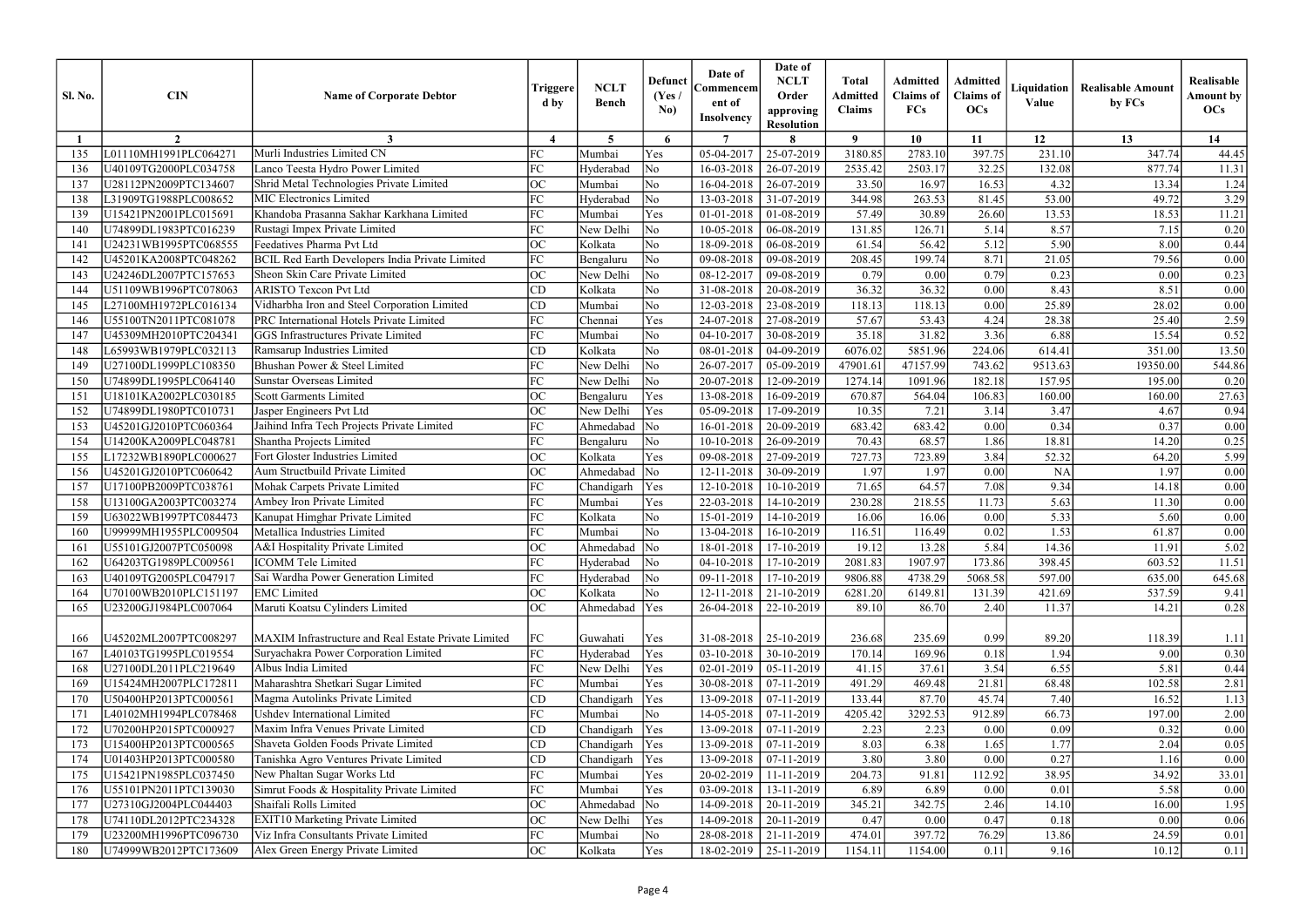| <b>Sl. No.</b> | <b>CIN</b>            | <b>Name of Corporate Debtor</b>                        | Triggere<br>d by                   | <b>NCLT</b><br><b>Bench</b> | <b>Defunct</b><br>(Yes /<br>No) | Date of<br>Commencem<br>ent of<br><b>Insolvency</b> | Date of<br><b>NCLT</b><br>Order<br>approving<br><b>Resolution</b> | <b>Total</b><br><b>Admitted</b><br><b>Claims</b> | <b>Admitted</b><br><b>Claims</b> of<br>FCs | Admitted<br><b>Claims</b> of<br><b>OCs</b> | Liquidation<br>Value | <b>Realisable Amount</b><br>by FCs | Realisable<br><b>Amount by</b><br>OCs |
|----------------|-----------------------|--------------------------------------------------------|------------------------------------|-----------------------------|---------------------------------|-----------------------------------------------------|-------------------------------------------------------------------|--------------------------------------------------|--------------------------------------------|--------------------------------------------|----------------------|------------------------------------|---------------------------------------|
|                | $\overline{2}$        | 3                                                      | $\boldsymbol{\Lambda}$             | 5                           | 6                               | $\overline{7}$                                      |                                                                   | $\boldsymbol{\theta}$                            | 10                                         | 11                                         | 12                   | 13                                 | 14                                    |
| 135            | L01110MH1991PLC064271 | Murli Industries Limited CN                            | FC                                 | Mumbai                      | Yes                             | 05-04-2017                                          | 25-07-2019                                                        | 3180.85                                          | 2783.10                                    | 397.75                                     | 231.10               | 347.74                             | 44.45                                 |
| 136            | U40109TG2000PLC034758 | Lanco Teesta Hydro Power Limited                       | FC                                 | Hyderabad                   | No                              | 16-03-2018                                          | 26-07-2019                                                        | 2535.42                                          | 2503.17                                    | 32.25                                      | 132.08               | 877.74                             | 11.31                                 |
| 137            | U28112PN2009PTC134607 | Shrid Metal Technologies Private Limited               | <b>OC</b>                          | Mumbai                      | N <sub>o</sub>                  | 16-04-2018                                          | 26-07-2019                                                        | 33.50                                            | 16.97                                      | 16.53                                      | 4.32                 | 13.34                              | 1.24                                  |
| 138            | L31909TG1988PLC008652 | <b>MIC Electronics Limited</b>                         | FC                                 | Hyderabad                   | $\overline{\rm No}$             | 13-03-2018                                          | 31-07-2019                                                        | 344.98                                           | 263.53                                     | 81.45                                      | 53.00                | 49.72                              | 3.29                                  |
| 139            | U15421PN2001PLC015691 | Khandoba Prasanna Sakhar Karkhana Limited              | FC                                 | Mumbai                      | Yes                             | 01-01-2018                                          | 01-08-2019                                                        | 57.49                                            | 30.89                                      | 26.60                                      | 13.53                | 18.53                              | 11.21                                 |
| 140            | U74899DL1983PTC016239 | Rustagi Impex Private Limited                          | FC                                 | New Delhi                   | No                              | 10-05-2018                                          | 06-08-2019                                                        | 131.85                                           | 126.71                                     | 5.14                                       | 8.57                 | 7.15                               | 0.20                                  |
| 141            | U24231WB1995PTC068555 | Feedatives Pharma Pvt Ltd                              | ОC                                 | Kolkata                     | No                              | 18-09-2018                                          | 06-08-2019                                                        | 61.54                                            | 56.42                                      | 5.12                                       | 5.90                 | 8.00                               | 0.44                                  |
| 142            | U45201KA2008PTC048262 | <b>BCIL Red Earth Developers India Private Limited</b> | FC                                 | Bengaluru                   | No                              | 09-08-2018                                          | 09-08-2019                                                        | 208.45                                           | 199.74                                     | 8.71                                       | 21.05                | 79.56                              | 0.00                                  |
| 143            | U24246DL2007PTC157653 | Sheon Skin Care Private Limited                        | OC                                 | New Delhi                   | No                              | 08-12-2017                                          | 09-08-2019                                                        | 0.79                                             | 0.00                                       | 0.79                                       | 0.23                 | 0.00                               | 0.23                                  |
| 144            | U51109WB1996PTC078063 | <b>ARISTO Texcon Pvt Ltd</b>                           | CD                                 | Kolkata                     | N <sub>o</sub>                  | 31-08-2018                                          | 20-08-2019                                                        | 36.32                                            | 36.32                                      | 0.00                                       | 8.43                 | 8.51                               | $0.00\,$                              |
| 145            | L27100MH1972PLC016134 | Vidharbha Iron and Steel Corporation Limited           | CD                                 | Mumbai                      | No                              | 12-03-2018                                          | 23-08-2019                                                        | 118.13                                           | 118.13                                     | 0.00                                       | 25.89                | 28.02                              | $0.00\,$                              |
| 146            | U55100TN2011PTC081078 | PRC International Hotels Private Limited               | FC                                 | Chennai                     | Yes                             | 24-07-2018                                          | 27-08-2019                                                        | 57.67                                            | 53.43                                      | 4.24                                       | 28.38                | 25.40                              | 2.59                                  |
| 147            | U45309MH2010PTC204341 | <b>GGS Infrastructures Private Limited</b>             | FC                                 | Mumbai                      | No                              | 04-10-2017                                          | 30-08-2019                                                        | 35.18                                            | 31.82                                      | 3.36                                       | 6.88                 | 15.54                              | 0.52                                  |
| 148            | L65993WB1979PLC032113 | Ramsarup Industries Limited                            | CD                                 | Kolkata                     | No                              | 08-01-2018                                          | $04 - 09 - 2019$                                                  | 6076.02                                          | 5851.96                                    | 224.06                                     | 614.41               | 351.00                             | 13.50                                 |
| 149            | U27100DL1999PLC108350 | Bhushan Power & Steel Limited                          | FC                                 | New Delhi                   | No                              | 26-07-2017                                          | 05-09-2019                                                        | 47901.61                                         | 47157.99                                   | 743.62                                     | 9513.63              | 19350.00                           | 544.86                                |
| 150            | U74899DL1995PLC064140 | <b>Sunstar Overseas Limited</b>                        | FC                                 | New Delhi                   | No                              | 20-07-2018                                          | 12-09-2019                                                        | 1274.14                                          | 1091.96                                    | 182.18                                     | 157.95               | 195.00                             | 0.20                                  |
| 151            | U18101KA2002PLC030185 | <b>Scott Garments Limited</b>                          | ОC                                 | Bengaluru                   | Yes                             | 13-08-2018                                          | 16-09-2019                                                        | 670.87                                           | 564.04                                     | 106.83                                     | 160.00               | 160.00                             | 27.63                                 |
| 152            | U74899DL1980PTC010731 | Jasper Engineers Pvt Ltd                               | OC                                 | New Delhi                   | Yes                             | 05-09-2018                                          | 17-09-2019                                                        | 10.35                                            | 7.21                                       | 3.14                                       | 3.47                 | 4.67                               | 0.94                                  |
| 153            | U45201GJ2010PTC060364 | Jaihind Infra Tech Projects Private Limited            | FC                                 | Ahmedabad                   | $\overline{\rm No}$             | 16-01-2018                                          | 20-09-2019                                                        | 683.42                                           | 683.42                                     | 0.00                                       | 0.34                 | 0.37                               | 0.00                                  |
| 154            | U14200KA2009PLC048781 | Shantha Projects Limited                               | FC                                 | Bengaluru                   | No                              | 10-10-2018                                          | 26-09-2019                                                        | 70.43                                            | 68.57                                      | 1.86                                       | 18.81                | 14.20                              | 0.25                                  |
| 155            | L17232WB1890PLC000627 | Fort Gloster Industries Limited                        | ОC                                 | Kolkata                     | Yes                             | 09-08-2018                                          | 27-09-2019                                                        | 727.73                                           | 723.89                                     | 3.84                                       | 52.32                | 64.20                              | 5.99                                  |
| 156            | U45201GJ2010PTC060642 | Aum Structbuild Private Limited                        | <b>OC</b>                          | Ahmedabad                   | $\overline{\text{No}}$          | 12-11-2018                                          | 30-09-2019                                                        | 1.97                                             | 1.97                                       | 0.00                                       | <b>NA</b>            | 1.97                               | 0.00                                  |
| 157            | U17100PB2009PTC038761 | Mohak Carpets Private Limited                          | FC.                                | Chandigarh                  | Yes                             | 12-10-2018                                          | 10-10-2019                                                        | 71.65                                            | 64.57                                      | 7.08                                       | 9.34                 | 14.18                              | 0.00                                  |
| 158            | U13100GA2003PTC003274 | Ambey Iron Private Limited                             | FC                                 | Mumbai                      | Yes                             | 22-03-2018                                          | 14-10-2019                                                        | 230.28                                           | 218.55                                     | 11.73                                      | 5.63                 | 11.30                              | $0.00\,$                              |
| 159            | U63022WB1997PTC084473 | Kanupat Himghar Private Limited                        | FC                                 | Kolkata                     | No                              | 15-01-2019                                          | 14-10-2019                                                        | 16.06                                            | 16.06                                      | 0.00                                       | 5.33                 | 5.60                               | $0.00\,$                              |
| 160            | U99999MH1955PLC009504 | Metallica Industries Limited                           | FC                                 | Mumbai                      | No                              | 13-04-2018                                          | 16-10-2019                                                        | 116.51                                           | 116.49                                     | 0.02                                       | 1.53                 | 61.87                              | 0.00                                  |
| 161            | U55101GJ2007PTC050098 | A&I Hospitality Private Limited                        | $\Omega$<br>$\mathsf{v}\mathsf{v}$ | Ahmedabad $ \overline{No} $ |                                 |                                                     | 18-01-2018   17-10-2019                                           | 19.12                                            | 13.28                                      | 5.84                                       | 14.36                | 11.91                              | 5.02                                  |
| 162            | U64203TG1989PLC009561 | ICOMM Tele Limited                                     | FC                                 | Hyderabad                   | $\overline{\text{No}}$          |                                                     | $04-10-2018$   17-10-2019                                         | 2081.83                                          | 1907.97                                    | 173.86                                     | 398.45               | 603.52                             | 11.51                                 |
| 163            | U40109TG2005PLC047917 | Sai Wardha Power Generation Limited                    | FC                                 | Hyderabad                   | $\overline{\text{No}}$          | 09-11-2018                                          | 17-10-2019                                                        | 9806.88                                          | 4738.29                                    | 5068.58                                    | 597.00               | 635.00                             | 645.68                                |
| 164            | U70100WB2010PLC151197 | <b>EMC</b> Limited                                     | OC                                 | Kolkata                     | No                              | 12-11-2018                                          | 21-10-2019                                                        | 6281.20                                          | 6149.81                                    | 131.39                                     | 421.69               | 537.59                             | 9.41                                  |
| 165            | U23200GJ1984PLC007064 | Maruti Koatsu Cylinders Limited                        | ОC                                 | Ahmedabad                   | Yes                             | 26-04-2018                                          | 22-10-2019                                                        | 89.10                                            | 86.70                                      | 2.40                                       | 11.37                | 14.21                              | 0.28                                  |
| 166            | U45202ML2007PTC008297 | MAXIM Infrastructure and Real Estate Private Limited   | FC                                 | Guwahati                    | Yes                             |                                                     | $31-08-2018$   25-10-2019                                         | 236.68                                           | 235.69                                     | 0.99                                       | 89.20                | 118.39                             | 1.11                                  |
| 167            | L40103TG1995PLC019554 | Suryachakra Power Corporation Limited                  | FC                                 | Hyderabad                   | Yes                             | 03-10-2018                                          | 30-10-2019                                                        | 170.14                                           | 169.96                                     | 0.18                                       | 1.94                 | 9.00                               | 0.30                                  |
| 168            | U27100DL2011PLC219649 | Albus India Limited                                    | FC                                 | New Delhi                   | Yes                             | 02-01-2019                                          | $05-11-2019$                                                      | 41.15                                            | 37.61                                      | 3.54                                       | 6.55                 | 5.81                               | 0.44                                  |
| 169            | U15424MH2007PLC172811 | Maharashtra Shetkari Sugar Limited                     | FC                                 | Mumbai                      | Yes                             | 30-08-2018                                          | 07-11-2019                                                        | 491.29                                           | 469.48                                     | 21.81                                      | 68.48                | 102.58                             | 2.81                                  |
| 170            | U50400HP2013PTC000561 | Magma Autolinks Private Limited                        | CD                                 | Chandigarh                  | Yes                             | 13-09-2018                                          | 07-11-2019                                                        | 133.44                                           | 87.70                                      | 45.74                                      | 7.40                 | 16.52                              | 1.13                                  |
| 171            | L40102MH1994PLC078468 | <b>Ushdev International Limited</b>                    | FC                                 | Mumbai                      | No                              |                                                     | $14-05-2018$ 07-11-2019                                           | 4205.42                                          | 3292.53                                    | 912.89                                     | 66.73                | 197.00                             | 2.00                                  |
| 172            | U70200HP2015PTC000927 | Maxim Infra Venues Private Limited                     | CD                                 | Chandigarh                  | Yes                             | 13-09-2018                                          | 07-11-2019                                                        | 2.23                                             | 2.23                                       | 0.00                                       | 0.09                 | 0.32                               | 0.00                                  |
| 173            | U15400HP2013PTC000565 | Shaveta Golden Foods Private Limited                   | CD                                 | Chandigarh                  | Yes                             | 13-09-2018                                          | 07-11-2019                                                        | 8.03                                             | 6.38                                       | 1.65                                       | 1.77                 | 2.04                               | 0.05                                  |
| 174            | U01403HP2013PTC000580 | Tanishka Agro Ventures Private Limited                 | CD                                 | Chandigarh                  | Yes                             | 13-09-2018                                          | 07-11-2019                                                        | 3.80                                             | 3.80                                       | 0.00                                       | 0.27                 | 1.16                               | 0.00                                  |
| 175            | U15421PN1985PLC037450 | New Phaltan Sugar Works Ltd                            | FC                                 | Mumbai                      | Yes                             | 20-02-2019                                          | 11-11-2019                                                        | 204.73                                           | 91.81                                      | 112.92                                     | 38.95                | 34.92                              | 33.01                                 |
| 176            | U55101PN2011PTC139030 | Simrut Foods & Hospitality Private Limited             | FC                                 | Mumbai                      | Yes                             | 03-09-2018                                          | 13-11-2019                                                        | 6.89                                             | 6.89                                       | 0.00                                       | 0.01                 | 5.58                               | 0.00                                  |
| 177            | U27310GJ2004PLC044403 | Shaifali Rolls Limited                                 | ОC                                 | Ahmedabad                   | $\overline{\rm No}$             | 14-09-2018                                          | 20-11-2019                                                        | 345.21                                           | 342.75                                     | 2.46                                       | 14.10                | 16.00                              | 1.95                                  |
| 178            | U74110DL2012PTC234328 | <b>EXIT10 Marketing Private Limited</b>                | ОC                                 | New Delhi                   | Yes                             | 14-09-2018                                          | 20-11-2019                                                        | 0.47                                             | 0.00                                       | 0.47                                       | 0.18                 | 0.00                               | $0.06\,$                              |
| 179            | U23200MH1996PTC096730 | Viz Infra Consultants Private Limited                  | FC                                 | Mumbai                      | No                              | 28-08-2018                                          | 21-11-2019                                                        | 474.01                                           | 397.72                                     | 76.29                                      | 13.86                | 24.59                              | 0.01                                  |
| 180            | U74999WB2012PTC173609 | Alex Green Energy Private Limited                      | ОC                                 | Kolkata                     | Yes                             | 18-02-2019                                          | 25-11-2019                                                        | 1154.11                                          | 1154.00                                    | 0.11                                       | 9.16                 | 10.12                              | 0.11                                  |
|                |                       |                                                        |                                    |                             |                                 |                                                     |                                                                   |                                                  |                                            |                                            |                      |                                    |                                       |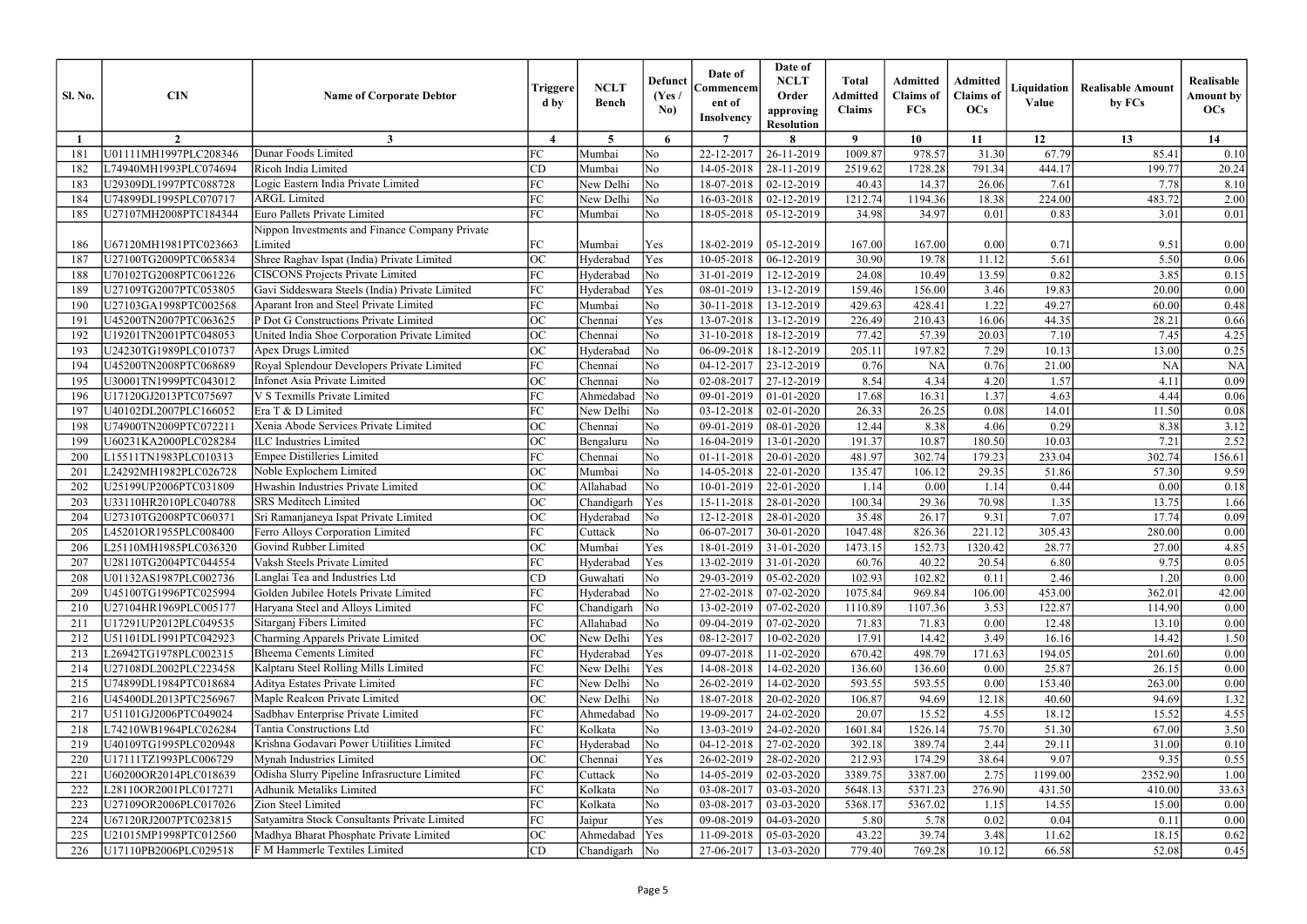| $\overline{7}$<br>$\boldsymbol{\theta}$<br>10<br>12<br>13<br>14<br>$\overline{2}$<br>3<br>$\boldsymbol{\Lambda}$<br>5<br>6<br>11<br>U01111MH1997PLC208346<br>Dunar Foods Limited<br>FC<br>N <sub>o</sub><br>22-12-2017<br>1009.87<br>978.57<br>31.30<br>67.79<br>26-11-2019<br>85.41<br>Mumbai<br>181<br>CD<br>No<br>28-11-2019<br>2519.62<br>1728.28<br>791.34<br>444.17<br>199.77<br>L74940MH1993PLC074694<br>Ricoh India Limited<br>14-05-2018<br>182<br>Mumbai<br>FC<br>No<br>Logic Eastern India Private Limited<br>New Delhi<br>02-12-2019<br>40.43<br>14.37<br>26.06<br>7.61<br>7.78<br>U29309DL1997PTC088728<br>18-07-2018<br>183<br>FC<br>483.72<br>U74899DL1995PLC070717<br>New Delhi<br>No<br>16-03-2018<br>02-12-2019<br>1212.74<br>1194.36<br>18.38<br>224.00<br><b>ARGL</b> Limited<br>184<br><b>Euro Pallets Private Limited</b><br>FC<br>No<br>0.83<br>U27107MH2008PTC184344<br>Mumbai<br>18-05-2018<br>34.98<br>34.97<br>0.01<br>3.01<br>05-12-2019<br>185<br>Nippon Investments and Finance Company Private<br>U67120MH1981PTC023663<br>Limited<br>FC<br>0.71<br>9.51<br>Mumbai<br>Yes<br>18-02-2019<br>05-12-2019<br>167.00<br>167.00<br>0.00<br>186<br>Shree Raghav Ispat (India) Private Limited<br>OC<br>5.61<br>Yes<br>30.90<br>5.50<br>U27100TG2009PTC065834<br>Hyderabad<br>10-05-2018<br>06-12-2019<br>19.78<br>11.12<br>187<br><b>CISCONS Projects Private Limited</b><br>FC<br>24.08<br>$\overline{\rm No}$<br>13.59<br>0.82<br>3.85<br>U70102TG2008PTC061226<br>Hyderabad<br>31-01-2019<br>12-12-2019<br>10.49<br>188<br>FC<br>Gavi Siddeswara Steels (India) Private Limited<br>Yes<br>3.46<br>19.83<br>Hyderabad<br>08-01-2019<br>159.46<br>156.00<br>20.00<br>189<br>U27109TG2007PTC053805<br>13-12-2019<br>FC<br>N <sub>o</sub><br>Aparant Iron and Steel Private Limited<br>30-11-2018<br>429.63<br>1.22<br>49.27<br>U27103GA1998PTC002568<br>Mumbai<br>13-12-2019<br>428.41<br>60.00<br>190<br>P Dot G Constructions Private Limited<br>OC<br>Yes<br>226.49<br>44.35<br>U45200TN2007PTC063625<br>13-07-2018<br>13-12-2019<br>210.43<br>16.06<br>28.21<br>Chennai<br>191<br>OC<br>No<br>United India Shoe Corporation Private Limited<br>77.42<br>57.39<br>7.10<br>7.45<br>U19201TN2001PTC048053<br>Chennai<br>31-10-2018<br>18-12-2019<br>20.03<br>192<br>ОC<br>197.82<br>7.29<br>U24230TG1989PLC010737<br>$\overline{\rm No}$<br>06-09-2018<br>205.11<br>10.13<br>13.00<br>193<br>Apex Drugs Limited<br>Hyderabad<br>18-12-2019<br>FC<br>No<br>0.76<br>0.76<br><b>NA</b><br>U45200TN2008PTC068689<br>Royal Splendour Developers Private Limited<br>Chennai<br>04-12-2017<br>23-12-2019<br><b>NA</b><br>21.00<br>194<br>ОC<br>N <sub>o</sub><br>8.54<br>4.34<br>4.20<br>1.57<br>U30001TN1999PTC043012<br>Infonet Asia Private Limited<br>02-08-2017<br>27-12-2019<br>4.11<br>195<br>Chennai<br>FC<br>1.37<br>U17120GJ2013PTC075697<br>V S Texmills Private Limited<br>Ahmedabad<br>No<br>09-01-2019<br>17.68<br>16.31<br>4.63<br>4.44<br>01-01-2020<br>196<br>Era T & D Limited<br>FC<br>U40102DL2007PLC166052<br>New Delhi<br>No<br>03-12-2018<br>02-01-2020<br>26.33<br>26.25<br>14.01<br>0.08<br>11.50<br>197<br>ОC<br>Xenia Abode Services Private Limited<br>No<br>12.44<br>8.38<br>0.29<br>8.38<br>U74900TN2009PTC072211<br>09-01-2019<br>08-01-2020<br>4.06<br>Chennai<br>198<br>ОC<br><b>ILC</b> Industries Limited<br>191.37<br>180.50<br>10.03<br>7.21<br>U60231KA2000PLC028284<br>No<br>16-04-2019<br>13-01-2020<br>10.87<br>199<br>Bengaluru<br>FC<br><b>Empee Distilleries Limited</b><br>N <sub>o</sub><br>481.97<br>302.74<br>179.23<br>233.04<br>302.74<br>L15511TN1983PLC010313<br>Chennai<br>01-11-2018<br>20-01-2020<br>200<br>ОC<br>No<br>L24292MH1982PLC026728<br>Noble Explochem Limited<br>Mumbai<br>14-05-2018<br>22-01-2020<br>135.47<br>106.12<br>29.35<br>51.86<br>57.30<br>201<br><b>OC</b><br>No<br>Hwashin Industries Private Limited<br>Allahabad<br>0.44<br>202<br>U25199UP2006PTC031809<br>10-01-2019<br>22-01-2020<br>0.00<br>1.14<br>0.00<br>1.14<br><b>SRS</b> Meditech Limited<br>ОC<br>100.34<br>1.35<br>Yes<br>15-11-2018<br>28-01-2020<br>29.36<br>70.98<br>13.75<br>203<br>U33110HR2010PLC040788<br>Chandigarh<br>OC<br>$\overline{\rm No}$<br>7.07<br>17.74<br>U27310TG2008PTC060371<br>Sri Ramanjaneya Ispat Private Limited<br>12-12-2018<br>28-01-2020<br>35.48<br>26.17<br>9.31<br>204<br>Hyderabad<br>FC<br>1047.48<br>221.12<br>305.43<br>No<br>06-07-2017<br>30-01-2020<br>826.36<br>280.00<br>205<br>L45201OR1955PLC008400<br>Ferro Alloys Corporation Limited<br>Cuttack<br>$\Omega$<br>Yes<br>Mumbai<br>$18-01-2019$ 31-01-2020<br>1473.15<br>152.73<br>1320.42<br>28.77<br>27.00<br>4.85<br>206<br>L25110MH1985PLC036320<br>Govind Rubber Limited<br>$\mathsf{v}\mathsf{v}$<br>FC<br>Vaksh Steels Private Limited<br>Yes<br>60.76<br>40.22<br>9.75<br>U28110TG2004PTC044554<br>$13-02-2019$ 31-01-2020<br>20.54<br>6.80<br>207<br>Hyderabad<br>CD<br>102.93<br>102.82<br>2.46<br>U01132AS1987PLC002736<br>Langlai Tea and Industries Ltd<br>$\overline{\rm No}$<br>29-03-2019<br>$05-02-2020$<br>1.20<br>Guwahati<br>0.11<br>208<br>Golden Jubilee Hotels Private Limited<br>FC<br>453.00<br>U45100TG1996PTC025994<br>Hyderabad<br>$\overline{\rm No}$<br>27-02-2018<br>$07-02-2020$<br>1075.84<br>969.84<br>106.00<br>362.01<br>42.00<br>209<br>Haryana Steel and Alloys Limited<br>FC<br>3.53<br>122.87<br>U27104HR1969PLC005177<br>$\overline{\text{No}}$<br>13-02-2019<br>07-02-2020<br>1110.89<br>1107.36<br>114.90<br>Chandigarh<br>210<br>Sitarganj Fibers Limited<br>FC<br>$\overline{\rm No}$<br>U17291UP2012PLC049535<br>Allahabad<br>09-04-2019<br>07-02-2020<br>71.83<br>71.83<br>0.00<br>12.48<br>13.10<br>211<br>ОC<br>Charming Apparels Private Limited<br>17.91<br>New Delhi<br>Yes<br>08-12-2017<br>14.42<br>3.49<br>14.42<br>U51101DL1991PTC042923<br>10-02-2020<br>16.16<br>212<br>FC<br><b>Bheema Cements Limited</b><br>09-07-2018<br>670.42<br>498.79<br>171.63<br>194.05<br>L26942TG1978PLC002315<br>Hyderabad<br>Yes<br>11-02-2020<br>201.60<br>213<br>Kalptaru Steel Rolling Mills Limited<br>FC<br>U27108DL2002PLC223458<br>New Delhi<br>Yes<br>14-08-2018<br>14-02-2020<br>136.60<br>25.87<br>136.60<br>0.00<br>26.15<br>214<br>Aditya Estates Private Limited<br>FC<br>$\overline{\rm No}$<br>26-02-2019<br>593.55<br>593.55<br>153.40<br>263.00<br>U74899DL1984PTC018684<br>New Delhi<br>14-02-2020<br>0.00<br>215<br>Maple Realcon Private Limited<br>OC<br>U45400DL2013PTC256967<br>New Delhi<br>$\overline{\rm No}$<br>18-07-2018<br>20-02-2020<br>106.87<br>94.69<br>12.18<br>40.60<br>94.69<br>216<br>Sadbhav Enterprise Private Limited<br>FC<br>15.52<br>18.12<br>U51101GJ2006PTC049024<br>$\overline{\text{No}}$<br>19-09-2017<br>24-02-2020<br>20.07<br>4.55<br>4.55<br>Ahmedabad<br>15.52<br>217<br>75.70<br>Tantia Constructions Ltd<br>FC<br>Kolkata<br>1601.84<br>51.30<br>L74210WB1964PLC026284<br>No<br>13-03-2019<br>24-02-2020<br>1526.14<br>67.00<br>218<br>Krishna Godavari Power Utiilities Limited<br>FC<br>U40109TG1995PLC020948<br>Hyderabad<br>$\overline{\rm No}$<br>04-12-2018<br>27-02-2020<br>392.18<br>389.74<br>2.44<br>29.11<br>31.00<br>219<br>Mynah Industries Limited<br>U17111TZ1993PLC006729<br>ОC<br>Yes<br>26-02-2019<br>212.93<br>174.29<br>38.64<br>9.07<br>9.35<br>Chennai<br>28-02-2020<br>220<br>Odisha Slurry Pipeline Infrasructure Limited<br>FC<br>No<br>U60200OR2014PLC018639<br>14-05-2019<br>3389.75<br>3387.00<br>2.75<br>1199.00<br>2352.90<br>Cuttack<br>02-03-2020<br>221<br>Adhunik Metaliks Limited<br>FC<br>276.90<br>Kolkata<br>No<br>03-08-2017<br>5371.23<br>222<br>L28110OR2001PLC017271<br>03-03-2020<br>5648.13<br>431.50<br>33.63<br>410.00<br>FC<br>Zion Steel Limited<br>Kolkata<br>No<br>03-08-2017<br>5368.17<br>U27109OR2006PLC017026<br>03-03-2020<br>5367.02<br>1.15<br>14.55<br>15.00<br>223<br>FC<br>Satyamitra Stock Consultants Private Limited<br>0.04<br>U67120RJ2007PTC023815<br>Yes<br>09-08-2019<br>04-03-2020<br>5.80<br>5.78<br>0.02<br>0.1<br>224<br>Jaipur<br>43.22<br>39.74<br>OC<br>Ahmedabad<br>Yes<br>3.48<br>U21015MP1998PTC012560<br>Madhya Bharat Phosphate Private Limited<br>11-09-2018<br>05-03-2020<br>11.62<br>18.15<br>F M Hammerle Textiles Limited<br>U17110PB2006PLC029518<br>CD<br>Chandigarh<br>No<br>27-06-2017<br>13-03-2020<br>779.40<br>769.28<br>10.12<br>66.58<br>52.08<br>226 | <b>Sl. No.</b> | <b>CIN</b> | <b>Name of Corporate Debtor</b> | Triggere<br>d by | <b>NCLT</b><br><b>Bench</b> | <b>Defunct</b><br>(Yes)<br>No) | Date of<br>Commencem<br>ent of<br><b>Insolvency</b> | Date of<br><b>NCLT</b><br>Order<br>approving<br><b>Resolution</b> | <b>Total</b><br><b>Admitted</b><br><b>Claims</b> | <b>Admitted</b><br><b>Claims</b> of<br>FCs | Admitted<br><b>Claims</b> of<br>OCs | Liquidation<br>Value | <b>Realisable Amount</b><br>by FCs | Realisable<br><b>Amount by</b><br>OCs |
|-----------------------------------------------------------------------------------------------------------------------------------------------------------------------------------------------------------------------------------------------------------------------------------------------------------------------------------------------------------------------------------------------------------------------------------------------------------------------------------------------------------------------------------------------------------------------------------------------------------------------------------------------------------------------------------------------------------------------------------------------------------------------------------------------------------------------------------------------------------------------------------------------------------------------------------------------------------------------------------------------------------------------------------------------------------------------------------------------------------------------------------------------------------------------------------------------------------------------------------------------------------------------------------------------------------------------------------------------------------------------------------------------------------------------------------------------------------------------------------------------------------------------------------------------------------------------------------------------------------------------------------------------------------------------------------------------------------------------------------------------------------------------------------------------------------------------------------------------------------------------------------------------------------------------------------------------------------------------------------------------------------------------------------------------------------------------------------------------------------------------------------------------------------------------------------------------------------------------------------------------------------------------------------------------------------------------------------------------------------------------------------------------------------------------------------------------------------------------------------------------------------------------------------------------------------------------------------------------------------------------------------------------------------------------------------------------------------------------------------------------------------------------------------------------------------------------------------------------------------------------------------------------------------------------------------------------------------------------------------------------------------------------------------------------------------------------------------------------------------------------------------------------------------------------------------------------------------------------------------------------------------------------------------------------------------------------------------------------------------------------------------------------------------------------------------------------------------------------------------------------------------------------------------------------------------------------------------------------------------------------------------------------------------------------------------------------------------------------------------------------------------------------------------------------------------------------------------------------------------------------------------------------------------------------------------------------------------------------------------------------------------------------------------------------------------------------------------------------------------------------------------------------------------------------------------------------------------------------------------------------------------------------------------------------------------------------------------------------------------------------------------------------------------------------------------------------------------------------------------------------------------------------------------------------------------------------------------------------------------------------------------------------------------------------------------------------------------------------------------------------------------------------------------------------------------------------------------------------------------------------------------------------------------------------------------------------------------------------------------------------------------------------------------------------------------------------------------------------------------------------------------------------------------------------------------------------------------------------------------------------------------------------------------------------------------------------------------------------------------------------------------------------------------------------------------------------------------------------------------------------------------------------------------------------------------------------------------------------------------------------------------------------------------------------------------------------------------------------------------------------------------------------------------------------------------------------------------------------------------------------------------------------------------------------------------------------------------------------------------------------------------------------------------------------------------------------------------------------------------------------------------------------------------------------------------------------------------------------------------------------------------------------------------------------------------------------------------------------------------------------------------------------------------------------------------------------------------------------------------------------------------------------------------------------------------------------------------------------------------------------------------------------------------------------------------------------------------------------------------------------------------------------------------------------------------------------------------------------------------------------------------------------------------------------------------------------------------------------------------------------------------------------------------------------------------------------------------------------------------------------------------------------------------------------------------------------------------------------------------------------------------------------------------------------------------------------------------------------------------------------------------------------------------------------------------------------------------------------------------------------------------------------------------------------------------------------------------------------------------------------------------------------------------------------------------------------------------------------------------------------------------------------------------------------------------------------------------------------------------------------------------------------------------------------------------------------------------------------------------------------------------------------------------------------------------------------------------------------------------------------------------------------------------------------------------------------------------------------------------------------------------------------------------------------------------------------------------------------------------------------------------------------------------------|----------------|------------|---------------------------------|------------------|-----------------------------|--------------------------------|-----------------------------------------------------|-------------------------------------------------------------------|--------------------------------------------------|--------------------------------------------|-------------------------------------|----------------------|------------------------------------|---------------------------------------|
|                                                                                                                                                                                                                                                                                                                                                                                                                                                                                                                                                                                                                                                                                                                                                                                                                                                                                                                                                                                                                                                                                                                                                                                                                                                                                                                                                                                                                                                                                                                                                                                                                                                                                                                                                                                                                                                                                                                                                                                                                                                                                                                                                                                                                                                                                                                                                                                                                                                                                                                                                                                                                                                                                                                                                                                                                                                                                                                                                                                                                                                                                                                                                                                                                                                                                                                                                                                                                                                                                                                                                                                                                                                                                                                                                                                                                                                                                                                                                                                                                                                                                                                                                                                                                                                                                                                                                                                                                                                                                                                                                                                                                                                                                                                                                                                                                                                                                                                                                                                                                                                                                                                                                                                                                                                                                                                                                                                                                                                                                                                                                                                                                                                                                                                                                                                                                                                                                                                                                                                                                                                                                                                                                                                                                                                                                                                                                                                                                                                                                                                                                                                                                                                                                                                                                                                                                                                                                                                                                                                                                                                                                                                                                                                                                                                                                                                                                                                                                                                                                                                                                                                                                                                                                                                                                                                                                                                                                                                                                                                                                                                                                                                                                                                                                                                                                                                                                                                                                 |                |            |                                 |                  |                             |                                |                                                     |                                                                   |                                                  |                                            |                                     |                      |                                    |                                       |
|                                                                                                                                                                                                                                                                                                                                                                                                                                                                                                                                                                                                                                                                                                                                                                                                                                                                                                                                                                                                                                                                                                                                                                                                                                                                                                                                                                                                                                                                                                                                                                                                                                                                                                                                                                                                                                                                                                                                                                                                                                                                                                                                                                                                                                                                                                                                                                                                                                                                                                                                                                                                                                                                                                                                                                                                                                                                                                                                                                                                                                                                                                                                                                                                                                                                                                                                                                                                                                                                                                                                                                                                                                                                                                                                                                                                                                                                                                                                                                                                                                                                                                                                                                                                                                                                                                                                                                                                                                                                                                                                                                                                                                                                                                                                                                                                                                                                                                                                                                                                                                                                                                                                                                                                                                                                                                                                                                                                                                                                                                                                                                                                                                                                                                                                                                                                                                                                                                                                                                                                                                                                                                                                                                                                                                                                                                                                                                                                                                                                                                                                                                                                                                                                                                                                                                                                                                                                                                                                                                                                                                                                                                                                                                                                                                                                                                                                                                                                                                                                                                                                                                                                                                                                                                                                                                                                                                                                                                                                                                                                                                                                                                                                                                                                                                                                                                                                                                                                                 |                |            |                                 |                  |                             |                                |                                                     |                                                                   |                                                  |                                            |                                     |                      |                                    | 0.10                                  |
|                                                                                                                                                                                                                                                                                                                                                                                                                                                                                                                                                                                                                                                                                                                                                                                                                                                                                                                                                                                                                                                                                                                                                                                                                                                                                                                                                                                                                                                                                                                                                                                                                                                                                                                                                                                                                                                                                                                                                                                                                                                                                                                                                                                                                                                                                                                                                                                                                                                                                                                                                                                                                                                                                                                                                                                                                                                                                                                                                                                                                                                                                                                                                                                                                                                                                                                                                                                                                                                                                                                                                                                                                                                                                                                                                                                                                                                                                                                                                                                                                                                                                                                                                                                                                                                                                                                                                                                                                                                                                                                                                                                                                                                                                                                                                                                                                                                                                                                                                                                                                                                                                                                                                                                                                                                                                                                                                                                                                                                                                                                                                                                                                                                                                                                                                                                                                                                                                                                                                                                                                                                                                                                                                                                                                                                                                                                                                                                                                                                                                                                                                                                                                                                                                                                                                                                                                                                                                                                                                                                                                                                                                                                                                                                                                                                                                                                                                                                                                                                                                                                                                                                                                                                                                                                                                                                                                                                                                                                                                                                                                                                                                                                                                                                                                                                                                                                                                                                                                 |                |            |                                 |                  |                             |                                |                                                     |                                                                   |                                                  |                                            |                                     |                      |                                    | 20.24                                 |
|                                                                                                                                                                                                                                                                                                                                                                                                                                                                                                                                                                                                                                                                                                                                                                                                                                                                                                                                                                                                                                                                                                                                                                                                                                                                                                                                                                                                                                                                                                                                                                                                                                                                                                                                                                                                                                                                                                                                                                                                                                                                                                                                                                                                                                                                                                                                                                                                                                                                                                                                                                                                                                                                                                                                                                                                                                                                                                                                                                                                                                                                                                                                                                                                                                                                                                                                                                                                                                                                                                                                                                                                                                                                                                                                                                                                                                                                                                                                                                                                                                                                                                                                                                                                                                                                                                                                                                                                                                                                                                                                                                                                                                                                                                                                                                                                                                                                                                                                                                                                                                                                                                                                                                                                                                                                                                                                                                                                                                                                                                                                                                                                                                                                                                                                                                                                                                                                                                                                                                                                                                                                                                                                                                                                                                                                                                                                                                                                                                                                                                                                                                                                                                                                                                                                                                                                                                                                                                                                                                                                                                                                                                                                                                                                                                                                                                                                                                                                                                                                                                                                                                                                                                                                                                                                                                                                                                                                                                                                                                                                                                                                                                                                                                                                                                                                                                                                                                                                                 |                |            |                                 |                  |                             |                                |                                                     |                                                                   |                                                  |                                            |                                     |                      |                                    | 8.10                                  |
|                                                                                                                                                                                                                                                                                                                                                                                                                                                                                                                                                                                                                                                                                                                                                                                                                                                                                                                                                                                                                                                                                                                                                                                                                                                                                                                                                                                                                                                                                                                                                                                                                                                                                                                                                                                                                                                                                                                                                                                                                                                                                                                                                                                                                                                                                                                                                                                                                                                                                                                                                                                                                                                                                                                                                                                                                                                                                                                                                                                                                                                                                                                                                                                                                                                                                                                                                                                                                                                                                                                                                                                                                                                                                                                                                                                                                                                                                                                                                                                                                                                                                                                                                                                                                                                                                                                                                                                                                                                                                                                                                                                                                                                                                                                                                                                                                                                                                                                                                                                                                                                                                                                                                                                                                                                                                                                                                                                                                                                                                                                                                                                                                                                                                                                                                                                                                                                                                                                                                                                                                                                                                                                                                                                                                                                                                                                                                                                                                                                                                                                                                                                                                                                                                                                                                                                                                                                                                                                                                                                                                                                                                                                                                                                                                                                                                                                                                                                                                                                                                                                                                                                                                                                                                                                                                                                                                                                                                                                                                                                                                                                                                                                                                                                                                                                                                                                                                                                                                 |                |            |                                 |                  |                             |                                |                                                     |                                                                   |                                                  |                                            |                                     |                      |                                    | 2.00                                  |
|                                                                                                                                                                                                                                                                                                                                                                                                                                                                                                                                                                                                                                                                                                                                                                                                                                                                                                                                                                                                                                                                                                                                                                                                                                                                                                                                                                                                                                                                                                                                                                                                                                                                                                                                                                                                                                                                                                                                                                                                                                                                                                                                                                                                                                                                                                                                                                                                                                                                                                                                                                                                                                                                                                                                                                                                                                                                                                                                                                                                                                                                                                                                                                                                                                                                                                                                                                                                                                                                                                                                                                                                                                                                                                                                                                                                                                                                                                                                                                                                                                                                                                                                                                                                                                                                                                                                                                                                                                                                                                                                                                                                                                                                                                                                                                                                                                                                                                                                                                                                                                                                                                                                                                                                                                                                                                                                                                                                                                                                                                                                                                                                                                                                                                                                                                                                                                                                                                                                                                                                                                                                                                                                                                                                                                                                                                                                                                                                                                                                                                                                                                                                                                                                                                                                                                                                                                                                                                                                                                                                                                                                                                                                                                                                                                                                                                                                                                                                                                                                                                                                                                                                                                                                                                                                                                                                                                                                                                                                                                                                                                                                                                                                                                                                                                                                                                                                                                                                                 |                |            |                                 |                  |                             |                                |                                                     |                                                                   |                                                  |                                            |                                     |                      |                                    | 0.01                                  |
|                                                                                                                                                                                                                                                                                                                                                                                                                                                                                                                                                                                                                                                                                                                                                                                                                                                                                                                                                                                                                                                                                                                                                                                                                                                                                                                                                                                                                                                                                                                                                                                                                                                                                                                                                                                                                                                                                                                                                                                                                                                                                                                                                                                                                                                                                                                                                                                                                                                                                                                                                                                                                                                                                                                                                                                                                                                                                                                                                                                                                                                                                                                                                                                                                                                                                                                                                                                                                                                                                                                                                                                                                                                                                                                                                                                                                                                                                                                                                                                                                                                                                                                                                                                                                                                                                                                                                                                                                                                                                                                                                                                                                                                                                                                                                                                                                                                                                                                                                                                                                                                                                                                                                                                                                                                                                                                                                                                                                                                                                                                                                                                                                                                                                                                                                                                                                                                                                                                                                                                                                                                                                                                                                                                                                                                                                                                                                                                                                                                                                                                                                                                                                                                                                                                                                                                                                                                                                                                                                                                                                                                                                                                                                                                                                                                                                                                                                                                                                                                                                                                                                                                                                                                                                                                                                                                                                                                                                                                                                                                                                                                                                                                                                                                                                                                                                                                                                                                                                 |                |            |                                 |                  |                             |                                |                                                     |                                                                   |                                                  |                                            |                                     |                      |                                    |                                       |
|                                                                                                                                                                                                                                                                                                                                                                                                                                                                                                                                                                                                                                                                                                                                                                                                                                                                                                                                                                                                                                                                                                                                                                                                                                                                                                                                                                                                                                                                                                                                                                                                                                                                                                                                                                                                                                                                                                                                                                                                                                                                                                                                                                                                                                                                                                                                                                                                                                                                                                                                                                                                                                                                                                                                                                                                                                                                                                                                                                                                                                                                                                                                                                                                                                                                                                                                                                                                                                                                                                                                                                                                                                                                                                                                                                                                                                                                                                                                                                                                                                                                                                                                                                                                                                                                                                                                                                                                                                                                                                                                                                                                                                                                                                                                                                                                                                                                                                                                                                                                                                                                                                                                                                                                                                                                                                                                                                                                                                                                                                                                                                                                                                                                                                                                                                                                                                                                                                                                                                                                                                                                                                                                                                                                                                                                                                                                                                                                                                                                                                                                                                                                                                                                                                                                                                                                                                                                                                                                                                                                                                                                                                                                                                                                                                                                                                                                                                                                                                                                                                                                                                                                                                                                                                                                                                                                                                                                                                                                                                                                                                                                                                                                                                                                                                                                                                                                                                                                                 |                |            |                                 |                  |                             |                                |                                                     |                                                                   |                                                  |                                            |                                     |                      |                                    | 0.00                                  |
|                                                                                                                                                                                                                                                                                                                                                                                                                                                                                                                                                                                                                                                                                                                                                                                                                                                                                                                                                                                                                                                                                                                                                                                                                                                                                                                                                                                                                                                                                                                                                                                                                                                                                                                                                                                                                                                                                                                                                                                                                                                                                                                                                                                                                                                                                                                                                                                                                                                                                                                                                                                                                                                                                                                                                                                                                                                                                                                                                                                                                                                                                                                                                                                                                                                                                                                                                                                                                                                                                                                                                                                                                                                                                                                                                                                                                                                                                                                                                                                                                                                                                                                                                                                                                                                                                                                                                                                                                                                                                                                                                                                                                                                                                                                                                                                                                                                                                                                                                                                                                                                                                                                                                                                                                                                                                                                                                                                                                                                                                                                                                                                                                                                                                                                                                                                                                                                                                                                                                                                                                                                                                                                                                                                                                                                                                                                                                                                                                                                                                                                                                                                                                                                                                                                                                                                                                                                                                                                                                                                                                                                                                                                                                                                                                                                                                                                                                                                                                                                                                                                                                                                                                                                                                                                                                                                                                                                                                                                                                                                                                                                                                                                                                                                                                                                                                                                                                                                                                 |                |            |                                 |                  |                             |                                |                                                     |                                                                   |                                                  |                                            |                                     |                      |                                    | 0.06                                  |
|                                                                                                                                                                                                                                                                                                                                                                                                                                                                                                                                                                                                                                                                                                                                                                                                                                                                                                                                                                                                                                                                                                                                                                                                                                                                                                                                                                                                                                                                                                                                                                                                                                                                                                                                                                                                                                                                                                                                                                                                                                                                                                                                                                                                                                                                                                                                                                                                                                                                                                                                                                                                                                                                                                                                                                                                                                                                                                                                                                                                                                                                                                                                                                                                                                                                                                                                                                                                                                                                                                                                                                                                                                                                                                                                                                                                                                                                                                                                                                                                                                                                                                                                                                                                                                                                                                                                                                                                                                                                                                                                                                                                                                                                                                                                                                                                                                                                                                                                                                                                                                                                                                                                                                                                                                                                                                                                                                                                                                                                                                                                                                                                                                                                                                                                                                                                                                                                                                                                                                                                                                                                                                                                                                                                                                                                                                                                                                                                                                                                                                                                                                                                                                                                                                                                                                                                                                                                                                                                                                                                                                                                                                                                                                                                                                                                                                                                                                                                                                                                                                                                                                                                                                                                                                                                                                                                                                                                                                                                                                                                                                                                                                                                                                                                                                                                                                                                                                                                                 |                |            |                                 |                  |                             |                                |                                                     |                                                                   |                                                  |                                            |                                     |                      |                                    | 0.15                                  |
|                                                                                                                                                                                                                                                                                                                                                                                                                                                                                                                                                                                                                                                                                                                                                                                                                                                                                                                                                                                                                                                                                                                                                                                                                                                                                                                                                                                                                                                                                                                                                                                                                                                                                                                                                                                                                                                                                                                                                                                                                                                                                                                                                                                                                                                                                                                                                                                                                                                                                                                                                                                                                                                                                                                                                                                                                                                                                                                                                                                                                                                                                                                                                                                                                                                                                                                                                                                                                                                                                                                                                                                                                                                                                                                                                                                                                                                                                                                                                                                                                                                                                                                                                                                                                                                                                                                                                                                                                                                                                                                                                                                                                                                                                                                                                                                                                                                                                                                                                                                                                                                                                                                                                                                                                                                                                                                                                                                                                                                                                                                                                                                                                                                                                                                                                                                                                                                                                                                                                                                                                                                                                                                                                                                                                                                                                                                                                                                                                                                                                                                                                                                                                                                                                                                                                                                                                                                                                                                                                                                                                                                                                                                                                                                                                                                                                                                                                                                                                                                                                                                                                                                                                                                                                                                                                                                                                                                                                                                                                                                                                                                                                                                                                                                                                                                                                                                                                                                                                 |                |            |                                 |                  |                             |                                |                                                     |                                                                   |                                                  |                                            |                                     |                      |                                    | 0.00                                  |
|                                                                                                                                                                                                                                                                                                                                                                                                                                                                                                                                                                                                                                                                                                                                                                                                                                                                                                                                                                                                                                                                                                                                                                                                                                                                                                                                                                                                                                                                                                                                                                                                                                                                                                                                                                                                                                                                                                                                                                                                                                                                                                                                                                                                                                                                                                                                                                                                                                                                                                                                                                                                                                                                                                                                                                                                                                                                                                                                                                                                                                                                                                                                                                                                                                                                                                                                                                                                                                                                                                                                                                                                                                                                                                                                                                                                                                                                                                                                                                                                                                                                                                                                                                                                                                                                                                                                                                                                                                                                                                                                                                                                                                                                                                                                                                                                                                                                                                                                                                                                                                                                                                                                                                                                                                                                                                                                                                                                                                                                                                                                                                                                                                                                                                                                                                                                                                                                                                                                                                                                                                                                                                                                                                                                                                                                                                                                                                                                                                                                                                                                                                                                                                                                                                                                                                                                                                                                                                                                                                                                                                                                                                                                                                                                                                                                                                                                                                                                                                                                                                                                                                                                                                                                                                                                                                                                                                                                                                                                                                                                                                                                                                                                                                                                                                                                                                                                                                                                                 |                |            |                                 |                  |                             |                                |                                                     |                                                                   |                                                  |                                            |                                     |                      |                                    | 0.48                                  |
|                                                                                                                                                                                                                                                                                                                                                                                                                                                                                                                                                                                                                                                                                                                                                                                                                                                                                                                                                                                                                                                                                                                                                                                                                                                                                                                                                                                                                                                                                                                                                                                                                                                                                                                                                                                                                                                                                                                                                                                                                                                                                                                                                                                                                                                                                                                                                                                                                                                                                                                                                                                                                                                                                                                                                                                                                                                                                                                                                                                                                                                                                                                                                                                                                                                                                                                                                                                                                                                                                                                                                                                                                                                                                                                                                                                                                                                                                                                                                                                                                                                                                                                                                                                                                                                                                                                                                                                                                                                                                                                                                                                                                                                                                                                                                                                                                                                                                                                                                                                                                                                                                                                                                                                                                                                                                                                                                                                                                                                                                                                                                                                                                                                                                                                                                                                                                                                                                                                                                                                                                                                                                                                                                                                                                                                                                                                                                                                                                                                                                                                                                                                                                                                                                                                                                                                                                                                                                                                                                                                                                                                                                                                                                                                                                                                                                                                                                                                                                                                                                                                                                                                                                                                                                                                                                                                                                                                                                                                                                                                                                                                                                                                                                                                                                                                                                                                                                                                                                 |                |            |                                 |                  |                             |                                |                                                     |                                                                   |                                                  |                                            |                                     |                      |                                    | 0.66                                  |
|                                                                                                                                                                                                                                                                                                                                                                                                                                                                                                                                                                                                                                                                                                                                                                                                                                                                                                                                                                                                                                                                                                                                                                                                                                                                                                                                                                                                                                                                                                                                                                                                                                                                                                                                                                                                                                                                                                                                                                                                                                                                                                                                                                                                                                                                                                                                                                                                                                                                                                                                                                                                                                                                                                                                                                                                                                                                                                                                                                                                                                                                                                                                                                                                                                                                                                                                                                                                                                                                                                                                                                                                                                                                                                                                                                                                                                                                                                                                                                                                                                                                                                                                                                                                                                                                                                                                                                                                                                                                                                                                                                                                                                                                                                                                                                                                                                                                                                                                                                                                                                                                                                                                                                                                                                                                                                                                                                                                                                                                                                                                                                                                                                                                                                                                                                                                                                                                                                                                                                                                                                                                                                                                                                                                                                                                                                                                                                                                                                                                                                                                                                                                                                                                                                                                                                                                                                                                                                                                                                                                                                                                                                                                                                                                                                                                                                                                                                                                                                                                                                                                                                                                                                                                                                                                                                                                                                                                                                                                                                                                                                                                                                                                                                                                                                                                                                                                                                                                                 |                |            |                                 |                  |                             |                                |                                                     |                                                                   |                                                  |                                            |                                     |                      |                                    | 4.25                                  |
|                                                                                                                                                                                                                                                                                                                                                                                                                                                                                                                                                                                                                                                                                                                                                                                                                                                                                                                                                                                                                                                                                                                                                                                                                                                                                                                                                                                                                                                                                                                                                                                                                                                                                                                                                                                                                                                                                                                                                                                                                                                                                                                                                                                                                                                                                                                                                                                                                                                                                                                                                                                                                                                                                                                                                                                                                                                                                                                                                                                                                                                                                                                                                                                                                                                                                                                                                                                                                                                                                                                                                                                                                                                                                                                                                                                                                                                                                                                                                                                                                                                                                                                                                                                                                                                                                                                                                                                                                                                                                                                                                                                                                                                                                                                                                                                                                                                                                                                                                                                                                                                                                                                                                                                                                                                                                                                                                                                                                                                                                                                                                                                                                                                                                                                                                                                                                                                                                                                                                                                                                                                                                                                                                                                                                                                                                                                                                                                                                                                                                                                                                                                                                                                                                                                                                                                                                                                                                                                                                                                                                                                                                                                                                                                                                                                                                                                                                                                                                                                                                                                                                                                                                                                                                                                                                                                                                                                                                                                                                                                                                                                                                                                                                                                                                                                                                                                                                                                                                 |                |            |                                 |                  |                             |                                |                                                     |                                                                   |                                                  |                                            |                                     |                      |                                    | 0.25                                  |
|                                                                                                                                                                                                                                                                                                                                                                                                                                                                                                                                                                                                                                                                                                                                                                                                                                                                                                                                                                                                                                                                                                                                                                                                                                                                                                                                                                                                                                                                                                                                                                                                                                                                                                                                                                                                                                                                                                                                                                                                                                                                                                                                                                                                                                                                                                                                                                                                                                                                                                                                                                                                                                                                                                                                                                                                                                                                                                                                                                                                                                                                                                                                                                                                                                                                                                                                                                                                                                                                                                                                                                                                                                                                                                                                                                                                                                                                                                                                                                                                                                                                                                                                                                                                                                                                                                                                                                                                                                                                                                                                                                                                                                                                                                                                                                                                                                                                                                                                                                                                                                                                                                                                                                                                                                                                                                                                                                                                                                                                                                                                                                                                                                                                                                                                                                                                                                                                                                                                                                                                                                                                                                                                                                                                                                                                                                                                                                                                                                                                                                                                                                                                                                                                                                                                                                                                                                                                                                                                                                                                                                                                                                                                                                                                                                                                                                                                                                                                                                                                                                                                                                                                                                                                                                                                                                                                                                                                                                                                                                                                                                                                                                                                                                                                                                                                                                                                                                                                                 |                |            |                                 |                  |                             |                                |                                                     |                                                                   |                                                  |                                            |                                     |                      |                                    | <b>NA</b>                             |
|                                                                                                                                                                                                                                                                                                                                                                                                                                                                                                                                                                                                                                                                                                                                                                                                                                                                                                                                                                                                                                                                                                                                                                                                                                                                                                                                                                                                                                                                                                                                                                                                                                                                                                                                                                                                                                                                                                                                                                                                                                                                                                                                                                                                                                                                                                                                                                                                                                                                                                                                                                                                                                                                                                                                                                                                                                                                                                                                                                                                                                                                                                                                                                                                                                                                                                                                                                                                                                                                                                                                                                                                                                                                                                                                                                                                                                                                                                                                                                                                                                                                                                                                                                                                                                                                                                                                                                                                                                                                                                                                                                                                                                                                                                                                                                                                                                                                                                                                                                                                                                                                                                                                                                                                                                                                                                                                                                                                                                                                                                                                                                                                                                                                                                                                                                                                                                                                                                                                                                                                                                                                                                                                                                                                                                                                                                                                                                                                                                                                                                                                                                                                                                                                                                                                                                                                                                                                                                                                                                                                                                                                                                                                                                                                                                                                                                                                                                                                                                                                                                                                                                                                                                                                                                                                                                                                                                                                                                                                                                                                                                                                                                                                                                                                                                                                                                                                                                                                                 |                |            |                                 |                  |                             |                                |                                                     |                                                                   |                                                  |                                            |                                     |                      |                                    | 0.09                                  |
|                                                                                                                                                                                                                                                                                                                                                                                                                                                                                                                                                                                                                                                                                                                                                                                                                                                                                                                                                                                                                                                                                                                                                                                                                                                                                                                                                                                                                                                                                                                                                                                                                                                                                                                                                                                                                                                                                                                                                                                                                                                                                                                                                                                                                                                                                                                                                                                                                                                                                                                                                                                                                                                                                                                                                                                                                                                                                                                                                                                                                                                                                                                                                                                                                                                                                                                                                                                                                                                                                                                                                                                                                                                                                                                                                                                                                                                                                                                                                                                                                                                                                                                                                                                                                                                                                                                                                                                                                                                                                                                                                                                                                                                                                                                                                                                                                                                                                                                                                                                                                                                                                                                                                                                                                                                                                                                                                                                                                                                                                                                                                                                                                                                                                                                                                                                                                                                                                                                                                                                                                                                                                                                                                                                                                                                                                                                                                                                                                                                                                                                                                                                                                                                                                                                                                                                                                                                                                                                                                                                                                                                                                                                                                                                                                                                                                                                                                                                                                                                                                                                                                                                                                                                                                                                                                                                                                                                                                                                                                                                                                                                                                                                                                                                                                                                                                                                                                                                                                 |                |            |                                 |                  |                             |                                |                                                     |                                                                   |                                                  |                                            |                                     |                      |                                    | 0.06                                  |
|                                                                                                                                                                                                                                                                                                                                                                                                                                                                                                                                                                                                                                                                                                                                                                                                                                                                                                                                                                                                                                                                                                                                                                                                                                                                                                                                                                                                                                                                                                                                                                                                                                                                                                                                                                                                                                                                                                                                                                                                                                                                                                                                                                                                                                                                                                                                                                                                                                                                                                                                                                                                                                                                                                                                                                                                                                                                                                                                                                                                                                                                                                                                                                                                                                                                                                                                                                                                                                                                                                                                                                                                                                                                                                                                                                                                                                                                                                                                                                                                                                                                                                                                                                                                                                                                                                                                                                                                                                                                                                                                                                                                                                                                                                                                                                                                                                                                                                                                                                                                                                                                                                                                                                                                                                                                                                                                                                                                                                                                                                                                                                                                                                                                                                                                                                                                                                                                                                                                                                                                                                                                                                                                                                                                                                                                                                                                                                                                                                                                                                                                                                                                                                                                                                                                                                                                                                                                                                                                                                                                                                                                                                                                                                                                                                                                                                                                                                                                                                                                                                                                                                                                                                                                                                                                                                                                                                                                                                                                                                                                                                                                                                                                                                                                                                                                                                                                                                                                                 |                |            |                                 |                  |                             |                                |                                                     |                                                                   |                                                  |                                            |                                     |                      |                                    | 0.08                                  |
|                                                                                                                                                                                                                                                                                                                                                                                                                                                                                                                                                                                                                                                                                                                                                                                                                                                                                                                                                                                                                                                                                                                                                                                                                                                                                                                                                                                                                                                                                                                                                                                                                                                                                                                                                                                                                                                                                                                                                                                                                                                                                                                                                                                                                                                                                                                                                                                                                                                                                                                                                                                                                                                                                                                                                                                                                                                                                                                                                                                                                                                                                                                                                                                                                                                                                                                                                                                                                                                                                                                                                                                                                                                                                                                                                                                                                                                                                                                                                                                                                                                                                                                                                                                                                                                                                                                                                                                                                                                                                                                                                                                                                                                                                                                                                                                                                                                                                                                                                                                                                                                                                                                                                                                                                                                                                                                                                                                                                                                                                                                                                                                                                                                                                                                                                                                                                                                                                                                                                                                                                                                                                                                                                                                                                                                                                                                                                                                                                                                                                                                                                                                                                                                                                                                                                                                                                                                                                                                                                                                                                                                                                                                                                                                                                                                                                                                                                                                                                                                                                                                                                                                                                                                                                                                                                                                                                                                                                                                                                                                                                                                                                                                                                                                                                                                                                                                                                                                                                 |                |            |                                 |                  |                             |                                |                                                     |                                                                   |                                                  |                                            |                                     |                      |                                    | 3.12                                  |
|                                                                                                                                                                                                                                                                                                                                                                                                                                                                                                                                                                                                                                                                                                                                                                                                                                                                                                                                                                                                                                                                                                                                                                                                                                                                                                                                                                                                                                                                                                                                                                                                                                                                                                                                                                                                                                                                                                                                                                                                                                                                                                                                                                                                                                                                                                                                                                                                                                                                                                                                                                                                                                                                                                                                                                                                                                                                                                                                                                                                                                                                                                                                                                                                                                                                                                                                                                                                                                                                                                                                                                                                                                                                                                                                                                                                                                                                                                                                                                                                                                                                                                                                                                                                                                                                                                                                                                                                                                                                                                                                                                                                                                                                                                                                                                                                                                                                                                                                                                                                                                                                                                                                                                                                                                                                                                                                                                                                                                                                                                                                                                                                                                                                                                                                                                                                                                                                                                                                                                                                                                                                                                                                                                                                                                                                                                                                                                                                                                                                                                                                                                                                                                                                                                                                                                                                                                                                                                                                                                                                                                                                                                                                                                                                                                                                                                                                                                                                                                                                                                                                                                                                                                                                                                                                                                                                                                                                                                                                                                                                                                                                                                                                                                                                                                                                                                                                                                                                                 |                |            |                                 |                  |                             |                                |                                                     |                                                                   |                                                  |                                            |                                     |                      |                                    | 2.52                                  |
|                                                                                                                                                                                                                                                                                                                                                                                                                                                                                                                                                                                                                                                                                                                                                                                                                                                                                                                                                                                                                                                                                                                                                                                                                                                                                                                                                                                                                                                                                                                                                                                                                                                                                                                                                                                                                                                                                                                                                                                                                                                                                                                                                                                                                                                                                                                                                                                                                                                                                                                                                                                                                                                                                                                                                                                                                                                                                                                                                                                                                                                                                                                                                                                                                                                                                                                                                                                                                                                                                                                                                                                                                                                                                                                                                                                                                                                                                                                                                                                                                                                                                                                                                                                                                                                                                                                                                                                                                                                                                                                                                                                                                                                                                                                                                                                                                                                                                                                                                                                                                                                                                                                                                                                                                                                                                                                                                                                                                                                                                                                                                                                                                                                                                                                                                                                                                                                                                                                                                                                                                                                                                                                                                                                                                                                                                                                                                                                                                                                                                                                                                                                                                                                                                                                                                                                                                                                                                                                                                                                                                                                                                                                                                                                                                                                                                                                                                                                                                                                                                                                                                                                                                                                                                                                                                                                                                                                                                                                                                                                                                                                                                                                                                                                                                                                                                                                                                                                                                 |                |            |                                 |                  |                             |                                |                                                     |                                                                   |                                                  |                                            |                                     |                      |                                    | 156.61                                |
|                                                                                                                                                                                                                                                                                                                                                                                                                                                                                                                                                                                                                                                                                                                                                                                                                                                                                                                                                                                                                                                                                                                                                                                                                                                                                                                                                                                                                                                                                                                                                                                                                                                                                                                                                                                                                                                                                                                                                                                                                                                                                                                                                                                                                                                                                                                                                                                                                                                                                                                                                                                                                                                                                                                                                                                                                                                                                                                                                                                                                                                                                                                                                                                                                                                                                                                                                                                                                                                                                                                                                                                                                                                                                                                                                                                                                                                                                                                                                                                                                                                                                                                                                                                                                                                                                                                                                                                                                                                                                                                                                                                                                                                                                                                                                                                                                                                                                                                                                                                                                                                                                                                                                                                                                                                                                                                                                                                                                                                                                                                                                                                                                                                                                                                                                                                                                                                                                                                                                                                                                                                                                                                                                                                                                                                                                                                                                                                                                                                                                                                                                                                                                                                                                                                                                                                                                                                                                                                                                                                                                                                                                                                                                                                                                                                                                                                                                                                                                                                                                                                                                                                                                                                                                                                                                                                                                                                                                                                                                                                                                                                                                                                                                                                                                                                                                                                                                                                                                 |                |            |                                 |                  |                             |                                |                                                     |                                                                   |                                                  |                                            |                                     |                      |                                    | 9.59                                  |
|                                                                                                                                                                                                                                                                                                                                                                                                                                                                                                                                                                                                                                                                                                                                                                                                                                                                                                                                                                                                                                                                                                                                                                                                                                                                                                                                                                                                                                                                                                                                                                                                                                                                                                                                                                                                                                                                                                                                                                                                                                                                                                                                                                                                                                                                                                                                                                                                                                                                                                                                                                                                                                                                                                                                                                                                                                                                                                                                                                                                                                                                                                                                                                                                                                                                                                                                                                                                                                                                                                                                                                                                                                                                                                                                                                                                                                                                                                                                                                                                                                                                                                                                                                                                                                                                                                                                                                                                                                                                                                                                                                                                                                                                                                                                                                                                                                                                                                                                                                                                                                                                                                                                                                                                                                                                                                                                                                                                                                                                                                                                                                                                                                                                                                                                                                                                                                                                                                                                                                                                                                                                                                                                                                                                                                                                                                                                                                                                                                                                                                                                                                                                                                                                                                                                                                                                                                                                                                                                                                                                                                                                                                                                                                                                                                                                                                                                                                                                                                                                                                                                                                                                                                                                                                                                                                                                                                                                                                                                                                                                                                                                                                                                                                                                                                                                                                                                                                                                                 |                |            |                                 |                  |                             |                                |                                                     |                                                                   |                                                  |                                            |                                     |                      |                                    | 0.18                                  |
|                                                                                                                                                                                                                                                                                                                                                                                                                                                                                                                                                                                                                                                                                                                                                                                                                                                                                                                                                                                                                                                                                                                                                                                                                                                                                                                                                                                                                                                                                                                                                                                                                                                                                                                                                                                                                                                                                                                                                                                                                                                                                                                                                                                                                                                                                                                                                                                                                                                                                                                                                                                                                                                                                                                                                                                                                                                                                                                                                                                                                                                                                                                                                                                                                                                                                                                                                                                                                                                                                                                                                                                                                                                                                                                                                                                                                                                                                                                                                                                                                                                                                                                                                                                                                                                                                                                                                                                                                                                                                                                                                                                                                                                                                                                                                                                                                                                                                                                                                                                                                                                                                                                                                                                                                                                                                                                                                                                                                                                                                                                                                                                                                                                                                                                                                                                                                                                                                                                                                                                                                                                                                                                                                                                                                                                                                                                                                                                                                                                                                                                                                                                                                                                                                                                                                                                                                                                                                                                                                                                                                                                                                                                                                                                                                                                                                                                                                                                                                                                                                                                                                                                                                                                                                                                                                                                                                                                                                                                                                                                                                                                                                                                                                                                                                                                                                                                                                                                                                 |                |            |                                 |                  |                             |                                |                                                     |                                                                   |                                                  |                                            |                                     |                      |                                    | 1.66                                  |
|                                                                                                                                                                                                                                                                                                                                                                                                                                                                                                                                                                                                                                                                                                                                                                                                                                                                                                                                                                                                                                                                                                                                                                                                                                                                                                                                                                                                                                                                                                                                                                                                                                                                                                                                                                                                                                                                                                                                                                                                                                                                                                                                                                                                                                                                                                                                                                                                                                                                                                                                                                                                                                                                                                                                                                                                                                                                                                                                                                                                                                                                                                                                                                                                                                                                                                                                                                                                                                                                                                                                                                                                                                                                                                                                                                                                                                                                                                                                                                                                                                                                                                                                                                                                                                                                                                                                                                                                                                                                                                                                                                                                                                                                                                                                                                                                                                                                                                                                                                                                                                                                                                                                                                                                                                                                                                                                                                                                                                                                                                                                                                                                                                                                                                                                                                                                                                                                                                                                                                                                                                                                                                                                                                                                                                                                                                                                                                                                                                                                                                                                                                                                                                                                                                                                                                                                                                                                                                                                                                                                                                                                                                                                                                                                                                                                                                                                                                                                                                                                                                                                                                                                                                                                                                                                                                                                                                                                                                                                                                                                                                                                                                                                                                                                                                                                                                                                                                                                                 |                |            |                                 |                  |                             |                                |                                                     |                                                                   |                                                  |                                            |                                     |                      |                                    | 0.09                                  |
|                                                                                                                                                                                                                                                                                                                                                                                                                                                                                                                                                                                                                                                                                                                                                                                                                                                                                                                                                                                                                                                                                                                                                                                                                                                                                                                                                                                                                                                                                                                                                                                                                                                                                                                                                                                                                                                                                                                                                                                                                                                                                                                                                                                                                                                                                                                                                                                                                                                                                                                                                                                                                                                                                                                                                                                                                                                                                                                                                                                                                                                                                                                                                                                                                                                                                                                                                                                                                                                                                                                                                                                                                                                                                                                                                                                                                                                                                                                                                                                                                                                                                                                                                                                                                                                                                                                                                                                                                                                                                                                                                                                                                                                                                                                                                                                                                                                                                                                                                                                                                                                                                                                                                                                                                                                                                                                                                                                                                                                                                                                                                                                                                                                                                                                                                                                                                                                                                                                                                                                                                                                                                                                                                                                                                                                                                                                                                                                                                                                                                                                                                                                                                                                                                                                                                                                                                                                                                                                                                                                                                                                                                                                                                                                                                                                                                                                                                                                                                                                                                                                                                                                                                                                                                                                                                                                                                                                                                                                                                                                                                                                                                                                                                                                                                                                                                                                                                                                                                 |                |            |                                 |                  |                             |                                |                                                     |                                                                   |                                                  |                                            |                                     |                      |                                    | $0.00\,$                              |
|                                                                                                                                                                                                                                                                                                                                                                                                                                                                                                                                                                                                                                                                                                                                                                                                                                                                                                                                                                                                                                                                                                                                                                                                                                                                                                                                                                                                                                                                                                                                                                                                                                                                                                                                                                                                                                                                                                                                                                                                                                                                                                                                                                                                                                                                                                                                                                                                                                                                                                                                                                                                                                                                                                                                                                                                                                                                                                                                                                                                                                                                                                                                                                                                                                                                                                                                                                                                                                                                                                                                                                                                                                                                                                                                                                                                                                                                                                                                                                                                                                                                                                                                                                                                                                                                                                                                                                                                                                                                                                                                                                                                                                                                                                                                                                                                                                                                                                                                                                                                                                                                                                                                                                                                                                                                                                                                                                                                                                                                                                                                                                                                                                                                                                                                                                                                                                                                                                                                                                                                                                                                                                                                                                                                                                                                                                                                                                                                                                                                                                                                                                                                                                                                                                                                                                                                                                                                                                                                                                                                                                                                                                                                                                                                                                                                                                                                                                                                                                                                                                                                                                                                                                                                                                                                                                                                                                                                                                                                                                                                                                                                                                                                                                                                                                                                                                                                                                                                                 |                |            |                                 |                  |                             |                                |                                                     |                                                                   |                                                  |                                            |                                     |                      |                                    |                                       |
|                                                                                                                                                                                                                                                                                                                                                                                                                                                                                                                                                                                                                                                                                                                                                                                                                                                                                                                                                                                                                                                                                                                                                                                                                                                                                                                                                                                                                                                                                                                                                                                                                                                                                                                                                                                                                                                                                                                                                                                                                                                                                                                                                                                                                                                                                                                                                                                                                                                                                                                                                                                                                                                                                                                                                                                                                                                                                                                                                                                                                                                                                                                                                                                                                                                                                                                                                                                                                                                                                                                                                                                                                                                                                                                                                                                                                                                                                                                                                                                                                                                                                                                                                                                                                                                                                                                                                                                                                                                                                                                                                                                                                                                                                                                                                                                                                                                                                                                                                                                                                                                                                                                                                                                                                                                                                                                                                                                                                                                                                                                                                                                                                                                                                                                                                                                                                                                                                                                                                                                                                                                                                                                                                                                                                                                                                                                                                                                                                                                                                                                                                                                                                                                                                                                                                                                                                                                                                                                                                                                                                                                                                                                                                                                                                                                                                                                                                                                                                                                                                                                                                                                                                                                                                                                                                                                                                                                                                                                                                                                                                                                                                                                                                                                                                                                                                                                                                                                                                 |                |            |                                 |                  |                             |                                |                                                     |                                                                   |                                                  |                                            |                                     |                      |                                    | 0.05                                  |
|                                                                                                                                                                                                                                                                                                                                                                                                                                                                                                                                                                                                                                                                                                                                                                                                                                                                                                                                                                                                                                                                                                                                                                                                                                                                                                                                                                                                                                                                                                                                                                                                                                                                                                                                                                                                                                                                                                                                                                                                                                                                                                                                                                                                                                                                                                                                                                                                                                                                                                                                                                                                                                                                                                                                                                                                                                                                                                                                                                                                                                                                                                                                                                                                                                                                                                                                                                                                                                                                                                                                                                                                                                                                                                                                                                                                                                                                                                                                                                                                                                                                                                                                                                                                                                                                                                                                                                                                                                                                                                                                                                                                                                                                                                                                                                                                                                                                                                                                                                                                                                                                                                                                                                                                                                                                                                                                                                                                                                                                                                                                                                                                                                                                                                                                                                                                                                                                                                                                                                                                                                                                                                                                                                                                                                                                                                                                                                                                                                                                                                                                                                                                                                                                                                                                                                                                                                                                                                                                                                                                                                                                                                                                                                                                                                                                                                                                                                                                                                                                                                                                                                                                                                                                                                                                                                                                                                                                                                                                                                                                                                                                                                                                                                                                                                                                                                                                                                                                                 |                |            |                                 |                  |                             |                                |                                                     |                                                                   |                                                  |                                            |                                     |                      |                                    | 0.00                                  |
|                                                                                                                                                                                                                                                                                                                                                                                                                                                                                                                                                                                                                                                                                                                                                                                                                                                                                                                                                                                                                                                                                                                                                                                                                                                                                                                                                                                                                                                                                                                                                                                                                                                                                                                                                                                                                                                                                                                                                                                                                                                                                                                                                                                                                                                                                                                                                                                                                                                                                                                                                                                                                                                                                                                                                                                                                                                                                                                                                                                                                                                                                                                                                                                                                                                                                                                                                                                                                                                                                                                                                                                                                                                                                                                                                                                                                                                                                                                                                                                                                                                                                                                                                                                                                                                                                                                                                                                                                                                                                                                                                                                                                                                                                                                                                                                                                                                                                                                                                                                                                                                                                                                                                                                                                                                                                                                                                                                                                                                                                                                                                                                                                                                                                                                                                                                                                                                                                                                                                                                                                                                                                                                                                                                                                                                                                                                                                                                                                                                                                                                                                                                                                                                                                                                                                                                                                                                                                                                                                                                                                                                                                                                                                                                                                                                                                                                                                                                                                                                                                                                                                                                                                                                                                                                                                                                                                                                                                                                                                                                                                                                                                                                                                                                                                                                                                                                                                                                                                 |                |            |                                 |                  |                             |                                |                                                     |                                                                   |                                                  |                                            |                                     |                      |                                    |                                       |
|                                                                                                                                                                                                                                                                                                                                                                                                                                                                                                                                                                                                                                                                                                                                                                                                                                                                                                                                                                                                                                                                                                                                                                                                                                                                                                                                                                                                                                                                                                                                                                                                                                                                                                                                                                                                                                                                                                                                                                                                                                                                                                                                                                                                                                                                                                                                                                                                                                                                                                                                                                                                                                                                                                                                                                                                                                                                                                                                                                                                                                                                                                                                                                                                                                                                                                                                                                                                                                                                                                                                                                                                                                                                                                                                                                                                                                                                                                                                                                                                                                                                                                                                                                                                                                                                                                                                                                                                                                                                                                                                                                                                                                                                                                                                                                                                                                                                                                                                                                                                                                                                                                                                                                                                                                                                                                                                                                                                                                                                                                                                                                                                                                                                                                                                                                                                                                                                                                                                                                                                                                                                                                                                                                                                                                                                                                                                                                                                                                                                                                                                                                                                                                                                                                                                                                                                                                                                                                                                                                                                                                                                                                                                                                                                                                                                                                                                                                                                                                                                                                                                                                                                                                                                                                                                                                                                                                                                                                                                                                                                                                                                                                                                                                                                                                                                                                                                                                                                                 |                |            |                                 |                  |                             |                                |                                                     |                                                                   |                                                  |                                            |                                     |                      |                                    | 0.00                                  |
|                                                                                                                                                                                                                                                                                                                                                                                                                                                                                                                                                                                                                                                                                                                                                                                                                                                                                                                                                                                                                                                                                                                                                                                                                                                                                                                                                                                                                                                                                                                                                                                                                                                                                                                                                                                                                                                                                                                                                                                                                                                                                                                                                                                                                                                                                                                                                                                                                                                                                                                                                                                                                                                                                                                                                                                                                                                                                                                                                                                                                                                                                                                                                                                                                                                                                                                                                                                                                                                                                                                                                                                                                                                                                                                                                                                                                                                                                                                                                                                                                                                                                                                                                                                                                                                                                                                                                                                                                                                                                                                                                                                                                                                                                                                                                                                                                                                                                                                                                                                                                                                                                                                                                                                                                                                                                                                                                                                                                                                                                                                                                                                                                                                                                                                                                                                                                                                                                                                                                                                                                                                                                                                                                                                                                                                                                                                                                                                                                                                                                                                                                                                                                                                                                                                                                                                                                                                                                                                                                                                                                                                                                                                                                                                                                                                                                                                                                                                                                                                                                                                                                                                                                                                                                                                                                                                                                                                                                                                                                                                                                                                                                                                                                                                                                                                                                                                                                                                                                 |                |            |                                 |                  |                             |                                |                                                     |                                                                   |                                                  |                                            |                                     |                      |                                    | 0.00                                  |
|                                                                                                                                                                                                                                                                                                                                                                                                                                                                                                                                                                                                                                                                                                                                                                                                                                                                                                                                                                                                                                                                                                                                                                                                                                                                                                                                                                                                                                                                                                                                                                                                                                                                                                                                                                                                                                                                                                                                                                                                                                                                                                                                                                                                                                                                                                                                                                                                                                                                                                                                                                                                                                                                                                                                                                                                                                                                                                                                                                                                                                                                                                                                                                                                                                                                                                                                                                                                                                                                                                                                                                                                                                                                                                                                                                                                                                                                                                                                                                                                                                                                                                                                                                                                                                                                                                                                                                                                                                                                                                                                                                                                                                                                                                                                                                                                                                                                                                                                                                                                                                                                                                                                                                                                                                                                                                                                                                                                                                                                                                                                                                                                                                                                                                                                                                                                                                                                                                                                                                                                                                                                                                                                                                                                                                                                                                                                                                                                                                                                                                                                                                                                                                                                                                                                                                                                                                                                                                                                                                                                                                                                                                                                                                                                                                                                                                                                                                                                                                                                                                                                                                                                                                                                                                                                                                                                                                                                                                                                                                                                                                                                                                                                                                                                                                                                                                                                                                                                                 |                |            |                                 |                  |                             |                                |                                                     |                                                                   |                                                  |                                            |                                     |                      |                                    | 1.50                                  |
|                                                                                                                                                                                                                                                                                                                                                                                                                                                                                                                                                                                                                                                                                                                                                                                                                                                                                                                                                                                                                                                                                                                                                                                                                                                                                                                                                                                                                                                                                                                                                                                                                                                                                                                                                                                                                                                                                                                                                                                                                                                                                                                                                                                                                                                                                                                                                                                                                                                                                                                                                                                                                                                                                                                                                                                                                                                                                                                                                                                                                                                                                                                                                                                                                                                                                                                                                                                                                                                                                                                                                                                                                                                                                                                                                                                                                                                                                                                                                                                                                                                                                                                                                                                                                                                                                                                                                                                                                                                                                                                                                                                                                                                                                                                                                                                                                                                                                                                                                                                                                                                                                                                                                                                                                                                                                                                                                                                                                                                                                                                                                                                                                                                                                                                                                                                                                                                                                                                                                                                                                                                                                                                                                                                                                                                                                                                                                                                                                                                                                                                                                                                                                                                                                                                                                                                                                                                                                                                                                                                                                                                                                                                                                                                                                                                                                                                                                                                                                                                                                                                                                                                                                                                                                                                                                                                                                                                                                                                                                                                                                                                                                                                                                                                                                                                                                                                                                                                                                 |                |            |                                 |                  |                             |                                |                                                     |                                                                   |                                                  |                                            |                                     |                      |                                    | 0.00                                  |
|                                                                                                                                                                                                                                                                                                                                                                                                                                                                                                                                                                                                                                                                                                                                                                                                                                                                                                                                                                                                                                                                                                                                                                                                                                                                                                                                                                                                                                                                                                                                                                                                                                                                                                                                                                                                                                                                                                                                                                                                                                                                                                                                                                                                                                                                                                                                                                                                                                                                                                                                                                                                                                                                                                                                                                                                                                                                                                                                                                                                                                                                                                                                                                                                                                                                                                                                                                                                                                                                                                                                                                                                                                                                                                                                                                                                                                                                                                                                                                                                                                                                                                                                                                                                                                                                                                                                                                                                                                                                                                                                                                                                                                                                                                                                                                                                                                                                                                                                                                                                                                                                                                                                                                                                                                                                                                                                                                                                                                                                                                                                                                                                                                                                                                                                                                                                                                                                                                                                                                                                                                                                                                                                                                                                                                                                                                                                                                                                                                                                                                                                                                                                                                                                                                                                                                                                                                                                                                                                                                                                                                                                                                                                                                                                                                                                                                                                                                                                                                                                                                                                                                                                                                                                                                                                                                                                                                                                                                                                                                                                                                                                                                                                                                                                                                                                                                                                                                                                                 |                |            |                                 |                  |                             |                                |                                                     |                                                                   |                                                  |                                            |                                     |                      |                                    | 0.00                                  |
|                                                                                                                                                                                                                                                                                                                                                                                                                                                                                                                                                                                                                                                                                                                                                                                                                                                                                                                                                                                                                                                                                                                                                                                                                                                                                                                                                                                                                                                                                                                                                                                                                                                                                                                                                                                                                                                                                                                                                                                                                                                                                                                                                                                                                                                                                                                                                                                                                                                                                                                                                                                                                                                                                                                                                                                                                                                                                                                                                                                                                                                                                                                                                                                                                                                                                                                                                                                                                                                                                                                                                                                                                                                                                                                                                                                                                                                                                                                                                                                                                                                                                                                                                                                                                                                                                                                                                                                                                                                                                                                                                                                                                                                                                                                                                                                                                                                                                                                                                                                                                                                                                                                                                                                                                                                                                                                                                                                                                                                                                                                                                                                                                                                                                                                                                                                                                                                                                                                                                                                                                                                                                                                                                                                                                                                                                                                                                                                                                                                                                                                                                                                                                                                                                                                                                                                                                                                                                                                                                                                                                                                                                                                                                                                                                                                                                                                                                                                                                                                                                                                                                                                                                                                                                                                                                                                                                                                                                                                                                                                                                                                                                                                                                                                                                                                                                                                                                                                                                 |                |            |                                 |                  |                             |                                |                                                     |                                                                   |                                                  |                                            |                                     |                      |                                    | 0.00                                  |
|                                                                                                                                                                                                                                                                                                                                                                                                                                                                                                                                                                                                                                                                                                                                                                                                                                                                                                                                                                                                                                                                                                                                                                                                                                                                                                                                                                                                                                                                                                                                                                                                                                                                                                                                                                                                                                                                                                                                                                                                                                                                                                                                                                                                                                                                                                                                                                                                                                                                                                                                                                                                                                                                                                                                                                                                                                                                                                                                                                                                                                                                                                                                                                                                                                                                                                                                                                                                                                                                                                                                                                                                                                                                                                                                                                                                                                                                                                                                                                                                                                                                                                                                                                                                                                                                                                                                                                                                                                                                                                                                                                                                                                                                                                                                                                                                                                                                                                                                                                                                                                                                                                                                                                                                                                                                                                                                                                                                                                                                                                                                                                                                                                                                                                                                                                                                                                                                                                                                                                                                                                                                                                                                                                                                                                                                                                                                                                                                                                                                                                                                                                                                                                                                                                                                                                                                                                                                                                                                                                                                                                                                                                                                                                                                                                                                                                                                                                                                                                                                                                                                                                                                                                                                                                                                                                                                                                                                                                                                                                                                                                                                                                                                                                                                                                                                                                                                                                                                                 |                |            |                                 |                  |                             |                                |                                                     |                                                                   |                                                  |                                            |                                     |                      |                                    | 1.32                                  |
|                                                                                                                                                                                                                                                                                                                                                                                                                                                                                                                                                                                                                                                                                                                                                                                                                                                                                                                                                                                                                                                                                                                                                                                                                                                                                                                                                                                                                                                                                                                                                                                                                                                                                                                                                                                                                                                                                                                                                                                                                                                                                                                                                                                                                                                                                                                                                                                                                                                                                                                                                                                                                                                                                                                                                                                                                                                                                                                                                                                                                                                                                                                                                                                                                                                                                                                                                                                                                                                                                                                                                                                                                                                                                                                                                                                                                                                                                                                                                                                                                                                                                                                                                                                                                                                                                                                                                                                                                                                                                                                                                                                                                                                                                                                                                                                                                                                                                                                                                                                                                                                                                                                                                                                                                                                                                                                                                                                                                                                                                                                                                                                                                                                                                                                                                                                                                                                                                                                                                                                                                                                                                                                                                                                                                                                                                                                                                                                                                                                                                                                                                                                                                                                                                                                                                                                                                                                                                                                                                                                                                                                                                                                                                                                                                                                                                                                                                                                                                                                                                                                                                                                                                                                                                                                                                                                                                                                                                                                                                                                                                                                                                                                                                                                                                                                                                                                                                                                                                 |                |            |                                 |                  |                             |                                |                                                     |                                                                   |                                                  |                                            |                                     |                      |                                    |                                       |
|                                                                                                                                                                                                                                                                                                                                                                                                                                                                                                                                                                                                                                                                                                                                                                                                                                                                                                                                                                                                                                                                                                                                                                                                                                                                                                                                                                                                                                                                                                                                                                                                                                                                                                                                                                                                                                                                                                                                                                                                                                                                                                                                                                                                                                                                                                                                                                                                                                                                                                                                                                                                                                                                                                                                                                                                                                                                                                                                                                                                                                                                                                                                                                                                                                                                                                                                                                                                                                                                                                                                                                                                                                                                                                                                                                                                                                                                                                                                                                                                                                                                                                                                                                                                                                                                                                                                                                                                                                                                                                                                                                                                                                                                                                                                                                                                                                                                                                                                                                                                                                                                                                                                                                                                                                                                                                                                                                                                                                                                                                                                                                                                                                                                                                                                                                                                                                                                                                                                                                                                                                                                                                                                                                                                                                                                                                                                                                                                                                                                                                                                                                                                                                                                                                                                                                                                                                                                                                                                                                                                                                                                                                                                                                                                                                                                                                                                                                                                                                                                                                                                                                                                                                                                                                                                                                                                                                                                                                                                                                                                                                                                                                                                                                                                                                                                                                                                                                                                                 |                |            |                                 |                  |                             |                                |                                                     |                                                                   |                                                  |                                            |                                     |                      |                                    | 3.50                                  |
|                                                                                                                                                                                                                                                                                                                                                                                                                                                                                                                                                                                                                                                                                                                                                                                                                                                                                                                                                                                                                                                                                                                                                                                                                                                                                                                                                                                                                                                                                                                                                                                                                                                                                                                                                                                                                                                                                                                                                                                                                                                                                                                                                                                                                                                                                                                                                                                                                                                                                                                                                                                                                                                                                                                                                                                                                                                                                                                                                                                                                                                                                                                                                                                                                                                                                                                                                                                                                                                                                                                                                                                                                                                                                                                                                                                                                                                                                                                                                                                                                                                                                                                                                                                                                                                                                                                                                                                                                                                                                                                                                                                                                                                                                                                                                                                                                                                                                                                                                                                                                                                                                                                                                                                                                                                                                                                                                                                                                                                                                                                                                                                                                                                                                                                                                                                                                                                                                                                                                                                                                                                                                                                                                                                                                                                                                                                                                                                                                                                                                                                                                                                                                                                                                                                                                                                                                                                                                                                                                                                                                                                                                                                                                                                                                                                                                                                                                                                                                                                                                                                                                                                                                                                                                                                                                                                                                                                                                                                                                                                                                                                                                                                                                                                                                                                                                                                                                                                                                 |                |            |                                 |                  |                             |                                |                                                     |                                                                   |                                                  |                                            |                                     |                      |                                    | 0.10                                  |
|                                                                                                                                                                                                                                                                                                                                                                                                                                                                                                                                                                                                                                                                                                                                                                                                                                                                                                                                                                                                                                                                                                                                                                                                                                                                                                                                                                                                                                                                                                                                                                                                                                                                                                                                                                                                                                                                                                                                                                                                                                                                                                                                                                                                                                                                                                                                                                                                                                                                                                                                                                                                                                                                                                                                                                                                                                                                                                                                                                                                                                                                                                                                                                                                                                                                                                                                                                                                                                                                                                                                                                                                                                                                                                                                                                                                                                                                                                                                                                                                                                                                                                                                                                                                                                                                                                                                                                                                                                                                                                                                                                                                                                                                                                                                                                                                                                                                                                                                                                                                                                                                                                                                                                                                                                                                                                                                                                                                                                                                                                                                                                                                                                                                                                                                                                                                                                                                                                                                                                                                                                                                                                                                                                                                                                                                                                                                                                                                                                                                                                                                                                                                                                                                                                                                                                                                                                                                                                                                                                                                                                                                                                                                                                                                                                                                                                                                                                                                                                                                                                                                                                                                                                                                                                                                                                                                                                                                                                                                                                                                                                                                                                                                                                                                                                                                                                                                                                                                                 |                |            |                                 |                  |                             |                                |                                                     |                                                                   |                                                  |                                            |                                     |                      |                                    | 0.55                                  |
|                                                                                                                                                                                                                                                                                                                                                                                                                                                                                                                                                                                                                                                                                                                                                                                                                                                                                                                                                                                                                                                                                                                                                                                                                                                                                                                                                                                                                                                                                                                                                                                                                                                                                                                                                                                                                                                                                                                                                                                                                                                                                                                                                                                                                                                                                                                                                                                                                                                                                                                                                                                                                                                                                                                                                                                                                                                                                                                                                                                                                                                                                                                                                                                                                                                                                                                                                                                                                                                                                                                                                                                                                                                                                                                                                                                                                                                                                                                                                                                                                                                                                                                                                                                                                                                                                                                                                                                                                                                                                                                                                                                                                                                                                                                                                                                                                                                                                                                                                                                                                                                                                                                                                                                                                                                                                                                                                                                                                                                                                                                                                                                                                                                                                                                                                                                                                                                                                                                                                                                                                                                                                                                                                                                                                                                                                                                                                                                                                                                                                                                                                                                                                                                                                                                                                                                                                                                                                                                                                                                                                                                                                                                                                                                                                                                                                                                                                                                                                                                                                                                                                                                                                                                                                                                                                                                                                                                                                                                                                                                                                                                                                                                                                                                                                                                                                                                                                                                                                 |                |            |                                 |                  |                             |                                |                                                     |                                                                   |                                                  |                                            |                                     |                      |                                    | 1.00                                  |
|                                                                                                                                                                                                                                                                                                                                                                                                                                                                                                                                                                                                                                                                                                                                                                                                                                                                                                                                                                                                                                                                                                                                                                                                                                                                                                                                                                                                                                                                                                                                                                                                                                                                                                                                                                                                                                                                                                                                                                                                                                                                                                                                                                                                                                                                                                                                                                                                                                                                                                                                                                                                                                                                                                                                                                                                                                                                                                                                                                                                                                                                                                                                                                                                                                                                                                                                                                                                                                                                                                                                                                                                                                                                                                                                                                                                                                                                                                                                                                                                                                                                                                                                                                                                                                                                                                                                                                                                                                                                                                                                                                                                                                                                                                                                                                                                                                                                                                                                                                                                                                                                                                                                                                                                                                                                                                                                                                                                                                                                                                                                                                                                                                                                                                                                                                                                                                                                                                                                                                                                                                                                                                                                                                                                                                                                                                                                                                                                                                                                                                                                                                                                                                                                                                                                                                                                                                                                                                                                                                                                                                                                                                                                                                                                                                                                                                                                                                                                                                                                                                                                                                                                                                                                                                                                                                                                                                                                                                                                                                                                                                                                                                                                                                                                                                                                                                                                                                                                                 |                |            |                                 |                  |                             |                                |                                                     |                                                                   |                                                  |                                            |                                     |                      |                                    |                                       |
|                                                                                                                                                                                                                                                                                                                                                                                                                                                                                                                                                                                                                                                                                                                                                                                                                                                                                                                                                                                                                                                                                                                                                                                                                                                                                                                                                                                                                                                                                                                                                                                                                                                                                                                                                                                                                                                                                                                                                                                                                                                                                                                                                                                                                                                                                                                                                                                                                                                                                                                                                                                                                                                                                                                                                                                                                                                                                                                                                                                                                                                                                                                                                                                                                                                                                                                                                                                                                                                                                                                                                                                                                                                                                                                                                                                                                                                                                                                                                                                                                                                                                                                                                                                                                                                                                                                                                                                                                                                                                                                                                                                                                                                                                                                                                                                                                                                                                                                                                                                                                                                                                                                                                                                                                                                                                                                                                                                                                                                                                                                                                                                                                                                                                                                                                                                                                                                                                                                                                                                                                                                                                                                                                                                                                                                                                                                                                                                                                                                                                                                                                                                                                                                                                                                                                                                                                                                                                                                                                                                                                                                                                                                                                                                                                                                                                                                                                                                                                                                                                                                                                                                                                                                                                                                                                                                                                                                                                                                                                                                                                                                                                                                                                                                                                                                                                                                                                                                                                 |                |            |                                 |                  |                             |                                |                                                     |                                                                   |                                                  |                                            |                                     |                      |                                    | 0.00                                  |
|                                                                                                                                                                                                                                                                                                                                                                                                                                                                                                                                                                                                                                                                                                                                                                                                                                                                                                                                                                                                                                                                                                                                                                                                                                                                                                                                                                                                                                                                                                                                                                                                                                                                                                                                                                                                                                                                                                                                                                                                                                                                                                                                                                                                                                                                                                                                                                                                                                                                                                                                                                                                                                                                                                                                                                                                                                                                                                                                                                                                                                                                                                                                                                                                                                                                                                                                                                                                                                                                                                                                                                                                                                                                                                                                                                                                                                                                                                                                                                                                                                                                                                                                                                                                                                                                                                                                                                                                                                                                                                                                                                                                                                                                                                                                                                                                                                                                                                                                                                                                                                                                                                                                                                                                                                                                                                                                                                                                                                                                                                                                                                                                                                                                                                                                                                                                                                                                                                                                                                                                                                                                                                                                                                                                                                                                                                                                                                                                                                                                                                                                                                                                                                                                                                                                                                                                                                                                                                                                                                                                                                                                                                                                                                                                                                                                                                                                                                                                                                                                                                                                                                                                                                                                                                                                                                                                                                                                                                                                                                                                                                                                                                                                                                                                                                                                                                                                                                                                                 |                |            |                                 |                  |                             |                                |                                                     |                                                                   |                                                  |                                            |                                     |                      |                                    | $0.00\,$                              |
|                                                                                                                                                                                                                                                                                                                                                                                                                                                                                                                                                                                                                                                                                                                                                                                                                                                                                                                                                                                                                                                                                                                                                                                                                                                                                                                                                                                                                                                                                                                                                                                                                                                                                                                                                                                                                                                                                                                                                                                                                                                                                                                                                                                                                                                                                                                                                                                                                                                                                                                                                                                                                                                                                                                                                                                                                                                                                                                                                                                                                                                                                                                                                                                                                                                                                                                                                                                                                                                                                                                                                                                                                                                                                                                                                                                                                                                                                                                                                                                                                                                                                                                                                                                                                                                                                                                                                                                                                                                                                                                                                                                                                                                                                                                                                                                                                                                                                                                                                                                                                                                                                                                                                                                                                                                                                                                                                                                                                                                                                                                                                                                                                                                                                                                                                                                                                                                                                                                                                                                                                                                                                                                                                                                                                                                                                                                                                                                                                                                                                                                                                                                                                                                                                                                                                                                                                                                                                                                                                                                                                                                                                                                                                                                                                                                                                                                                                                                                                                                                                                                                                                                                                                                                                                                                                                                                                                                                                                                                                                                                                                                                                                                                                                                                                                                                                                                                                                                                                 |                |            |                                 |                  |                             |                                |                                                     |                                                                   |                                                  |                                            |                                     |                      |                                    | 0.62                                  |
|                                                                                                                                                                                                                                                                                                                                                                                                                                                                                                                                                                                                                                                                                                                                                                                                                                                                                                                                                                                                                                                                                                                                                                                                                                                                                                                                                                                                                                                                                                                                                                                                                                                                                                                                                                                                                                                                                                                                                                                                                                                                                                                                                                                                                                                                                                                                                                                                                                                                                                                                                                                                                                                                                                                                                                                                                                                                                                                                                                                                                                                                                                                                                                                                                                                                                                                                                                                                                                                                                                                                                                                                                                                                                                                                                                                                                                                                                                                                                                                                                                                                                                                                                                                                                                                                                                                                                                                                                                                                                                                                                                                                                                                                                                                                                                                                                                                                                                                                                                                                                                                                                                                                                                                                                                                                                                                                                                                                                                                                                                                                                                                                                                                                                                                                                                                                                                                                                                                                                                                                                                                                                                                                                                                                                                                                                                                                                                                                                                                                                                                                                                                                                                                                                                                                                                                                                                                                                                                                                                                                                                                                                                                                                                                                                                                                                                                                                                                                                                                                                                                                                                                                                                                                                                                                                                                                                                                                                                                                                                                                                                                                                                                                                                                                                                                                                                                                                                                                                 |                |            |                                 |                  |                             |                                |                                                     |                                                                   |                                                  |                                            |                                     |                      |                                    | 0.45                                  |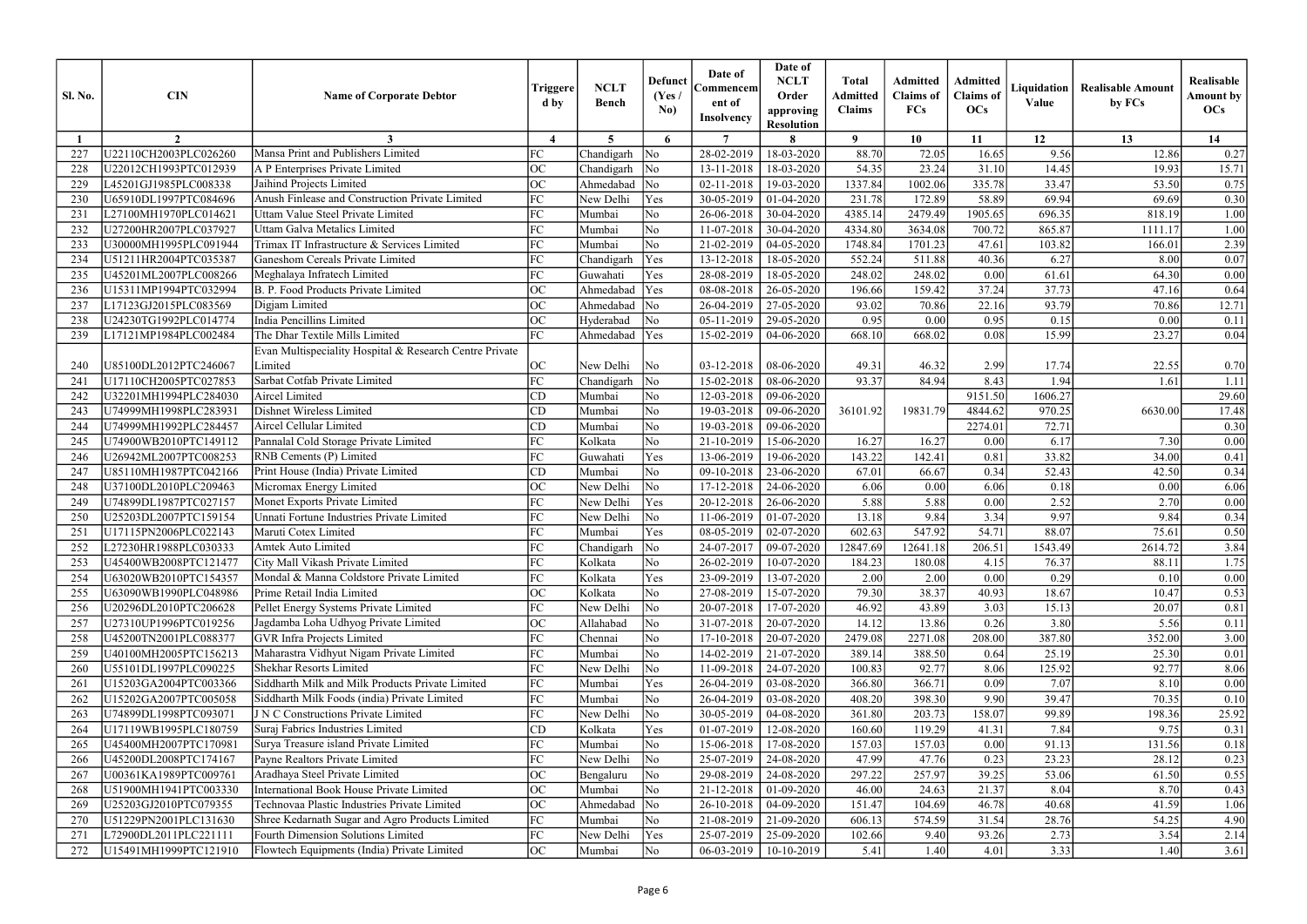| $5^{\circ}$<br>$\overline{7}$<br>$\mathbf{o}$<br>10<br>12<br>13<br>14<br>$\overline{2}$<br>$\boldsymbol{\Lambda}$<br>6<br>8<br>11<br>Mansa Print and Publishers Limited<br>72.05<br>U22110CH2003PLC026260<br>FC<br>28-02-2019<br>18-03-2020<br>88.70<br>9.56<br>Chandigarh<br>$\overline{\text{No}}$<br>16.65<br>12.86<br>227<br>ОC<br>A P Enterprises Private Limited<br>$\overline{\rm No}$<br>18-03-2020<br>54.35<br>23.24<br>31.10<br>14.45<br>19.93<br>U22012CH1993PTC012939<br>Chandigarh<br>13-11-2018<br>228<br>Jaihind Projects Limited<br><b>OC</b><br>$\overline{\rm No}$<br>1337.84<br>1002.06<br>335.78<br>33.47<br>229<br>Ahmedabad<br>02-11-2018<br>53.50<br>L45201GJ1985PLC008338<br>19-03-2020<br>Anush Finlease and Construction Private Limited<br>FC<br>231.78<br>U65910DL1997PTC084696<br>New Delhi<br>Yes<br>30-05-2019<br>01-04-2020<br>172.89<br>58.89<br>69.94<br>69.69<br>230<br>FC<br>No<br>1905.65<br>696.35<br>818.19<br>L27100MH1970PLC014621<br>Uttam Value Steel Private Limited<br>Mumbai<br>26-06-2018<br>30-04-2020<br>4385.14<br>2479.49<br>231<br>FC<br>N <sub>o</sub><br>Uttam Galva Metalics Limited<br>4334.80<br>3634.08<br>700.72<br>865.87<br>232<br>U27200HR2007PLC037927<br>11-07-2018<br>30-04-2020<br>1111.17<br>Mumbai<br>FC<br>U30000MH1995PLC091944<br>Trimax IT Infrastructure & Services Limited<br>No<br>21-02-2019<br>1748.84<br>1701.23<br>47.61<br>103.82<br>233<br>Mumbai<br>04-05-2020<br>166.01<br><b>Ganeshom Cereals Private Limited</b><br>FC<br>Yes<br>6.27<br>U51211HR2004PTC035387<br>511.88<br>8.00<br>234<br>13-12-2018<br>18-05-2020<br>552.24<br>40.36<br>Chandigarh<br>FC<br>248.02<br>Meghalaya Infratech Limited<br>Yes<br>28-08-2019<br>248.02<br>0.00<br>64.30<br>235<br>U45201ML2007PLC008266<br>18-05-2020<br>61.61<br>Guwahati<br>ОC<br>B. P. Food Products Private Limited<br>Ahmedabad<br>Yes<br>37.24<br>37.73<br>U15311MP1994PTC032994<br>08-08-2018<br>196.66<br>159.42<br>47.16<br>236<br>26-05-2020<br>ОC<br>L17123GJ2015PLC083569<br>Ahmedabad<br>$\overline{\rm No}$<br>26-04-2019<br>93.02<br>70.86<br>22.16<br>93.79<br>70.86<br>237<br>Digjam Limited<br>27-05-2020<br>U24230TG1992PLC014774<br>India Pencillins Limited<br>ОC<br>05-11-2019<br>0.95<br>0.00<br>No<br>29-05-2020<br>0.00<br>0.95<br>0.15<br>238<br>Hyderabad<br>FC<br>The Dhar Textile Mills Limited<br>Ahmedabad<br>Yes<br>668.10<br>15.99<br>23.27<br>239<br>L17121MP1984PLC002484<br>15-02-2019<br>04-06-2020<br>668.02<br>0.08<br>Evan Multispeciality Hospital & Research Centre Private<br>Limited<br>OC<br>U85100DL2012PTC246067<br>New Delhi<br>$\overline{\rm No}$<br>03-12-2018<br>08-06-2020<br>49.31<br>46.32<br>2.99<br>17.74<br>22.55<br>240<br>FC<br>Sarbat Cotfab Private Limited<br>93.37<br>84.94<br>U17110CH2005PTC027853<br>$\overline{\rm No}$<br>15-02-2018<br>08-06-2020<br>8.43<br>.94<br>24 <sup>1</sup><br>Chandigarh<br>1.61<br>U32201MH1994PLC284030<br>Aircel Limited<br>CD<br>No<br>12-03-2018<br>9151.50<br>1606.27<br>242<br>Mumbai<br>09-06-2020<br>No<br>36101.92<br>19831.79<br>6630.00<br>Dishnet Wireless Limited<br>U74999MH1998PLC283931<br>CD<br>Mumbai<br>19-03-2018<br>4844.62<br>243<br>09-06-2020<br>970.25<br>72.71<br>U74999MH1992PLC284457<br>CD<br>No<br>2274.01<br>244<br>Aircel Cellular Limited<br>Mumbai<br>19-03-2018<br>09-06-2020<br>FC<br>6.17<br>U74900WB2010PTC149112<br>Pannalal Cold Storage Private Limited<br>Kolkata<br>No<br>21-10-2019<br>15-06-2020<br>16.27<br>16.27<br>0.00<br>7.30<br>245<br>FC<br>RNB Cements (P) Limited<br>Yes<br>13-06-2019<br>143.22<br>142.41<br>33.82<br>34.00<br>246<br>U26942ML2007PTC008253<br>Guwahati<br>19-06-2020<br>0.81<br>N <sub>o</sub><br>Print House (India) Private Limited<br>CD<br>67.01<br>66.67<br>0.34<br>52.43<br>42.50<br>U85110MH1987PTC042166<br>Mumbai<br>09-10-2018<br>23-06-2020<br>247<br>ОC<br>Micromax Energy Limited<br>No<br>New Delhi<br>17-12-2018<br>6.06<br>0.00<br>0.18<br>0.00<br>248<br>U37100DL2010PLC209463<br>24-06-2020<br>6.06<br>Monet Exports Private Limited<br>FC<br>2.52<br>U74899DL1987PTC027157<br>New Delhi<br>Yes<br>20-12-2018<br>5.88<br>5.88<br>2.70<br>249<br>26-06-2020<br>0.00<br>Unnati Fortune Industries Private Limited<br>FC<br>9.97<br>$\overline{\rm No}$<br>9.84<br>3.34<br>9.84<br>U25203DL2007PTC159154<br>New Delhi<br>11-06-2019<br>01-07-2020<br>13.18<br>250<br>FC<br>602.63<br>547.92<br>54.71<br>88.07<br>75.61<br>U17115PN2006PLC022143<br>Maruti Cotex Limited<br>Yes<br>08-05-2019<br>02-07-2020<br>25 <sub>1</sub><br>Mumbai<br>FC<br>$\overline{\text{No}}$<br>12847.69<br>2614.72<br>L27230HR1988PLC030333<br>Chandigarh<br>$24-07-2017$ 09-07-2020<br>12641.18<br>206.51<br>1543.49<br>252<br>Amtek Auto Limited<br>City Mall Vikash Private Limited<br>FC<br>U45400WB2008PTC121477<br>No<br>26-02-2019<br>10-07-2020<br>184.23<br>76.37<br>88.11<br>253<br>Kolkata<br>180.08<br>4.15<br>FC<br>Mondal & Manna Coldstore Private Limited<br>2.00<br>0.29<br>U63020WB2010PTC154357<br>Kolkata<br>Yes<br>23-09-2019<br>13-07-2020<br>2.00<br>0.00<br>254<br>0.10<br>ОC<br>Prime Retail India Limited<br>79.30<br>38.37<br>18.67<br>U63090WB1990PLC048986<br>Kolkata<br>No<br>27-08-2019<br>40.93<br>10.47<br>255<br>15-07-2020<br>FC<br>Pellet Energy Systems Private Limited<br>$\overline{\rm No}$<br>46.92<br>3.03<br>U20296DL2010PTC206628<br>New Delhi<br>20-07-2018<br>43.89<br>15.13<br>20.07<br>256<br>17-07-2020<br>Jagdamba Loha Udhyog Private Limited<br>ОC<br>3.80<br>U27310UP1996PTC019256<br>$\overline{\rm No}$<br>31-07-2018<br>20-07-2020<br>14.12<br>13.86<br>0.26<br>5.56<br>Allahabad<br>257<br><b>GVR</b> Infra Projects Limited<br>FC<br>387.80<br>No<br>17-10-2018<br>2479.08<br>2271.08<br>208.00<br>352.00<br>U45200TN2001PLC088377<br>Chennai<br>20-07-2020<br>258<br>Maharastra Vidhyut Nigam Private Limited<br>FC<br>U40100MH2005PTC156213<br>Mumbai<br>No<br>14-02-2019<br>389.14<br>388.50<br>25.19<br>25.30<br>259<br>21-07-2020<br>0.64<br>FC<br><b>Shekhar Resorts Limited</b><br>U55101DL1997PLC090225<br>New Delhi<br>$\overline{\rm No}$<br>11-09-2018<br>24-07-2020<br>100.83<br>92.77<br>8.06<br>125.92<br>92.77<br>260<br>Siddharth Milk and Milk Products Private Limited<br>FC<br>366.71<br>Yes<br>26-04-2019<br>366.80<br>7.07<br>U15203GA2004PTC003366<br>Mumbai<br>03-08-2020<br>0.09<br>8.10<br>26 <sup>2</sup><br>Siddharth Milk Foods (india) Private Limited<br>FC<br>26-04-2019<br>9.90<br>U15202GA2007PTC005058<br>Mumbai<br>No<br>03-08-2020<br>408.20<br>398.30<br>39.47<br>70.35<br>262<br>FC<br>J N C Constructions Private Limited<br>$\overline{\rm No}$<br>203.73<br>99.89<br>U74899DL1998PTC093071<br>158.07<br>198.36<br>New Delhi<br>30-05-2019<br>04-08-2020<br>361.80<br>263<br>Suraj Fabrics Industries Limited<br>119.29<br>7.84<br>U17119WB1995PLC180759<br>CD<br>Kolkata<br>Yes<br>01-07-2019<br>12-08-2020<br>160.60<br>41.31<br>9.75<br>264<br>Surya Treasure island Private Limited<br>FC<br>0.00<br>U45400MH2007PTC170981<br>Mumbai<br>No<br>15-06-2018<br>17-08-2020<br>157.03<br>157.03<br>91.13<br>131.56<br>265<br>Payne Realtors Private Limited<br>FC<br>$\overline{\rm No}$<br>0.23<br>23.23<br>U45200DL2008PTC174167<br>New Delhi<br>25-07-2019<br>47.99<br>47.76<br>28.12<br>24-08-2020<br>266<br>ОC<br>U00361KA1989PTC009761<br>Aradhaya Steel Private Limited<br>$\overline{\rm No}$<br>29-08-2019<br>24-08-2020<br>297.22<br>257.97<br>39.25<br>53.06<br>61.50<br>Bengaluru<br>267<br>International Book House Private Limited<br>ОC<br>Mumbai<br>No<br>21-12-2018<br>46.00<br>24.63<br>21.37<br>8.04<br>8.70<br>268<br>U51900MH1941PTC003330<br>01-09-2020<br>Technovaa Plastic Industries Private Limited<br>U25203GJ2010PTC079355<br>ОC<br>$\overline{\rm No}$<br>26-10-2018<br>151.47<br>104.69<br>46.78<br>40.68<br>Ahmedabad<br>04-09-2020<br>41.59<br>269<br>FC<br>28.76<br>U51229PN2001PLC131630<br>Shree Kedarnath Sugar and Agro Products Limited<br>No<br>21-08-2019<br>606.13<br>574.59<br>31.54<br>54.25<br>Mumbai<br>$21-09-2020$<br>270<br>FC<br>93.26<br><b>Fourth Dimension Solutions Limited</b><br>Yes<br>25-07-2019<br>102.66<br>9.40<br>2.73<br>3.54<br>L72900DL2011PLC221111<br>New Delhi<br>25-09-2020<br>27 <sub>1</sub> | <b>Sl. No.</b> | <b>CIN</b> | <b>Name of Corporate Debtor</b> | Triggere<br>d by | <b>NCLT</b><br><b>Bench</b> | <b>Defunct</b><br>(Yes)<br>No) | Date of<br>Commencem<br>ent of<br><b>Insolvency</b> | Date of<br><b>NCLT</b><br>Order<br>approving<br><b>Resolution</b> | <b>Total</b><br><b>Admitted</b><br><b>Claims</b> | <b>Admitted</b><br><b>Claims</b> of<br><b>FCs</b> | <b>Admitted</b><br><b>Claims</b> of<br><b>OCs</b> | Liquidation<br>Value | <b>Realisable Amount</b><br>by FCs | Realisable<br><b>Amount by</b><br>OCs |
|-------------------------------------------------------------------------------------------------------------------------------------------------------------------------------------------------------------------------------------------------------------------------------------------------------------------------------------------------------------------------------------------------------------------------------------------------------------------------------------------------------------------------------------------------------------------------------------------------------------------------------------------------------------------------------------------------------------------------------------------------------------------------------------------------------------------------------------------------------------------------------------------------------------------------------------------------------------------------------------------------------------------------------------------------------------------------------------------------------------------------------------------------------------------------------------------------------------------------------------------------------------------------------------------------------------------------------------------------------------------------------------------------------------------------------------------------------------------------------------------------------------------------------------------------------------------------------------------------------------------------------------------------------------------------------------------------------------------------------------------------------------------------------------------------------------------------------------------------------------------------------------------------------------------------------------------------------------------------------------------------------------------------------------------------------------------------------------------------------------------------------------------------------------------------------------------------------------------------------------------------------------------------------------------------------------------------------------------------------------------------------------------------------------------------------------------------------------------------------------------------------------------------------------------------------------------------------------------------------------------------------------------------------------------------------------------------------------------------------------------------------------------------------------------------------------------------------------------------------------------------------------------------------------------------------------------------------------------------------------------------------------------------------------------------------------------------------------------------------------------------------------------------------------------------------------------------------------------------------------------------------------------------------------------------------------------------------------------------------------------------------------------------------------------------------------------------------------------------------------------------------------------------------------------------------------------------------------------------------------------------------------------------------------------------------------------------------------------------------------------------------------------------------------------------------------------------------------------------------------------------------------------------------------------------------------------------------------------------------------------------------------------------------------------------------------------------------------------------------------------------------------------------------------------------------------------------------------------------------------------------------------------------------------------------------------------------------------------------------------------------------------------------------------------------------------------------------------------------------------------------------------------------------------------------------------------------------------------------------------------------------------------------------------------------------------------------------------------------------------------------------------------------------------------------------------------------------------------------------------------------------------------------------------------------------------------------------------------------------------------------------------------------------------------------------------------------------------------------------------------------------------------------------------------------------------------------------------------------------------------------------------------------------------------------------------------------------------------------------------------------------------------------------------------------------------------------------------------------------------------------------------------------------------------------------------------------------------------------------------------------------------------------------------------------------------------------------------------------------------------------------------------------------------------------------------------------------------------------------------------------------------------------------------------------------------------------------------------------------------------------------------------------------------------------------------------------------------------------------------------------------------------------------------------------------------------------------------------------------------------------------------------------------------------------------------------------------------------------------------------------------------------------------------------------------------------------------------------------------------------------------------------------------------------------------------------------------------------------------------------------------------------------------------------------------------------------------------------------------------------------------------------------------------------------------------------------------------------------------------------------------------------------------------------------------------------------------------------------------------------------------------------------------------------------------------------------------------------------------------------------------------------------------------------------------------------------------------------------------------------------------------------------------------------------------------------------------------------------------------------------------------------------------------------------------------------------------------------------------------------------------------------------------------------------------------------------------------------------------------------------------------------------------------------------------------------------------------------------------------------------------------------------------------------------------------------------------------------------------------------------------------------------------------------------------------------------------------------------------------------------------------------------------------------------------------------------------------------------------------------------------------------------------------------------------------------------------------------------------------------------------------------------|----------------|------------|---------------------------------|------------------|-----------------------------|--------------------------------|-----------------------------------------------------|-------------------------------------------------------------------|--------------------------------------------------|---------------------------------------------------|---------------------------------------------------|----------------------|------------------------------------|---------------------------------------|
|                                                                                                                                                                                                                                                                                                                                                                                                                                                                                                                                                                                                                                                                                                                                                                                                                                                                                                                                                                                                                                                                                                                                                                                                                                                                                                                                                                                                                                                                                                                                                                                                                                                                                                                                                                                                                                                                                                                                                                                                                                                                                                                                                                                                                                                                                                                                                                                                                                                                                                                                                                                                                                                                                                                                                                                                                                                                                                                                                                                                                                                                                                                                                                                                                                                                                                                                                                                                                                                                                                                                                                                                                                                                                                                                                                                                                                                                                                                                                                                                                                                                                                                                                                                                                                                                                                                                                                                                                                                                                                                                                                                                                                                                                                                                                                                                                                                                                                                                                                                                                                                                                                                                                                                                                                                                                                                                                                                                                                                                                                                                                                                                                                                                                                                                                                                                                                                                                                                                                                                                                                                                                                                                                                                                                                                                                                                                                                                                                                                                                                                                                                                                                                                                                                                                                                                                                                                                                                                                                                                                                                                                                                                                                                                                                                                                                                                                                                                                                                                                                                                                                                                                                                                                                                                                                                                                                                                                                                                                                                                                                                                                                                                                                                                                                                                                         |                |            |                                 |                  |                             |                                |                                                     |                                                                   |                                                  |                                                   |                                                   |                      |                                    |                                       |
|                                                                                                                                                                                                                                                                                                                                                                                                                                                                                                                                                                                                                                                                                                                                                                                                                                                                                                                                                                                                                                                                                                                                                                                                                                                                                                                                                                                                                                                                                                                                                                                                                                                                                                                                                                                                                                                                                                                                                                                                                                                                                                                                                                                                                                                                                                                                                                                                                                                                                                                                                                                                                                                                                                                                                                                                                                                                                                                                                                                                                                                                                                                                                                                                                                                                                                                                                                                                                                                                                                                                                                                                                                                                                                                                                                                                                                                                                                                                                                                                                                                                                                                                                                                                                                                                                                                                                                                                                                                                                                                                                                                                                                                                                                                                                                                                                                                                                                                                                                                                                                                                                                                                                                                                                                                                                                                                                                                                                                                                                                                                                                                                                                                                                                                                                                                                                                                                                                                                                                                                                                                                                                                                                                                                                                                                                                                                                                                                                                                                                                                                                                                                                                                                                                                                                                                                                                                                                                                                                                                                                                                                                                                                                                                                                                                                                                                                                                                                                                                                                                                                                                                                                                                                                                                                                                                                                                                                                                                                                                                                                                                                                                                                                                                                                                                                         |                |            |                                 |                  |                             |                                |                                                     |                                                                   |                                                  |                                                   |                                                   |                      |                                    | 0.27                                  |
|                                                                                                                                                                                                                                                                                                                                                                                                                                                                                                                                                                                                                                                                                                                                                                                                                                                                                                                                                                                                                                                                                                                                                                                                                                                                                                                                                                                                                                                                                                                                                                                                                                                                                                                                                                                                                                                                                                                                                                                                                                                                                                                                                                                                                                                                                                                                                                                                                                                                                                                                                                                                                                                                                                                                                                                                                                                                                                                                                                                                                                                                                                                                                                                                                                                                                                                                                                                                                                                                                                                                                                                                                                                                                                                                                                                                                                                                                                                                                                                                                                                                                                                                                                                                                                                                                                                                                                                                                                                                                                                                                                                                                                                                                                                                                                                                                                                                                                                                                                                                                                                                                                                                                                                                                                                                                                                                                                                                                                                                                                                                                                                                                                                                                                                                                                                                                                                                                                                                                                                                                                                                                                                                                                                                                                                                                                                                                                                                                                                                                                                                                                                                                                                                                                                                                                                                                                                                                                                                                                                                                                                                                                                                                                                                                                                                                                                                                                                                                                                                                                                                                                                                                                                                                                                                                                                                                                                                                                                                                                                                                                                                                                                                                                                                                                                                         |                |            |                                 |                  |                             |                                |                                                     |                                                                   |                                                  |                                                   |                                                   |                      |                                    | 15.71                                 |
|                                                                                                                                                                                                                                                                                                                                                                                                                                                                                                                                                                                                                                                                                                                                                                                                                                                                                                                                                                                                                                                                                                                                                                                                                                                                                                                                                                                                                                                                                                                                                                                                                                                                                                                                                                                                                                                                                                                                                                                                                                                                                                                                                                                                                                                                                                                                                                                                                                                                                                                                                                                                                                                                                                                                                                                                                                                                                                                                                                                                                                                                                                                                                                                                                                                                                                                                                                                                                                                                                                                                                                                                                                                                                                                                                                                                                                                                                                                                                                                                                                                                                                                                                                                                                                                                                                                                                                                                                                                                                                                                                                                                                                                                                                                                                                                                                                                                                                                                                                                                                                                                                                                                                                                                                                                                                                                                                                                                                                                                                                                                                                                                                                                                                                                                                                                                                                                                                                                                                                                                                                                                                                                                                                                                                                                                                                                                                                                                                                                                                                                                                                                                                                                                                                                                                                                                                                                                                                                                                                                                                                                                                                                                                                                                                                                                                                                                                                                                                                                                                                                                                                                                                                                                                                                                                                                                                                                                                                                                                                                                                                                                                                                                                                                                                                                                         |                |            |                                 |                  |                             |                                |                                                     |                                                                   |                                                  |                                                   |                                                   |                      |                                    | 0.75                                  |
|                                                                                                                                                                                                                                                                                                                                                                                                                                                                                                                                                                                                                                                                                                                                                                                                                                                                                                                                                                                                                                                                                                                                                                                                                                                                                                                                                                                                                                                                                                                                                                                                                                                                                                                                                                                                                                                                                                                                                                                                                                                                                                                                                                                                                                                                                                                                                                                                                                                                                                                                                                                                                                                                                                                                                                                                                                                                                                                                                                                                                                                                                                                                                                                                                                                                                                                                                                                                                                                                                                                                                                                                                                                                                                                                                                                                                                                                                                                                                                                                                                                                                                                                                                                                                                                                                                                                                                                                                                                                                                                                                                                                                                                                                                                                                                                                                                                                                                                                                                                                                                                                                                                                                                                                                                                                                                                                                                                                                                                                                                                                                                                                                                                                                                                                                                                                                                                                                                                                                                                                                                                                                                                                                                                                                                                                                                                                                                                                                                                                                                                                                                                                                                                                                                                                                                                                                                                                                                                                                                                                                                                                                                                                                                                                                                                                                                                                                                                                                                                                                                                                                                                                                                                                                                                                                                                                                                                                                                                                                                                                                                                                                                                                                                                                                                                                         |                |            |                                 |                  |                             |                                |                                                     |                                                                   |                                                  |                                                   |                                                   |                      |                                    | 0.30                                  |
|                                                                                                                                                                                                                                                                                                                                                                                                                                                                                                                                                                                                                                                                                                                                                                                                                                                                                                                                                                                                                                                                                                                                                                                                                                                                                                                                                                                                                                                                                                                                                                                                                                                                                                                                                                                                                                                                                                                                                                                                                                                                                                                                                                                                                                                                                                                                                                                                                                                                                                                                                                                                                                                                                                                                                                                                                                                                                                                                                                                                                                                                                                                                                                                                                                                                                                                                                                                                                                                                                                                                                                                                                                                                                                                                                                                                                                                                                                                                                                                                                                                                                                                                                                                                                                                                                                                                                                                                                                                                                                                                                                                                                                                                                                                                                                                                                                                                                                                                                                                                                                                                                                                                                                                                                                                                                                                                                                                                                                                                                                                                                                                                                                                                                                                                                                                                                                                                                                                                                                                                                                                                                                                                                                                                                                                                                                                                                                                                                                                                                                                                                                                                                                                                                                                                                                                                                                                                                                                                                                                                                                                                                                                                                                                                                                                                                                                                                                                                                                                                                                                                                                                                                                                                                                                                                                                                                                                                                                                                                                                                                                                                                                                                                                                                                                                                         |                |            |                                 |                  |                             |                                |                                                     |                                                                   |                                                  |                                                   |                                                   |                      |                                    | 1.00                                  |
|                                                                                                                                                                                                                                                                                                                                                                                                                                                                                                                                                                                                                                                                                                                                                                                                                                                                                                                                                                                                                                                                                                                                                                                                                                                                                                                                                                                                                                                                                                                                                                                                                                                                                                                                                                                                                                                                                                                                                                                                                                                                                                                                                                                                                                                                                                                                                                                                                                                                                                                                                                                                                                                                                                                                                                                                                                                                                                                                                                                                                                                                                                                                                                                                                                                                                                                                                                                                                                                                                                                                                                                                                                                                                                                                                                                                                                                                                                                                                                                                                                                                                                                                                                                                                                                                                                                                                                                                                                                                                                                                                                                                                                                                                                                                                                                                                                                                                                                                                                                                                                                                                                                                                                                                                                                                                                                                                                                                                                                                                                                                                                                                                                                                                                                                                                                                                                                                                                                                                                                                                                                                                                                                                                                                                                                                                                                                                                                                                                                                                                                                                                                                                                                                                                                                                                                                                                                                                                                                                                                                                                                                                                                                                                                                                                                                                                                                                                                                                                                                                                                                                                                                                                                                                                                                                                                                                                                                                                                                                                                                                                                                                                                                                                                                                                                                         |                |            |                                 |                  |                             |                                |                                                     |                                                                   |                                                  |                                                   |                                                   |                      |                                    | 1.00                                  |
|                                                                                                                                                                                                                                                                                                                                                                                                                                                                                                                                                                                                                                                                                                                                                                                                                                                                                                                                                                                                                                                                                                                                                                                                                                                                                                                                                                                                                                                                                                                                                                                                                                                                                                                                                                                                                                                                                                                                                                                                                                                                                                                                                                                                                                                                                                                                                                                                                                                                                                                                                                                                                                                                                                                                                                                                                                                                                                                                                                                                                                                                                                                                                                                                                                                                                                                                                                                                                                                                                                                                                                                                                                                                                                                                                                                                                                                                                                                                                                                                                                                                                                                                                                                                                                                                                                                                                                                                                                                                                                                                                                                                                                                                                                                                                                                                                                                                                                                                                                                                                                                                                                                                                                                                                                                                                                                                                                                                                                                                                                                                                                                                                                                                                                                                                                                                                                                                                                                                                                                                                                                                                                                                                                                                                                                                                                                                                                                                                                                                                                                                                                                                                                                                                                                                                                                                                                                                                                                                                                                                                                                                                                                                                                                                                                                                                                                                                                                                                                                                                                                                                                                                                                                                                                                                                                                                                                                                                                                                                                                                                                                                                                                                                                                                                                                                         |                |            |                                 |                  |                             |                                |                                                     |                                                                   |                                                  |                                                   |                                                   |                      |                                    | 2.39                                  |
|                                                                                                                                                                                                                                                                                                                                                                                                                                                                                                                                                                                                                                                                                                                                                                                                                                                                                                                                                                                                                                                                                                                                                                                                                                                                                                                                                                                                                                                                                                                                                                                                                                                                                                                                                                                                                                                                                                                                                                                                                                                                                                                                                                                                                                                                                                                                                                                                                                                                                                                                                                                                                                                                                                                                                                                                                                                                                                                                                                                                                                                                                                                                                                                                                                                                                                                                                                                                                                                                                                                                                                                                                                                                                                                                                                                                                                                                                                                                                                                                                                                                                                                                                                                                                                                                                                                                                                                                                                                                                                                                                                                                                                                                                                                                                                                                                                                                                                                                                                                                                                                                                                                                                                                                                                                                                                                                                                                                                                                                                                                                                                                                                                                                                                                                                                                                                                                                                                                                                                                                                                                                                                                                                                                                                                                                                                                                                                                                                                                                                                                                                                                                                                                                                                                                                                                                                                                                                                                                                                                                                                                                                                                                                                                                                                                                                                                                                                                                                                                                                                                                                                                                                                                                                                                                                                                                                                                                                                                                                                                                                                                                                                                                                                                                                                                                         |                |            |                                 |                  |                             |                                |                                                     |                                                                   |                                                  |                                                   |                                                   |                      |                                    | 0.07                                  |
|                                                                                                                                                                                                                                                                                                                                                                                                                                                                                                                                                                                                                                                                                                                                                                                                                                                                                                                                                                                                                                                                                                                                                                                                                                                                                                                                                                                                                                                                                                                                                                                                                                                                                                                                                                                                                                                                                                                                                                                                                                                                                                                                                                                                                                                                                                                                                                                                                                                                                                                                                                                                                                                                                                                                                                                                                                                                                                                                                                                                                                                                                                                                                                                                                                                                                                                                                                                                                                                                                                                                                                                                                                                                                                                                                                                                                                                                                                                                                                                                                                                                                                                                                                                                                                                                                                                                                                                                                                                                                                                                                                                                                                                                                                                                                                                                                                                                                                                                                                                                                                                                                                                                                                                                                                                                                                                                                                                                                                                                                                                                                                                                                                                                                                                                                                                                                                                                                                                                                                                                                                                                                                                                                                                                                                                                                                                                                                                                                                                                                                                                                                                                                                                                                                                                                                                                                                                                                                                                                                                                                                                                                                                                                                                                                                                                                                                                                                                                                                                                                                                                                                                                                                                                                                                                                                                                                                                                                                                                                                                                                                                                                                                                                                                                                                                                         |                |            |                                 |                  |                             |                                |                                                     |                                                                   |                                                  |                                                   |                                                   |                      |                                    | 0.00                                  |
|                                                                                                                                                                                                                                                                                                                                                                                                                                                                                                                                                                                                                                                                                                                                                                                                                                                                                                                                                                                                                                                                                                                                                                                                                                                                                                                                                                                                                                                                                                                                                                                                                                                                                                                                                                                                                                                                                                                                                                                                                                                                                                                                                                                                                                                                                                                                                                                                                                                                                                                                                                                                                                                                                                                                                                                                                                                                                                                                                                                                                                                                                                                                                                                                                                                                                                                                                                                                                                                                                                                                                                                                                                                                                                                                                                                                                                                                                                                                                                                                                                                                                                                                                                                                                                                                                                                                                                                                                                                                                                                                                                                                                                                                                                                                                                                                                                                                                                                                                                                                                                                                                                                                                                                                                                                                                                                                                                                                                                                                                                                                                                                                                                                                                                                                                                                                                                                                                                                                                                                                                                                                                                                                                                                                                                                                                                                                                                                                                                                                                                                                                                                                                                                                                                                                                                                                                                                                                                                                                                                                                                                                                                                                                                                                                                                                                                                                                                                                                                                                                                                                                                                                                                                                                                                                                                                                                                                                                                                                                                                                                                                                                                                                                                                                                                                                         |                |            |                                 |                  |                             |                                |                                                     |                                                                   |                                                  |                                                   |                                                   |                      |                                    | 0.64                                  |
|                                                                                                                                                                                                                                                                                                                                                                                                                                                                                                                                                                                                                                                                                                                                                                                                                                                                                                                                                                                                                                                                                                                                                                                                                                                                                                                                                                                                                                                                                                                                                                                                                                                                                                                                                                                                                                                                                                                                                                                                                                                                                                                                                                                                                                                                                                                                                                                                                                                                                                                                                                                                                                                                                                                                                                                                                                                                                                                                                                                                                                                                                                                                                                                                                                                                                                                                                                                                                                                                                                                                                                                                                                                                                                                                                                                                                                                                                                                                                                                                                                                                                                                                                                                                                                                                                                                                                                                                                                                                                                                                                                                                                                                                                                                                                                                                                                                                                                                                                                                                                                                                                                                                                                                                                                                                                                                                                                                                                                                                                                                                                                                                                                                                                                                                                                                                                                                                                                                                                                                                                                                                                                                                                                                                                                                                                                                                                                                                                                                                                                                                                                                                                                                                                                                                                                                                                                                                                                                                                                                                                                                                                                                                                                                                                                                                                                                                                                                                                                                                                                                                                                                                                                                                                                                                                                                                                                                                                                                                                                                                                                                                                                                                                                                                                                                                         |                |            |                                 |                  |                             |                                |                                                     |                                                                   |                                                  |                                                   |                                                   |                      |                                    | 12.71                                 |
|                                                                                                                                                                                                                                                                                                                                                                                                                                                                                                                                                                                                                                                                                                                                                                                                                                                                                                                                                                                                                                                                                                                                                                                                                                                                                                                                                                                                                                                                                                                                                                                                                                                                                                                                                                                                                                                                                                                                                                                                                                                                                                                                                                                                                                                                                                                                                                                                                                                                                                                                                                                                                                                                                                                                                                                                                                                                                                                                                                                                                                                                                                                                                                                                                                                                                                                                                                                                                                                                                                                                                                                                                                                                                                                                                                                                                                                                                                                                                                                                                                                                                                                                                                                                                                                                                                                                                                                                                                                                                                                                                                                                                                                                                                                                                                                                                                                                                                                                                                                                                                                                                                                                                                                                                                                                                                                                                                                                                                                                                                                                                                                                                                                                                                                                                                                                                                                                                                                                                                                                                                                                                                                                                                                                                                                                                                                                                                                                                                                                                                                                                                                                                                                                                                                                                                                                                                                                                                                                                                                                                                                                                                                                                                                                                                                                                                                                                                                                                                                                                                                                                                                                                                                                                                                                                                                                                                                                                                                                                                                                                                                                                                                                                                                                                                                                         |                |            |                                 |                  |                             |                                |                                                     |                                                                   |                                                  |                                                   |                                                   |                      |                                    | 0.11                                  |
|                                                                                                                                                                                                                                                                                                                                                                                                                                                                                                                                                                                                                                                                                                                                                                                                                                                                                                                                                                                                                                                                                                                                                                                                                                                                                                                                                                                                                                                                                                                                                                                                                                                                                                                                                                                                                                                                                                                                                                                                                                                                                                                                                                                                                                                                                                                                                                                                                                                                                                                                                                                                                                                                                                                                                                                                                                                                                                                                                                                                                                                                                                                                                                                                                                                                                                                                                                                                                                                                                                                                                                                                                                                                                                                                                                                                                                                                                                                                                                                                                                                                                                                                                                                                                                                                                                                                                                                                                                                                                                                                                                                                                                                                                                                                                                                                                                                                                                                                                                                                                                                                                                                                                                                                                                                                                                                                                                                                                                                                                                                                                                                                                                                                                                                                                                                                                                                                                                                                                                                                                                                                                                                                                                                                                                                                                                                                                                                                                                                                                                                                                                                                                                                                                                                                                                                                                                                                                                                                                                                                                                                                                                                                                                                                                                                                                                                                                                                                                                                                                                                                                                                                                                                                                                                                                                                                                                                                                                                                                                                                                                                                                                                                                                                                                                                                         |                |            |                                 |                  |                             |                                |                                                     |                                                                   |                                                  |                                                   |                                                   |                      |                                    | 0.04                                  |
|                                                                                                                                                                                                                                                                                                                                                                                                                                                                                                                                                                                                                                                                                                                                                                                                                                                                                                                                                                                                                                                                                                                                                                                                                                                                                                                                                                                                                                                                                                                                                                                                                                                                                                                                                                                                                                                                                                                                                                                                                                                                                                                                                                                                                                                                                                                                                                                                                                                                                                                                                                                                                                                                                                                                                                                                                                                                                                                                                                                                                                                                                                                                                                                                                                                                                                                                                                                                                                                                                                                                                                                                                                                                                                                                                                                                                                                                                                                                                                                                                                                                                                                                                                                                                                                                                                                                                                                                                                                                                                                                                                                                                                                                                                                                                                                                                                                                                                                                                                                                                                                                                                                                                                                                                                                                                                                                                                                                                                                                                                                                                                                                                                                                                                                                                                                                                                                                                                                                                                                                                                                                                                                                                                                                                                                                                                                                                                                                                                                                                                                                                                                                                                                                                                                                                                                                                                                                                                                                                                                                                                                                                                                                                                                                                                                                                                                                                                                                                                                                                                                                                                                                                                                                                                                                                                                                                                                                                                                                                                                                                                                                                                                                                                                                                                                                         |                |            |                                 |                  |                             |                                |                                                     |                                                                   |                                                  |                                                   |                                                   |                      |                                    |                                       |
|                                                                                                                                                                                                                                                                                                                                                                                                                                                                                                                                                                                                                                                                                                                                                                                                                                                                                                                                                                                                                                                                                                                                                                                                                                                                                                                                                                                                                                                                                                                                                                                                                                                                                                                                                                                                                                                                                                                                                                                                                                                                                                                                                                                                                                                                                                                                                                                                                                                                                                                                                                                                                                                                                                                                                                                                                                                                                                                                                                                                                                                                                                                                                                                                                                                                                                                                                                                                                                                                                                                                                                                                                                                                                                                                                                                                                                                                                                                                                                                                                                                                                                                                                                                                                                                                                                                                                                                                                                                                                                                                                                                                                                                                                                                                                                                                                                                                                                                                                                                                                                                                                                                                                                                                                                                                                                                                                                                                                                                                                                                                                                                                                                                                                                                                                                                                                                                                                                                                                                                                                                                                                                                                                                                                                                                                                                                                                                                                                                                                                                                                                                                                                                                                                                                                                                                                                                                                                                                                                                                                                                                                                                                                                                                                                                                                                                                                                                                                                                                                                                                                                                                                                                                                                                                                                                                                                                                                                                                                                                                                                                                                                                                                                                                                                                                                         |                |            |                                 |                  |                             |                                |                                                     |                                                                   |                                                  |                                                   |                                                   |                      |                                    | 0.70                                  |
|                                                                                                                                                                                                                                                                                                                                                                                                                                                                                                                                                                                                                                                                                                                                                                                                                                                                                                                                                                                                                                                                                                                                                                                                                                                                                                                                                                                                                                                                                                                                                                                                                                                                                                                                                                                                                                                                                                                                                                                                                                                                                                                                                                                                                                                                                                                                                                                                                                                                                                                                                                                                                                                                                                                                                                                                                                                                                                                                                                                                                                                                                                                                                                                                                                                                                                                                                                                                                                                                                                                                                                                                                                                                                                                                                                                                                                                                                                                                                                                                                                                                                                                                                                                                                                                                                                                                                                                                                                                                                                                                                                                                                                                                                                                                                                                                                                                                                                                                                                                                                                                                                                                                                                                                                                                                                                                                                                                                                                                                                                                                                                                                                                                                                                                                                                                                                                                                                                                                                                                                                                                                                                                                                                                                                                                                                                                                                                                                                                                                                                                                                                                                                                                                                                                                                                                                                                                                                                                                                                                                                                                                                                                                                                                                                                                                                                                                                                                                                                                                                                                                                                                                                                                                                                                                                                                                                                                                                                                                                                                                                                                                                                                                                                                                                                                                         |                |            |                                 |                  |                             |                                |                                                     |                                                                   |                                                  |                                                   |                                                   |                      |                                    | 1.11                                  |
|                                                                                                                                                                                                                                                                                                                                                                                                                                                                                                                                                                                                                                                                                                                                                                                                                                                                                                                                                                                                                                                                                                                                                                                                                                                                                                                                                                                                                                                                                                                                                                                                                                                                                                                                                                                                                                                                                                                                                                                                                                                                                                                                                                                                                                                                                                                                                                                                                                                                                                                                                                                                                                                                                                                                                                                                                                                                                                                                                                                                                                                                                                                                                                                                                                                                                                                                                                                                                                                                                                                                                                                                                                                                                                                                                                                                                                                                                                                                                                                                                                                                                                                                                                                                                                                                                                                                                                                                                                                                                                                                                                                                                                                                                                                                                                                                                                                                                                                                                                                                                                                                                                                                                                                                                                                                                                                                                                                                                                                                                                                                                                                                                                                                                                                                                                                                                                                                                                                                                                                                                                                                                                                                                                                                                                                                                                                                                                                                                                                                                                                                                                                                                                                                                                                                                                                                                                                                                                                                                                                                                                                                                                                                                                                                                                                                                                                                                                                                                                                                                                                                                                                                                                                                                                                                                                                                                                                                                                                                                                                                                                                                                                                                                                                                                                                                         |                |            |                                 |                  |                             |                                |                                                     |                                                                   |                                                  |                                                   |                                                   |                      |                                    | 29.60                                 |
|                                                                                                                                                                                                                                                                                                                                                                                                                                                                                                                                                                                                                                                                                                                                                                                                                                                                                                                                                                                                                                                                                                                                                                                                                                                                                                                                                                                                                                                                                                                                                                                                                                                                                                                                                                                                                                                                                                                                                                                                                                                                                                                                                                                                                                                                                                                                                                                                                                                                                                                                                                                                                                                                                                                                                                                                                                                                                                                                                                                                                                                                                                                                                                                                                                                                                                                                                                                                                                                                                                                                                                                                                                                                                                                                                                                                                                                                                                                                                                                                                                                                                                                                                                                                                                                                                                                                                                                                                                                                                                                                                                                                                                                                                                                                                                                                                                                                                                                                                                                                                                                                                                                                                                                                                                                                                                                                                                                                                                                                                                                                                                                                                                                                                                                                                                                                                                                                                                                                                                                                                                                                                                                                                                                                                                                                                                                                                                                                                                                                                                                                                                                                                                                                                                                                                                                                                                                                                                                                                                                                                                                                                                                                                                                                                                                                                                                                                                                                                                                                                                                                                                                                                                                                                                                                                                                                                                                                                                                                                                                                                                                                                                                                                                                                                                                                         |                |            |                                 |                  |                             |                                |                                                     |                                                                   |                                                  |                                                   |                                                   |                      |                                    | 17.48                                 |
|                                                                                                                                                                                                                                                                                                                                                                                                                                                                                                                                                                                                                                                                                                                                                                                                                                                                                                                                                                                                                                                                                                                                                                                                                                                                                                                                                                                                                                                                                                                                                                                                                                                                                                                                                                                                                                                                                                                                                                                                                                                                                                                                                                                                                                                                                                                                                                                                                                                                                                                                                                                                                                                                                                                                                                                                                                                                                                                                                                                                                                                                                                                                                                                                                                                                                                                                                                                                                                                                                                                                                                                                                                                                                                                                                                                                                                                                                                                                                                                                                                                                                                                                                                                                                                                                                                                                                                                                                                                                                                                                                                                                                                                                                                                                                                                                                                                                                                                                                                                                                                                                                                                                                                                                                                                                                                                                                                                                                                                                                                                                                                                                                                                                                                                                                                                                                                                                                                                                                                                                                                                                                                                                                                                                                                                                                                                                                                                                                                                                                                                                                                                                                                                                                                                                                                                                                                                                                                                                                                                                                                                                                                                                                                                                                                                                                                                                                                                                                                                                                                                                                                                                                                                                                                                                                                                                                                                                                                                                                                                                                                                                                                                                                                                                                                                                         |                |            |                                 |                  |                             |                                |                                                     |                                                                   |                                                  |                                                   |                                                   |                      |                                    | 0.30                                  |
|                                                                                                                                                                                                                                                                                                                                                                                                                                                                                                                                                                                                                                                                                                                                                                                                                                                                                                                                                                                                                                                                                                                                                                                                                                                                                                                                                                                                                                                                                                                                                                                                                                                                                                                                                                                                                                                                                                                                                                                                                                                                                                                                                                                                                                                                                                                                                                                                                                                                                                                                                                                                                                                                                                                                                                                                                                                                                                                                                                                                                                                                                                                                                                                                                                                                                                                                                                                                                                                                                                                                                                                                                                                                                                                                                                                                                                                                                                                                                                                                                                                                                                                                                                                                                                                                                                                                                                                                                                                                                                                                                                                                                                                                                                                                                                                                                                                                                                                                                                                                                                                                                                                                                                                                                                                                                                                                                                                                                                                                                                                                                                                                                                                                                                                                                                                                                                                                                                                                                                                                                                                                                                                                                                                                                                                                                                                                                                                                                                                                                                                                                                                                                                                                                                                                                                                                                                                                                                                                                                                                                                                                                                                                                                                                                                                                                                                                                                                                                                                                                                                                                                                                                                                                                                                                                                                                                                                                                                                                                                                                                                                                                                                                                                                                                                                                         |                |            |                                 |                  |                             |                                |                                                     |                                                                   |                                                  |                                                   |                                                   |                      |                                    | $0.00\,$                              |
|                                                                                                                                                                                                                                                                                                                                                                                                                                                                                                                                                                                                                                                                                                                                                                                                                                                                                                                                                                                                                                                                                                                                                                                                                                                                                                                                                                                                                                                                                                                                                                                                                                                                                                                                                                                                                                                                                                                                                                                                                                                                                                                                                                                                                                                                                                                                                                                                                                                                                                                                                                                                                                                                                                                                                                                                                                                                                                                                                                                                                                                                                                                                                                                                                                                                                                                                                                                                                                                                                                                                                                                                                                                                                                                                                                                                                                                                                                                                                                                                                                                                                                                                                                                                                                                                                                                                                                                                                                                                                                                                                                                                                                                                                                                                                                                                                                                                                                                                                                                                                                                                                                                                                                                                                                                                                                                                                                                                                                                                                                                                                                                                                                                                                                                                                                                                                                                                                                                                                                                                                                                                                                                                                                                                                                                                                                                                                                                                                                                                                                                                                                                                                                                                                                                                                                                                                                                                                                                                                                                                                                                                                                                                                                                                                                                                                                                                                                                                                                                                                                                                                                                                                                                                                                                                                                                                                                                                                                                                                                                                                                                                                                                                                                                                                                                                         |                |            |                                 |                  |                             |                                |                                                     |                                                                   |                                                  |                                                   |                                                   |                      |                                    | 0.41                                  |
|                                                                                                                                                                                                                                                                                                                                                                                                                                                                                                                                                                                                                                                                                                                                                                                                                                                                                                                                                                                                                                                                                                                                                                                                                                                                                                                                                                                                                                                                                                                                                                                                                                                                                                                                                                                                                                                                                                                                                                                                                                                                                                                                                                                                                                                                                                                                                                                                                                                                                                                                                                                                                                                                                                                                                                                                                                                                                                                                                                                                                                                                                                                                                                                                                                                                                                                                                                                                                                                                                                                                                                                                                                                                                                                                                                                                                                                                                                                                                                                                                                                                                                                                                                                                                                                                                                                                                                                                                                                                                                                                                                                                                                                                                                                                                                                                                                                                                                                                                                                                                                                                                                                                                                                                                                                                                                                                                                                                                                                                                                                                                                                                                                                                                                                                                                                                                                                                                                                                                                                                                                                                                                                                                                                                                                                                                                                                                                                                                                                                                                                                                                                                                                                                                                                                                                                                                                                                                                                                                                                                                                                                                                                                                                                                                                                                                                                                                                                                                                                                                                                                                                                                                                                                                                                                                                                                                                                                                                                                                                                                                                                                                                                                                                                                                                                                         |                |            |                                 |                  |                             |                                |                                                     |                                                                   |                                                  |                                                   |                                                   |                      |                                    | 0.34                                  |
|                                                                                                                                                                                                                                                                                                                                                                                                                                                                                                                                                                                                                                                                                                                                                                                                                                                                                                                                                                                                                                                                                                                                                                                                                                                                                                                                                                                                                                                                                                                                                                                                                                                                                                                                                                                                                                                                                                                                                                                                                                                                                                                                                                                                                                                                                                                                                                                                                                                                                                                                                                                                                                                                                                                                                                                                                                                                                                                                                                                                                                                                                                                                                                                                                                                                                                                                                                                                                                                                                                                                                                                                                                                                                                                                                                                                                                                                                                                                                                                                                                                                                                                                                                                                                                                                                                                                                                                                                                                                                                                                                                                                                                                                                                                                                                                                                                                                                                                                                                                                                                                                                                                                                                                                                                                                                                                                                                                                                                                                                                                                                                                                                                                                                                                                                                                                                                                                                                                                                                                                                                                                                                                                                                                                                                                                                                                                                                                                                                                                                                                                                                                                                                                                                                                                                                                                                                                                                                                                                                                                                                                                                                                                                                                                                                                                                                                                                                                                                                                                                                                                                                                                                                                                                                                                                                                                                                                                                                                                                                                                                                                                                                                                                                                                                                                                         |                |            |                                 |                  |                             |                                |                                                     |                                                                   |                                                  |                                                   |                                                   |                      |                                    | 6.06                                  |
|                                                                                                                                                                                                                                                                                                                                                                                                                                                                                                                                                                                                                                                                                                                                                                                                                                                                                                                                                                                                                                                                                                                                                                                                                                                                                                                                                                                                                                                                                                                                                                                                                                                                                                                                                                                                                                                                                                                                                                                                                                                                                                                                                                                                                                                                                                                                                                                                                                                                                                                                                                                                                                                                                                                                                                                                                                                                                                                                                                                                                                                                                                                                                                                                                                                                                                                                                                                                                                                                                                                                                                                                                                                                                                                                                                                                                                                                                                                                                                                                                                                                                                                                                                                                                                                                                                                                                                                                                                                                                                                                                                                                                                                                                                                                                                                                                                                                                                                                                                                                                                                                                                                                                                                                                                                                                                                                                                                                                                                                                                                                                                                                                                                                                                                                                                                                                                                                                                                                                                                                                                                                                                                                                                                                                                                                                                                                                                                                                                                                                                                                                                                                                                                                                                                                                                                                                                                                                                                                                                                                                                                                                                                                                                                                                                                                                                                                                                                                                                                                                                                                                                                                                                                                                                                                                                                                                                                                                                                                                                                                                                                                                                                                                                                                                                                                         |                |            |                                 |                  |                             |                                |                                                     |                                                                   |                                                  |                                                   |                                                   |                      |                                    | 0.00                                  |
|                                                                                                                                                                                                                                                                                                                                                                                                                                                                                                                                                                                                                                                                                                                                                                                                                                                                                                                                                                                                                                                                                                                                                                                                                                                                                                                                                                                                                                                                                                                                                                                                                                                                                                                                                                                                                                                                                                                                                                                                                                                                                                                                                                                                                                                                                                                                                                                                                                                                                                                                                                                                                                                                                                                                                                                                                                                                                                                                                                                                                                                                                                                                                                                                                                                                                                                                                                                                                                                                                                                                                                                                                                                                                                                                                                                                                                                                                                                                                                                                                                                                                                                                                                                                                                                                                                                                                                                                                                                                                                                                                                                                                                                                                                                                                                                                                                                                                                                                                                                                                                                                                                                                                                                                                                                                                                                                                                                                                                                                                                                                                                                                                                                                                                                                                                                                                                                                                                                                                                                                                                                                                                                                                                                                                                                                                                                                                                                                                                                                                                                                                                                                                                                                                                                                                                                                                                                                                                                                                                                                                                                                                                                                                                                                                                                                                                                                                                                                                                                                                                                                                                                                                                                                                                                                                                                                                                                                                                                                                                                                                                                                                                                                                                                                                                                                         |                |            |                                 |                  |                             |                                |                                                     |                                                                   |                                                  |                                                   |                                                   |                      |                                    | 0.34                                  |
|                                                                                                                                                                                                                                                                                                                                                                                                                                                                                                                                                                                                                                                                                                                                                                                                                                                                                                                                                                                                                                                                                                                                                                                                                                                                                                                                                                                                                                                                                                                                                                                                                                                                                                                                                                                                                                                                                                                                                                                                                                                                                                                                                                                                                                                                                                                                                                                                                                                                                                                                                                                                                                                                                                                                                                                                                                                                                                                                                                                                                                                                                                                                                                                                                                                                                                                                                                                                                                                                                                                                                                                                                                                                                                                                                                                                                                                                                                                                                                                                                                                                                                                                                                                                                                                                                                                                                                                                                                                                                                                                                                                                                                                                                                                                                                                                                                                                                                                                                                                                                                                                                                                                                                                                                                                                                                                                                                                                                                                                                                                                                                                                                                                                                                                                                                                                                                                                                                                                                                                                                                                                                                                                                                                                                                                                                                                                                                                                                                                                                                                                                                                                                                                                                                                                                                                                                                                                                                                                                                                                                                                                                                                                                                                                                                                                                                                                                                                                                                                                                                                                                                                                                                                                                                                                                                                                                                                                                                                                                                                                                                                                                                                                                                                                                                                                         |                |            |                                 |                  |                             |                                |                                                     |                                                                   |                                                  |                                                   |                                                   |                      |                                    | 0.50                                  |
|                                                                                                                                                                                                                                                                                                                                                                                                                                                                                                                                                                                                                                                                                                                                                                                                                                                                                                                                                                                                                                                                                                                                                                                                                                                                                                                                                                                                                                                                                                                                                                                                                                                                                                                                                                                                                                                                                                                                                                                                                                                                                                                                                                                                                                                                                                                                                                                                                                                                                                                                                                                                                                                                                                                                                                                                                                                                                                                                                                                                                                                                                                                                                                                                                                                                                                                                                                                                                                                                                                                                                                                                                                                                                                                                                                                                                                                                                                                                                                                                                                                                                                                                                                                                                                                                                                                                                                                                                                                                                                                                                                                                                                                                                                                                                                                                                                                                                                                                                                                                                                                                                                                                                                                                                                                                                                                                                                                                                                                                                                                                                                                                                                                                                                                                                                                                                                                                                                                                                                                                                                                                                                                                                                                                                                                                                                                                                                                                                                                                                                                                                                                                                                                                                                                                                                                                                                                                                                                                                                                                                                                                                                                                                                                                                                                                                                                                                                                                                                                                                                                                                                                                                                                                                                                                                                                                                                                                                                                                                                                                                                                                                                                                                                                                                                                                         |                |            |                                 |                  |                             |                                |                                                     |                                                                   |                                                  |                                                   |                                                   |                      |                                    | 3.84                                  |
|                                                                                                                                                                                                                                                                                                                                                                                                                                                                                                                                                                                                                                                                                                                                                                                                                                                                                                                                                                                                                                                                                                                                                                                                                                                                                                                                                                                                                                                                                                                                                                                                                                                                                                                                                                                                                                                                                                                                                                                                                                                                                                                                                                                                                                                                                                                                                                                                                                                                                                                                                                                                                                                                                                                                                                                                                                                                                                                                                                                                                                                                                                                                                                                                                                                                                                                                                                                                                                                                                                                                                                                                                                                                                                                                                                                                                                                                                                                                                                                                                                                                                                                                                                                                                                                                                                                                                                                                                                                                                                                                                                                                                                                                                                                                                                                                                                                                                                                                                                                                                                                                                                                                                                                                                                                                                                                                                                                                                                                                                                                                                                                                                                                                                                                                                                                                                                                                                                                                                                                                                                                                                                                                                                                                                                                                                                                                                                                                                                                                                                                                                                                                                                                                                                                                                                                                                                                                                                                                                                                                                                                                                                                                                                                                                                                                                                                                                                                                                                                                                                                                                                                                                                                                                                                                                                                                                                                                                                                                                                                                                                                                                                                                                                                                                                                                         |                |            |                                 |                  |                             |                                |                                                     |                                                                   |                                                  |                                                   |                                                   |                      |                                    | 1.75                                  |
|                                                                                                                                                                                                                                                                                                                                                                                                                                                                                                                                                                                                                                                                                                                                                                                                                                                                                                                                                                                                                                                                                                                                                                                                                                                                                                                                                                                                                                                                                                                                                                                                                                                                                                                                                                                                                                                                                                                                                                                                                                                                                                                                                                                                                                                                                                                                                                                                                                                                                                                                                                                                                                                                                                                                                                                                                                                                                                                                                                                                                                                                                                                                                                                                                                                                                                                                                                                                                                                                                                                                                                                                                                                                                                                                                                                                                                                                                                                                                                                                                                                                                                                                                                                                                                                                                                                                                                                                                                                                                                                                                                                                                                                                                                                                                                                                                                                                                                                                                                                                                                                                                                                                                                                                                                                                                                                                                                                                                                                                                                                                                                                                                                                                                                                                                                                                                                                                                                                                                                                                                                                                                                                                                                                                                                                                                                                                                                                                                                                                                                                                                                                                                                                                                                                                                                                                                                                                                                                                                                                                                                                                                                                                                                                                                                                                                                                                                                                                                                                                                                                                                                                                                                                                                                                                                                                                                                                                                                                                                                                                                                                                                                                                                                                                                                                                         |                |            |                                 |                  |                             |                                |                                                     |                                                                   |                                                  |                                                   |                                                   |                      |                                    | 0.00                                  |
|                                                                                                                                                                                                                                                                                                                                                                                                                                                                                                                                                                                                                                                                                                                                                                                                                                                                                                                                                                                                                                                                                                                                                                                                                                                                                                                                                                                                                                                                                                                                                                                                                                                                                                                                                                                                                                                                                                                                                                                                                                                                                                                                                                                                                                                                                                                                                                                                                                                                                                                                                                                                                                                                                                                                                                                                                                                                                                                                                                                                                                                                                                                                                                                                                                                                                                                                                                                                                                                                                                                                                                                                                                                                                                                                                                                                                                                                                                                                                                                                                                                                                                                                                                                                                                                                                                                                                                                                                                                                                                                                                                                                                                                                                                                                                                                                                                                                                                                                                                                                                                                                                                                                                                                                                                                                                                                                                                                                                                                                                                                                                                                                                                                                                                                                                                                                                                                                                                                                                                                                                                                                                                                                                                                                                                                                                                                                                                                                                                                                                                                                                                                                                                                                                                                                                                                                                                                                                                                                                                                                                                                                                                                                                                                                                                                                                                                                                                                                                                                                                                                                                                                                                                                                                                                                                                                                                                                                                                                                                                                                                                                                                                                                                                                                                                                                         |                |            |                                 |                  |                             |                                |                                                     |                                                                   |                                                  |                                                   |                                                   |                      |                                    | 0.53                                  |
|                                                                                                                                                                                                                                                                                                                                                                                                                                                                                                                                                                                                                                                                                                                                                                                                                                                                                                                                                                                                                                                                                                                                                                                                                                                                                                                                                                                                                                                                                                                                                                                                                                                                                                                                                                                                                                                                                                                                                                                                                                                                                                                                                                                                                                                                                                                                                                                                                                                                                                                                                                                                                                                                                                                                                                                                                                                                                                                                                                                                                                                                                                                                                                                                                                                                                                                                                                                                                                                                                                                                                                                                                                                                                                                                                                                                                                                                                                                                                                                                                                                                                                                                                                                                                                                                                                                                                                                                                                                                                                                                                                                                                                                                                                                                                                                                                                                                                                                                                                                                                                                                                                                                                                                                                                                                                                                                                                                                                                                                                                                                                                                                                                                                                                                                                                                                                                                                                                                                                                                                                                                                                                                                                                                                                                                                                                                                                                                                                                                                                                                                                                                                                                                                                                                                                                                                                                                                                                                                                                                                                                                                                                                                                                                                                                                                                                                                                                                                                                                                                                                                                                                                                                                                                                                                                                                                                                                                                                                                                                                                                                                                                                                                                                                                                                                                         |                |            |                                 |                  |                             |                                |                                                     |                                                                   |                                                  |                                                   |                                                   |                      |                                    | 0.81                                  |
|                                                                                                                                                                                                                                                                                                                                                                                                                                                                                                                                                                                                                                                                                                                                                                                                                                                                                                                                                                                                                                                                                                                                                                                                                                                                                                                                                                                                                                                                                                                                                                                                                                                                                                                                                                                                                                                                                                                                                                                                                                                                                                                                                                                                                                                                                                                                                                                                                                                                                                                                                                                                                                                                                                                                                                                                                                                                                                                                                                                                                                                                                                                                                                                                                                                                                                                                                                                                                                                                                                                                                                                                                                                                                                                                                                                                                                                                                                                                                                                                                                                                                                                                                                                                                                                                                                                                                                                                                                                                                                                                                                                                                                                                                                                                                                                                                                                                                                                                                                                                                                                                                                                                                                                                                                                                                                                                                                                                                                                                                                                                                                                                                                                                                                                                                                                                                                                                                                                                                                                                                                                                                                                                                                                                                                                                                                                                                                                                                                                                                                                                                                                                                                                                                                                                                                                                                                                                                                                                                                                                                                                                                                                                                                                                                                                                                                                                                                                                                                                                                                                                                                                                                                                                                                                                                                                                                                                                                                                                                                                                                                                                                                                                                                                                                                                                         |                |            |                                 |                  |                             |                                |                                                     |                                                                   |                                                  |                                                   |                                                   |                      |                                    | 0.11                                  |
|                                                                                                                                                                                                                                                                                                                                                                                                                                                                                                                                                                                                                                                                                                                                                                                                                                                                                                                                                                                                                                                                                                                                                                                                                                                                                                                                                                                                                                                                                                                                                                                                                                                                                                                                                                                                                                                                                                                                                                                                                                                                                                                                                                                                                                                                                                                                                                                                                                                                                                                                                                                                                                                                                                                                                                                                                                                                                                                                                                                                                                                                                                                                                                                                                                                                                                                                                                                                                                                                                                                                                                                                                                                                                                                                                                                                                                                                                                                                                                                                                                                                                                                                                                                                                                                                                                                                                                                                                                                                                                                                                                                                                                                                                                                                                                                                                                                                                                                                                                                                                                                                                                                                                                                                                                                                                                                                                                                                                                                                                                                                                                                                                                                                                                                                                                                                                                                                                                                                                                                                                                                                                                                                                                                                                                                                                                                                                                                                                                                                                                                                                                                                                                                                                                                                                                                                                                                                                                                                                                                                                                                                                                                                                                                                                                                                                                                                                                                                                                                                                                                                                                                                                                                                                                                                                                                                                                                                                                                                                                                                                                                                                                                                                                                                                                                                         |                |            |                                 |                  |                             |                                |                                                     |                                                                   |                                                  |                                                   |                                                   |                      |                                    | 3.00                                  |
|                                                                                                                                                                                                                                                                                                                                                                                                                                                                                                                                                                                                                                                                                                                                                                                                                                                                                                                                                                                                                                                                                                                                                                                                                                                                                                                                                                                                                                                                                                                                                                                                                                                                                                                                                                                                                                                                                                                                                                                                                                                                                                                                                                                                                                                                                                                                                                                                                                                                                                                                                                                                                                                                                                                                                                                                                                                                                                                                                                                                                                                                                                                                                                                                                                                                                                                                                                                                                                                                                                                                                                                                                                                                                                                                                                                                                                                                                                                                                                                                                                                                                                                                                                                                                                                                                                                                                                                                                                                                                                                                                                                                                                                                                                                                                                                                                                                                                                                                                                                                                                                                                                                                                                                                                                                                                                                                                                                                                                                                                                                                                                                                                                                                                                                                                                                                                                                                                                                                                                                                                                                                                                                                                                                                                                                                                                                                                                                                                                                                                                                                                                                                                                                                                                                                                                                                                                                                                                                                                                                                                                                                                                                                                                                                                                                                                                                                                                                                                                                                                                                                                                                                                                                                                                                                                                                                                                                                                                                                                                                                                                                                                                                                                                                                                                                                         |                |            |                                 |                  |                             |                                |                                                     |                                                                   |                                                  |                                                   |                                                   |                      |                                    | $0.01\,$                              |
|                                                                                                                                                                                                                                                                                                                                                                                                                                                                                                                                                                                                                                                                                                                                                                                                                                                                                                                                                                                                                                                                                                                                                                                                                                                                                                                                                                                                                                                                                                                                                                                                                                                                                                                                                                                                                                                                                                                                                                                                                                                                                                                                                                                                                                                                                                                                                                                                                                                                                                                                                                                                                                                                                                                                                                                                                                                                                                                                                                                                                                                                                                                                                                                                                                                                                                                                                                                                                                                                                                                                                                                                                                                                                                                                                                                                                                                                                                                                                                                                                                                                                                                                                                                                                                                                                                                                                                                                                                                                                                                                                                                                                                                                                                                                                                                                                                                                                                                                                                                                                                                                                                                                                                                                                                                                                                                                                                                                                                                                                                                                                                                                                                                                                                                                                                                                                                                                                                                                                                                                                                                                                                                                                                                                                                                                                                                                                                                                                                                                                                                                                                                                                                                                                                                                                                                                                                                                                                                                                                                                                                                                                                                                                                                                                                                                                                                                                                                                                                                                                                                                                                                                                                                                                                                                                                                                                                                                                                                                                                                                                                                                                                                                                                                                                                                                         |                |            |                                 |                  |                             |                                |                                                     |                                                                   |                                                  |                                                   |                                                   |                      |                                    | 8.06                                  |
|                                                                                                                                                                                                                                                                                                                                                                                                                                                                                                                                                                                                                                                                                                                                                                                                                                                                                                                                                                                                                                                                                                                                                                                                                                                                                                                                                                                                                                                                                                                                                                                                                                                                                                                                                                                                                                                                                                                                                                                                                                                                                                                                                                                                                                                                                                                                                                                                                                                                                                                                                                                                                                                                                                                                                                                                                                                                                                                                                                                                                                                                                                                                                                                                                                                                                                                                                                                                                                                                                                                                                                                                                                                                                                                                                                                                                                                                                                                                                                                                                                                                                                                                                                                                                                                                                                                                                                                                                                                                                                                                                                                                                                                                                                                                                                                                                                                                                                                                                                                                                                                                                                                                                                                                                                                                                                                                                                                                                                                                                                                                                                                                                                                                                                                                                                                                                                                                                                                                                                                                                                                                                                                                                                                                                                                                                                                                                                                                                                                                                                                                                                                                                                                                                                                                                                                                                                                                                                                                                                                                                                                                                                                                                                                                                                                                                                                                                                                                                                                                                                                                                                                                                                                                                                                                                                                                                                                                                                                                                                                                                                                                                                                                                                                                                                                                         |                |            |                                 |                  |                             |                                |                                                     |                                                                   |                                                  |                                                   |                                                   |                      |                                    | 0.00                                  |
|                                                                                                                                                                                                                                                                                                                                                                                                                                                                                                                                                                                                                                                                                                                                                                                                                                                                                                                                                                                                                                                                                                                                                                                                                                                                                                                                                                                                                                                                                                                                                                                                                                                                                                                                                                                                                                                                                                                                                                                                                                                                                                                                                                                                                                                                                                                                                                                                                                                                                                                                                                                                                                                                                                                                                                                                                                                                                                                                                                                                                                                                                                                                                                                                                                                                                                                                                                                                                                                                                                                                                                                                                                                                                                                                                                                                                                                                                                                                                                                                                                                                                                                                                                                                                                                                                                                                                                                                                                                                                                                                                                                                                                                                                                                                                                                                                                                                                                                                                                                                                                                                                                                                                                                                                                                                                                                                                                                                                                                                                                                                                                                                                                                                                                                                                                                                                                                                                                                                                                                                                                                                                                                                                                                                                                                                                                                                                                                                                                                                                                                                                                                                                                                                                                                                                                                                                                                                                                                                                                                                                                                                                                                                                                                                                                                                                                                                                                                                                                                                                                                                                                                                                                                                                                                                                                                                                                                                                                                                                                                                                                                                                                                                                                                                                                                                         |                |            |                                 |                  |                             |                                |                                                     |                                                                   |                                                  |                                                   |                                                   |                      |                                    | 0.10                                  |
|                                                                                                                                                                                                                                                                                                                                                                                                                                                                                                                                                                                                                                                                                                                                                                                                                                                                                                                                                                                                                                                                                                                                                                                                                                                                                                                                                                                                                                                                                                                                                                                                                                                                                                                                                                                                                                                                                                                                                                                                                                                                                                                                                                                                                                                                                                                                                                                                                                                                                                                                                                                                                                                                                                                                                                                                                                                                                                                                                                                                                                                                                                                                                                                                                                                                                                                                                                                                                                                                                                                                                                                                                                                                                                                                                                                                                                                                                                                                                                                                                                                                                                                                                                                                                                                                                                                                                                                                                                                                                                                                                                                                                                                                                                                                                                                                                                                                                                                                                                                                                                                                                                                                                                                                                                                                                                                                                                                                                                                                                                                                                                                                                                                                                                                                                                                                                                                                                                                                                                                                                                                                                                                                                                                                                                                                                                                                                                                                                                                                                                                                                                                                                                                                                                                                                                                                                                                                                                                                                                                                                                                                                                                                                                                                                                                                                                                                                                                                                                                                                                                                                                                                                                                                                                                                                                                                                                                                                                                                                                                                                                                                                                                                                                                                                                                                         |                |            |                                 |                  |                             |                                |                                                     |                                                                   |                                                  |                                                   |                                                   |                      |                                    | 25.92                                 |
|                                                                                                                                                                                                                                                                                                                                                                                                                                                                                                                                                                                                                                                                                                                                                                                                                                                                                                                                                                                                                                                                                                                                                                                                                                                                                                                                                                                                                                                                                                                                                                                                                                                                                                                                                                                                                                                                                                                                                                                                                                                                                                                                                                                                                                                                                                                                                                                                                                                                                                                                                                                                                                                                                                                                                                                                                                                                                                                                                                                                                                                                                                                                                                                                                                                                                                                                                                                                                                                                                                                                                                                                                                                                                                                                                                                                                                                                                                                                                                                                                                                                                                                                                                                                                                                                                                                                                                                                                                                                                                                                                                                                                                                                                                                                                                                                                                                                                                                                                                                                                                                                                                                                                                                                                                                                                                                                                                                                                                                                                                                                                                                                                                                                                                                                                                                                                                                                                                                                                                                                                                                                                                                                                                                                                                                                                                                                                                                                                                                                                                                                                                                                                                                                                                                                                                                                                                                                                                                                                                                                                                                                                                                                                                                                                                                                                                                                                                                                                                                                                                                                                                                                                                                                                                                                                                                                                                                                                                                                                                                                                                                                                                                                                                                                                                                                         |                |            |                                 |                  |                             |                                |                                                     |                                                                   |                                                  |                                                   |                                                   |                      |                                    | 0.31                                  |
|                                                                                                                                                                                                                                                                                                                                                                                                                                                                                                                                                                                                                                                                                                                                                                                                                                                                                                                                                                                                                                                                                                                                                                                                                                                                                                                                                                                                                                                                                                                                                                                                                                                                                                                                                                                                                                                                                                                                                                                                                                                                                                                                                                                                                                                                                                                                                                                                                                                                                                                                                                                                                                                                                                                                                                                                                                                                                                                                                                                                                                                                                                                                                                                                                                                                                                                                                                                                                                                                                                                                                                                                                                                                                                                                                                                                                                                                                                                                                                                                                                                                                                                                                                                                                                                                                                                                                                                                                                                                                                                                                                                                                                                                                                                                                                                                                                                                                                                                                                                                                                                                                                                                                                                                                                                                                                                                                                                                                                                                                                                                                                                                                                                                                                                                                                                                                                                                                                                                                                                                                                                                                                                                                                                                                                                                                                                                                                                                                                                                                                                                                                                                                                                                                                                                                                                                                                                                                                                                                                                                                                                                                                                                                                                                                                                                                                                                                                                                                                                                                                                                                                                                                                                                                                                                                                                                                                                                                                                                                                                                                                                                                                                                                                                                                                                                         |                |            |                                 |                  |                             |                                |                                                     |                                                                   |                                                  |                                                   |                                                   |                      |                                    | 0.18                                  |
|                                                                                                                                                                                                                                                                                                                                                                                                                                                                                                                                                                                                                                                                                                                                                                                                                                                                                                                                                                                                                                                                                                                                                                                                                                                                                                                                                                                                                                                                                                                                                                                                                                                                                                                                                                                                                                                                                                                                                                                                                                                                                                                                                                                                                                                                                                                                                                                                                                                                                                                                                                                                                                                                                                                                                                                                                                                                                                                                                                                                                                                                                                                                                                                                                                                                                                                                                                                                                                                                                                                                                                                                                                                                                                                                                                                                                                                                                                                                                                                                                                                                                                                                                                                                                                                                                                                                                                                                                                                                                                                                                                                                                                                                                                                                                                                                                                                                                                                                                                                                                                                                                                                                                                                                                                                                                                                                                                                                                                                                                                                                                                                                                                                                                                                                                                                                                                                                                                                                                                                                                                                                                                                                                                                                                                                                                                                                                                                                                                                                                                                                                                                                                                                                                                                                                                                                                                                                                                                                                                                                                                                                                                                                                                                                                                                                                                                                                                                                                                                                                                                                                                                                                                                                                                                                                                                                                                                                                                                                                                                                                                                                                                                                                                                                                                                                         |                |            |                                 |                  |                             |                                |                                                     |                                                                   |                                                  |                                                   |                                                   |                      |                                    | 0.23                                  |
|                                                                                                                                                                                                                                                                                                                                                                                                                                                                                                                                                                                                                                                                                                                                                                                                                                                                                                                                                                                                                                                                                                                                                                                                                                                                                                                                                                                                                                                                                                                                                                                                                                                                                                                                                                                                                                                                                                                                                                                                                                                                                                                                                                                                                                                                                                                                                                                                                                                                                                                                                                                                                                                                                                                                                                                                                                                                                                                                                                                                                                                                                                                                                                                                                                                                                                                                                                                                                                                                                                                                                                                                                                                                                                                                                                                                                                                                                                                                                                                                                                                                                                                                                                                                                                                                                                                                                                                                                                                                                                                                                                                                                                                                                                                                                                                                                                                                                                                                                                                                                                                                                                                                                                                                                                                                                                                                                                                                                                                                                                                                                                                                                                                                                                                                                                                                                                                                                                                                                                                                                                                                                                                                                                                                                                                                                                                                                                                                                                                                                                                                                                                                                                                                                                                                                                                                                                                                                                                                                                                                                                                                                                                                                                                                                                                                                                                                                                                                                                                                                                                                                                                                                                                                                                                                                                                                                                                                                                                                                                                                                                                                                                                                                                                                                                                                         |                |            |                                 |                  |                             |                                |                                                     |                                                                   |                                                  |                                                   |                                                   |                      |                                    | 0.55                                  |
|                                                                                                                                                                                                                                                                                                                                                                                                                                                                                                                                                                                                                                                                                                                                                                                                                                                                                                                                                                                                                                                                                                                                                                                                                                                                                                                                                                                                                                                                                                                                                                                                                                                                                                                                                                                                                                                                                                                                                                                                                                                                                                                                                                                                                                                                                                                                                                                                                                                                                                                                                                                                                                                                                                                                                                                                                                                                                                                                                                                                                                                                                                                                                                                                                                                                                                                                                                                                                                                                                                                                                                                                                                                                                                                                                                                                                                                                                                                                                                                                                                                                                                                                                                                                                                                                                                                                                                                                                                                                                                                                                                                                                                                                                                                                                                                                                                                                                                                                                                                                                                                                                                                                                                                                                                                                                                                                                                                                                                                                                                                                                                                                                                                                                                                                                                                                                                                                                                                                                                                                                                                                                                                                                                                                                                                                                                                                                                                                                                                                                                                                                                                                                                                                                                                                                                                                                                                                                                                                                                                                                                                                                                                                                                                                                                                                                                                                                                                                                                                                                                                                                                                                                                                                                                                                                                                                                                                                                                                                                                                                                                                                                                                                                                                                                                                                         |                |            |                                 |                  |                             |                                |                                                     |                                                                   |                                                  |                                                   |                                                   |                      |                                    | 0.43                                  |
|                                                                                                                                                                                                                                                                                                                                                                                                                                                                                                                                                                                                                                                                                                                                                                                                                                                                                                                                                                                                                                                                                                                                                                                                                                                                                                                                                                                                                                                                                                                                                                                                                                                                                                                                                                                                                                                                                                                                                                                                                                                                                                                                                                                                                                                                                                                                                                                                                                                                                                                                                                                                                                                                                                                                                                                                                                                                                                                                                                                                                                                                                                                                                                                                                                                                                                                                                                                                                                                                                                                                                                                                                                                                                                                                                                                                                                                                                                                                                                                                                                                                                                                                                                                                                                                                                                                                                                                                                                                                                                                                                                                                                                                                                                                                                                                                                                                                                                                                                                                                                                                                                                                                                                                                                                                                                                                                                                                                                                                                                                                                                                                                                                                                                                                                                                                                                                                                                                                                                                                                                                                                                                                                                                                                                                                                                                                                                                                                                                                                                                                                                                                                                                                                                                                                                                                                                                                                                                                                                                                                                                                                                                                                                                                                                                                                                                                                                                                                                                                                                                                                                                                                                                                                                                                                                                                                                                                                                                                                                                                                                                                                                                                                                                                                                                                                         |                |            |                                 |                  |                             |                                |                                                     |                                                                   |                                                  |                                                   |                                                   |                      |                                    | 1.06                                  |
|                                                                                                                                                                                                                                                                                                                                                                                                                                                                                                                                                                                                                                                                                                                                                                                                                                                                                                                                                                                                                                                                                                                                                                                                                                                                                                                                                                                                                                                                                                                                                                                                                                                                                                                                                                                                                                                                                                                                                                                                                                                                                                                                                                                                                                                                                                                                                                                                                                                                                                                                                                                                                                                                                                                                                                                                                                                                                                                                                                                                                                                                                                                                                                                                                                                                                                                                                                                                                                                                                                                                                                                                                                                                                                                                                                                                                                                                                                                                                                                                                                                                                                                                                                                                                                                                                                                                                                                                                                                                                                                                                                                                                                                                                                                                                                                                                                                                                                                                                                                                                                                                                                                                                                                                                                                                                                                                                                                                                                                                                                                                                                                                                                                                                                                                                                                                                                                                                                                                                                                                                                                                                                                                                                                                                                                                                                                                                                                                                                                                                                                                                                                                                                                                                                                                                                                                                                                                                                                                                                                                                                                                                                                                                                                                                                                                                                                                                                                                                                                                                                                                                                                                                                                                                                                                                                                                                                                                                                                                                                                                                                                                                                                                                                                                                                                                         |                |            |                                 |                  |                             |                                |                                                     |                                                                   |                                                  |                                                   |                                                   |                      |                                    | 4.90                                  |
|                                                                                                                                                                                                                                                                                                                                                                                                                                                                                                                                                                                                                                                                                                                                                                                                                                                                                                                                                                                                                                                                                                                                                                                                                                                                                                                                                                                                                                                                                                                                                                                                                                                                                                                                                                                                                                                                                                                                                                                                                                                                                                                                                                                                                                                                                                                                                                                                                                                                                                                                                                                                                                                                                                                                                                                                                                                                                                                                                                                                                                                                                                                                                                                                                                                                                                                                                                                                                                                                                                                                                                                                                                                                                                                                                                                                                                                                                                                                                                                                                                                                                                                                                                                                                                                                                                                                                                                                                                                                                                                                                                                                                                                                                                                                                                                                                                                                                                                                                                                                                                                                                                                                                                                                                                                                                                                                                                                                                                                                                                                                                                                                                                                                                                                                                                                                                                                                                                                                                                                                                                                                                                                                                                                                                                                                                                                                                                                                                                                                                                                                                                                                                                                                                                                                                                                                                                                                                                                                                                                                                                                                                                                                                                                                                                                                                                                                                                                                                                                                                                                                                                                                                                                                                                                                                                                                                                                                                                                                                                                                                                                                                                                                                                                                                                                                         |                |            |                                 |                  |                             |                                |                                                     |                                                                   |                                                  |                                                   |                                                   |                      |                                    | 2.14                                  |
| U15491MH1999PTC121910<br>Flowtech Equipments (India) Private Limited<br>OC<br>06-03-2019<br>3.33<br>Mumbai<br>No<br>10-10-2019<br>5.41<br>1.40<br>4.01<br>1.40<br>272                                                                                                                                                                                                                                                                                                                                                                                                                                                                                                                                                                                                                                                                                                                                                                                                                                                                                                                                                                                                                                                                                                                                                                                                                                                                                                                                                                                                                                                                                                                                                                                                                                                                                                                                                                                                                                                                                                                                                                                                                                                                                                                                                                                                                                                                                                                                                                                                                                                                                                                                                                                                                                                                                                                                                                                                                                                                                                                                                                                                                                                                                                                                                                                                                                                                                                                                                                                                                                                                                                                                                                                                                                                                                                                                                                                                                                                                                                                                                                                                                                                                                                                                                                                                                                                                                                                                                                                                                                                                                                                                                                                                                                                                                                                                                                                                                                                                                                                                                                                                                                                                                                                                                                                                                                                                                                                                                                                                                                                                                                                                                                                                                                                                                                                                                                                                                                                                                                                                                                                                                                                                                                                                                                                                                                                                                                                                                                                                                                                                                                                                                                                                                                                                                                                                                                                                                                                                                                                                                                                                                                                                                                                                                                                                                                                                                                                                                                                                                                                                                                                                                                                                                                                                                                                                                                                                                                                                                                                                                                                                                                                                                                   |                |            |                                 |                  |                             |                                |                                                     |                                                                   |                                                  |                                                   |                                                   |                      |                                    | 3.61                                  |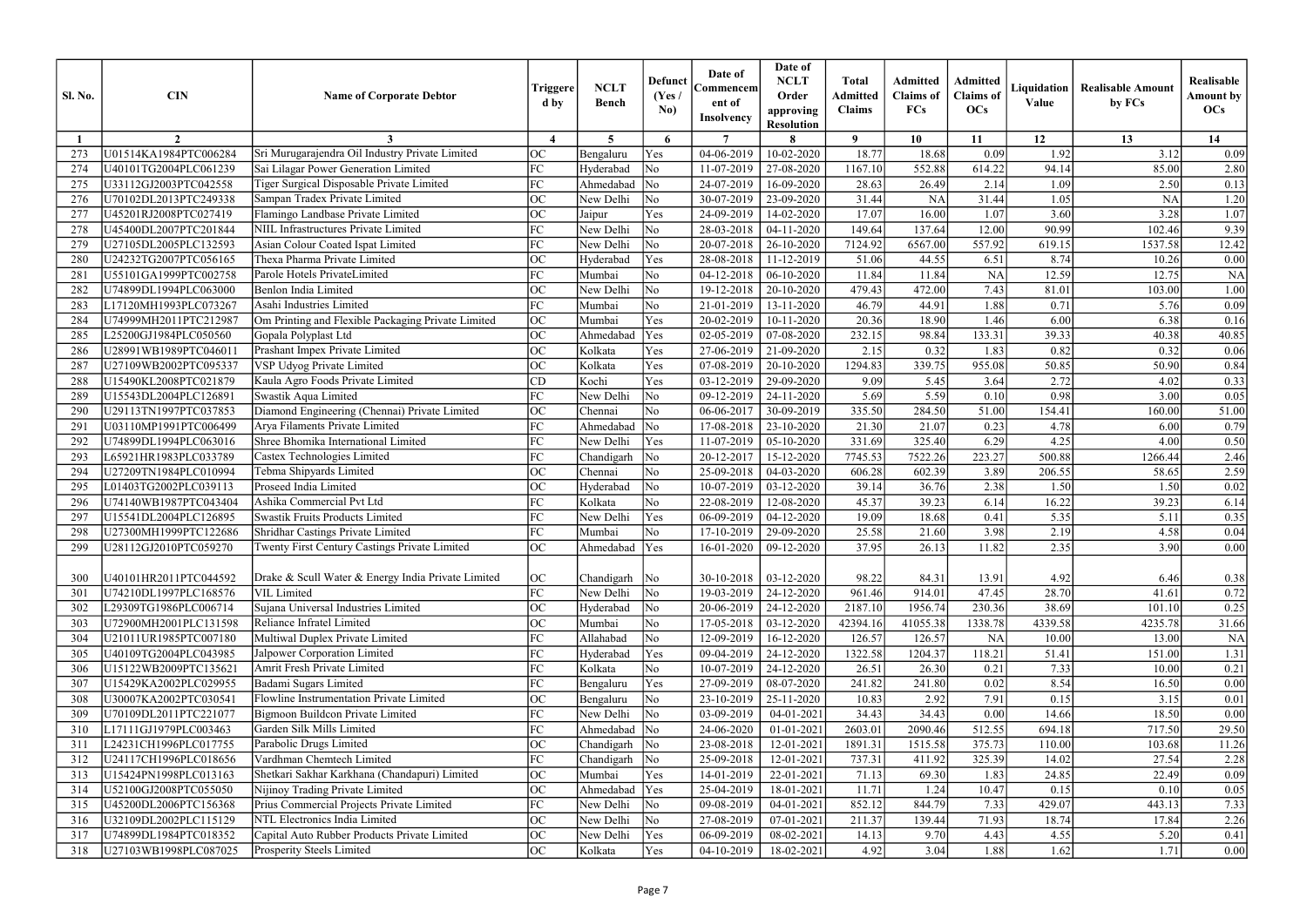| $\overline{7}$<br>$\mathbf{o}$<br>13<br>$\overline{2}$<br>$\boldsymbol{\Lambda}$<br>$5^{\circ}$<br>6<br>10<br>11<br>12<br>14<br>3<br>Sri Murugarajendra Oil Industry Private Limited<br>18.77<br>1.92<br>U01514KA1984PTC006284<br><b>OC</b><br>04-06-2019<br>10-02-2020<br>18.68<br>3.12<br>Yes<br>0.09<br>Bengaluru<br>FC<br>$\overline{\text{No}}$<br>1167.10<br>552.88<br>94.14<br>85.00<br>U40101TG2004PLC061239<br>Sai Lilagar Power Generation Limited<br>Hyderabad<br>11-07-2019<br>27-08-2020<br>614.22<br>274<br>FC<br>$\overline{\rm No}$<br>Tiger Surgical Disposable Private Limited<br>Ahmedabad<br>24-07-2019<br>28.63<br>1.09<br>2.50<br>275<br>U33112GJ2003PTC042558<br>16-09-2020<br>26.49<br>2.14<br>Sampan Tradex Private Limited<br><b>OC</b><br>New Delhi<br>30-07-2019<br>31.44<br>1.05<br><b>NA</b><br>U70102DL2013PTC249338<br>$\overline{\rm No}$<br>23-09-2020<br>31.44<br><b>NA</b><br>276<br>OC<br>17.07<br>3.28<br>U45201RJ2008PTC027419<br>Flamingo Landbase Private Limited<br>Yes<br>24-09-2019<br>14-02-2020<br>16.00<br>1.07<br>3.60<br>277<br>Jaipur<br><b>NIIL Infrastructures Private Limited</b><br>FC<br>No<br>New Delhi<br>149.64<br>137.64<br>90.99<br>102.46<br>278<br>U45400DL2007PTC201844<br>28-03-2018<br>04-11-2020<br>12.00<br>FC<br>Asian Colour Coated Ispat Limited<br>New Delhi<br>20-07-2018<br>7124.92<br>6567.00<br>557.92<br>1537.58<br>279<br>U27105DL2005PLC132593<br>No<br>26-10-2020<br>619.15<br>OC<br>8.74<br>Thexa Pharma Private Limited<br>Hyderabad<br>Yes<br>28-08-2018<br>11-12-2019<br>51.06<br>44.55<br>6.51<br>280<br>U24232TG2007PTC056165<br>10.26<br>FC<br>Parole Hotels PrivateLimited<br>No<br><b>NA</b><br>12.59<br>Mumbai<br>04-12-2018<br>06-10-2020<br>11.84<br>11.84<br>12.75<br>28<br>U55101GA1999PTC002758<br><b>OC</b><br>Benlon India Limited<br>New Delhi<br>No<br>479.43<br>472.00<br>7.43<br>81.01<br>103.00<br>282<br>U74899DL1994PLC063000<br>19-12-2018<br>20-10-2020<br>Asahi Industries Limited<br>FC<br>No<br>46.79<br>44.91<br>1.88<br>0.71<br>5.76<br>283<br>L17120MH1993PLC073267<br>Mumbai<br>21-01-2019<br>13-11-2020<br>OC<br>Yes<br>20.36<br>18.90<br>U74999MH2011PTC212987<br>Om Printing and Flexible Packaging Private Limited<br>20-02-2019<br>10-11-2020<br>1.46<br>6.00<br>6.38<br>284<br>Mumbai<br>OC<br>39.33<br>232.15<br>98.84<br>Gopala Polyplast Ltd<br>Ahmedaba<br>Yes<br>02-05-2019<br>07-08-2020<br>133.31<br>40.38<br>285<br>L25200GJ1984PLC050560<br>Prashant Impex Private Limited<br><b>OC</b><br>Kolkata<br>0.32<br>U28991WB1989PTC046011<br>Yes<br>27-06-2019<br>21-09-2020<br>2.15<br>0.32<br>1.83<br>0.82<br>286<br>OC<br>Yes<br>1294.83<br>339.75<br>50.85<br>U27109WB2002PTC095337<br>VSP Udyog Private Limited<br>Kolkata<br>07-08-2019<br>20-10-2020<br>955.08<br>50.90<br>287<br>Yes<br>2.72<br>Kaula Agro Foods Private Limited<br>CD<br>Kochi<br>03-12-2019<br>9.09<br>4.02<br>288<br>U15490KL2008PTC021879<br>29-09-2020<br>5.45<br>3.64<br>FC<br>5.69<br>5.59<br>Swastik Aqua Limited<br>New Delhi<br>No<br>09-12-2019<br>24-11-2020<br>0.98<br>3.00<br>289<br>U15543DL2004PLC126891<br>0.10<br>Diamond Engineering (Chennai) Private Limited<br>OC<br>No<br>284.50<br>154.41<br>U29113TN1997PTC037853<br>06-06-2017<br>30-09-2019<br>335.50<br>51.00<br>160.00<br>290<br>Chennai<br>FC<br>U03110MP1991PTC006499<br>Arya Filaments Private Limited<br>$\overline{\rm No}$<br>21.30<br>21.07<br>4.78<br>29<br>Ahmedabad<br>17-08-2018<br>23-10-2020<br>0.23<br>6.00<br>FC<br>6.29<br>4.25<br>Shree Bhomika International Limited<br>331.69<br>325.40<br>292<br>U74899DL1994PLC063016<br>New Delhi<br>Yes<br>11-07-2019<br>05-10-2020<br>4.00<br>FC<br>$\overline{\text{No}}$<br>Castex Technologies Limited<br>20-12-2017<br>7745.53<br>7522.26<br>223.27<br>500.88<br>1266.44<br>293<br>L65921HR1983PLC033789<br>Chandigarh<br>15-12-2020<br><b>OC</b><br>No<br>606.28<br>3.89<br>U27209TN1984PLC010994<br>Tebma Shipyards Limited<br>25-09-2018<br>04-03-2020<br>602.39<br>206.55<br>58.65<br>294<br>Chennai<br>OC<br>Proseed India Limited<br>36.76<br>2.38<br>Hyderabad<br>$\overline{\rm No}$<br>10-07-2019<br>39.14<br>1.50<br>1.50<br>295<br>L01403TG2002PLC039113<br>03-12-2020<br>Ashika Commercial Pvt Ltd<br>FC<br>Kolkata<br>No<br>22-08-2019<br>45.37<br>39.23<br>16.22<br>39.23<br>U74140WB1987PTC043404<br>12-08-2020<br>6.14<br>296<br>FC<br>Yes<br>19.09<br>5.35<br>5.11<br>U15541DL2004PLC126895<br>Swastik Fruits Products Limited<br>New Delhi<br>06-09-2019<br>04-12-2020<br>18.68<br>0.41<br>297<br>FC<br>Shridhar Castings Private Limited<br>No<br>25.58<br>21.60<br>3.98<br>2.19<br>4.58<br>298<br>U27300MH1999PTC122686<br>Mumbai<br>17-10-2019<br>29-09-2020<br>$\Omega$<br>37.95<br>2.35<br>Ahmedabad Yes<br>26.13<br>11.82<br>3.90<br>299<br>U28112GJ2010PTC059270<br>Twenty First Century Castings Private Limited<br>$16-01-2020$ 09-12-2020<br>$\mathsf{v}\mathsf{v}$<br>Drake & Scull Water & Energy India Private Limited<br><b>OC</b><br>98.22<br>U40101HR2011PTC044592<br>Chandigarh No<br>30-10-2018<br>$  03 - 12 - 2020$<br>84.31<br>13.91<br>4.92<br>6.46<br>300<br>FC<br>961.46<br>914.01<br>47.45<br>28.70<br>U74210DL1997PLC168576<br><b>VIL Limited</b><br>New Delhi<br>$\overline{\rm No}$<br>19-03-2019<br>24-12-2020<br>41.61<br>301<br>Sujana Universal Industries Limited<br><b>OC</b><br>L29309TG1986PLC006714<br>$\overline{\rm No}$<br>20-06-2019<br>24-12-2020<br>2187.10<br>1956.74<br>230.36<br>38.69<br>101.10<br>302<br>Hyderabad<br><b>OC</b><br>U72900MH2001PLC131598<br>Reliance Infratel Limited<br>No<br>03-12-2020<br>42394.16<br>1338.78<br>4339.58<br>4235.78<br>Mumbai<br>17-05-2018<br>41055.38<br>303<br>Multiwal Duplex Private Limited<br>FC<br>$\overline{\text{No}}$<br>126.57<br>U21011UR1985PTC007180<br>Allahabad<br>16-12-2020<br>126.57<br><b>NA</b><br>10.00<br>13.00<br>12-09-2019<br>304<br>Jalpower Corporation Limited<br>FC<br>Yes<br>1322.58<br>118.21<br>U40109TG2004PLC043985<br>Hyderabad<br>09-04-2019<br>24-12-2020<br>1204.37<br>51.41<br>151.00<br>305<br>Amrit Fresh Private Limited<br>FC<br>U15122WB2009PTC135621<br>Kolkata<br>No<br>24-12-2020<br>7.33<br>10-07-2019<br>26.51<br>26.30<br>0.21<br>10.00<br>306<br>Badami Sugars Limited<br>FC<br>U15429KA2002PLC029955<br>Yes<br>27-09-2019<br>241.82<br>241.80<br>0.02<br>8.54<br>Bengaluru<br>08-07-2020<br>16.50<br>307<br>Flowline Instrumentation Private Limited<br><b>OC</b><br>10.83<br>7.91<br>U30007KA2002PTC030541<br>$\overline{\text{No}}$<br>23-10-2019<br>2.92<br>0.15<br>3.15<br>Bengaluru<br>25-11-2020<br>308<br>FC<br>34.43<br>Bigmoon Buildcon Private Limited<br>New Delhi<br>$\overline{\rm No}$<br>34.43<br>U70109DL2011PTC221077<br>03-09-2019<br>0.00<br>14.66<br>18.50<br>309<br>04-01-2021<br>FC<br>Garden Silk Mills Limited<br>2603.01<br>L17111GJ1979PLC003463<br>Ahmedabad<br>$\overline{\rm No}$<br>24-06-2020<br>2090.46<br>512.55<br>694.18<br>717.50<br>01-01-2021<br>310<br>Parabolic Drugs Limited<br><b>OC</b><br>L24231CH1996PLC017755<br>Chandigarh<br>$\overline{\rm No}$<br>23-08-2018<br>1515.58<br>375.73<br>103.68<br>12-01-2021<br>1891.31<br>110.00<br>311<br>Vardhman Chemtech Limited<br>FC<br>U24117CH1996PLC018656<br>Chandigarh<br>$\overline{\rm No}$<br>25-09-2018<br>12-01-2021<br>737.31<br>411.92<br>325.39<br>14.02<br>27.54<br>312<br>Shetkari Sakhar Karkhana (Chandapuri) Limited<br>U15424PN1998PLC013163<br><b>OC</b><br>71.13<br>24.85<br>22.49<br>Mumbai<br>Yes<br>14-01-2019<br>22-01-2021<br>69.30<br>1.83<br>313<br>Nijinoy Trading Private Limited<br><b>OC</b><br>11.71<br>1.24<br>10.47<br>U52100GJ2008PTC055050<br>Ahmedabad<br>Yes<br>25-04-2019<br>0.15<br>0.10<br>314<br>18-01-2021<br>Prius Commercial Projects Private Limited<br>FC<br>U45200DL2006PTC156368<br>New Delhi<br>No<br>09-08-2019<br>852.12<br>844.79<br>7.33<br>429.07<br>443.13<br>315<br>$04 - 01 - 2021$<br>NTL Electronics India Limited<br>OC<br>New Delhi<br>$\overline{\text{No}}$<br>211.37<br>139.44<br>71.93<br>18.74<br>U32109DL2002PLC115129<br>27-08-2019<br>07-01-2021<br>17.84<br>316<br>Capital Auto Rubber Products Private Limited<br><b>OC</b><br>New Delhi<br>Yes<br>9.70<br>4.43<br>4.55<br>5.20<br>U74899DL1984PTC018352<br>06-09-2019<br>08-02-2021<br>14.13<br>317 | <b>Sl. No.</b> | <b>CIN</b>            | <b>Name of Corporate Debtor</b> | Triggere<br>d by | <b>NCLT</b><br><b>Bench</b> | <b>Defunct</b><br>(Yes /<br>No) | Date of<br>Commencem<br>ent of<br><b>Insolvency</b> | Date of<br><b>NCLT</b><br>Order<br>approving<br><b>Resolution</b> | <b>Total</b><br><b>Admitted</b><br><b>Claims</b> | Admitted<br><b>Claims</b> of<br>FCs | Admitted<br><b>Claims</b> of<br><b>OCs</b> | Liquidation<br>Value | <b>Realisable Amount</b><br>by FCs | Realisable<br><b>Amount by</b><br>OCs |
|---------------------------------------------------------------------------------------------------------------------------------------------------------------------------------------------------------------------------------------------------------------------------------------------------------------------------------------------------------------------------------------------------------------------------------------------------------------------------------------------------------------------------------------------------------------------------------------------------------------------------------------------------------------------------------------------------------------------------------------------------------------------------------------------------------------------------------------------------------------------------------------------------------------------------------------------------------------------------------------------------------------------------------------------------------------------------------------------------------------------------------------------------------------------------------------------------------------------------------------------------------------------------------------------------------------------------------------------------------------------------------------------------------------------------------------------------------------------------------------------------------------------------------------------------------------------------------------------------------------------------------------------------------------------------------------------------------------------------------------------------------------------------------------------------------------------------------------------------------------------------------------------------------------------------------------------------------------------------------------------------------------------------------------------------------------------------------------------------------------------------------------------------------------------------------------------------------------------------------------------------------------------------------------------------------------------------------------------------------------------------------------------------------------------------------------------------------------------------------------------------------------------------------------------------------------------------------------------------------------------------------------------------------------------------------------------------------------------------------------------------------------------------------------------------------------------------------------------------------------------------------------------------------------------------------------------------------------------------------------------------------------------------------------------------------------------------------------------------------------------------------------------------------------------------------------------------------------------------------------------------------------------------------------------------------------------------------------------------------------------------------------------------------------------------------------------------------------------------------------------------------------------------------------------------------------------------------------------------------------------------------------------------------------------------------------------------------------------------------------------------------------------------------------------------------------------------------------------------------------------------------------------------------------------------------------------------------------------------------------------------------------------------------------------------------------------------------------------------------------------------------------------------------------------------------------------------------------------------------------------------------------------------------------------------------------------------------------------------------------------------------------------------------------------------------------------------------------------------------------------------------------------------------------------------------------------------------------------------------------------------------------------------------------------------------------------------------------------------------------------------------------------------------------------------------------------------------------------------------------------------------------------------------------------------------------------------------------------------------------------------------------------------------------------------------------------------------------------------------------------------------------------------------------------------------------------------------------------------------------------------------------------------------------------------------------------------------------------------------------------------------------------------------------------------------------------------------------------------------------------------------------------------------------------------------------------------------------------------------------------------------------------------------------------------------------------------------------------------------------------------------------------------------------------------------------------------------------------------------------------------------------------------------------------------------------------------------------------------------------------------------------------------------------------------------------------------------------------------------------------------------------------------------------------------------------------------------------------------------------------------------------------------------------------------------------------------------------------------------------------------------------------------------------------------------------------------------------------------------------------------------------------------------------------------------------------------------------------------------------------------------------------------------------------------------------------------------------------------------------------------------------------------------------------------------------------------------------------------------------------------------------------------------------------------------------------------------------------------------------------------------------------------------------------------------------------------------------------------------------------------------------------------------------------------------------------------------------------------------------------------------------------------------------------------------------------------------------------------------------------------------------------------------------------------------------------------------------------------------------------------------------------------------------------------------------------------------------------------------------------------------------------------------------------------------------------------------------------------------------------------------------------------------------------------------------------------------------------------------------------------------------------------------------------------------------------------------------------------------------------------------------------------------------------------------------------------------------------------------------------------------------------------------------------------------------------------------------------------------------------------------------------------------------------------------------------------|----------------|-----------------------|---------------------------------|------------------|-----------------------------|---------------------------------|-----------------------------------------------------|-------------------------------------------------------------------|--------------------------------------------------|-------------------------------------|--------------------------------------------|----------------------|------------------------------------|---------------------------------------|
|                                                                                                                                                                                                                                                                                                                                                                                                                                                                                                                                                                                                                                                                                                                                                                                                                                                                                                                                                                                                                                                                                                                                                                                                                                                                                                                                                                                                                                                                                                                                                                                                                                                                                                                                                                                                                                                                                                                                                                                                                                                                                                                                                                                                                                                                                                                                                                                                                                                                                                                                                                                                                                                                                                                                                                                                                                                                                                                                                                                                                                                                                                                                                                                                                                                                                                                                                                                                                                                                                                                                                                                                                                                                                                                                                                                                                                                                                                                                                                                                                                                                                                                                                                                                                                                                                                                                                                                                                                                                                                                                                                                                                                                                                                                                                                                                                                                                                                                                                                                                                                                                                                                                                                                                                                                                                                                                                                                                                                                                                                                                                                                                                                                                                                                                                                                                                                                                                                                                                                                                                                                                                                                                                                                                                                                                                                                                                                                                                                                                                                                                                                                                                                                                                                                                                                                                                                                                                                                                                                                                                                                                                                                                                                                                                                                                                                                                                                                                                                                                                                                                                                                                                                                                                                                                                                                                                                                                                                                                                                                                                                                                                                                                                                                                                                                                                                                           |                |                       |                                 |                  |                             |                                 |                                                     |                                                                   |                                                  |                                     |                                            |                      |                                    |                                       |
|                                                                                                                                                                                                                                                                                                                                                                                                                                                                                                                                                                                                                                                                                                                                                                                                                                                                                                                                                                                                                                                                                                                                                                                                                                                                                                                                                                                                                                                                                                                                                                                                                                                                                                                                                                                                                                                                                                                                                                                                                                                                                                                                                                                                                                                                                                                                                                                                                                                                                                                                                                                                                                                                                                                                                                                                                                                                                                                                                                                                                                                                                                                                                                                                                                                                                                                                                                                                                                                                                                                                                                                                                                                                                                                                                                                                                                                                                                                                                                                                                                                                                                                                                                                                                                                                                                                                                                                                                                                                                                                                                                                                                                                                                                                                                                                                                                                                                                                                                                                                                                                                                                                                                                                                                                                                                                                                                                                                                                                                                                                                                                                                                                                                                                                                                                                                                                                                                                                                                                                                                                                                                                                                                                                                                                                                                                                                                                                                                                                                                                                                                                                                                                                                                                                                                                                                                                                                                                                                                                                                                                                                                                                                                                                                                                                                                                                                                                                                                                                                                                                                                                                                                                                                                                                                                                                                                                                                                                                                                                                                                                                                                                                                                                                                                                                                                                                           |                |                       |                                 |                  |                             |                                 |                                                     |                                                                   |                                                  |                                     |                                            |                      |                                    | 0.09                                  |
|                                                                                                                                                                                                                                                                                                                                                                                                                                                                                                                                                                                                                                                                                                                                                                                                                                                                                                                                                                                                                                                                                                                                                                                                                                                                                                                                                                                                                                                                                                                                                                                                                                                                                                                                                                                                                                                                                                                                                                                                                                                                                                                                                                                                                                                                                                                                                                                                                                                                                                                                                                                                                                                                                                                                                                                                                                                                                                                                                                                                                                                                                                                                                                                                                                                                                                                                                                                                                                                                                                                                                                                                                                                                                                                                                                                                                                                                                                                                                                                                                                                                                                                                                                                                                                                                                                                                                                                                                                                                                                                                                                                                                                                                                                                                                                                                                                                                                                                                                                                                                                                                                                                                                                                                                                                                                                                                                                                                                                                                                                                                                                                                                                                                                                                                                                                                                                                                                                                                                                                                                                                                                                                                                                                                                                                                                                                                                                                                                                                                                                                                                                                                                                                                                                                                                                                                                                                                                                                                                                                                                                                                                                                                                                                                                                                                                                                                                                                                                                                                                                                                                                                                                                                                                                                                                                                                                                                                                                                                                                                                                                                                                                                                                                                                                                                                                                                           |                |                       |                                 |                  |                             |                                 |                                                     |                                                                   |                                                  |                                     |                                            |                      |                                    | 2.80                                  |
|                                                                                                                                                                                                                                                                                                                                                                                                                                                                                                                                                                                                                                                                                                                                                                                                                                                                                                                                                                                                                                                                                                                                                                                                                                                                                                                                                                                                                                                                                                                                                                                                                                                                                                                                                                                                                                                                                                                                                                                                                                                                                                                                                                                                                                                                                                                                                                                                                                                                                                                                                                                                                                                                                                                                                                                                                                                                                                                                                                                                                                                                                                                                                                                                                                                                                                                                                                                                                                                                                                                                                                                                                                                                                                                                                                                                                                                                                                                                                                                                                                                                                                                                                                                                                                                                                                                                                                                                                                                                                                                                                                                                                                                                                                                                                                                                                                                                                                                                                                                                                                                                                                                                                                                                                                                                                                                                                                                                                                                                                                                                                                                                                                                                                                                                                                                                                                                                                                                                                                                                                                                                                                                                                                                                                                                                                                                                                                                                                                                                                                                                                                                                                                                                                                                                                                                                                                                                                                                                                                                                                                                                                                                                                                                                                                                                                                                                                                                                                                                                                                                                                                                                                                                                                                                                                                                                                                                                                                                                                                                                                                                                                                                                                                                                                                                                                                                           |                |                       |                                 |                  |                             |                                 |                                                     |                                                                   |                                                  |                                     |                                            |                      |                                    | 0.13                                  |
|                                                                                                                                                                                                                                                                                                                                                                                                                                                                                                                                                                                                                                                                                                                                                                                                                                                                                                                                                                                                                                                                                                                                                                                                                                                                                                                                                                                                                                                                                                                                                                                                                                                                                                                                                                                                                                                                                                                                                                                                                                                                                                                                                                                                                                                                                                                                                                                                                                                                                                                                                                                                                                                                                                                                                                                                                                                                                                                                                                                                                                                                                                                                                                                                                                                                                                                                                                                                                                                                                                                                                                                                                                                                                                                                                                                                                                                                                                                                                                                                                                                                                                                                                                                                                                                                                                                                                                                                                                                                                                                                                                                                                                                                                                                                                                                                                                                                                                                                                                                                                                                                                                                                                                                                                                                                                                                                                                                                                                                                                                                                                                                                                                                                                                                                                                                                                                                                                                                                                                                                                                                                                                                                                                                                                                                                                                                                                                                                                                                                                                                                                                                                                                                                                                                                                                                                                                                                                                                                                                                                                                                                                                                                                                                                                                                                                                                                                                                                                                                                                                                                                                                                                                                                                                                                                                                                                                                                                                                                                                                                                                                                                                                                                                                                                                                                                                                           |                |                       |                                 |                  |                             |                                 |                                                     |                                                                   |                                                  |                                     |                                            |                      |                                    | 1.20                                  |
|                                                                                                                                                                                                                                                                                                                                                                                                                                                                                                                                                                                                                                                                                                                                                                                                                                                                                                                                                                                                                                                                                                                                                                                                                                                                                                                                                                                                                                                                                                                                                                                                                                                                                                                                                                                                                                                                                                                                                                                                                                                                                                                                                                                                                                                                                                                                                                                                                                                                                                                                                                                                                                                                                                                                                                                                                                                                                                                                                                                                                                                                                                                                                                                                                                                                                                                                                                                                                                                                                                                                                                                                                                                                                                                                                                                                                                                                                                                                                                                                                                                                                                                                                                                                                                                                                                                                                                                                                                                                                                                                                                                                                                                                                                                                                                                                                                                                                                                                                                                                                                                                                                                                                                                                                                                                                                                                                                                                                                                                                                                                                                                                                                                                                                                                                                                                                                                                                                                                                                                                                                                                                                                                                                                                                                                                                                                                                                                                                                                                                                                                                                                                                                                                                                                                                                                                                                                                                                                                                                                                                                                                                                                                                                                                                                                                                                                                                                                                                                                                                                                                                                                                                                                                                                                                                                                                                                                                                                                                                                                                                                                                                                                                                                                                                                                                                                                           |                |                       |                                 |                  |                             |                                 |                                                     |                                                                   |                                                  |                                     |                                            |                      |                                    | 1.07                                  |
|                                                                                                                                                                                                                                                                                                                                                                                                                                                                                                                                                                                                                                                                                                                                                                                                                                                                                                                                                                                                                                                                                                                                                                                                                                                                                                                                                                                                                                                                                                                                                                                                                                                                                                                                                                                                                                                                                                                                                                                                                                                                                                                                                                                                                                                                                                                                                                                                                                                                                                                                                                                                                                                                                                                                                                                                                                                                                                                                                                                                                                                                                                                                                                                                                                                                                                                                                                                                                                                                                                                                                                                                                                                                                                                                                                                                                                                                                                                                                                                                                                                                                                                                                                                                                                                                                                                                                                                                                                                                                                                                                                                                                                                                                                                                                                                                                                                                                                                                                                                                                                                                                                                                                                                                                                                                                                                                                                                                                                                                                                                                                                                                                                                                                                                                                                                                                                                                                                                                                                                                                                                                                                                                                                                                                                                                                                                                                                                                                                                                                                                                                                                                                                                                                                                                                                                                                                                                                                                                                                                                                                                                                                                                                                                                                                                                                                                                                                                                                                                                                                                                                                                                                                                                                                                                                                                                                                                                                                                                                                                                                                                                                                                                                                                                                                                                                                                           |                |                       |                                 |                  |                             |                                 |                                                     |                                                                   |                                                  |                                     |                                            |                      |                                    | 9.39                                  |
|                                                                                                                                                                                                                                                                                                                                                                                                                                                                                                                                                                                                                                                                                                                                                                                                                                                                                                                                                                                                                                                                                                                                                                                                                                                                                                                                                                                                                                                                                                                                                                                                                                                                                                                                                                                                                                                                                                                                                                                                                                                                                                                                                                                                                                                                                                                                                                                                                                                                                                                                                                                                                                                                                                                                                                                                                                                                                                                                                                                                                                                                                                                                                                                                                                                                                                                                                                                                                                                                                                                                                                                                                                                                                                                                                                                                                                                                                                                                                                                                                                                                                                                                                                                                                                                                                                                                                                                                                                                                                                                                                                                                                                                                                                                                                                                                                                                                                                                                                                                                                                                                                                                                                                                                                                                                                                                                                                                                                                                                                                                                                                                                                                                                                                                                                                                                                                                                                                                                                                                                                                                                                                                                                                                                                                                                                                                                                                                                                                                                                                                                                                                                                                                                                                                                                                                                                                                                                                                                                                                                                                                                                                                                                                                                                                                                                                                                                                                                                                                                                                                                                                                                                                                                                                                                                                                                                                                                                                                                                                                                                                                                                                                                                                                                                                                                                                                           |                |                       |                                 |                  |                             |                                 |                                                     |                                                                   |                                                  |                                     |                                            |                      |                                    | 12.42                                 |
|                                                                                                                                                                                                                                                                                                                                                                                                                                                                                                                                                                                                                                                                                                                                                                                                                                                                                                                                                                                                                                                                                                                                                                                                                                                                                                                                                                                                                                                                                                                                                                                                                                                                                                                                                                                                                                                                                                                                                                                                                                                                                                                                                                                                                                                                                                                                                                                                                                                                                                                                                                                                                                                                                                                                                                                                                                                                                                                                                                                                                                                                                                                                                                                                                                                                                                                                                                                                                                                                                                                                                                                                                                                                                                                                                                                                                                                                                                                                                                                                                                                                                                                                                                                                                                                                                                                                                                                                                                                                                                                                                                                                                                                                                                                                                                                                                                                                                                                                                                                                                                                                                                                                                                                                                                                                                                                                                                                                                                                                                                                                                                                                                                                                                                                                                                                                                                                                                                                                                                                                                                                                                                                                                                                                                                                                                                                                                                                                                                                                                                                                                                                                                                                                                                                                                                                                                                                                                                                                                                                                                                                                                                                                                                                                                                                                                                                                                                                                                                                                                                                                                                                                                                                                                                                                                                                                                                                                                                                                                                                                                                                                                                                                                                                                                                                                                                                           |                |                       |                                 |                  |                             |                                 |                                                     |                                                                   |                                                  |                                     |                                            |                      |                                    | 0.00                                  |
|                                                                                                                                                                                                                                                                                                                                                                                                                                                                                                                                                                                                                                                                                                                                                                                                                                                                                                                                                                                                                                                                                                                                                                                                                                                                                                                                                                                                                                                                                                                                                                                                                                                                                                                                                                                                                                                                                                                                                                                                                                                                                                                                                                                                                                                                                                                                                                                                                                                                                                                                                                                                                                                                                                                                                                                                                                                                                                                                                                                                                                                                                                                                                                                                                                                                                                                                                                                                                                                                                                                                                                                                                                                                                                                                                                                                                                                                                                                                                                                                                                                                                                                                                                                                                                                                                                                                                                                                                                                                                                                                                                                                                                                                                                                                                                                                                                                                                                                                                                                                                                                                                                                                                                                                                                                                                                                                                                                                                                                                                                                                                                                                                                                                                                                                                                                                                                                                                                                                                                                                                                                                                                                                                                                                                                                                                                                                                                                                                                                                                                                                                                                                                                                                                                                                                                                                                                                                                                                                                                                                                                                                                                                                                                                                                                                                                                                                                                                                                                                                                                                                                                                                                                                                                                                                                                                                                                                                                                                                                                                                                                                                                                                                                                                                                                                                                                                           |                |                       |                                 |                  |                             |                                 |                                                     |                                                                   |                                                  |                                     |                                            |                      |                                    | <b>NA</b>                             |
|                                                                                                                                                                                                                                                                                                                                                                                                                                                                                                                                                                                                                                                                                                                                                                                                                                                                                                                                                                                                                                                                                                                                                                                                                                                                                                                                                                                                                                                                                                                                                                                                                                                                                                                                                                                                                                                                                                                                                                                                                                                                                                                                                                                                                                                                                                                                                                                                                                                                                                                                                                                                                                                                                                                                                                                                                                                                                                                                                                                                                                                                                                                                                                                                                                                                                                                                                                                                                                                                                                                                                                                                                                                                                                                                                                                                                                                                                                                                                                                                                                                                                                                                                                                                                                                                                                                                                                                                                                                                                                                                                                                                                                                                                                                                                                                                                                                                                                                                                                                                                                                                                                                                                                                                                                                                                                                                                                                                                                                                                                                                                                                                                                                                                                                                                                                                                                                                                                                                                                                                                                                                                                                                                                                                                                                                                                                                                                                                                                                                                                                                                                                                                                                                                                                                                                                                                                                                                                                                                                                                                                                                                                                                                                                                                                                                                                                                                                                                                                                                                                                                                                                                                                                                                                                                                                                                                                                                                                                                                                                                                                                                                                                                                                                                                                                                                                                           |                |                       |                                 |                  |                             |                                 |                                                     |                                                                   |                                                  |                                     |                                            |                      |                                    | $1.00\,$                              |
|                                                                                                                                                                                                                                                                                                                                                                                                                                                                                                                                                                                                                                                                                                                                                                                                                                                                                                                                                                                                                                                                                                                                                                                                                                                                                                                                                                                                                                                                                                                                                                                                                                                                                                                                                                                                                                                                                                                                                                                                                                                                                                                                                                                                                                                                                                                                                                                                                                                                                                                                                                                                                                                                                                                                                                                                                                                                                                                                                                                                                                                                                                                                                                                                                                                                                                                                                                                                                                                                                                                                                                                                                                                                                                                                                                                                                                                                                                                                                                                                                                                                                                                                                                                                                                                                                                                                                                                                                                                                                                                                                                                                                                                                                                                                                                                                                                                                                                                                                                                                                                                                                                                                                                                                                                                                                                                                                                                                                                                                                                                                                                                                                                                                                                                                                                                                                                                                                                                                                                                                                                                                                                                                                                                                                                                                                                                                                                                                                                                                                                                                                                                                                                                                                                                                                                                                                                                                                                                                                                                                                                                                                                                                                                                                                                                                                                                                                                                                                                                                                                                                                                                                                                                                                                                                                                                                                                                                                                                                                                                                                                                                                                                                                                                                                                                                                                                           |                |                       |                                 |                  |                             |                                 |                                                     |                                                                   |                                                  |                                     |                                            |                      |                                    | 0.09                                  |
|                                                                                                                                                                                                                                                                                                                                                                                                                                                                                                                                                                                                                                                                                                                                                                                                                                                                                                                                                                                                                                                                                                                                                                                                                                                                                                                                                                                                                                                                                                                                                                                                                                                                                                                                                                                                                                                                                                                                                                                                                                                                                                                                                                                                                                                                                                                                                                                                                                                                                                                                                                                                                                                                                                                                                                                                                                                                                                                                                                                                                                                                                                                                                                                                                                                                                                                                                                                                                                                                                                                                                                                                                                                                                                                                                                                                                                                                                                                                                                                                                                                                                                                                                                                                                                                                                                                                                                                                                                                                                                                                                                                                                                                                                                                                                                                                                                                                                                                                                                                                                                                                                                                                                                                                                                                                                                                                                                                                                                                                                                                                                                                                                                                                                                                                                                                                                                                                                                                                                                                                                                                                                                                                                                                                                                                                                                                                                                                                                                                                                                                                                                                                                                                                                                                                                                                                                                                                                                                                                                                                                                                                                                                                                                                                                                                                                                                                                                                                                                                                                                                                                                                                                                                                                                                                                                                                                                                                                                                                                                                                                                                                                                                                                                                                                                                                                                                           |                |                       |                                 |                  |                             |                                 |                                                     |                                                                   |                                                  |                                     |                                            |                      |                                    | 0.16                                  |
|                                                                                                                                                                                                                                                                                                                                                                                                                                                                                                                                                                                                                                                                                                                                                                                                                                                                                                                                                                                                                                                                                                                                                                                                                                                                                                                                                                                                                                                                                                                                                                                                                                                                                                                                                                                                                                                                                                                                                                                                                                                                                                                                                                                                                                                                                                                                                                                                                                                                                                                                                                                                                                                                                                                                                                                                                                                                                                                                                                                                                                                                                                                                                                                                                                                                                                                                                                                                                                                                                                                                                                                                                                                                                                                                                                                                                                                                                                                                                                                                                                                                                                                                                                                                                                                                                                                                                                                                                                                                                                                                                                                                                                                                                                                                                                                                                                                                                                                                                                                                                                                                                                                                                                                                                                                                                                                                                                                                                                                                                                                                                                                                                                                                                                                                                                                                                                                                                                                                                                                                                                                                                                                                                                                                                                                                                                                                                                                                                                                                                                                                                                                                                                                                                                                                                                                                                                                                                                                                                                                                                                                                                                                                                                                                                                                                                                                                                                                                                                                                                                                                                                                                                                                                                                                                                                                                                                                                                                                                                                                                                                                                                                                                                                                                                                                                                                                           |                |                       |                                 |                  |                             |                                 |                                                     |                                                                   |                                                  |                                     |                                            |                      |                                    | 40.85                                 |
|                                                                                                                                                                                                                                                                                                                                                                                                                                                                                                                                                                                                                                                                                                                                                                                                                                                                                                                                                                                                                                                                                                                                                                                                                                                                                                                                                                                                                                                                                                                                                                                                                                                                                                                                                                                                                                                                                                                                                                                                                                                                                                                                                                                                                                                                                                                                                                                                                                                                                                                                                                                                                                                                                                                                                                                                                                                                                                                                                                                                                                                                                                                                                                                                                                                                                                                                                                                                                                                                                                                                                                                                                                                                                                                                                                                                                                                                                                                                                                                                                                                                                                                                                                                                                                                                                                                                                                                                                                                                                                                                                                                                                                                                                                                                                                                                                                                                                                                                                                                                                                                                                                                                                                                                                                                                                                                                                                                                                                                                                                                                                                                                                                                                                                                                                                                                                                                                                                                                                                                                                                                                                                                                                                                                                                                                                                                                                                                                                                                                                                                                                                                                                                                                                                                                                                                                                                                                                                                                                                                                                                                                                                                                                                                                                                                                                                                                                                                                                                                                                                                                                                                                                                                                                                                                                                                                                                                                                                                                                                                                                                                                                                                                                                                                                                                                                                                           |                |                       |                                 |                  |                             |                                 |                                                     |                                                                   |                                                  |                                     |                                            |                      |                                    | 0.06                                  |
|                                                                                                                                                                                                                                                                                                                                                                                                                                                                                                                                                                                                                                                                                                                                                                                                                                                                                                                                                                                                                                                                                                                                                                                                                                                                                                                                                                                                                                                                                                                                                                                                                                                                                                                                                                                                                                                                                                                                                                                                                                                                                                                                                                                                                                                                                                                                                                                                                                                                                                                                                                                                                                                                                                                                                                                                                                                                                                                                                                                                                                                                                                                                                                                                                                                                                                                                                                                                                                                                                                                                                                                                                                                                                                                                                                                                                                                                                                                                                                                                                                                                                                                                                                                                                                                                                                                                                                                                                                                                                                                                                                                                                                                                                                                                                                                                                                                                                                                                                                                                                                                                                                                                                                                                                                                                                                                                                                                                                                                                                                                                                                                                                                                                                                                                                                                                                                                                                                                                                                                                                                                                                                                                                                                                                                                                                                                                                                                                                                                                                                                                                                                                                                                                                                                                                                                                                                                                                                                                                                                                                                                                                                                                                                                                                                                                                                                                                                                                                                                                                                                                                                                                                                                                                                                                                                                                                                                                                                                                                                                                                                                                                                                                                                                                                                                                                                                           |                |                       |                                 |                  |                             |                                 |                                                     |                                                                   |                                                  |                                     |                                            |                      |                                    | 0.84                                  |
|                                                                                                                                                                                                                                                                                                                                                                                                                                                                                                                                                                                                                                                                                                                                                                                                                                                                                                                                                                                                                                                                                                                                                                                                                                                                                                                                                                                                                                                                                                                                                                                                                                                                                                                                                                                                                                                                                                                                                                                                                                                                                                                                                                                                                                                                                                                                                                                                                                                                                                                                                                                                                                                                                                                                                                                                                                                                                                                                                                                                                                                                                                                                                                                                                                                                                                                                                                                                                                                                                                                                                                                                                                                                                                                                                                                                                                                                                                                                                                                                                                                                                                                                                                                                                                                                                                                                                                                                                                                                                                                                                                                                                                                                                                                                                                                                                                                                                                                                                                                                                                                                                                                                                                                                                                                                                                                                                                                                                                                                                                                                                                                                                                                                                                                                                                                                                                                                                                                                                                                                                                                                                                                                                                                                                                                                                                                                                                                                                                                                                                                                                                                                                                                                                                                                                                                                                                                                                                                                                                                                                                                                                                                                                                                                                                                                                                                                                                                                                                                                                                                                                                                                                                                                                                                                                                                                                                                                                                                                                                                                                                                                                                                                                                                                                                                                                                                           |                |                       |                                 |                  |                             |                                 |                                                     |                                                                   |                                                  |                                     |                                            |                      |                                    | 0.33                                  |
|                                                                                                                                                                                                                                                                                                                                                                                                                                                                                                                                                                                                                                                                                                                                                                                                                                                                                                                                                                                                                                                                                                                                                                                                                                                                                                                                                                                                                                                                                                                                                                                                                                                                                                                                                                                                                                                                                                                                                                                                                                                                                                                                                                                                                                                                                                                                                                                                                                                                                                                                                                                                                                                                                                                                                                                                                                                                                                                                                                                                                                                                                                                                                                                                                                                                                                                                                                                                                                                                                                                                                                                                                                                                                                                                                                                                                                                                                                                                                                                                                                                                                                                                                                                                                                                                                                                                                                                                                                                                                                                                                                                                                                                                                                                                                                                                                                                                                                                                                                                                                                                                                                                                                                                                                                                                                                                                                                                                                                                                                                                                                                                                                                                                                                                                                                                                                                                                                                                                                                                                                                                                                                                                                                                                                                                                                                                                                                                                                                                                                                                                                                                                                                                                                                                                                                                                                                                                                                                                                                                                                                                                                                                                                                                                                                                                                                                                                                                                                                                                                                                                                                                                                                                                                                                                                                                                                                                                                                                                                                                                                                                                                                                                                                                                                                                                                                                           |                |                       |                                 |                  |                             |                                 |                                                     |                                                                   |                                                  |                                     |                                            |                      |                                    | 0.05                                  |
|                                                                                                                                                                                                                                                                                                                                                                                                                                                                                                                                                                                                                                                                                                                                                                                                                                                                                                                                                                                                                                                                                                                                                                                                                                                                                                                                                                                                                                                                                                                                                                                                                                                                                                                                                                                                                                                                                                                                                                                                                                                                                                                                                                                                                                                                                                                                                                                                                                                                                                                                                                                                                                                                                                                                                                                                                                                                                                                                                                                                                                                                                                                                                                                                                                                                                                                                                                                                                                                                                                                                                                                                                                                                                                                                                                                                                                                                                                                                                                                                                                                                                                                                                                                                                                                                                                                                                                                                                                                                                                                                                                                                                                                                                                                                                                                                                                                                                                                                                                                                                                                                                                                                                                                                                                                                                                                                                                                                                                                                                                                                                                                                                                                                                                                                                                                                                                                                                                                                                                                                                                                                                                                                                                                                                                                                                                                                                                                                                                                                                                                                                                                                                                                                                                                                                                                                                                                                                                                                                                                                                                                                                                                                                                                                                                                                                                                                                                                                                                                                                                                                                                                                                                                                                                                                                                                                                                                                                                                                                                                                                                                                                                                                                                                                                                                                                                                           |                |                       |                                 |                  |                             |                                 |                                                     |                                                                   |                                                  |                                     |                                            |                      |                                    | 51.00                                 |
|                                                                                                                                                                                                                                                                                                                                                                                                                                                                                                                                                                                                                                                                                                                                                                                                                                                                                                                                                                                                                                                                                                                                                                                                                                                                                                                                                                                                                                                                                                                                                                                                                                                                                                                                                                                                                                                                                                                                                                                                                                                                                                                                                                                                                                                                                                                                                                                                                                                                                                                                                                                                                                                                                                                                                                                                                                                                                                                                                                                                                                                                                                                                                                                                                                                                                                                                                                                                                                                                                                                                                                                                                                                                                                                                                                                                                                                                                                                                                                                                                                                                                                                                                                                                                                                                                                                                                                                                                                                                                                                                                                                                                                                                                                                                                                                                                                                                                                                                                                                                                                                                                                                                                                                                                                                                                                                                                                                                                                                                                                                                                                                                                                                                                                                                                                                                                                                                                                                                                                                                                                                                                                                                                                                                                                                                                                                                                                                                                                                                                                                                                                                                                                                                                                                                                                                                                                                                                                                                                                                                                                                                                                                                                                                                                                                                                                                                                                                                                                                                                                                                                                                                                                                                                                                                                                                                                                                                                                                                                                                                                                                                                                                                                                                                                                                                                                                           |                |                       |                                 |                  |                             |                                 |                                                     |                                                                   |                                                  |                                     |                                            |                      |                                    | 0.79                                  |
|                                                                                                                                                                                                                                                                                                                                                                                                                                                                                                                                                                                                                                                                                                                                                                                                                                                                                                                                                                                                                                                                                                                                                                                                                                                                                                                                                                                                                                                                                                                                                                                                                                                                                                                                                                                                                                                                                                                                                                                                                                                                                                                                                                                                                                                                                                                                                                                                                                                                                                                                                                                                                                                                                                                                                                                                                                                                                                                                                                                                                                                                                                                                                                                                                                                                                                                                                                                                                                                                                                                                                                                                                                                                                                                                                                                                                                                                                                                                                                                                                                                                                                                                                                                                                                                                                                                                                                                                                                                                                                                                                                                                                                                                                                                                                                                                                                                                                                                                                                                                                                                                                                                                                                                                                                                                                                                                                                                                                                                                                                                                                                                                                                                                                                                                                                                                                                                                                                                                                                                                                                                                                                                                                                                                                                                                                                                                                                                                                                                                                                                                                                                                                                                                                                                                                                                                                                                                                                                                                                                                                                                                                                                                                                                                                                                                                                                                                                                                                                                                                                                                                                                                                                                                                                                                                                                                                                                                                                                                                                                                                                                                                                                                                                                                                                                                                                                           |                |                       |                                 |                  |                             |                                 |                                                     |                                                                   |                                                  |                                     |                                            |                      |                                    | 0.50                                  |
|                                                                                                                                                                                                                                                                                                                                                                                                                                                                                                                                                                                                                                                                                                                                                                                                                                                                                                                                                                                                                                                                                                                                                                                                                                                                                                                                                                                                                                                                                                                                                                                                                                                                                                                                                                                                                                                                                                                                                                                                                                                                                                                                                                                                                                                                                                                                                                                                                                                                                                                                                                                                                                                                                                                                                                                                                                                                                                                                                                                                                                                                                                                                                                                                                                                                                                                                                                                                                                                                                                                                                                                                                                                                                                                                                                                                                                                                                                                                                                                                                                                                                                                                                                                                                                                                                                                                                                                                                                                                                                                                                                                                                                                                                                                                                                                                                                                                                                                                                                                                                                                                                                                                                                                                                                                                                                                                                                                                                                                                                                                                                                                                                                                                                                                                                                                                                                                                                                                                                                                                                                                                                                                                                                                                                                                                                                                                                                                                                                                                                                                                                                                                                                                                                                                                                                                                                                                                                                                                                                                                                                                                                                                                                                                                                                                                                                                                                                                                                                                                                                                                                                                                                                                                                                                                                                                                                                                                                                                                                                                                                                                                                                                                                                                                                                                                                                                           |                |                       |                                 |                  |                             |                                 |                                                     |                                                                   |                                                  |                                     |                                            |                      |                                    | 2.46                                  |
|                                                                                                                                                                                                                                                                                                                                                                                                                                                                                                                                                                                                                                                                                                                                                                                                                                                                                                                                                                                                                                                                                                                                                                                                                                                                                                                                                                                                                                                                                                                                                                                                                                                                                                                                                                                                                                                                                                                                                                                                                                                                                                                                                                                                                                                                                                                                                                                                                                                                                                                                                                                                                                                                                                                                                                                                                                                                                                                                                                                                                                                                                                                                                                                                                                                                                                                                                                                                                                                                                                                                                                                                                                                                                                                                                                                                                                                                                                                                                                                                                                                                                                                                                                                                                                                                                                                                                                                                                                                                                                                                                                                                                                                                                                                                                                                                                                                                                                                                                                                                                                                                                                                                                                                                                                                                                                                                                                                                                                                                                                                                                                                                                                                                                                                                                                                                                                                                                                                                                                                                                                                                                                                                                                                                                                                                                                                                                                                                                                                                                                                                                                                                                                                                                                                                                                                                                                                                                                                                                                                                                                                                                                                                                                                                                                                                                                                                                                                                                                                                                                                                                                                                                                                                                                                                                                                                                                                                                                                                                                                                                                                                                                                                                                                                                                                                                                                           |                |                       |                                 |                  |                             |                                 |                                                     |                                                                   |                                                  |                                     |                                            |                      |                                    | 2.59                                  |
|                                                                                                                                                                                                                                                                                                                                                                                                                                                                                                                                                                                                                                                                                                                                                                                                                                                                                                                                                                                                                                                                                                                                                                                                                                                                                                                                                                                                                                                                                                                                                                                                                                                                                                                                                                                                                                                                                                                                                                                                                                                                                                                                                                                                                                                                                                                                                                                                                                                                                                                                                                                                                                                                                                                                                                                                                                                                                                                                                                                                                                                                                                                                                                                                                                                                                                                                                                                                                                                                                                                                                                                                                                                                                                                                                                                                                                                                                                                                                                                                                                                                                                                                                                                                                                                                                                                                                                                                                                                                                                                                                                                                                                                                                                                                                                                                                                                                                                                                                                                                                                                                                                                                                                                                                                                                                                                                                                                                                                                                                                                                                                                                                                                                                                                                                                                                                                                                                                                                                                                                                                                                                                                                                                                                                                                                                                                                                                                                                                                                                                                                                                                                                                                                                                                                                                                                                                                                                                                                                                                                                                                                                                                                                                                                                                                                                                                                                                                                                                                                                                                                                                                                                                                                                                                                                                                                                                                                                                                                                                                                                                                                                                                                                                                                                                                                                                                           |                |                       |                                 |                  |                             |                                 |                                                     |                                                                   |                                                  |                                     |                                            |                      |                                    | 0.02                                  |
|                                                                                                                                                                                                                                                                                                                                                                                                                                                                                                                                                                                                                                                                                                                                                                                                                                                                                                                                                                                                                                                                                                                                                                                                                                                                                                                                                                                                                                                                                                                                                                                                                                                                                                                                                                                                                                                                                                                                                                                                                                                                                                                                                                                                                                                                                                                                                                                                                                                                                                                                                                                                                                                                                                                                                                                                                                                                                                                                                                                                                                                                                                                                                                                                                                                                                                                                                                                                                                                                                                                                                                                                                                                                                                                                                                                                                                                                                                                                                                                                                                                                                                                                                                                                                                                                                                                                                                                                                                                                                                                                                                                                                                                                                                                                                                                                                                                                                                                                                                                                                                                                                                                                                                                                                                                                                                                                                                                                                                                                                                                                                                                                                                                                                                                                                                                                                                                                                                                                                                                                                                                                                                                                                                                                                                                                                                                                                                                                                                                                                                                                                                                                                                                                                                                                                                                                                                                                                                                                                                                                                                                                                                                                                                                                                                                                                                                                                                                                                                                                                                                                                                                                                                                                                                                                                                                                                                                                                                                                                                                                                                                                                                                                                                                                                                                                                                                           |                |                       |                                 |                  |                             |                                 |                                                     |                                                                   |                                                  |                                     |                                            |                      |                                    | 6.14                                  |
|                                                                                                                                                                                                                                                                                                                                                                                                                                                                                                                                                                                                                                                                                                                                                                                                                                                                                                                                                                                                                                                                                                                                                                                                                                                                                                                                                                                                                                                                                                                                                                                                                                                                                                                                                                                                                                                                                                                                                                                                                                                                                                                                                                                                                                                                                                                                                                                                                                                                                                                                                                                                                                                                                                                                                                                                                                                                                                                                                                                                                                                                                                                                                                                                                                                                                                                                                                                                                                                                                                                                                                                                                                                                                                                                                                                                                                                                                                                                                                                                                                                                                                                                                                                                                                                                                                                                                                                                                                                                                                                                                                                                                                                                                                                                                                                                                                                                                                                                                                                                                                                                                                                                                                                                                                                                                                                                                                                                                                                                                                                                                                                                                                                                                                                                                                                                                                                                                                                                                                                                                                                                                                                                                                                                                                                                                                                                                                                                                                                                                                                                                                                                                                                                                                                                                                                                                                                                                                                                                                                                                                                                                                                                                                                                                                                                                                                                                                                                                                                                                                                                                                                                                                                                                                                                                                                                                                                                                                                                                                                                                                                                                                                                                                                                                                                                                                                           |                |                       |                                 |                  |                             |                                 |                                                     |                                                                   |                                                  |                                     |                                            |                      |                                    | 0.35                                  |
|                                                                                                                                                                                                                                                                                                                                                                                                                                                                                                                                                                                                                                                                                                                                                                                                                                                                                                                                                                                                                                                                                                                                                                                                                                                                                                                                                                                                                                                                                                                                                                                                                                                                                                                                                                                                                                                                                                                                                                                                                                                                                                                                                                                                                                                                                                                                                                                                                                                                                                                                                                                                                                                                                                                                                                                                                                                                                                                                                                                                                                                                                                                                                                                                                                                                                                                                                                                                                                                                                                                                                                                                                                                                                                                                                                                                                                                                                                                                                                                                                                                                                                                                                                                                                                                                                                                                                                                                                                                                                                                                                                                                                                                                                                                                                                                                                                                                                                                                                                                                                                                                                                                                                                                                                                                                                                                                                                                                                                                                                                                                                                                                                                                                                                                                                                                                                                                                                                                                                                                                                                                                                                                                                                                                                                                                                                                                                                                                                                                                                                                                                                                                                                                                                                                                                                                                                                                                                                                                                                                                                                                                                                                                                                                                                                                                                                                                                                                                                                                                                                                                                                                                                                                                                                                                                                                                                                                                                                                                                                                                                                                                                                                                                                                                                                                                                                                           |                |                       |                                 |                  |                             |                                 |                                                     |                                                                   |                                                  |                                     |                                            |                      |                                    | 0.04                                  |
|                                                                                                                                                                                                                                                                                                                                                                                                                                                                                                                                                                                                                                                                                                                                                                                                                                                                                                                                                                                                                                                                                                                                                                                                                                                                                                                                                                                                                                                                                                                                                                                                                                                                                                                                                                                                                                                                                                                                                                                                                                                                                                                                                                                                                                                                                                                                                                                                                                                                                                                                                                                                                                                                                                                                                                                                                                                                                                                                                                                                                                                                                                                                                                                                                                                                                                                                                                                                                                                                                                                                                                                                                                                                                                                                                                                                                                                                                                                                                                                                                                                                                                                                                                                                                                                                                                                                                                                                                                                                                                                                                                                                                                                                                                                                                                                                                                                                                                                                                                                                                                                                                                                                                                                                                                                                                                                                                                                                                                                                                                                                                                                                                                                                                                                                                                                                                                                                                                                                                                                                                                                                                                                                                                                                                                                                                                                                                                                                                                                                                                                                                                                                                                                                                                                                                                                                                                                                                                                                                                                                                                                                                                                                                                                                                                                                                                                                                                                                                                                                                                                                                                                                                                                                                                                                                                                                                                                                                                                                                                                                                                                                                                                                                                                                                                                                                                                           |                |                       |                                 |                  |                             |                                 |                                                     |                                                                   |                                                  |                                     |                                            |                      |                                    | $0.00\,$                              |
|                                                                                                                                                                                                                                                                                                                                                                                                                                                                                                                                                                                                                                                                                                                                                                                                                                                                                                                                                                                                                                                                                                                                                                                                                                                                                                                                                                                                                                                                                                                                                                                                                                                                                                                                                                                                                                                                                                                                                                                                                                                                                                                                                                                                                                                                                                                                                                                                                                                                                                                                                                                                                                                                                                                                                                                                                                                                                                                                                                                                                                                                                                                                                                                                                                                                                                                                                                                                                                                                                                                                                                                                                                                                                                                                                                                                                                                                                                                                                                                                                                                                                                                                                                                                                                                                                                                                                                                                                                                                                                                                                                                                                                                                                                                                                                                                                                                                                                                                                                                                                                                                                                                                                                                                                                                                                                                                                                                                                                                                                                                                                                                                                                                                                                                                                                                                                                                                                                                                                                                                                                                                                                                                                                                                                                                                                                                                                                                                                                                                                                                                                                                                                                                                                                                                                                                                                                                                                                                                                                                                                                                                                                                                                                                                                                                                                                                                                                                                                                                                                                                                                                                                                                                                                                                                                                                                                                                                                                                                                                                                                                                                                                                                                                                                                                                                                                                           |                |                       |                                 |                  |                             |                                 |                                                     |                                                                   |                                                  |                                     |                                            |                      |                                    | 0.38                                  |
|                                                                                                                                                                                                                                                                                                                                                                                                                                                                                                                                                                                                                                                                                                                                                                                                                                                                                                                                                                                                                                                                                                                                                                                                                                                                                                                                                                                                                                                                                                                                                                                                                                                                                                                                                                                                                                                                                                                                                                                                                                                                                                                                                                                                                                                                                                                                                                                                                                                                                                                                                                                                                                                                                                                                                                                                                                                                                                                                                                                                                                                                                                                                                                                                                                                                                                                                                                                                                                                                                                                                                                                                                                                                                                                                                                                                                                                                                                                                                                                                                                                                                                                                                                                                                                                                                                                                                                                                                                                                                                                                                                                                                                                                                                                                                                                                                                                                                                                                                                                                                                                                                                                                                                                                                                                                                                                                                                                                                                                                                                                                                                                                                                                                                                                                                                                                                                                                                                                                                                                                                                                                                                                                                                                                                                                                                                                                                                                                                                                                                                                                                                                                                                                                                                                                                                                                                                                                                                                                                                                                                                                                                                                                                                                                                                                                                                                                                                                                                                                                                                                                                                                                                                                                                                                                                                                                                                                                                                                                                                                                                                                                                                                                                                                                                                                                                                                           |                |                       |                                 |                  |                             |                                 |                                                     |                                                                   |                                                  |                                     |                                            |                      |                                    | 0.72                                  |
|                                                                                                                                                                                                                                                                                                                                                                                                                                                                                                                                                                                                                                                                                                                                                                                                                                                                                                                                                                                                                                                                                                                                                                                                                                                                                                                                                                                                                                                                                                                                                                                                                                                                                                                                                                                                                                                                                                                                                                                                                                                                                                                                                                                                                                                                                                                                                                                                                                                                                                                                                                                                                                                                                                                                                                                                                                                                                                                                                                                                                                                                                                                                                                                                                                                                                                                                                                                                                                                                                                                                                                                                                                                                                                                                                                                                                                                                                                                                                                                                                                                                                                                                                                                                                                                                                                                                                                                                                                                                                                                                                                                                                                                                                                                                                                                                                                                                                                                                                                                                                                                                                                                                                                                                                                                                                                                                                                                                                                                                                                                                                                                                                                                                                                                                                                                                                                                                                                                                                                                                                                                                                                                                                                                                                                                                                                                                                                                                                                                                                                                                                                                                                                                                                                                                                                                                                                                                                                                                                                                                                                                                                                                                                                                                                                                                                                                                                                                                                                                                                                                                                                                                                                                                                                                                                                                                                                                                                                                                                                                                                                                                                                                                                                                                                                                                                                                           |                |                       |                                 |                  |                             |                                 |                                                     |                                                                   |                                                  |                                     |                                            |                      |                                    | 0.25                                  |
|                                                                                                                                                                                                                                                                                                                                                                                                                                                                                                                                                                                                                                                                                                                                                                                                                                                                                                                                                                                                                                                                                                                                                                                                                                                                                                                                                                                                                                                                                                                                                                                                                                                                                                                                                                                                                                                                                                                                                                                                                                                                                                                                                                                                                                                                                                                                                                                                                                                                                                                                                                                                                                                                                                                                                                                                                                                                                                                                                                                                                                                                                                                                                                                                                                                                                                                                                                                                                                                                                                                                                                                                                                                                                                                                                                                                                                                                                                                                                                                                                                                                                                                                                                                                                                                                                                                                                                                                                                                                                                                                                                                                                                                                                                                                                                                                                                                                                                                                                                                                                                                                                                                                                                                                                                                                                                                                                                                                                                                                                                                                                                                                                                                                                                                                                                                                                                                                                                                                                                                                                                                                                                                                                                                                                                                                                                                                                                                                                                                                                                                                                                                                                                                                                                                                                                                                                                                                                                                                                                                                                                                                                                                                                                                                                                                                                                                                                                                                                                                                                                                                                                                                                                                                                                                                                                                                                                                                                                                                                                                                                                                                                                                                                                                                                                                                                                                           |                |                       |                                 |                  |                             |                                 |                                                     |                                                                   |                                                  |                                     |                                            |                      |                                    | 31.66                                 |
|                                                                                                                                                                                                                                                                                                                                                                                                                                                                                                                                                                                                                                                                                                                                                                                                                                                                                                                                                                                                                                                                                                                                                                                                                                                                                                                                                                                                                                                                                                                                                                                                                                                                                                                                                                                                                                                                                                                                                                                                                                                                                                                                                                                                                                                                                                                                                                                                                                                                                                                                                                                                                                                                                                                                                                                                                                                                                                                                                                                                                                                                                                                                                                                                                                                                                                                                                                                                                                                                                                                                                                                                                                                                                                                                                                                                                                                                                                                                                                                                                                                                                                                                                                                                                                                                                                                                                                                                                                                                                                                                                                                                                                                                                                                                                                                                                                                                                                                                                                                                                                                                                                                                                                                                                                                                                                                                                                                                                                                                                                                                                                                                                                                                                                                                                                                                                                                                                                                                                                                                                                                                                                                                                                                                                                                                                                                                                                                                                                                                                                                                                                                                                                                                                                                                                                                                                                                                                                                                                                                                                                                                                                                                                                                                                                                                                                                                                                                                                                                                                                                                                                                                                                                                                                                                                                                                                                                                                                                                                                                                                                                                                                                                                                                                                                                                                                                           |                |                       |                                 |                  |                             |                                 |                                                     |                                                                   |                                                  |                                     |                                            |                      |                                    | <b>NA</b>                             |
|                                                                                                                                                                                                                                                                                                                                                                                                                                                                                                                                                                                                                                                                                                                                                                                                                                                                                                                                                                                                                                                                                                                                                                                                                                                                                                                                                                                                                                                                                                                                                                                                                                                                                                                                                                                                                                                                                                                                                                                                                                                                                                                                                                                                                                                                                                                                                                                                                                                                                                                                                                                                                                                                                                                                                                                                                                                                                                                                                                                                                                                                                                                                                                                                                                                                                                                                                                                                                                                                                                                                                                                                                                                                                                                                                                                                                                                                                                                                                                                                                                                                                                                                                                                                                                                                                                                                                                                                                                                                                                                                                                                                                                                                                                                                                                                                                                                                                                                                                                                                                                                                                                                                                                                                                                                                                                                                                                                                                                                                                                                                                                                                                                                                                                                                                                                                                                                                                                                                                                                                                                                                                                                                                                                                                                                                                                                                                                                                                                                                                                                                                                                                                                                                                                                                                                                                                                                                                                                                                                                                                                                                                                                                                                                                                                                                                                                                                                                                                                                                                                                                                                                                                                                                                                                                                                                                                                                                                                                                                                                                                                                                                                                                                                                                                                                                                                                           |                |                       |                                 |                  |                             |                                 |                                                     |                                                                   |                                                  |                                     |                                            |                      |                                    | 1.31                                  |
|                                                                                                                                                                                                                                                                                                                                                                                                                                                                                                                                                                                                                                                                                                                                                                                                                                                                                                                                                                                                                                                                                                                                                                                                                                                                                                                                                                                                                                                                                                                                                                                                                                                                                                                                                                                                                                                                                                                                                                                                                                                                                                                                                                                                                                                                                                                                                                                                                                                                                                                                                                                                                                                                                                                                                                                                                                                                                                                                                                                                                                                                                                                                                                                                                                                                                                                                                                                                                                                                                                                                                                                                                                                                                                                                                                                                                                                                                                                                                                                                                                                                                                                                                                                                                                                                                                                                                                                                                                                                                                                                                                                                                                                                                                                                                                                                                                                                                                                                                                                                                                                                                                                                                                                                                                                                                                                                                                                                                                                                                                                                                                                                                                                                                                                                                                                                                                                                                                                                                                                                                                                                                                                                                                                                                                                                                                                                                                                                                                                                                                                                                                                                                                                                                                                                                                                                                                                                                                                                                                                                                                                                                                                                                                                                                                                                                                                                                                                                                                                                                                                                                                                                                                                                                                                                                                                                                                                                                                                                                                                                                                                                                                                                                                                                                                                                                                                           |                |                       |                                 |                  |                             |                                 |                                                     |                                                                   |                                                  |                                     |                                            |                      |                                    | 0.21                                  |
|                                                                                                                                                                                                                                                                                                                                                                                                                                                                                                                                                                                                                                                                                                                                                                                                                                                                                                                                                                                                                                                                                                                                                                                                                                                                                                                                                                                                                                                                                                                                                                                                                                                                                                                                                                                                                                                                                                                                                                                                                                                                                                                                                                                                                                                                                                                                                                                                                                                                                                                                                                                                                                                                                                                                                                                                                                                                                                                                                                                                                                                                                                                                                                                                                                                                                                                                                                                                                                                                                                                                                                                                                                                                                                                                                                                                                                                                                                                                                                                                                                                                                                                                                                                                                                                                                                                                                                                                                                                                                                                                                                                                                                                                                                                                                                                                                                                                                                                                                                                                                                                                                                                                                                                                                                                                                                                                                                                                                                                                                                                                                                                                                                                                                                                                                                                                                                                                                                                                                                                                                                                                                                                                                                                                                                                                                                                                                                                                                                                                                                                                                                                                                                                                                                                                                                                                                                                                                                                                                                                                                                                                                                                                                                                                                                                                                                                                                                                                                                                                                                                                                                                                                                                                                                                                                                                                                                                                                                                                                                                                                                                                                                                                                                                                                                                                                                                           |                |                       |                                 |                  |                             |                                 |                                                     |                                                                   |                                                  |                                     |                                            |                      |                                    | $0.00\,$                              |
|                                                                                                                                                                                                                                                                                                                                                                                                                                                                                                                                                                                                                                                                                                                                                                                                                                                                                                                                                                                                                                                                                                                                                                                                                                                                                                                                                                                                                                                                                                                                                                                                                                                                                                                                                                                                                                                                                                                                                                                                                                                                                                                                                                                                                                                                                                                                                                                                                                                                                                                                                                                                                                                                                                                                                                                                                                                                                                                                                                                                                                                                                                                                                                                                                                                                                                                                                                                                                                                                                                                                                                                                                                                                                                                                                                                                                                                                                                                                                                                                                                                                                                                                                                                                                                                                                                                                                                                                                                                                                                                                                                                                                                                                                                                                                                                                                                                                                                                                                                                                                                                                                                                                                                                                                                                                                                                                                                                                                                                                                                                                                                                                                                                                                                                                                                                                                                                                                                                                                                                                                                                                                                                                                                                                                                                                                                                                                                                                                                                                                                                                                                                                                                                                                                                                                                                                                                                                                                                                                                                                                                                                                                                                                                                                                                                                                                                                                                                                                                                                                                                                                                                                                                                                                                                                                                                                                                                                                                                                                                                                                                                                                                                                                                                                                                                                                                                           |                |                       |                                 |                  |                             |                                 |                                                     |                                                                   |                                                  |                                     |                                            |                      |                                    | 0.01                                  |
|                                                                                                                                                                                                                                                                                                                                                                                                                                                                                                                                                                                                                                                                                                                                                                                                                                                                                                                                                                                                                                                                                                                                                                                                                                                                                                                                                                                                                                                                                                                                                                                                                                                                                                                                                                                                                                                                                                                                                                                                                                                                                                                                                                                                                                                                                                                                                                                                                                                                                                                                                                                                                                                                                                                                                                                                                                                                                                                                                                                                                                                                                                                                                                                                                                                                                                                                                                                                                                                                                                                                                                                                                                                                                                                                                                                                                                                                                                                                                                                                                                                                                                                                                                                                                                                                                                                                                                                                                                                                                                                                                                                                                                                                                                                                                                                                                                                                                                                                                                                                                                                                                                                                                                                                                                                                                                                                                                                                                                                                                                                                                                                                                                                                                                                                                                                                                                                                                                                                                                                                                                                                                                                                                                                                                                                                                                                                                                                                                                                                                                                                                                                                                                                                                                                                                                                                                                                                                                                                                                                                                                                                                                                                                                                                                                                                                                                                                                                                                                                                                                                                                                                                                                                                                                                                                                                                                                                                                                                                                                                                                                                                                                                                                                                                                                                                                                                           |                |                       |                                 |                  |                             |                                 |                                                     |                                                                   |                                                  |                                     |                                            |                      |                                    | 0.00                                  |
|                                                                                                                                                                                                                                                                                                                                                                                                                                                                                                                                                                                                                                                                                                                                                                                                                                                                                                                                                                                                                                                                                                                                                                                                                                                                                                                                                                                                                                                                                                                                                                                                                                                                                                                                                                                                                                                                                                                                                                                                                                                                                                                                                                                                                                                                                                                                                                                                                                                                                                                                                                                                                                                                                                                                                                                                                                                                                                                                                                                                                                                                                                                                                                                                                                                                                                                                                                                                                                                                                                                                                                                                                                                                                                                                                                                                                                                                                                                                                                                                                                                                                                                                                                                                                                                                                                                                                                                                                                                                                                                                                                                                                                                                                                                                                                                                                                                                                                                                                                                                                                                                                                                                                                                                                                                                                                                                                                                                                                                                                                                                                                                                                                                                                                                                                                                                                                                                                                                                                                                                                                                                                                                                                                                                                                                                                                                                                                                                                                                                                                                                                                                                                                                                                                                                                                                                                                                                                                                                                                                                                                                                                                                                                                                                                                                                                                                                                                                                                                                                                                                                                                                                                                                                                                                                                                                                                                                                                                                                                                                                                                                                                                                                                                                                                                                                                                                           |                |                       |                                 |                  |                             |                                 |                                                     |                                                                   |                                                  |                                     |                                            |                      |                                    | 29.50                                 |
|                                                                                                                                                                                                                                                                                                                                                                                                                                                                                                                                                                                                                                                                                                                                                                                                                                                                                                                                                                                                                                                                                                                                                                                                                                                                                                                                                                                                                                                                                                                                                                                                                                                                                                                                                                                                                                                                                                                                                                                                                                                                                                                                                                                                                                                                                                                                                                                                                                                                                                                                                                                                                                                                                                                                                                                                                                                                                                                                                                                                                                                                                                                                                                                                                                                                                                                                                                                                                                                                                                                                                                                                                                                                                                                                                                                                                                                                                                                                                                                                                                                                                                                                                                                                                                                                                                                                                                                                                                                                                                                                                                                                                                                                                                                                                                                                                                                                                                                                                                                                                                                                                                                                                                                                                                                                                                                                                                                                                                                                                                                                                                                                                                                                                                                                                                                                                                                                                                                                                                                                                                                                                                                                                                                                                                                                                                                                                                                                                                                                                                                                                                                                                                                                                                                                                                                                                                                                                                                                                                                                                                                                                                                                                                                                                                                                                                                                                                                                                                                                                                                                                                                                                                                                                                                                                                                                                                                                                                                                                                                                                                                                                                                                                                                                                                                                                                                           |                |                       |                                 |                  |                             |                                 |                                                     |                                                                   |                                                  |                                     |                                            |                      |                                    | 11.26                                 |
|                                                                                                                                                                                                                                                                                                                                                                                                                                                                                                                                                                                                                                                                                                                                                                                                                                                                                                                                                                                                                                                                                                                                                                                                                                                                                                                                                                                                                                                                                                                                                                                                                                                                                                                                                                                                                                                                                                                                                                                                                                                                                                                                                                                                                                                                                                                                                                                                                                                                                                                                                                                                                                                                                                                                                                                                                                                                                                                                                                                                                                                                                                                                                                                                                                                                                                                                                                                                                                                                                                                                                                                                                                                                                                                                                                                                                                                                                                                                                                                                                                                                                                                                                                                                                                                                                                                                                                                                                                                                                                                                                                                                                                                                                                                                                                                                                                                                                                                                                                                                                                                                                                                                                                                                                                                                                                                                                                                                                                                                                                                                                                                                                                                                                                                                                                                                                                                                                                                                                                                                                                                                                                                                                                                                                                                                                                                                                                                                                                                                                                                                                                                                                                                                                                                                                                                                                                                                                                                                                                                                                                                                                                                                                                                                                                                                                                                                                                                                                                                                                                                                                                                                                                                                                                                                                                                                                                                                                                                                                                                                                                                                                                                                                                                                                                                                                                                           |                |                       |                                 |                  |                             |                                 |                                                     |                                                                   |                                                  |                                     |                                            |                      |                                    | 2.28                                  |
|                                                                                                                                                                                                                                                                                                                                                                                                                                                                                                                                                                                                                                                                                                                                                                                                                                                                                                                                                                                                                                                                                                                                                                                                                                                                                                                                                                                                                                                                                                                                                                                                                                                                                                                                                                                                                                                                                                                                                                                                                                                                                                                                                                                                                                                                                                                                                                                                                                                                                                                                                                                                                                                                                                                                                                                                                                                                                                                                                                                                                                                                                                                                                                                                                                                                                                                                                                                                                                                                                                                                                                                                                                                                                                                                                                                                                                                                                                                                                                                                                                                                                                                                                                                                                                                                                                                                                                                                                                                                                                                                                                                                                                                                                                                                                                                                                                                                                                                                                                                                                                                                                                                                                                                                                                                                                                                                                                                                                                                                                                                                                                                                                                                                                                                                                                                                                                                                                                                                                                                                                                                                                                                                                                                                                                                                                                                                                                                                                                                                                                                                                                                                                                                                                                                                                                                                                                                                                                                                                                                                                                                                                                                                                                                                                                                                                                                                                                                                                                                                                                                                                                                                                                                                                                                                                                                                                                                                                                                                                                                                                                                                                                                                                                                                                                                                                                                           |                |                       |                                 |                  |                             |                                 |                                                     |                                                                   |                                                  |                                     |                                            |                      |                                    | 0.09                                  |
|                                                                                                                                                                                                                                                                                                                                                                                                                                                                                                                                                                                                                                                                                                                                                                                                                                                                                                                                                                                                                                                                                                                                                                                                                                                                                                                                                                                                                                                                                                                                                                                                                                                                                                                                                                                                                                                                                                                                                                                                                                                                                                                                                                                                                                                                                                                                                                                                                                                                                                                                                                                                                                                                                                                                                                                                                                                                                                                                                                                                                                                                                                                                                                                                                                                                                                                                                                                                                                                                                                                                                                                                                                                                                                                                                                                                                                                                                                                                                                                                                                                                                                                                                                                                                                                                                                                                                                                                                                                                                                                                                                                                                                                                                                                                                                                                                                                                                                                                                                                                                                                                                                                                                                                                                                                                                                                                                                                                                                                                                                                                                                                                                                                                                                                                                                                                                                                                                                                                                                                                                                                                                                                                                                                                                                                                                                                                                                                                                                                                                                                                                                                                                                                                                                                                                                                                                                                                                                                                                                                                                                                                                                                                                                                                                                                                                                                                                                                                                                                                                                                                                                                                                                                                                                                                                                                                                                                                                                                                                                                                                                                                                                                                                                                                                                                                                                                           |                |                       |                                 |                  |                             |                                 |                                                     |                                                                   |                                                  |                                     |                                            |                      |                                    | 0.05                                  |
|                                                                                                                                                                                                                                                                                                                                                                                                                                                                                                                                                                                                                                                                                                                                                                                                                                                                                                                                                                                                                                                                                                                                                                                                                                                                                                                                                                                                                                                                                                                                                                                                                                                                                                                                                                                                                                                                                                                                                                                                                                                                                                                                                                                                                                                                                                                                                                                                                                                                                                                                                                                                                                                                                                                                                                                                                                                                                                                                                                                                                                                                                                                                                                                                                                                                                                                                                                                                                                                                                                                                                                                                                                                                                                                                                                                                                                                                                                                                                                                                                                                                                                                                                                                                                                                                                                                                                                                                                                                                                                                                                                                                                                                                                                                                                                                                                                                                                                                                                                                                                                                                                                                                                                                                                                                                                                                                                                                                                                                                                                                                                                                                                                                                                                                                                                                                                                                                                                                                                                                                                                                                                                                                                                                                                                                                                                                                                                                                                                                                                                                                                                                                                                                                                                                                                                                                                                                                                                                                                                                                                                                                                                                                                                                                                                                                                                                                                                                                                                                                                                                                                                                                                                                                                                                                                                                                                                                                                                                                                                                                                                                                                                                                                                                                                                                                                                                           |                |                       |                                 |                  |                             |                                 |                                                     |                                                                   |                                                  |                                     |                                            |                      |                                    | 7.33                                  |
|                                                                                                                                                                                                                                                                                                                                                                                                                                                                                                                                                                                                                                                                                                                                                                                                                                                                                                                                                                                                                                                                                                                                                                                                                                                                                                                                                                                                                                                                                                                                                                                                                                                                                                                                                                                                                                                                                                                                                                                                                                                                                                                                                                                                                                                                                                                                                                                                                                                                                                                                                                                                                                                                                                                                                                                                                                                                                                                                                                                                                                                                                                                                                                                                                                                                                                                                                                                                                                                                                                                                                                                                                                                                                                                                                                                                                                                                                                                                                                                                                                                                                                                                                                                                                                                                                                                                                                                                                                                                                                                                                                                                                                                                                                                                                                                                                                                                                                                                                                                                                                                                                                                                                                                                                                                                                                                                                                                                                                                                                                                                                                                                                                                                                                                                                                                                                                                                                                                                                                                                                                                                                                                                                                                                                                                                                                                                                                                                                                                                                                                                                                                                                                                                                                                                                                                                                                                                                                                                                                                                                                                                                                                                                                                                                                                                                                                                                                                                                                                                                                                                                                                                                                                                                                                                                                                                                                                                                                                                                                                                                                                                                                                                                                                                                                                                                                                           |                |                       |                                 |                  |                             |                                 |                                                     |                                                                   |                                                  |                                     |                                            |                      |                                    | 2.26                                  |
|                                                                                                                                                                                                                                                                                                                                                                                                                                                                                                                                                                                                                                                                                                                                                                                                                                                                                                                                                                                                                                                                                                                                                                                                                                                                                                                                                                                                                                                                                                                                                                                                                                                                                                                                                                                                                                                                                                                                                                                                                                                                                                                                                                                                                                                                                                                                                                                                                                                                                                                                                                                                                                                                                                                                                                                                                                                                                                                                                                                                                                                                                                                                                                                                                                                                                                                                                                                                                                                                                                                                                                                                                                                                                                                                                                                                                                                                                                                                                                                                                                                                                                                                                                                                                                                                                                                                                                                                                                                                                                                                                                                                                                                                                                                                                                                                                                                                                                                                                                                                                                                                                                                                                                                                                                                                                                                                                                                                                                                                                                                                                                                                                                                                                                                                                                                                                                                                                                                                                                                                                                                                                                                                                                                                                                                                                                                                                                                                                                                                                                                                                                                                                                                                                                                                                                                                                                                                                                                                                                                                                                                                                                                                                                                                                                                                                                                                                                                                                                                                                                                                                                                                                                                                                                                                                                                                                                                                                                                                                                                                                                                                                                                                                                                                                                                                                                                           |                |                       |                                 |                  |                             |                                 |                                                     |                                                                   |                                                  |                                     |                                            |                      |                                    | 0.41                                  |
|                                                                                                                                                                                                                                                                                                                                                                                                                                                                                                                                                                                                                                                                                                                                                                                                                                                                                                                                                                                                                                                                                                                                                                                                                                                                                                                                                                                                                                                                                                                                                                                                                                                                                                                                                                                                                                                                                                                                                                                                                                                                                                                                                                                                                                                                                                                                                                                                                                                                                                                                                                                                                                                                                                                                                                                                                                                                                                                                                                                                                                                                                                                                                                                                                                                                                                                                                                                                                                                                                                                                                                                                                                                                                                                                                                                                                                                                                                                                                                                                                                                                                                                                                                                                                                                                                                                                                                                                                                                                                                                                                                                                                                                                                                                                                                                                                                                                                                                                                                                                                                                                                                                                                                                                                                                                                                                                                                                                                                                                                                                                                                                                                                                                                                                                                                                                                                                                                                                                                                                                                                                                                                                                                                                                                                                                                                                                                                                                                                                                                                                                                                                                                                                                                                                                                                                                                                                                                                                                                                                                                                                                                                                                                                                                                                                                                                                                                                                                                                                                                                                                                                                                                                                                                                                                                                                                                                                                                                                                                                                                                                                                                                                                                                                                                                                                                                                           | 318            | U27103WB1998PLC087025 | Prosperity Steels Limited       | OC               | Kolkata                     | Yes                             | 04-10-2019                                          | 18-02-2021                                                        | 4.92                                             | 3.04                                | 1.88                                       | 1.62                 | 1.71                               | $0.00\,$                              |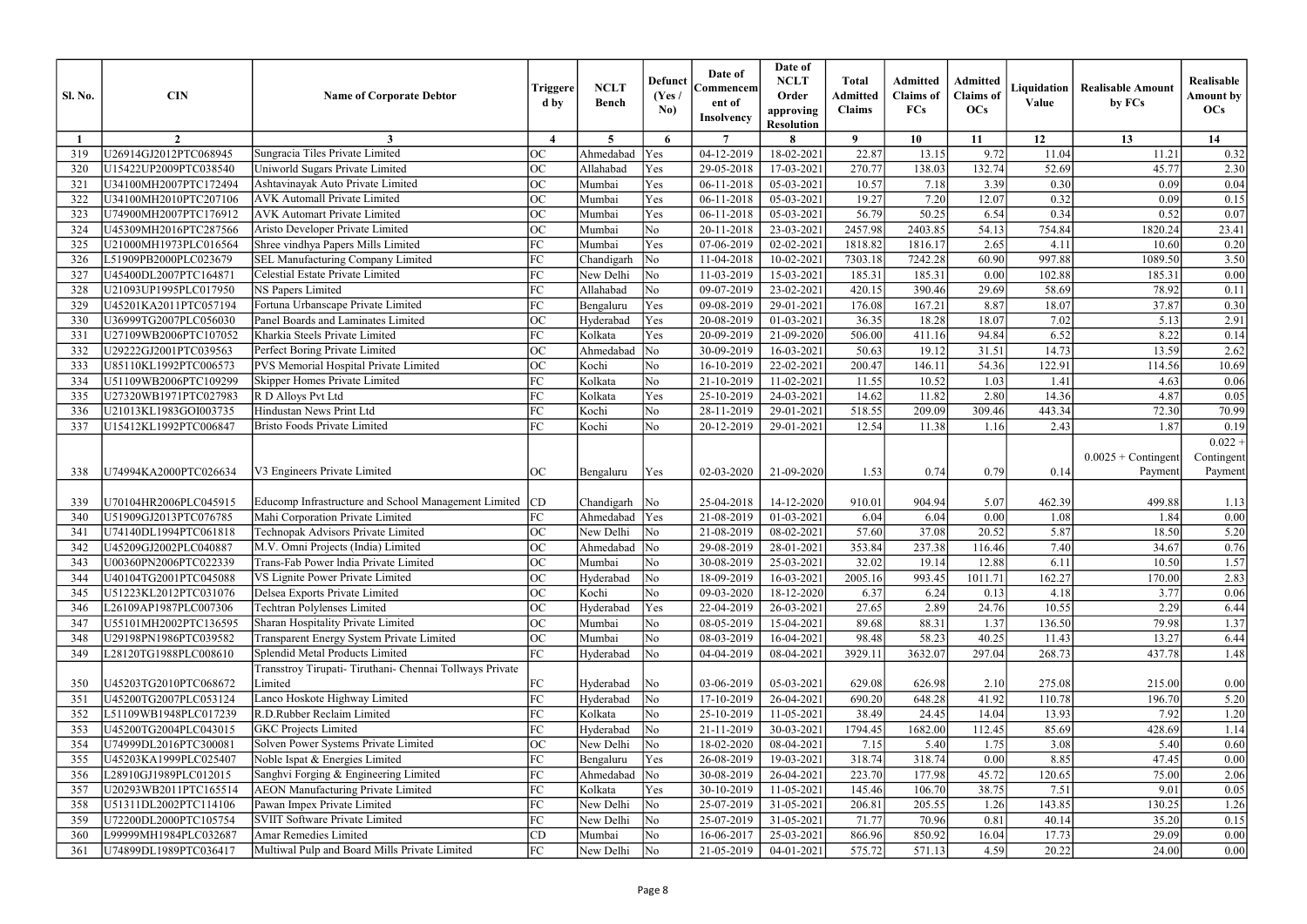| <b>Sl. No.</b>  | <b>CIN</b>            | <b>Name of Corporate Debtor</b>                          | Triggere<br>d by             | <b>NCLT</b><br><b>Bench</b> | <b>Defunct</b><br>(Yes)<br>No) | Date of<br>Commencem<br>ent of<br><b>Insolvency</b> | Date of<br><b>NCLT</b><br>Order<br>approving<br><b>Resolution</b> | <b>Total</b><br><b>Admitted</b><br><b>Claims</b> | <b>Admitted</b><br><b>Claims</b> of<br><b>FCs</b> | <b>Admitted</b><br><b>Claims</b> of<br><b>OCs</b> | Liquidation<br>Value | <b>Realisable Amount</b><br>by FCs | Realisable<br>Amount by<br>OCs     |
|-----------------|-----------------------|----------------------------------------------------------|------------------------------|-----------------------------|--------------------------------|-----------------------------------------------------|-------------------------------------------------------------------|--------------------------------------------------|---------------------------------------------------|---------------------------------------------------|----------------------|------------------------------------|------------------------------------|
|                 | $\overline{2}$        | 3                                                        | $\boldsymbol{\Lambda}$       | $5^{\circ}$                 | 6                              | $\overline{7}$                                      | 8                                                                 | $\mathbf{o}$                                     | 10                                                | 11                                                | 12                   | 13                                 | 14                                 |
| 319             | U26914GJ2012PTC068945 | Sungracia Tiles Private Limited                          | <b>OC</b>                    | Ahmedabad                   | Yes                            | 04-12-2019                                          | 18-02-2021                                                        | 22.87                                            | 13.15                                             | 9.72                                              | 11.04                | 11.21                              | 0.32                               |
| 320             | U15422UP2009PTC038540 | Uniworld Sugars Private Limited                          | <b>OC</b>                    | Allahabad                   | Yes                            | 29-05-2018                                          | 17-03-2021                                                        | 270.77                                           | 138.03                                            | 132.74                                            | 52.69                | 45.77                              | 2.30                               |
| 32 <sup>2</sup> | U34100MH2007PTC172494 | Ashtavinayak Auto Private Limited                        | <b>OC</b>                    | Mumbai                      | Yes                            | 06-11-2018                                          | 05-03-2021                                                        | 10.57                                            | 7.18                                              | 3.39                                              | 0.30                 | 0.09                               | 0.04                               |
| 322             | U34100MH2010PTC207106 | <b>AVK Automall Private Limited</b>                      | <b>OC</b>                    | Mumbai                      | Yes                            | 06-11-2018                                          | 05-03-2021                                                        | 19.27                                            | 7.20                                              | 12.07                                             | 0.32                 | 0.09                               | 0.15                               |
| 323             | U74900MH2007PTC176912 | <b>AVK Automart Private Limited</b>                      | OC                           | Mumbai                      | Yes                            | 06-11-2018                                          | 05-03-2021                                                        | 56.79                                            | 50.25                                             | 6.54                                              | 0.34                 | 0.52                               | 0.07                               |
| 32 <sup>2</sup> | U45309MH2016PTC287566 | Aristo Developer Private Limited                         | <b>OC</b>                    | Mumbai                      | N <sub>o</sub>                 | 20-11-2018                                          | 23-03-2021                                                        | 2457.98                                          | 2403.85                                           | 54.13                                             | 754.84               | 1820.24                            | 23.41                              |
| 325             | U21000MH1973PLC016564 | Shree vindhya Papers Mills Limited                       | FC                           | Mumbai                      | Yes                            | 07-06-2019                                          | $02 - 02 - 202$                                                   | 1818.82                                          | 1816.17                                           | 2.65                                              | 4.11                 | 10.60                              | 0.20                               |
| 326             | L51909PB2000PLC023679 | <b>SEL Manufacturing Company Limited</b>                 | FC                           | Chandigarh                  | $\overline{\rm No}$            | 11-04-2018                                          | 10-02-2021                                                        | 7303.18                                          | 7242.28                                           | 60.90                                             | 997.88               | 1089.50                            | 3.50                               |
| 327             | U45400DL2007PTC164871 | Celestial Estate Private Limited                         | FC                           | New Delhi                   | $\overline{\rm No}$            | 11-03-2019                                          | 15-03-2021                                                        | 185.31                                           | 185.31                                            | 0.00                                              | 102.88               | 185.31                             | 0.00                               |
| 328             | U21093UP1995PLC017950 | <b>NS Papers Limited</b>                                 | FC                           | Allahabad                   | No                             | 09-07-2019                                          | 23-02-2021                                                        | 420.15                                           | 390.46                                            | 29.69                                             | 58.69                | 78.92                              | 0.11                               |
| 329             | U45201KA2011PTC057194 | Fortuna Urbanscape Private Limited                       | FC                           | Bengaluru                   | Yes                            | 09-08-2019                                          | 29-01-2021                                                        | 176.08                                           | 167.21                                            | 8.87                                              | 18.07                | 37.87                              | 0.30                               |
| 330             | U36999TG2007PLC056030 | Panel Boards and Laminates Limited                       | <b>OC</b>                    | Hyderabad                   | Yes                            | 20-08-2019                                          | 01-03-2021                                                        | 36.35                                            | 18.28                                             | 18.07                                             | 7.02                 | 5.13                               | 2.91                               |
| 33 <sup>2</sup> | U27109WB2006PTC107052 | Kharkia Steels Private Limited                           | FC                           | Kolkata                     | Yes                            | 20-09-2019                                          | 21-09-2020                                                        | 506.00                                           | 411.16                                            | 94.84                                             | 6.52                 | 8.22                               | 0.14                               |
| 332             | U29222GJ2001PTC039563 | Perfect Boring Private Limited                           | <b>OC</b>                    | Ahmedabad                   | $\overline{\rm No}$            | 30-09-2019                                          | 16-03-2021                                                        | 50.63                                            | 19.12                                             | 31.51                                             | 14.73                | 13.59                              | 2.62                               |
| 333             | U85110KL1992PTC006573 | PVS Memorial Hospital Private Limited                    | OC                           | Kochi                       | No                             | 16-10-2019                                          | 22-02-2021                                                        | 200.47                                           | 146.11                                            | 54.36                                             | 122.91               | 114.56                             | 10.69                              |
| 334             | U51109WB2006PTC109299 | Skipper Homes Private Limited                            | FC                           | Kolkata                     | No                             | 21-10-2019                                          | 11-02-2021                                                        | 11.55                                            | 10.52                                             | 1.03                                              | 1.41                 | 4.63                               | 0.06                               |
| 335             | U27320WB1971PTC027983 | R D Alloys Pvt Ltd                                       | FC                           | Kolkata                     | Yes                            | 25-10-2019                                          | 24-03-2021                                                        | 14.62                                            | 11.82                                             | 2.80                                              | 14.36                | 4.87                               | 0.05                               |
| 336             | U21013KL1983GOI003735 | Hindustan News Print Ltd                                 | FC                           | Kochi                       | No                             | 28-11-2019                                          | 29-01-2021                                                        | 518.55                                           | 209.09                                            | 309.46                                            | 443.34               | 72.30                              | 70.99                              |
| 337             | U15412KL1992PTC006847 | <b>Bristo Foods Private Limited</b>                      | FC                           | Kochi                       | No                             | 20-12-2019                                          | 29-01-2021                                                        | 12.54                                            | 11.38                                             | 1.16                                              | 2.43                 | 1.87                               | 0.19                               |
| 338             | U74994KA2000PTC026634 | V3 Engineers Private Limited                             | <b>OC</b>                    | Bengaluru                   | Yes                            | 02-03-2020                                          | 21-09-2020                                                        | 1.53                                             | 0.74                                              | 0.79                                              | 0.14                 | $0.0025 +$ Contingent<br>Payment   | $0.022 +$<br>Contingent<br>Payment |
| 339             | U70104HR2006PLC045915 | Educomp Infrastructure and School Management Limited     | CD                           | Chandigarh                  | $\overline{\rm No}$            | 25-04-2018                                          | 14-12-2020                                                        | 910.01                                           | 904.94                                            | 5.07                                              | 462.39               | 499.88                             | 1.13                               |
| 340             | U51909GJ2013PTC076785 | Mahi Corporation Private Limited                         | FC                           | Ahmedabad                   | Yes                            | 21-08-2019                                          | 01-03-2021                                                        | 6.04                                             | 6.04                                              | 0.00                                              | 1.08                 | 1.84                               | 0.00                               |
| 34 <sup>2</sup> | U74140DL1994PTC061818 | Technopak Advisors Private Limited                       | ОC                           | New Delhi                   | $\overline{\rm No}$            | 21-08-2019                                          | 08-02-2021                                                        | 57.60                                            | 37.08                                             | 20.52                                             | 5.87                 | 18.50                              | 5.20                               |
| 342             | U45209GJ2002PLC040887 | M.V. Omni Projects (India) Limited                       | OC<br>$\mathsf{v}\mathsf{v}$ | Ahmedabad No                |                                | 29-08-2019                                          | 28-01-2021                                                        | 353.84                                           | 237.38                                            | 116.46                                            | 7.40                 | 34.67                              | 0.76                               |
| 343             | U00360PN2006PTC022339 | Trans-Fab Power India Private Limited                    | <b>OC</b>                    | Mumbai                      | No                             | 30-08-2019                                          | 25-03-2021                                                        | 32.02                                            | 19.14                                             | 12.88                                             | 6.11                 | 10.50                              | 1.57                               |
| 344             | U40104TG2001PTC045088 | VS Lignite Power Private Limited                         | OC                           | Hyderabad                   | $\overline{\rm No}$            | 18-09-2019                                          | 16-03-2021                                                        | 2005.16                                          | 993.45                                            | 1011.71                                           | 162.27               | 170.00                             | 2.83                               |
| 345             | U51223KL2012PTC031076 | Delsea Exports Private Limited                           | OC                           | Kochi                       | No                             | 09-03-2020                                          | 18-12-2020                                                        | 6.37                                             | 6.24                                              | 0.13                                              | 4.18                 | 3.77                               | 0.06                               |
| 346             | L26109AP1987PLC007306 | <b>Techtran Polylenses Limited</b>                       | <b>OC</b>                    | Hyderabad                   | Yes                            | 22-04-2019                                          | 26-03-2021                                                        | 27.65                                            | 2.89                                              | 24.76                                             | 10.55                | 2.29                               | 6.44                               |
| 347             | U55101MH2002PTC136595 | Sharan Hospitality Private Limited                       | <b>OC</b>                    | Mumbai                      | No                             | 08-05-2019                                          | 15-04-2021                                                        | 89.68                                            | 88.31                                             | 1.37                                              | 136.50               | 79.98                              | 1.37                               |
| 348             | U29198PN1986PTC039582 | Transparent Energy System Private Limited                | <b>OC</b>                    | Mumbai                      | No                             | 08-03-2019                                          | 16-04-2021                                                        | 98.48                                            | 58.23                                             | 40.25                                             | 11.43                | 13.27                              | 6.44                               |
| 349             | L28120TG1988PLC008610 | Splendid Metal Products Limited                          | FC                           | Hyderabad                   | $\overline{\rm No}$            | 04-04-2019                                          | 08-04-2021                                                        | 3929.11                                          | 3632.07                                           | 297.04                                            | 268.73               | 437.78                             | 1.48                               |
|                 |                       | Transstroy Tirupati- Tiruthani- Chennai Tollways Private |                              |                             |                                |                                                     |                                                                   |                                                  |                                                   |                                                   |                      |                                    |                                    |
| 350             | U45203TG2010PTC068672 | Limited                                                  | FC                           | Hyderabad                   | $\overline{\rm No}$            | 03-06-2019                                          | 05-03-2021                                                        | 629.08                                           | 626.98                                            | 2.10                                              | 275.08               | 215.00                             | 0.00                               |
| 351             | U45200TG2007PLC053124 | Lanco Hoskote Highway Limited                            | FC                           | Hyderabad                   | $\overline{\rm No}$            | 17-10-2019                                          | 26-04-2021                                                        | 690.20                                           | 648.28                                            | 41.92                                             | 110.78               | 196.70                             | 5.20                               |
| 352             | L51109WB1948PLC017239 | R.D.Rubber Reclaim Limited                               | FC                           | Kolkata                     | No                             | 25-10-2019                                          | 11-05-2021                                                        | 38.49                                            | 24.45                                             | 14.04                                             | 13.93                | 7.92                               | 1.20                               |
| 353             | U45200TG2004PLC043015 | <b>GKC</b> Projects Limited                              | FC                           | Hyderabad                   | $\overline{\rm No}$            | 21-11-2019                                          | 30-03-2021                                                        | 1794.45                                          | 1682.00                                           | 112.45                                            | 85.69                | 428.69                             | 1.14                               |
| 354             | U74999DL2016PTC300081 | Solven Power Systems Private Limited                     | <b>OC</b>                    | New Delhi                   | $\overline{\rm No}$            | 18-02-2020                                          | 08-04-2021                                                        | 7.15                                             | 5.40                                              | 1.75                                              | 3.08                 | 5.40                               | 0.60                               |
| 355             | U45203KA1999PLC025407 | Noble Ispat & Energies Limited                           | FC                           | Bengaluru                   | Yes                            | 26-08-2019                                          | 19-03-2021                                                        | 318.74                                           | 318.74                                            | 0.00                                              | 8.85                 | 47.45                              | 0.00                               |
| 356             | L28910GJ1989PLC012015 | Sanghvi Forging & Engineering Limited                    | FC                           | Ahmedabad                   | $\overline{\rm No}$            | 30-08-2019                                          | 26-04-2021                                                        | 223.70                                           | 177.98                                            | 45.72                                             | 120.65               | 75.00                              | 2.06                               |
| 357             | U20293WB2011PTC165514 | <b>AEON Manufacturing Private Limited</b>                | FC                           | Kolkata                     | Yes                            | 30-10-2019                                          | 11-05-2021                                                        | 145.46                                           | 106.70                                            | 38.75                                             | 7.51                 | 9.01                               | 0.05                               |
| 358             | U51311DL2002PTC114106 | Pawan Impex Private Limited                              | FC                           | New Delhi                   | $\overline{\rm No}$            | 25-07-2019                                          | 31-05-2021                                                        | 206.81                                           | 205.55                                            | 1.26                                              | 143.85               | 130.25                             | 1.26                               |
| 359             | U72200DL2000PTC105754 | <b>SVIIT Software Private Limited</b>                    | FC                           | New Delhi                   | $\overline{\rm No}$            | 25-07-2019                                          | 31-05-2021                                                        | 71.77                                            | 70.96                                             | 0.81                                              | 40.14                | 35.20                              | 0.15                               |
| 360             | L99999MH1984PLC032687 | Amar Remedies Limited                                    | CD                           | Mumbai                      | No                             | 16-06-2017                                          | 25-03-2021                                                        | 866.96                                           | 850.92                                            | 16.04                                             | 17.73                | 29.09                              | 0.00                               |
| 361             | U74899DL1989PTC036417 | Multiwal Pulp and Board Mills Private Limited            | FC                           | New Delhi                   | No                             | 21-05-2019                                          | 04-01-2021                                                        | 575.72                                           | 571.13                                            | 4.59                                              | 20.22                | 24.00                              | 0.00                               |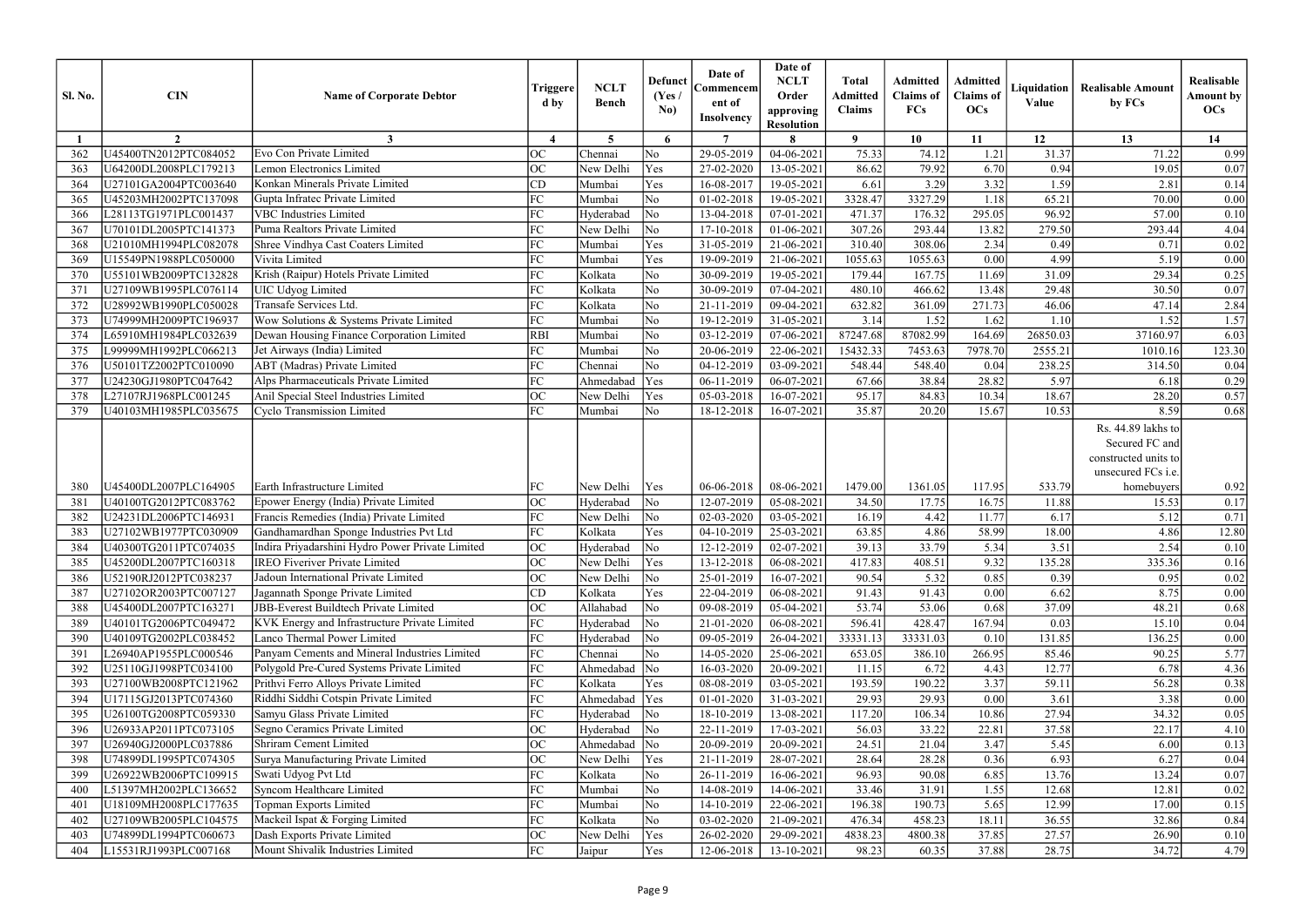| <b>Sl. No.</b>  | <b>CIN</b>            | <b>Name of Corporate Debtor</b>                                              | Triggere<br>d by         | <b>NCLT</b><br><b>Bench</b> | <b>Defunct</b><br>(Yes /<br>No) | Date of<br>Commencem<br>ent of<br><b>Insolvency</b> | Date of<br><b>NCLT</b><br>Order<br>approving<br><b>Resolution</b> | <b>Total</b><br><b>Admitted</b><br><b>Claims</b> | Admitted<br><b>Claims</b> of<br><b>FCs</b> | Admitted<br><b>Claims</b> of<br>OCs | Liquidation<br>Value | <b>Realisable Amount</b><br>by FCs                                                 | Realisable<br><b>Amount by</b><br>OCs |
|-----------------|-----------------------|------------------------------------------------------------------------------|--------------------------|-----------------------------|---------------------------------|-----------------------------------------------------|-------------------------------------------------------------------|--------------------------------------------------|--------------------------------------------|-------------------------------------|----------------------|------------------------------------------------------------------------------------|---------------------------------------|
|                 | $\overline{2}$        | 3                                                                            | $\boldsymbol{\varDelta}$ | $5\overline{)}$             | 6                               | $\overline{7}$                                      |                                                                   | $\boldsymbol{\mathsf{Q}}$                        | 10                                         | 11                                  | 12                   | 13                                                                                 | 14                                    |
| 362             | U45400TN2012PTC084052 | Evo Con Private Limited                                                      | <b>OC</b>                | Chennai                     | N <sub>o</sub>                  | 29-05-2019                                          | $04 - 06 - 2021$                                                  | 75.33                                            | 74.12                                      | 1.21                                | 31.37                | 71.22                                                                              | 0.99                                  |
| 363             | U64200DL2008PLC179213 | <b>Lemon Electronics Limited</b>                                             | $ _{OC}$                 | New Delhi                   | Yes                             | 27-02-2020                                          | 13-05-2021                                                        | 86.62                                            | 79.92                                      | 6.70                                | 0.94                 | 19.05                                                                              | 0.07                                  |
| 364             | U27101GA2004PTC003640 | Konkan Minerals Private Limited                                              | CD                       | Mumbai                      | Yes                             | 16-08-2017                                          | 19-05-2021                                                        | 6.61                                             | 3.29                                       | 3.32                                | 1.59                 | 2.81                                                                               | 0.14                                  |
| 365             | U45203MH2002PTC137098 | Gupta Infratec Private Limited                                               | FC                       | Mumbai                      | No                              | 01-02-2018                                          | 19-05-2021                                                        | 3328.47                                          | 3327.29                                    | 1.18                                | 65.21                | 70.00                                                                              | 0.00                                  |
| 366             | L28113TG1971PLC001437 | <b>VBC</b> Industries Limited                                                | FC                       | Hyderabad                   | No                              | 13-04-2018                                          | 07-01-2021                                                        | 471.37                                           | 176.32                                     | 295.05                              | 96.92                | 57.00                                                                              | 0.10                                  |
| 367             | U70101DL2005PTC141373 | Puma Realtors Private Limited                                                | FC                       | New Delhi                   | No                              | 17-10-2018                                          | $01-06-2021$                                                      | 307.26                                           | 293.44                                     | 13.82                               | 279.50               | 293.44                                                                             | 4.04                                  |
| 368             | U21010MH1994PLC082078 | Shree Vindhya Cast Coaters Limited                                           | FC                       | Mumbai                      | Yes                             | 31-05-2019                                          | 21-06-2021                                                        | 310.40                                           | 308.06                                     | 2.34                                | 0.49                 | 0.71                                                                               | 0.02                                  |
| 369             | U15549PN1988PLC050000 | Vivita Limited                                                               | FC                       | Mumbai                      | Yes                             | 19-09-2019                                          | 21-06-2021                                                        | 1055.63                                          | 1055.63                                    | 0.00                                | 4.99                 | 5.19                                                                               | 0.00                                  |
| 37 <sup>0</sup> | U55101WB2009PTC132828 | Krish (Raipur) Hotels Private Limited                                        | FC                       | Kolkata                     | N <sub>o</sub>                  | 30-09-2019                                          | 19-05-2021                                                        | 179.44                                           | 167.75                                     | 11.69                               | 31.09                | 29.34                                                                              | 0.25                                  |
| 371             | U27109WB1995PLC076114 | <b>UIC Udyog Limited</b>                                                     | FC                       | Kolkata                     | No                              | 30-09-2019                                          | 07-04-2021                                                        | 480.10                                           | 466.62                                     | 13.48                               | 29.48                | 30.50                                                                              | 0.07                                  |
| 372             | U28992WB1990PLC050028 | Transafe Services Ltd.                                                       | FC                       | Kolkata                     | No                              | 21-11-2019                                          | 09-04-2021                                                        | 632.82                                           | 361.09                                     | 271.73                              | 46.06                | 47.14                                                                              | 2.84                                  |
| 373             | U74999MH2009PTC196937 | Wow Solutions & Systems Private Limited                                      | FC                       | Mumbai                      | No                              | 19-12-2019                                          | 31-05-2021                                                        | 3.14                                             | 1.52                                       | 1.62                                | 1.10                 | 1.52                                                                               | 1.57                                  |
| 374             | L65910MH1984PLC032639 | Dewan Housing Finance Corporation Limited                                    | <b>RBI</b>               | Mumbai                      | No                              | 03-12-2019                                          | 07-06-202                                                         | 87247.68                                         | 87082.99                                   | 164.69                              | 26850.03             | 37160.97                                                                           | 6.03                                  |
| 375             | L99999MH1992PLC066213 | Jet Airways (India) Limited                                                  | FC                       | Mumbai                      | No                              | 20-06-2019                                          | 22-06-2021                                                        | 15432.33                                         | 7453.63                                    | 7978.70                             | 2555.21              | 1010.16                                                                            | 123.30                                |
| 376             | U50101TZ2002PTC010090 | <b>ABT</b> (Madras) Private Limited                                          | FC                       | Chennai                     | No                              | 04-12-2019                                          | 03-09-2021                                                        | 548.44                                           | 548.40                                     | 0.04                                | 238.25               | 314.50                                                                             | 0.04                                  |
| 377             | U24230GJ1980PTC047642 | Alps Pharmaceuticals Private Limited                                         | FC                       | Ahmedabad                   | Yes                             | 06-11-2019                                          | 06-07-2021                                                        | 67.66                                            | 38.84                                      | 28.82                               | 5.97                 | 6.18                                                                               | 0.29                                  |
| 378             | L27107RJ1968PLC001245 | Anil Special Steel Industries Limited                                        | <b>OC</b>                | New Delhi                   | Yes                             | 05-03-2018                                          | 16-07-2021                                                        | 95.17                                            | 84.83                                      | 10.34                               | 18.67                | 28.20                                                                              | 0.57                                  |
| 379             | U40103MH1985PLC035675 | Cyclo Transmission Limited                                                   | FC                       | Mumbai                      | N <sub>o</sub>                  | 18-12-2018                                          | 16-07-2021                                                        | 35.87                                            | 20.20                                      | 15.67                               | 10.53                | 8.59                                                                               | 0.68                                  |
|                 |                       |                                                                              |                          |                             |                                 |                                                     |                                                                   |                                                  |                                            |                                     |                      | Rs. 44.89 lakhs to<br>Secured FC and<br>constructed units to<br>unsecured FCs i.e. |                                       |
| 380             | U45400DL2007PLC164905 | Earth Infrastructure Limited                                                 | FC                       | New Delhi                   | Yes                             | 06-06-2018                                          | 08-06-2021                                                        | 1479.00                                          | 1361.05                                    | 117.95                              | 533.79               | homebuyers                                                                         | 0.92                                  |
| 381             | U40100TG2012PTC083762 | Epower Energy (India) Private Limited                                        | OC                       | Hyderabad                   | $\overline{\rm No}$             | 12-07-2019                                          | 05-08-2021                                                        | 34.50                                            | 17.75                                      | 16.75                               | 11.88                | 15.53                                                                              | 0.17                                  |
| 382             | U24231DL2006PTC146931 | Francis Remedies (India) Private Limited                                     | FC                       | New Delhi                   | No                              | 02-03-2020                                          | 03-05-2021                                                        | 16.19                                            | 4.42                                       | 11.77                               | 6.17                 | 5.12                                                                               | 0.71                                  |
| 383             | U27102WB1977PTC030909 | Gandhamardhan Sponge Industries Pvt Ltd                                      | FC                       | Kolkata                     | Yes                             | 04-10-2019                                          | 25-03-2021                                                        | 63.85                                            | 4.86                                       | 58.99                               | 18.00                | 4.86                                                                               | 12.80                                 |
| 384             | U40300TG2011PTC074035 | Indira Priyadarshini Hydro Power Private Limited                             | OC                       | Hyderabad                   | $\overline{\text{No}}$          |                                                     | $12-12-2019$ 02-07-2021                                           | 39.13                                            | 33.79                                      | 5.34                                |                      | 2.54                                                                               | 0.10                                  |
|                 |                       | <b>IREO</b> Fiveriver Private Limited                                        |                          |                             |                                 |                                                     |                                                                   |                                                  |                                            |                                     | 3.51                 |                                                                                    |                                       |
| 385             | U45200DL2007PTC160318 | Jadoun International Private Limited                                         | <b>OC</b>                | New Delhi                   | Yes                             | 13-12-2018                                          | 06-08-2021                                                        | 417.83                                           | 408.51                                     | 9.32                                | 135.28               | 335.36                                                                             | 0.16                                  |
| 386             | U52190RJ2012PTC038237 |                                                                              | <b>OC</b><br>CD          | New Delhi                   | $\overline{\rm No}$             | 25-01-2019                                          | 16-07-2021                                                        | 90.54                                            | 5.32                                       | 0.85                                | 0.39<br>6.62         | 0.95<br>8.75                                                                       | 0.02                                  |
| 387             | U27102OR2003PTC007127 | Jagannath Sponge Private Limited<br>JBB-Everest Buildtech Private Limited    | OC                       | Kolkata                     | Yes<br>No                       | 22-04-2019                                          | 06-08-2021                                                        | 91.43                                            | 91.43                                      | 0.00                                |                      |                                                                                    | 0.00                                  |
| 388             | U45400DL2007PTC163271 |                                                                              | FC                       | Allahabad<br>Hyderabad      |                                 | 09-08-2019                                          | 05-04-2021                                                        | 53.74<br>596.41                                  | 53.06                                      | 0.68<br>167.94                      | 37.09<br>0.03        | 48.21                                                                              | 0.68                                  |
| 389             | J40101TG2006PTC049472 | KVK Energy and Infrastructure Private Limited                                | FC                       |                             | No                              | 21-01-2020                                          | 06-08-2021                                                        |                                                  | 428.47                                     |                                     |                      | 15.10                                                                              | 0.04                                  |
| 390             | U40109TG2002PLC038452 | Lanco Thermal Power Limited<br>Panyam Cements and Mineral Industries Limited |                          | Hyderabad                   | $\overline{\rm No}$             | 09-05-2019                                          | 26-04-2021                                                        | 33331.13                                         | 33331.03                                   | 0.10                                | 131.85               | 136.25                                                                             | $0.00\,$                              |
| 391             | 26940AP1955PLC000546  |                                                                              | FC                       | Chennai                     | No                              | 14-05-2020                                          | 25-06-2021                                                        | 653.05                                           | 386.10                                     | 266.95                              | 85.46                | 90.25                                                                              | 5.77                                  |
| 392             | U25110GJ1998PTC034100 | Polygold Pre-Cured Systems Private Limited                                   | FC                       | Ahmedabad                   | $\overline{\rm No}$             | 16-03-2020                                          | 20-09-2021                                                        | 11.15                                            | 6.72                                       | 4.43                                | 12.77                | 6.78                                                                               | 4.36                                  |
| 393             | U27100WB2008PTC121962 | Prithvi Ferro Alloys Private Limited                                         | FC                       | Kolkata                     | Yes                             | 08-08-2019                                          | 03-05-2021                                                        | 193.59                                           | 190.22                                     | 3.37                                | 59.11                | 56.28                                                                              | 0.38                                  |
| 394             | U17115GJ2013PTC074360 | Riddhi Siddhi Cotspin Private Limited                                        | FC                       | Ahmedabad                   | Yes                             | 01-01-2020                                          | 31-03-2021                                                        | 29.93                                            | 29.93                                      | 0.00                                | 3.61                 | 3.38                                                                               | 0.00                                  |
| 395             | U26100TG2008PTC059330 | Samyu Glass Private Limited                                                  | FC                       | Hyderabad                   | $\overline{\rm No}$             | 18-10-2019                                          | 13-08-2021                                                        | 117.20                                           | 106.34                                     | 10.86                               | 27.94                | 34.32                                                                              | 0.05                                  |
| 396             | U26933AP2011PTC073105 | Segno Ceramics Private Limited                                               | <b>OC</b>                | Hyderabad                   | $\overline{\rm No}$             | 22-11-2019                                          | 17-03-2021                                                        | 56.03                                            | 33.22                                      | 22.81                               | 37.58                | 22.17                                                                              | 4.10                                  |
| 397             | U26940GJ2000PLC037886 | Shriram Cement Limited                                                       | OC                       | Ahmedabad                   | $\overline{\rm No}$             | 20-09-2019                                          | 20-09-2021                                                        | 24.51                                            | 21.04                                      | 3.47                                | 5.45                 | 6.00                                                                               | 0.13                                  |
| 398             | U74899DL1995PTC074305 | Surya Manufacturing Private Limited                                          | <b>OC</b>                | New Delhi                   | Yes                             | 21-11-2019                                          | 28-07-2021                                                        | 28.64                                            | 28.28                                      | 0.36                                | 6.93                 | 6.27                                                                               | 0.04                                  |
| 399             | U26922WB2006PTC109915 | Swati Udyog Pvt Ltd                                                          | FC                       | Kolkata                     | No                              | 26-11-2019                                          | 16-06-2021                                                        | 96.93                                            | 90.08                                      | 6.85                                | 13.76                | 13.24                                                                              | 0.07                                  |
| 400             | L51397MH2002PLC136652 | Syncom Healthcare Limited                                                    | FC                       | Mumbai                      | No                              | 14-08-2019                                          | 14-06-2021                                                        | 33.46                                            | 31.91                                      | 1.55                                | 12.68                | 12.81                                                                              | 0.02                                  |
| 401             | U18109MH2008PLC177635 | Topman Exports Limited                                                       | FC                       | Mumbai                      | No                              | 14-10-2019                                          | 22-06-2021                                                        | 196.38                                           | 190.73                                     | 5.65                                | 12.99                | 17.00                                                                              | 0.15                                  |
| 402             | U27109WB2005PLC104575 | Mackeil Ispat & Forging Limited                                              | FC                       | Kolkata                     | No                              | 03-02-2020                                          | 21-09-2021                                                        | 476.34                                           | 458.23                                     | 18.11                               | 36.55                | 32.86                                                                              | 0.84                                  |
| 403             | U74899DL1994PTC060673 | Dash Exports Private Limited                                                 | OC                       | New Delhi                   | Yes                             | 26-02-2020                                          | 29-09-2021                                                        | 4838.23                                          | 4800.38                                    | 37.85                               | 27.57                | 26.90                                                                              | 0.10                                  |
| 404             | L15531RJ1993PLC007168 | Mount Shivalik Industries Limited                                            | FC                       | Jaipur                      | Yes                             | 12-06-2018                                          | 13-10-2021                                                        | 98.23                                            | 60.35                                      | 37.88                               | 28.75                | 34.72                                                                              | 4.79                                  |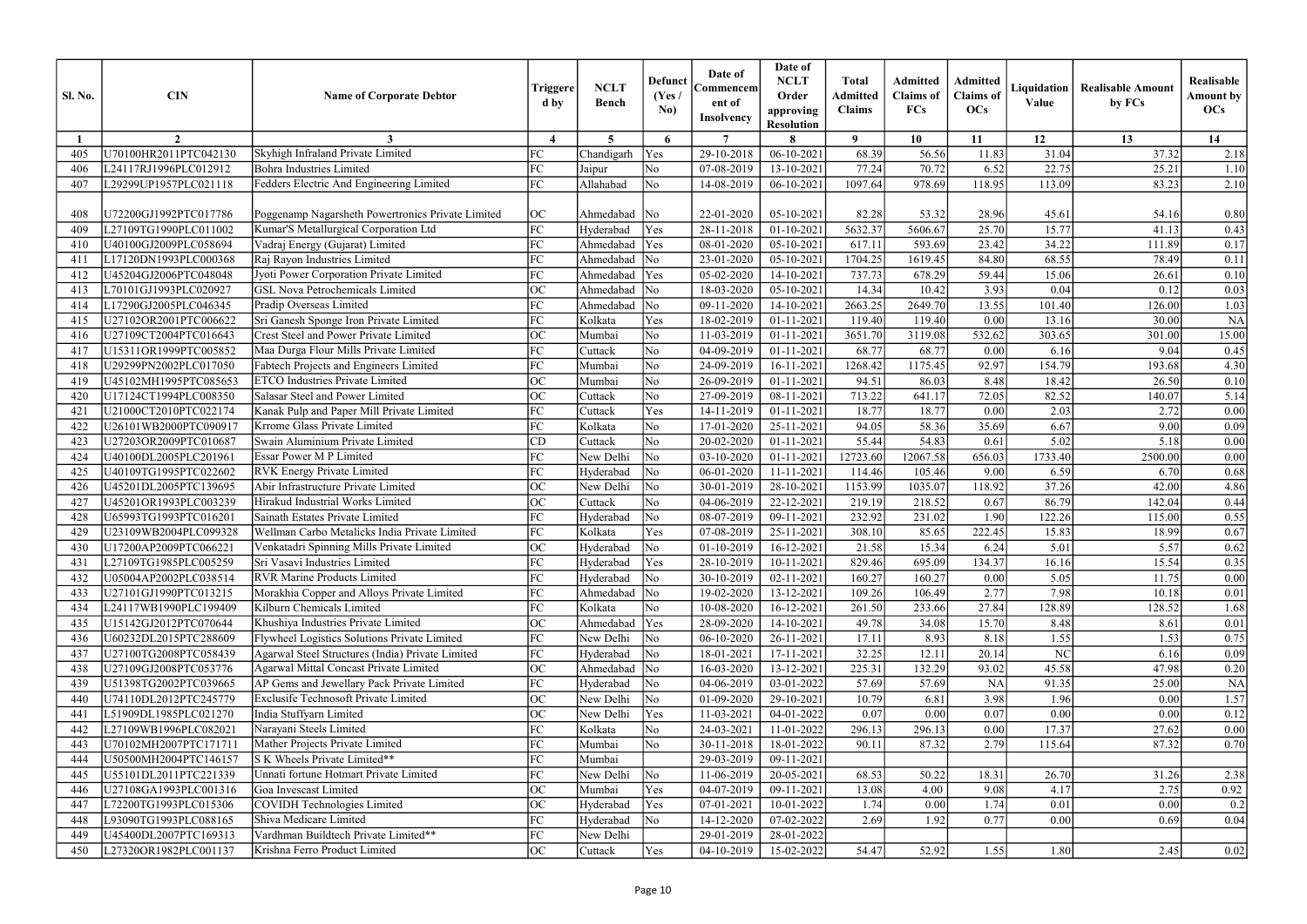| <b>Sl. No.</b> | <b>CIN</b>            | <b>Name of Corporate Debtor</b>                   | Triggere<br>d by                  | <b>NCLT</b><br><b>Bench</b> | <b>Defunct</b><br>(Yes /<br>No) | Date of<br>Commencem<br>ent of<br><b>Insolvency</b> | Date of<br><b>NCLT</b><br>Order<br>approving<br><b>Resolution</b> | <b>Total</b><br><b>Admitted</b><br><b>Claims</b> | <b>Admitted</b><br><b>Claims</b> of<br><b>FCs</b> | <b>Admitted</b><br><b>Claims</b> of<br><b>OCs</b> | Liquidation<br>Value | <b>Realisable Amount</b><br>by FCs | Realisable<br><b>Amount by</b><br>OCs |
|----------------|-----------------------|---------------------------------------------------|-----------------------------------|-----------------------------|---------------------------------|-----------------------------------------------------|-------------------------------------------------------------------|--------------------------------------------------|---------------------------------------------------|---------------------------------------------------|----------------------|------------------------------------|---------------------------------------|
|                | $\overline{2}$        |                                                   | $\boldsymbol{\Lambda}$            | 5 <sup>5</sup>              | 6                               | $\overline{7}$                                      | 8                                                                 | $\bf{Q}$                                         | 10                                                | 11                                                | 12                   | 13                                 | 14                                    |
| 405            | U70100HR2011PTC042130 | Skyhigh Infraland Private Limited                 | FC                                | Chandigarh                  | Yes                             | 29-10-2018                                          | 06-10-2021                                                        | 68.39                                            | 56.56                                             | 11.83                                             | 31.04                | 37.32                              | 2.18                                  |
| 406            | L24117RJ1996PLC012912 | <b>Bohra Industries Limited</b>                   | FC                                | Jaipur                      | No                              | 07-08-2019                                          | 13-10-2021                                                        | 77.24                                            | 70.72                                             | 6.52                                              | 22.75                | 25.21                              | 1.10                                  |
| 407            | L29299UP1957PLC021118 | Fedders Electric And Engineering Limited          | FC                                | Allahabad                   | No                              | 14-08-2019                                          | $06-10-2021$                                                      | 1097.64                                          | 978.69                                            | 118.95                                            | 113.09               | 83.23                              | 2.10                                  |
|                |                       |                                                   |                                   |                             |                                 |                                                     |                                                                   |                                                  |                                                   |                                                   |                      |                                    |                                       |
| 408            | U72200GJ1992PTC017786 | Poggenamp Nagarsheth Powertronics Private Limited | OC                                | Ahmedabad                   | $\overline{\rm No}$             | 22-01-2020                                          | 05-10-2021                                                        | 82.28                                            | 53.32                                             | 28.96                                             | 45.61                | 54.16                              | 0.80                                  |
| 409            | L27109TG1990PLC011002 | Kumar'S Metallurgical Corporation Ltd             | FC                                | Hyderabad                   | Yes                             | 28-11-2018                                          | $01-10-2021$                                                      | 5632.37                                          | 5606.67                                           | 25.70                                             | 15.77                | 41.13                              | 0.43                                  |
| 410            | U40100GJ2009PLC058694 | Vadraj Energy (Gujarat) Limited                   | FC                                | Ahmedabad                   | Yes                             | 08-01-2020                                          | 05-10-2021                                                        | 617.11                                           | 593.69                                            | 23.42                                             | 34.22                | 111.89                             | 0.17                                  |
| 41             | L17120DN1993PLC000368 | Raj Rayon Industries Limited                      | FC                                | Ahmedabad                   | $\overline{\text{No}}$          | 23-01-2020                                          | 05-10-2021                                                        | 1704.25                                          | 1619.45                                           | 84.80                                             | 68.55                | 78.49                              | 0.11                                  |
| 412            | U45204GJ2006PTC048048 | Jyoti Power Corporation Private Limited           | FC                                | Ahmedabad                   | Yes                             | 05-02-2020                                          | 14-10-2021                                                        | 737.73                                           | 678.29                                            | 59.44                                             | 15.06                | 26.61                              | 0.10                                  |
| 413            | L70101GJ1993PLC020927 | <b>GSL Nova Petrochemicals Limited</b>            | ОC                                | Ahmedabad                   | $\overline{\text{No}}$          | 18-03-2020                                          | 05-10-2021                                                        | 14.34                                            | 10.42                                             | 3.93                                              | 0.04                 | 0.12                               | 0.03                                  |
| 414            | L17290GJ2005PLC046345 | Pradip Overseas Limited                           | FC                                | Ahmedabad                   | $\overline{\rm No}$             | 09-11-2020                                          | 14-10-2021                                                        | 2663.25                                          | 2649.70                                           | 13.55                                             | 101.40               | 126.00                             | 1.03                                  |
| 415            | U27102OR2001PTC006622 | Sri Ganesh Sponge Iron Private Limited            | FC                                | Kolkata                     | Yes                             | 18-02-2019                                          | $01 - 11 - 2021$                                                  | 119.40                                           | 119.40                                            | 0.00                                              | 13.16                | 30.00                              | <b>NA</b>                             |
| 416            | U27109CT2004PTC016643 | <b>Crest Steel and Power Private Limited</b>      | ОC                                | Mumbai                      | No                              | 11-03-2019                                          | $01 - 11 - 2021$                                                  | 3651.70                                          | 3119.08                                           | 532.62                                            | 303.65               | 301.00                             | 15.00                                 |
| 417            | U15311OR1999PTC005852 | Maa Durga Flour Mills Private Limited             | FC                                | Cuttack                     | No                              | 04-09-2019                                          | 01-11-2021                                                        | 68.77                                            | 68.77                                             | 0.00                                              | 6.16                 | 9.04                               | 0.45                                  |
| 418            | U29299PN2002PLC017050 | Fabtech Projects and Engineers Limited            | FC                                | Mumbai                      | No                              | 24-09-2019                                          | 16-11-2021                                                        | 1268.42                                          | 1175.45                                           | 92.97                                             | 154.79               | 193.68                             | 4.30                                  |
| 419            | U45102MH1995PTC085653 | <b>ETCO</b> Industries Private Limited            | <b>OC</b>                         | Mumbai                      | N <sub>o</sub>                  | 26-09-2019                                          | $01 - 11 - 2021$                                                  | 94.51                                            | 86.03                                             | 8.48                                              | 18.42                | 26.50                              | 0.10                                  |
| 420            | U17124CT1994PLC008350 | Salasar Steel and Power Limited                   | ОC                                | Cuttack                     | No                              | 27-09-2019                                          | 08-11-2021                                                        | 713.22                                           | 641.17                                            | 72.05                                             | 82.52                | 140.07                             | 5.14                                  |
| 42             | U21000CT2010PTC022174 | Kanak Pulp and Paper Mill Private Limited         | FC                                | Cuttack                     | Yes                             | 14-11-2019                                          | $01 - 11 - 2021$                                                  | 18.77                                            | 18.77                                             | 0.00                                              | 2.03                 | 2.72                               | 0.00                                  |
| 422            | U26101WB2000PTC090917 | Krrome Glass Private Limited                      | FC                                | Kolkata                     | No                              | 17-01-2020                                          | 25-11-2021                                                        | 94.05                                            | 58.36                                             | 35.69                                             | 6.67                 | 9.00                               | 0.09                                  |
| 423            | U27203OR2009PTC010687 | Swain Aluminium Private Limited                   | CD                                | Cuttack                     | No                              | 20-02-2020                                          | $01 - 11 - 2021$                                                  | 55.44                                            | 54.83                                             | 0.61                                              | 5.02                 | 5.18                               | $0.00\,$                              |
| 424            | U40100DL2005PLC201961 | Essar Power M P Limited                           | FC                                | New Delhi                   | $\overline{\rm No}$             | 03-10-2020                                          | $01 - 11 - 2021$                                                  | 12723.60                                         | 12067.58                                          | 656.03                                            | 1733.40              | 2500.00                            | $0.00\,$                              |
| 425            | U40109TG1995PTC022602 | <b>RVK</b> Energy Private Limited                 | FC                                | Hyderabad                   | No                              | 06-01-2020                                          | 11-11-2021                                                        | 114.46                                           | 105.46                                            | 9.00                                              | 6.59                 | 6.70                               | 0.68                                  |
| 426            | U45201DL2005PTC139695 | Abir Infrastructure Private Limited               | <b>OC</b>                         | New Delhi                   | $\overline{\rm No}$             | 30-01-2019                                          | 28-10-2021                                                        | 1153.99                                          | 1035.07                                           | 118.92                                            | 37.26                | 42.00                              | 4.86                                  |
| 427            | U45201OR1993PLC003239 | Hirakud Industrial Works Limited                  | ОC                                | Cuttack                     | No                              | 04-06-2019                                          | 22-12-2021                                                        | 219.19                                           | 218.52                                            | 0.67                                              | 86.79                | 142.04                             | 0.44                                  |
| 428            | U65993TG1993PTC016201 | Sainath Estates Private Limited                   | FC                                | Hyderabad                   | $\overline{\rm No}$             | 08-07-2019                                          | 09-11-2021                                                        | 232.92                                           | 231.02                                            | 1.90                                              | 122.26               | 115.00                             | 0.55                                  |
| 429            | U23109WB2004PLC099328 | Wellman Carbo Metalicks India Private Limited     | FC                                | Kolkata                     | Yes                             | 07-08-2019                                          | 25-11-2021                                                        | 308.10                                           | 85.65                                             | 222.45                                            | 15.83                | 18.99                              | 0.67                                  |
| 430            | U17200AP2009PTC066221 | Venkatadri Spinning Mills Private Limited         | $\Omega$<br>$\check{\phantom{a}}$ | Hyderabad                   | No                              | 01-10-2019                                          | 16-12-2021                                                        | 21.58                                            | 15.34                                             | 6.24                                              | 5.01                 | 5.57                               | 0.62                                  |
| 431            | L27109TG1985PLC005259 | Sri Vasavi Industries Limited                     | FC                                | Hyderabad                   | Yes                             | 28-10-2019                                          | 10-11-2021                                                        | 829.46                                           | 695.09                                            | 134.37                                            | 16.16                | 15.54                              | 0.35                                  |
| 432            | U05004AP2002PLC038514 | <b>RVR Marine Products Limited</b>                | FC                                | Hyderabad                   | $\overline{\rm No}$             | 30-10-2019                                          | $02 - 11 - 2021$                                                  | 160.27                                           | 160.27                                            | 0.00                                              | 5.05                 | 11.75                              | 0.00                                  |
| 433            | U27101GJ1990PTC013215 | Morakhia Copper and Alloys Private Limited        | FC                                | Ahmedabad                   | $\overline{\text{No}}$          | 19-02-2020                                          | 13-12-2021                                                        | 109.26                                           | 106.49                                            | 2.77                                              | 7.98                 | 10.18                              | 0.01                                  |
| 434            | L24117WB1990PLC199409 | Kilburn Chemicals Limited                         | FC                                | Kolkata                     | No                              | 10-08-2020                                          | 16-12-2021                                                        | 261.50                                           | 233.66                                            | 27.84                                             | 128.89               | 128.52                             | 1.68                                  |
| 435            | U15142GJ2012PTC070644 | Khushiya Industries Private Limited               | ОC                                | Ahmedabad                   | Yes                             | 28-09-2020                                          | 14-10-2021                                                        | 49.78                                            | 34.08                                             | 15.70                                             | 8.48                 | 8.61                               | 0.01                                  |
| 436            | U60232DL2015PTC288609 | Flywheel Logistics Solutions Private Limited      | FC                                | New Delhi                   | $\overline{\rm No}$             | 06-10-2020                                          | $26 - 11 - 2021$                                                  | 17.11                                            | 8.93                                              | 8.18                                              | 1.55                 | 1.53                               | 0.75                                  |
| 437            | U27100TG2008PTC058439 | Agarwal Steel Structures (India) Private Limited  | FC                                | Hyderabad                   | $\overline{\rm No}$             | 18-01-2021                                          | 17-11-2021                                                        | 32.25                                            | 12.11                                             | 20.14                                             | NC                   | 6.16                               | 0.09                                  |
| 438            | U27109GJ2008PTC053776 | <b>Agarwal Mittal Concast Private Limited</b>     | OC                                | Ahmedabad No                |                                 | 16-03-2020                                          | 13-12-2021                                                        | 225.31                                           | 132.29                                            | 93.02                                             | 45.58                | 47.98                              | 0.20                                  |
| 439            | U51398TG2002PTC039665 | AP Gems and Jewellary Pack Private Limited        | FC                                | Hyderabad                   | $\overline{\rm No}$             | 04-06-2019                                          | 03-01-2022                                                        | 57.69                                            | 57.69                                             | <b>NA</b>                                         | 91.35                | 25.00                              | <b>NA</b>                             |
| 440            | U74110DL2012PTC245779 | Exclusife Technosoft Private Limited              | ОC                                | New Delhi                   | $\overline{\rm No}$             | 01-09-2020                                          | 29-10-2021                                                        | 10.79                                            | 6.81                                              | 3.98                                              | 1.96                 | 0.00                               | 1.57                                  |
| 441            | L51909DL1985PLC021270 | India Stuffyarn Limited                           | ОC                                | New Delhi                   | Yes                             | 11-03-2021                                          | $04 - 01 - 2022$                                                  | 0.07                                             | 0.00                                              | 0.07                                              | 0.00                 | 0.00                               | 0.12                                  |
| 442            | L27109WB1996PLC082021 | Narayani Steels Limited                           | FC                                | Kolkata                     | No                              | 24-03-2021                                          | 11-01-2022                                                        | 296.13                                           | 296.13                                            | 0.00                                              | 17.37                | 27.62                              | 0.00                                  |
| 443            | U70102MH2007PTC171711 | Mather Projects Private Limited                   | FC                                | Mumbai                      | No                              | 30-11-2018                                          | 18-01-2022                                                        | 90.11                                            | 87.32                                             | 2.79                                              | 115.64               | 87.32                              | 0.70                                  |
| 444            | U50500MH2004PTC146157 | S K Wheels Private Limited**                      | FC                                | Mumbai                      |                                 | 29-03-2019                                          | 09-11-2021                                                        |                                                  |                                                   |                                                   |                      |                                    |                                       |
| 445            | U55101DL2011PTC221339 | Unnati fortune Hotmart Private Limited            | FC                                | New Delhi                   | No                              | 11-06-2019                                          | 20-05-2021                                                        | 68.53                                            | 50.22                                             | 18.31                                             | 26.70                | 31.26                              | 2.38                                  |
| 446            | U27108GA1993PLC001316 | Goa Invescast Limited                             | OC                                | Mumbai                      | Yes                             | 04-07-2019                                          | $09-11-2021$                                                      | 13.08                                            | 4.00                                              | 9.08                                              | 4.17                 | 2.75                               | 0.92                                  |
| 447            | L72200TG1993PLC015306 | <b>COVIDH Technologies Limited</b>                | OC                                | Hyderabad                   | Yes                             | 07-01-2021                                          | 10-01-2022                                                        | 1.74                                             | 0.00                                              | 1.74                                              | 0.01                 | 0.00                               | 0.2                                   |
| 448            | L93090TG1993PLC088165 | Shiva Medicare Limited                            | FC                                | Hyderabad                   | $\overline{\rm No}$             | 14-12-2020                                          | 07-02-2022                                                        | 2.69                                             | 1.92                                              | 0.77                                              | 0.00                 | 0.69                               | 0.04                                  |
| 449            | U45400DL2007PTC169313 | Vardhman Buildtech Private Limited**              | FC                                | New Delhi                   |                                 | 29-01-2019                                          | 28-01-2022                                                        |                                                  |                                                   |                                                   |                      |                                    |                                       |
|                | L27320OR1982PLC001137 | Krishna Ferro Product Limited                     | ОC                                | Cuttack                     | Yes                             | 04-10-2019                                          | 15-02-2022                                                        | 54.47                                            | 52.92                                             |                                                   |                      | 2.45                               | 0.02                                  |
| 450            |                       |                                                   |                                   |                             |                                 |                                                     |                                                                   |                                                  |                                                   | 1.55                                              | 1.80                 |                                    |                                       |